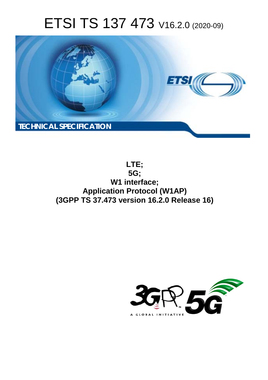# ETSI TS 137 473 V16.2.0 (2020-09)



**LTE; 5G; W1 interface; Application Protocol (W1AP) (3GPP TS 37.473 version 16.2.0 Release 16)** 

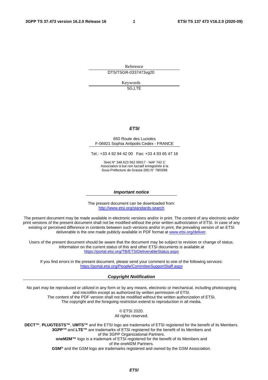Reference DTS/TSGR-0337473vg20

> Keywords 5G,LTE

#### *ETSI*

#### 650 Route des Lucioles F-06921 Sophia Antipolis Cedex - FRANCE

Tel.: +33 4 92 94 42 00 Fax: +33 4 93 65 47 16

Siret N° 348 623 562 00017 - NAF 742 C Association à but non lucratif enregistrée à la Sous-Préfecture de Grasse (06) N° 7803/88

#### *Important notice*

The present document can be downloaded from: <http://www.etsi.org/standards-search>

The present document may be made available in electronic versions and/or in print. The content of any electronic and/or print versions of the present document shall not be modified without the prior written authorization of ETSI. In case of any existing or perceived difference in contents between such versions and/or in print, the prevailing version of an ETSI deliverable is the one made publicly available in PDF format at [www.etsi.org/deliver](http://www.etsi.org/deliver).

Users of the present document should be aware that the document may be subject to revision or change of status. Information on the current status of this and other ETSI documents is available at <https://portal.etsi.org/TB/ETSIDeliverableStatus.aspx>

If you find errors in the present document, please send your comment to one of the following services: <https://portal.etsi.org/People/CommiteeSupportStaff.aspx>

#### *Copyright Notification*

No part may be reproduced or utilized in any form or by any means, electronic or mechanical, including photocopying and microfilm except as authorized by written permission of ETSI. The content of the PDF version shall not be modified without the written authorization of ETSI. The copyright and the foregoing restriction extend to reproduction in all media.

> © ETSI 2020. All rights reserved.

**DECT™**, **PLUGTESTS™**, **UMTS™** and the ETSI logo are trademarks of ETSI registered for the benefit of its Members. **3GPP™** and **LTE™** are trademarks of ETSI registered for the benefit of its Members and of the 3GPP Organizational Partners. **oneM2M™** logo is a trademark of ETSI registered for the benefit of its Members and of the oneM2M Partners. **GSM®** and the GSM logo are trademarks registered and owned by the GSM Association.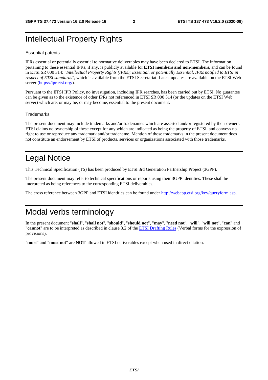# Intellectual Property Rights

#### Essential patents

IPRs essential or potentially essential to normative deliverables may have been declared to ETSI. The information pertaining to these essential IPRs, if any, is publicly available for **ETSI members and non-members**, and can be found in ETSI SR 000 314: *"Intellectual Property Rights (IPRs); Essential, or potentially Essential, IPRs notified to ETSI in respect of ETSI standards"*, which is available from the ETSI Secretariat. Latest updates are available on the ETSI Web server [\(https://ipr.etsi.org/](https://ipr.etsi.org/)).

Pursuant to the ETSI IPR Policy, no investigation, including IPR searches, has been carried out by ETSI. No guarantee can be given as to the existence of other IPRs not referenced in ETSI SR 000 314 (or the updates on the ETSI Web server) which are, or may be, or may become, essential to the present document.

#### **Trademarks**

The present document may include trademarks and/or tradenames which are asserted and/or registered by their owners. ETSI claims no ownership of these except for any which are indicated as being the property of ETSI, and conveys no right to use or reproduce any trademark and/or tradename. Mention of those trademarks in the present document does not constitute an endorsement by ETSI of products, services or organizations associated with those trademarks.

# Legal Notice

This Technical Specification (TS) has been produced by ETSI 3rd Generation Partnership Project (3GPP).

The present document may refer to technical specifications or reports using their 3GPP identities. These shall be interpreted as being references to the corresponding ETSI deliverables.

The cross reference between 3GPP and ETSI identities can be found under<http://webapp.etsi.org/key/queryform.asp>.

# Modal verbs terminology

In the present document "**shall**", "**shall not**", "**should**", "**should not**", "**may**", "**need not**", "**will**", "**will not**", "**can**" and "**cannot**" are to be interpreted as described in clause 3.2 of the [ETSI Drafting Rules](https://portal.etsi.org/Services/editHelp!/Howtostart/ETSIDraftingRules.aspx) (Verbal forms for the expression of provisions).

"**must**" and "**must not**" are **NOT** allowed in ETSI deliverables except when used in direct citation.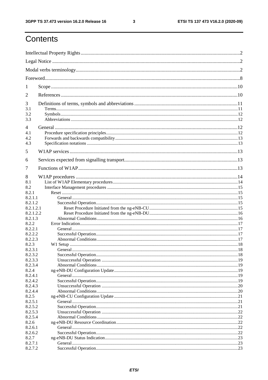$\mathbf{3}$ 

# Contents

| 1                    |  |  |  |
|----------------------|--|--|--|
| 2                    |  |  |  |
| 3                    |  |  |  |
| 3.1                  |  |  |  |
| 3.2<br>3.3           |  |  |  |
| $\overline{4}$       |  |  |  |
| 4.1                  |  |  |  |
| 4.2                  |  |  |  |
| 4.3                  |  |  |  |
| 5                    |  |  |  |
| 6                    |  |  |  |
| 7                    |  |  |  |
| 8                    |  |  |  |
| 8.1                  |  |  |  |
| 8.2                  |  |  |  |
| 8.2.1                |  |  |  |
| 8.2.1.1              |  |  |  |
| 8.2.1.2              |  |  |  |
| 8.2.1.2.1            |  |  |  |
| 8.2.1.2.2<br>8.2.1.3 |  |  |  |
| 8.2.2                |  |  |  |
| 8.2.2.1              |  |  |  |
| 8.2.2.2              |  |  |  |
| 8.2.2.3              |  |  |  |
| 8.2.3                |  |  |  |
| 8.2.3.1              |  |  |  |
| 8.2.3.2              |  |  |  |
| 8.2.3.3              |  |  |  |
| 8.2.3.4              |  |  |  |
| 8.2.4<br>8.2.4.1     |  |  |  |
| 8.2.4.2              |  |  |  |
| 8.2.4.3              |  |  |  |
| 8.2.4.4              |  |  |  |
| 8.2.5                |  |  |  |
| 8.2.5.1              |  |  |  |
| 8.2.5.2              |  |  |  |
| 8.2.5.3              |  |  |  |
| 8.2.5.4              |  |  |  |
| 8.2.6<br>8.2.6.1     |  |  |  |
| 8.2.6.2              |  |  |  |
| 8.2.7                |  |  |  |
| 8.2.7.1              |  |  |  |
| 8.2.7.2              |  |  |  |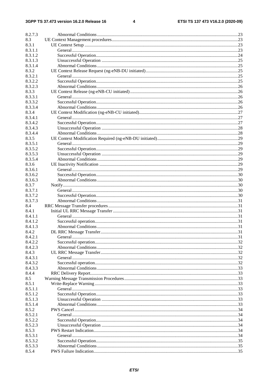$\overline{\mathbf{4}}$ 

| 8.2.7.3            |  |
|--------------------|--|
| 8.3                |  |
| 8.3.1              |  |
| 8.3.1.1            |  |
| 8.3.1.2            |  |
| 8.3.1.3            |  |
| 8.3.1.4            |  |
| 8.3.2              |  |
| 8.3.2.1            |  |
| 8.3.2.2            |  |
| 8.3.2.3            |  |
| 8.3.3              |  |
| 8.3.3.1            |  |
| 8.3.3.2            |  |
| 8.3.3.4            |  |
| 8.3.4              |  |
| 8.3.4.1            |  |
| 8.3.4.2            |  |
| 8.3.4.3            |  |
| 8.3.4.4            |  |
| 8.3.5              |  |
| 8.3.5.1            |  |
| 8.3.5.2            |  |
| 8.3.5.3            |  |
| 8.3.5.4            |  |
| 8.3.6              |  |
| 8.3.6.1            |  |
| 8.3.6.2            |  |
| 8.3.6.3            |  |
| 8.3.7              |  |
| 8.3.7.1            |  |
| 8.3.7.2            |  |
| 8.3.7.3            |  |
| 8.4                |  |
| 8.4.1              |  |
| 8.4.1.1            |  |
| 8.4.1.2            |  |
| 8.4.1.3            |  |
| 8.4.2              |  |
| 8.4.2.1            |  |
| 8.4.2.2            |  |
| 8.4.2.3            |  |
| 8.4.3              |  |
| 8.4.3.1            |  |
| 8.4.3.2            |  |
| 8.4.3.3            |  |
| 8.4.4              |  |
| 8.5                |  |
| 8.5.1              |  |
| 8.5.1.1            |  |
| 8.5.1.2            |  |
|                    |  |
| 8.5.1.3<br>8.5.1.4 |  |
| 8.5.2              |  |
| 8.5.2.1            |  |
|                    |  |
| 8.5.2.2            |  |
| 8.5.2.3<br>8.5.3   |  |
|                    |  |
| 8.5.3.1            |  |
| 8.5.3.2            |  |
| 8.5.3.3            |  |
| 8.5.4              |  |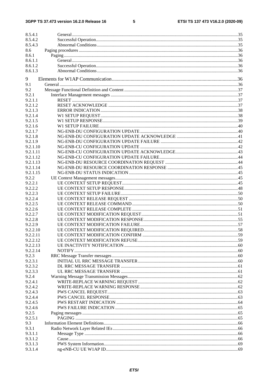#### $5\phantom{a}$

| 8.5.4.1              |  |
|----------------------|--|
| 8.5.4.2              |  |
| 8.5.4.3              |  |
| 8.6                  |  |
| 8.6.1                |  |
| 8.6.1.1              |  |
| 8.6.1.2              |  |
| 8.6.1.3              |  |
|                      |  |
| 9                    |  |
| 9.1                  |  |
| 9.2                  |  |
| 9.2.1                |  |
| 9.2.1.1              |  |
| 9.2.1.2              |  |
| 9.2.1.3              |  |
| 9.2.1.4              |  |
| 9.2.1.5              |  |
| 9.2.1.6              |  |
| 9.2.1.7              |  |
| 9.2.1.8              |  |
| 9.2.1.9              |  |
| 9.2.1.10             |  |
| 9.2.1.11             |  |
| 9.2.1.12             |  |
| 9.2.1.13             |  |
| 9.2.1.14             |  |
| 9.2.1.15             |  |
| 9.2.2                |  |
| 9.2.2.1              |  |
| 9.2.2.2              |  |
| 9.2.2.3              |  |
| 9.2.2.4              |  |
| 9.2.2.5              |  |
| 9.2.2.6              |  |
| 9.2.2.7              |  |
| 9.2.2.8              |  |
| 9.2.2.9<br>9.2.2.10  |  |
|                      |  |
| 9.2.2.11             |  |
| 9.2.2.12<br>9.2.2.13 |  |
| 9.2.2.14             |  |
| 9.2.3                |  |
| 9.2.3.1              |  |
| 9.2.3.2              |  |
| 9.2.3.3              |  |
| 9.2.4                |  |
| 9.2.4.1              |  |
| 9.2.4.2              |  |
| 9.2.4.3              |  |
| 9.2.4.4              |  |
| 9.2.4.5              |  |
| 9.2.4.6              |  |
| 9.2.5                |  |
| 9.2.5.1              |  |
| 9.3                  |  |
| 9.3.1                |  |
| 9.3.1.1              |  |
| 9.3.1.2              |  |
| 9.3.1.3              |  |
| 9.3.1.4              |  |
|                      |  |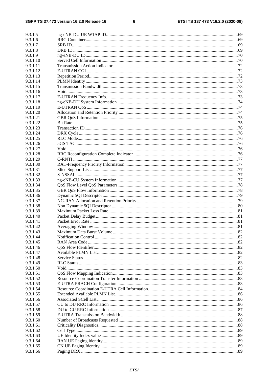$\bf 6$ 

| 9.3.1.5              |  |
|----------------------|--|
| 9.3.1.6              |  |
| 9.3.1.7              |  |
| 9.3.1.8              |  |
| 9.3.1.9              |  |
| 9.3.1.10             |  |
| 9.3.1.11             |  |
| 9.3.1.12             |  |
| 9.3.1.13             |  |
| 9.3.1.14<br>9.3.1.15 |  |
| 9.3.1.16             |  |
| 9.3.1.17             |  |
| 9.3.1.18             |  |
| 9.3.1.19             |  |
| 9.3.1.20             |  |
| 9.3.1.21             |  |
| 9.3.1.22             |  |
| 9.3.1.23             |  |
| 9.3.1.24             |  |
| 9.3.1.25             |  |
| 9.3.1.26             |  |
| 9.3.1.27             |  |
| 9.3.1.28             |  |
| 9.3.1.29             |  |
| 9.3.1.30             |  |
| 9.3.1.31             |  |
| 9.3.1.32             |  |
| 9.3.1.33             |  |
| 9.3.1.34             |  |
| 9.3.1.35             |  |
| 9.3.1.36<br>9.3.1.37 |  |
| 9.3.1.38             |  |
| 9.3.1.39             |  |
| 9.3.1.40             |  |
| 9.3.1.41             |  |
| 9.3.1.42             |  |
| 9.3.1.43             |  |
| 9.3.1.44             |  |
| 9.3.1.45             |  |
| 9.3.1.46             |  |
| 9.3.1.47             |  |
| 9.3.1.48             |  |
| 9.3.1.49             |  |
| 9.3.1.50             |  |
| 9.3.1.51             |  |
| 9.3.1.52             |  |
| 9.3.1.53             |  |
| 9.3.1.54             |  |
| 9.3.1.55             |  |
| 9.3.1.56             |  |
| 9.3.1.57             |  |
| 9.3.1.58<br>9.3.1.59 |  |
| 9.3.1.60             |  |
| 9.3.1.61             |  |
| 9.3.1.62             |  |
| 9.3.1.63             |  |
| 9.3.1.64             |  |
| 9.3.1.65             |  |
| 9.3.1.66             |  |
|                      |  |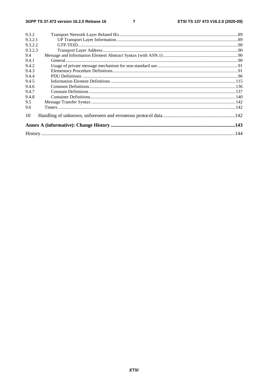#### $\overline{7}$

| 9.3.2   |  |
|---------|--|
| 9.3.2.1 |  |
| 9.3.2.2 |  |
| 9.3.2.3 |  |
| 9.4     |  |
| 9.4.1   |  |
| 9.4.2   |  |
| 9.4.3   |  |
| 9.4.4   |  |
| 9.4.5   |  |
| 9.4.6   |  |
| 9.4.7   |  |
| 9.4.8   |  |
| 9.5     |  |
| 9.6     |  |
| 10      |  |
|         |  |
|         |  |
|         |  |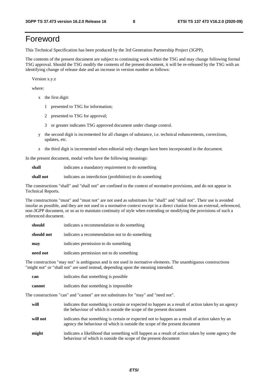# Foreword

This Technical Specification has been produced by the 3rd Generation Partnership Project (3GPP).

The contents of the present document are subject to continuing work within the TSG and may change following formal TSG approval. Should the TSG modify the contents of the present document, it will be re-released by the TSG with an identifying change of release date and an increase in version number as follows:

Version x.y.z

where:

- x the first digit:
	- 1 presented to TSG for information;
	- 2 presented to TSG for approval;
	- 3 or greater indicates TSG approved document under change control.
- y the second digit is incremented for all changes of substance, i.e. technical enhancements, corrections, updates, etc.
- z the third digit is incremented when editorial only changes have been incorporated in the document.

In the present document, modal verbs have the following meanings:

**shall** indicates a mandatory requirement to do something

**shall not** indicates an interdiction (prohibition) to do something

The constructions "shall" and "shall not" are confined to the context of normative provisions, and do not appear in Technical Reports.

The constructions "must" and "must not" are not used as substitutes for "shall" and "shall not". Their use is avoided insofar as possible, and they are not used in a normative context except in a direct citation from an external, referenced, non-3GPP document, or so as to maintain continuity of style when extending or modifying the provisions of such a referenced document.

| should     | indicates a recommendation to do something     |
|------------|------------------------------------------------|
| should not | indicates a recommendation not to do something |
| may        | indicates permission to do something           |
| need not   | indicates permission not to do something       |

The construction "may not" is ambiguous and is not used in normative elements. The unambiguous constructions "might not" or "shall not" are used instead, depending upon the meaning intended.

| can    | indicates that something is possible   |
|--------|----------------------------------------|
| cannot | indicates that something is impossible |

The constructions "can" and "cannot" are not substitutes for "may" and "need not".

| will     | indicates that something is certain or expected to happen as a result of action taken by an agency<br>the behaviour of which is outside the scope of the present document     |
|----------|-------------------------------------------------------------------------------------------------------------------------------------------------------------------------------|
| will not | indicates that something is certain or expected not to happen as a result of action taken by an<br>agency the behaviour of which is outside the scope of the present document |
| might    | indicates a likelihood that something will happen as a result of action taken by some agency the<br>behaviour of which is outside the scope of the present document           |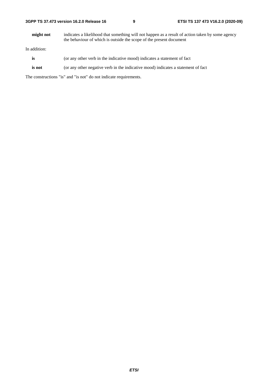| 3GPP TS 37.473 version 16.2.0 Release 16 |  |
|------------------------------------------|--|
|------------------------------------------|--|

**might not** indicates a likelihood that something will not happen as a result of action taken by some agency the behaviour of which is outside the scope of the present document

In addition:

- is (or any other verb in the indicative mood) indicates a statement of fact
- **is not** (or any other negative verb in the indicative mood) indicates a statement of fact

The constructions "is" and "is not" do not indicate requirements.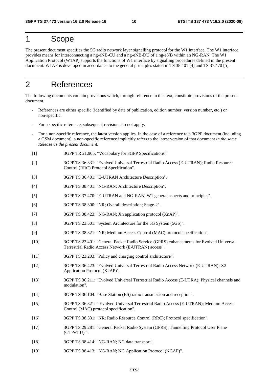### 1 Scope

The present document specifies the 5G radio network layer signalling protocol for the W1 interface. The W1 interface provides means for interconnecting a ng-eNB-CU and a ng-eNB-DU of a ng-eNB within an NG-RAN. The W1 Application Protocol (W1AP) supports the functions of W1 interface by signalling procedures defined in the present document. W1AP is developed in accordance to the general principles stated in TS 38.401 [4] and TS 37.470 [5].

# 2 References

The following documents contain provisions which, through reference in this text, constitute provisions of the present document.

- References are either specific (identified by date of publication, edition number, version number, etc.) or non-specific.
- For a specific reference, subsequent revisions do not apply.
- For a non-specific reference, the latest version applies. In the case of a reference to a 3GPP document (including a GSM document), a non-specific reference implicitly refers to the latest version of that document *in the same Release as the present document*.
- [1] 3GPP TR 21.905: "Vocabulary for 3GPP Specifications".
- [2] 3GPP TS 36.331: "Evolved Universal Terrestrial Radio Access (E-UTRAN); Radio Resource Control (RRC) Protocol Specification".
- [3] 3GPP TS 36.401: "E-UTRAN Architecture Description".
- [4] 3GPP TS 38.401: "NG-RAN; Architecture Description".
- [5] 3GPP TS 37.470: "E-UTRAN and NG-RAN; W1 general aspects and principles".
- [6] 3GPP TS 38.300: "NR; Overall description; Stage-2".
- [7] 3GPP TS 38.423: "NG-RAN; Xn application protocol (XnAP)".
- [8] 3GPP TS 23.501: "System Architecture for the 5G System (5GS)".
- [9] 3GPP TS 38.321: "NR; Medium Access Control (MAC) protocol specification".
- [10] 3GPP TS 23.401: "General Packet Radio Service (GPRS) enhancements for Evolved Universal Terrestrial Radio Access Network (E-UTRAN) access".
- [11] 3GPP TS 23.203: "Policy and charging control architecture".
- [12] 3GPP TS 36.423: "Evolved Universal Terrestrial Radio Access Network (E-UTRAN); X2 Application Protocol (X2AP)".
- [13] 3GPP TS 36.211: "Evolved Universal Terrestrial Radio Access (E-UTRA); Physical channels and modulation".
- [14] 3GPP TS 36.104: "Base Station (BS) radio transmission and reception".
- [15] 3GPP TS 36.321: " Evolved Universal Terrestrial Radio Access (E-UTRAN); Medium Access Control (MAC) protocol specification".
- [16] 3GPP TS 38.331: "NR; Radio Resource Control (RRC); Protocol specification".
- [17] 3GPP TS 29.281: "General Packet Radio System (GPRS); Tunnelling Protocol User Plane (GTPv1-U) ".
- [18] 3GPP TS 38.414: "NG-RAN; NG data transport".
- [19] 3GPP TS 38.413: "NG-RAN; NG Application Protocol (NGAP)".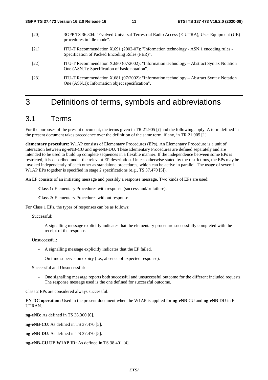- [20] 3GPP TS 36.304: "Evolved Universal Terrestrial Radio Access (E-UTRA), User Equipment (UE) procedures in idle mode".
- [21] ITU-T Recommendation X.691 (2002-07): "Information technology ASN.1 encoding rules Specification of Packed Encoding Rules (PER)".
- [22] ITU-T Recommendation X.680 (07/2002): "Information technology Abstract Syntax Notation One (ASN.1): Specification of basic notation".
- [23] ITU-T Recommendation X.681 (07/2002): "Information technology Abstract Syntax Notation One (ASN.1): Information object specification".

## 3 Definitions of terms, symbols and abbreviations

### 3.1 Terms

For the purposes of the present document, the terms given in TR 21.905 [1] and the following apply. A term defined in the present document takes precedence over the definition of the same term, if any, in TR 21.905 [1].

**elementary procedure:** W1AP consists of Elementary Procedures (EPs). An Elementary Procedure is a unit of interaction between ng-eNB-CU and ng-eNB-DU. These Elementary Procedures are defined separately and are intended to be used to build up complete sequences in a flexible manner. If the independence between some EPs is restricted, it is described under the relevant EP description. Unless otherwise stated by the restrictions, the EPs may be invoked independently of each other as standalone procedures, which can be active in parallel. The usage of several W1AP EPs together is specified in stage 2 specifications (e.g., TS 37.470 [5]).

An EP consists of an initiating message and possibly a response message. Two kinds of EPs are used:

- **Class 1:** Elementary Procedures with response (success and/or failure).
- **Class 2:** Elementary Procedures without response.

For Class 1 EPs, the types of responses can be as follows:

#### Successful:

- A signalling message explicitly indicates that the elementary procedure successfully completed with the receipt of the response.

Unsuccessful:

- A signalling message explicitly indicates that the EP failed.
- On time supervision expiry (i.e., absence of expected response).

Successful and Unsuccessful:

- One signalling message reports both successful and unsuccessful outcome for the different included requests. The response message used is the one defined for successful outcome.

Class 2 EPs are considered always successful.

**EN-DC operation:** Used in the present document when the W1AP is applied for **ng-eNB**-CU and **ng-eNB**-DU in E-UTRAN.

**ng-eNB**: As defined in TS 38.300 [6].

**ng-eNB-CU**: As defined in TS 37.470 [5].

**ng-eNB-DU**: As defined in TS 37.470 [5].

**ng-eNB-CU UE W1AP ID:** As defined in TS 38.401 [4].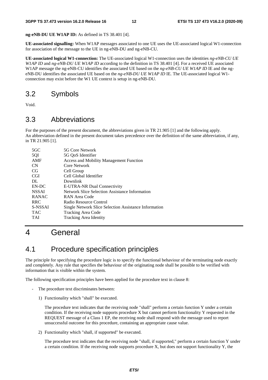**ng-eNB-DU UE W1AP ID:** As defined in TS 38.401 [4].

**UE-associated signalling:** When W1AP messages associated to one UE uses the UE-associated logical W1-connection for association of the message to the UE in ng-eNB-DU and ng-eNB-CU.

**UE-associated logical W1-connection:** The UE-associated logical W1-connection uses the identities *ng-eNB-CU UE W1AP ID* and *ng-eNB-DU UE W1AP ID* according to the definition in TS 38.401 [4]. For a received UE associated W1AP message the ng-eNB-CU identifies the associated UE based on the *ng-eNB-CU UE W1AP ID* IE and the ngeNB-DU identifies the associated UE based on the *ng-eNB-DU UE W1AP ID* IE*.* The UE-associated logical W1 connection may exist before the W1 UE context is setup in ng-eNB-DU.

### 3.2 Symbols

Void.

### 3.3 Abbreviations

For the purposes of the present document, the abbreviations given in TR 21.905 [1] and the following apply. An abbreviation defined in the present document takes precedence over the definition of the same abbreviation, if any, in TR 21.905 [1].

| $5 \text{G} \text{C}$ | 5G Core Network                                       |
|-----------------------|-------------------------------------------------------|
| 5QI                   | 5G OoS Identifier                                     |
| AMF                   | <b>Access and Mobility Management Function</b>        |
| <b>CN</b>             | Core Network                                          |
| CG                    | Cell Group                                            |
| <b>CGI</b>            | Cell Global Identifier                                |
| DL                    | Downlink                                              |
| EN-DC                 | E-UTRA-NR Dual Connectivity                           |
| <b>NSSAI</b>          | Network Slice Selection Assistance Information        |
| <b>RANAC</b>          | RAN Area Code                                         |
| <b>RRC</b>            | Radio Resource Control                                |
| S-NSSAI               | Single Network Slice Selection Assistance Information |
| <b>TAC</b>            | Tracking Area Code                                    |
| <b>TAI</b>            | <b>Tracking Area Identity</b>                         |
|                       |                                                       |

# 4 General

### 4.1 Procedure specification principles

The principle for specifying the procedure logic is to specify the functional behaviour of the terminating node exactly and completely. Any rule that specifies the behaviour of the originating node shall be possible to be verified with information that is visible within the system.

The following specification principles have been applied for the procedure text in clause 8:

- The procedure text discriminates between:
	- 1) Functionality which "shall" be executed.

 The procedure text indicates that the receiving node "shall" perform a certain function Y under a certain condition. If the receiving node supports procedure X but cannot perform functionality Y requested in the REQUEST message of a Class 1 EP, the receiving node shall respond with the message used to report unsuccessful outcome for this procedure, containing an appropriate cause value.

2) Functionality which "shall, if supported" be executed.

 The procedure text indicates that the receiving node "shall, if supported," perform a certain function Y under a certain condition. If the receiving node supports procedure X, but does not support functionality Y, the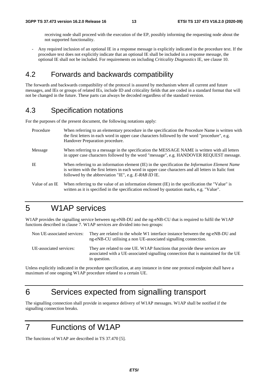receiving node shall proceed with the execution of the EP, possibly informing the requesting node about the not supported functionality.

- Any required inclusion of an optional IE in a response message is explicitly indicated in the procedure text. If the procedure text does not explicitly indicate that an optional IE shall be included in a response message, the optional IE shall not be included. For requirements on including *Criticality Diagnostics* IE, see clause 10.

### 4.2 Forwards and backwards compatibility

The forwards and backwards compatibility of the protocol is assured by mechanism where all current and future messages, and IEs or groups of related IEs, include ID and criticality fields that are coded in a standard format that will not be changed in the future. These parts can always be decoded regardless of the standard version.

### 4.3 Specification notations

For the purposes of the present document, the following notations apply:

| Procedure      | When referring to an elementary procedure in the specification the Procedure Name is written with<br>the first letters in each word in upper case characters followed by the word "procedure", e.g.<br>Handover Preparation procedure.                                   |
|----------------|--------------------------------------------------------------------------------------------------------------------------------------------------------------------------------------------------------------------------------------------------------------------------|
| Message        | When referring to a message in the specification the MESSAGE NAME is written with all letters<br>in upper case characters followed by the word "message", e.g. HANDOVER REQUEST message.                                                                                 |
| IE             | When referring to an information element (IE) in the specification the <i>Information Element Name</i><br>is written with the first letters in each word in upper case characters and all letters in Italic font<br>followed by the abbreviation "IE", e.g. E-RAB ID IE. |
| Value of an IE | When referring to the value of an information element (IE) in the specification the "Value" is<br>written as it is specified in the specification enclosed by quotation marks, e.g. "Value".                                                                             |

# 5 W1AP services

W1AP provides the signalling service between ng-eNB-DU and the ng-eNB-CU that is required to fulfil the W1AP functions described in clause 7. W1AP services are divided into two groups:

| Non UE-associated services: | They are related to the whole W1 interface instance between the ng-eNB-DU and<br>ng-eNB-CU utilising a non UE-associated signalling connection.                                   |
|-----------------------------|-----------------------------------------------------------------------------------------------------------------------------------------------------------------------------------|
| UE-associated services:     | They are related to one UE. W1AP functions that provide these services are<br>associated with a UE-associated signalling connection that is maintained for the UE<br>in question. |

Unless explicitly indicated in the procedure specification, at any instance in time one protocol endpoint shall have a maximum of one ongoing W1AP procedure related to a certain UE.

# 6 Services expected from signalling transport

The signalling connection shall provide in sequence delivery of W1AP messages. W1AP shall be notified if the signalling connection breaks.

# 7 Functions of W1AP

The functions of W1AP are described in TS 37.470 [5].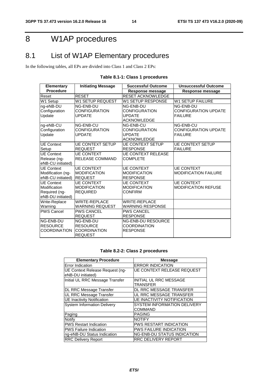# 8 W1AP procedures

# 8.1 List of W1AP Elementary procedures

In the following tables, all EPs are divided into Class 1 and Class 2 EPs:

| <b>Elementary</b>    | <b>Initiating Message</b> | <b>Successful Outcome</b> | <b>Unsuccessful Outcome</b> |
|----------------------|---------------------------|---------------------------|-----------------------------|
| <b>Procedure</b>     |                           | <b>Response message</b>   | Response message            |
| Reset                | <b>RESET</b>              | <b>RESET ACKNOWLEDGE</b>  |                             |
| W1 Setup             | <b>W1 SETUP REQUEST</b>   | W1 SETUP RESPONSE         | <b>W1 SETUP FAILURE</b>     |
| ng-eNB-DU            | NG-ENB-DU                 | NG-ENB-DU                 | NG-ENB-DU                   |
| Configuration        | <b>CONFIGURATION</b>      | CONFIGURATION             | <b>CONFIGURATION UPDATE</b> |
| Update               | <b>UPDATE</b>             | <b>UPDATE</b>             | <b>FAILURE</b>              |
|                      |                           | <b>ACKNOWLEDGE</b>        |                             |
| ng-eNB-CU            | NG-ENB-CU                 | NG-ENB-CU                 | NG-ENB-CU                   |
| Configuration        | <b>CONFIGURATION</b>      | <b>CONFIGURATION</b>      | <b>CONFIGURATION UPDATE</b> |
| <b>Update</b>        | <b>UPDATE</b>             | <b>UPDATE</b>             | <b>FAILURE</b>              |
|                      |                           | <b>ACKNOWLEDGE</b>        |                             |
| <b>UE Context</b>    | <b>UE CONTEXT SETUP</b>   | <b>UE CONTEXT SETUP</b>   | <b>UE CONTEXT SETUP</b>     |
| Setup                | <b>REQUEST</b>            | <b>RESPONSE</b>           | <b>FAILURE</b>              |
| <b>UE Context</b>    | <b>UE CONTEXT</b>         | <b>UE CONTEXT RELEASE</b> |                             |
| Release (ng-         | <b>RELEASE COMMAND</b>    | <b>COMPLETE</b>           |                             |
| eNB-CU initiated)    |                           |                           |                             |
| <b>UE Context</b>    | <b>UE CONTEXT</b>         | <b>UE CONTEXT</b>         | <b>UE CONTEXT</b>           |
| Modification (ng-    | <b>MODIFICATION</b>       | <b>MODIFICATION</b>       | <b>MODIFICATION FAILURE</b> |
| eNB-CU initiated)    | <b>REQUEST</b>            | <b>RESPONSE</b>           |                             |
| <b>UE</b> Context    | <b>UE CONTEXT</b>         | <b>UE CONTEXT</b>         | <b>UE CONTEXT</b>           |
| Modification         | <b>MODIFICATION</b>       | <b>MODIFICATION</b>       | <b>MODIFICATION REFUSE</b>  |
| Required (ng-        | <b>REQUIRED</b>           | <b>CONFIRM</b>            |                             |
| eNB-DU initiated)    |                           |                           |                             |
| Write-Replace        | <b>WRITE-REPLACE</b>      | <b>WRITE-REPLACE</b>      |                             |
| Warning              | <b>WARNING REQUEST</b>    | <b>WARNING RESPONSE</b>   |                             |
| <b>PWS Cancel</b>    | <b>PWS CANCEL</b>         | <b>PWS CANCEL</b>         |                             |
|                      | <b>REQUEST</b>            | <b>RESPONSE</b>           |                             |
| NG-ENB-DU            | NG-ENB-DU                 | <b>NG-ENB-DU RESOURCE</b> |                             |
| <b>RESOURCE</b>      | <b>RESOURCE</b>           | <b>COORDINATION</b>       |                             |
| <b>ICOORDINATION</b> | <b>COORDINATION</b>       | <b>RESPONSE</b>           |                             |
|                      | <b>REQUEST</b>            |                           |                             |

### **Table 8.1-1: Class 1 procedures**

#### **Table 8.2-2: Class 2 procedures**

| <b>Elementary Procedure</b>                          | <b>Message</b>                                |
|------------------------------------------------------|-----------------------------------------------|
| Error Indication                                     | <b>ERROR INDICATION</b>                       |
| UE Context Release Request (ng-<br>eNB-DU initiated) | <b>UE CONTEXT RELEASE REQUEST</b>             |
| Initial UL RRC Message Transfer                      | <b>INITIAL UL RRC MESSAGE</b><br>TRANSFER     |
| DL RRC Message Transfer                              | DL RRC MESSAGE TRANSFER                       |
| UL RRC Message Transfer                              | UL RRC MESSAGE TRANSFER                       |
| <b>UE Inactivity Notification</b>                    | <b>UE INACTIVITY NOTIFICATION</b>             |
| <b>System Information Delivery</b>                   | <b>SYSTEM INFORMATION DELIVERY</b><br>COMMAND |
| Paging                                               | <b>PAGING</b>                                 |
| Notify                                               | <b>NOTIFY</b>                                 |
| <b>PWS Restart Indication</b>                        | <b>PWS RESTART INDICATION</b>                 |
| <b>PWS Failure Indication</b>                        | <b>PWS FAILURE INDICATION</b>                 |
| ng-eNB-DU Status Indication                          | <b>NG-ENB-DU STATUS INDICATION</b>            |
| <b>RRC Delivery Report</b>                           | <b>RRC DELIVERY REPORT</b>                    |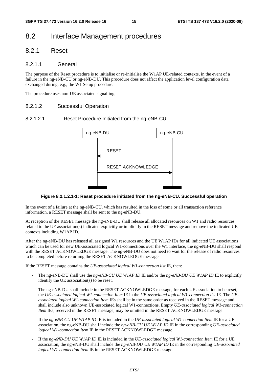### 8.2 Interface Management procedures

### 8.2.1 Reset

### 8.2.1.1 General

The purpose of the Reset procedure is to initialise or re-initialise the W1AP UE-related contexts, in the event of a failure in the ng-eNB-CU or ng-eNB-DU. This procedure does not affect the application level configuration data exchanged during, e.g., the W1 Setup procedure.

The procedure uses non-UE associated signalling.

#### 8.2.1.2 Successful Operation

### 8.2.1.2.1 Reset Procedure Initiated from the ng-eNB-CU



#### **Figure 8.2.1.2.1-1: Reset procedure initiated from the ng-eNB-CU. Successful operation**

In the event of a failure at the ng-eNB-CU, which has resulted in the loss of some or all transaction reference information, a RESET message shall be sent to the ng-eNB-DU.

At reception of the RESET message the ng-eNB-DU shall release all allocated resources on W1 and radio resources related to the UE association(s) indicated explicitly or implicitly in the RESET message and remove the indicated UE contexts including W1AP ID.

After the ng-eNB-DU has released all assigned W1 resources and the UE W1AP IDs for all indicated UE associations which can be used for new UE-associated logical W1-connections over the W1 interface, the ng-eNB-DU shall respond with the RESET ACKNOWLEDGE message. The ng-eNB-DU does not need to wait for the release of radio resources to be completed before returning the RESET ACKNOWLEDGE message.

If the RESET message contains the *UE-associated logical W1-connection list* IE, then:

- The ng-eNB-DU shall use the *ng-eNB-CU UE W1AP ID* IE and/or the *ng-eNB-DU UE W1AP ID* IE to explicitly identify the UE association(s) to be reset.
- The ng-eNB-DU shall include in the RESET ACKNOWLEDGE message, for each UE association to be reset, the *UE-associated logical W1-connection Item* IE in the *UE-associated logical W1-connection list* IE. The *UEassociated logical W1-connection Item* IEs shall be in the same order as received in the RESET message and shall include also unknown UE-associated logical W1-connections. Empty *UE-associated logical W1-connection Item* IEs, received in the RESET message, may be omitted in the RESET ACKNOWLEDGE message.
- If the *ng-eNB-CU UE W1AP ID* IE is included in the *UE-associated logical W1-connection Item* IE for a UE association, the ng-eNB-DU shall include the *ng-eNB-CU UE W1AP ID* IE in the corresponding *UE-associated logical W1-connection Item* IE in the RESET ACKNOWLEDGE message.
- If the *ng-eNB-DU UE W1AP ID* IE is included in the *UE-associated logical W1-connection Item* IE for a UE association, the ng-eNB-DU shall include the *ng-eNB-DU UE W1AP ID* IE in the corresponding *UE-associated logical W1-connection Item* IE in the RESET ACKNOWLEDGE message.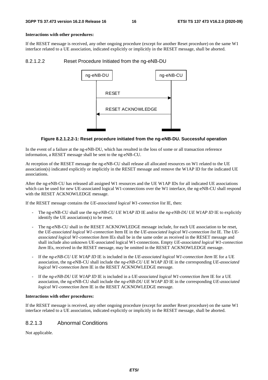#### **Interactions with other procedures:**

If the RESET message is received, any other ongoing procedure (except for another Reset procedure) on the same W1 interface related to a UE association, indicated explicitly or implicitly in the RESET message, shall be aborted.

#### 8.2.1.2.2 Reset Procedure Initiated from the ng-eNB-DU



#### **Figure 8.2.1.2.2-1: Reset procedure initiated from the ng-eNB-DU. Successful operation**

In the event of a failure at the ng-eNB-DU, which has resulted in the loss of some or all transaction reference information, a RESET message shall be sent to the ng-eNB-CU.

At reception of the RESET message the ng-eNB-CU shall release all allocated resources on W1 related to the UE association(s) indicated explicitly or implicitly in the RESET message and remove the W1AP ID for the indicated UE associations.

After the ng-eNB-CU has released all assigned W1 resources and the UE W1AP IDs for all indicated UE associations which can be used for new UE-associated logical W1-connections over the W1 interface, the ng-eNB-CU shall respond with the RESET ACKNOWLEDGE message.

If the RESET message contains the *UE-associated logical W1-connection list* IE, then:

- The ng-eNB-CU shall use the *ng-eNB-CU UE W1AP ID* IE and/or the *ng-eNB-DU UE W1AP ID* IE to explicitly identify the UE association(s) to be reset.
- The ng-eNB-CU shall in the RESET ACKNOWLEDGE message include, for each UE association to be reset, the *UE-associated logical W1-connection* Item IE in the *UE-associated logical W1-connection list* IE. The *UEassociated logical W1-connection Item* IEs shall be in the same order as received in the RESET message and shall include also unknown UE-associated logical W1-connections. Empty *UE-associated logical W1-connection Item* IEs, received in the RESET message, may be omitted in the RESET ACKNOWLEDGE message.
- If the *ng-eNB-CU UE W1AP ID* IE is included in the *UE-associated logical W1-connection Item* IE for a UE association, the ng-eNB-CU shall include the *ng-eNB-CU UE W1AP ID* IE in the corresponding *UE-associated logical W1-connection Item* IE in the RESET ACKNOWLEDGE message.
- If the *ng-eNB-DU UE W1AP ID* IE is included in a *UE-associated logical W1-connection Item* IE for a UE association, the ng-eNB-CU shall include the *ng-eNB-DU UE W1AP ID* IE in the corresponding *UE-associated logical W1-connection Item* IE in the RESET ACKNOWLEDGE message.

#### **Interactions with other procedures:**

If the RESET message is received, any other ongoing procedure (except for another Reset procedure) on the same W1 interface related to a UE association, indicated explicitly or implicitly in the RESET message, shall be aborted.

### 8.2.1.3 Abnormal Conditions

Not applicable.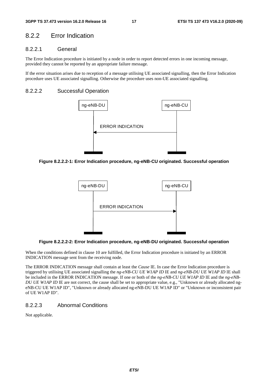### 8.2.2 Error Indication

### 8.2.2.1 General

The Error Indication procedure is initiated by a node in order to report detected errors in one incoming message, provided they cannot be reported by an appropriate failure message.

If the error situation arises due to reception of a message utilising UE associated signalling, then the Error Indication procedure uses UE associated signalling. Otherwise the procedure uses non-UE associated signalling.

#### 8.2.2.2 Successful Operation



**Figure 8.2.2.2-1: Error Indication procedure, ng-eNB-CU originated. Successful operation** 



**Figure 8.2.2.2-2: Error Indication procedure, ng-eNB-DU originated. Successful operation** 

When the conditions defined in clause 10 are fulfilled, the Error Indication procedure is initiated by an ERROR INDICATION message sent from the receiving node.

The ERROR INDICATION message shall contain at least the *Cause* IE. In case the Error Indication procedure is triggered by utilising UE associated signalling the *ng-eNB-CU UE W1AP ID* IE and *ng-eNB-DU UE W1AP ID* IE shall be included in the ERROR INDICATION message. If one or both of the *ng-eNB-CU UE W1AP ID* IE and the *ng-eNB-DU UE WIAP ID* IE are not correct, the cause shall be set to appropriate value, e.g., "Unknown or already allocated ngeNB-CU UE W1AP ID", "Unknown or already allocated ng-eNB-DU UE W1AP ID" or "Unknown or inconsistent pair of UE W1AP ID".

### 8.2.2.3 Abnormal Conditions

Not applicable.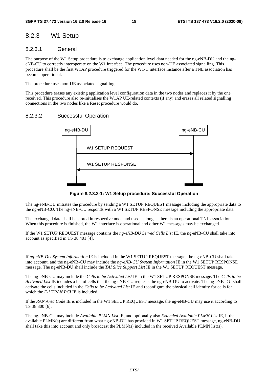### 8.2.3 W1 Setup

### 8.2.3.1 General

The purpose of the W1 Setup procedure is to exchange application level data needed for the ng-eNB-DU and the ngeNB-CU to correctly interoperate on the W1 interface. The procedure uses non-UE associated signalling. This procedure shall be the first W1AP procedure triggered for the W1-C interface instance after a TNL association has become operational.

The procedure uses non-UE associated signalling.

This procedure erases any existing application level configuration data in the two nodes and replaces it by the one received. This procedure also re-initialises the W1AP UE-related contexts (if any) and erases all related signalling connections in the two nodes like a Reset procedure would do.

### 8.2.3.2 Successful Operation



**Figure 8.2.3.2-1: W1 Setup procedure: Successful Operation** 

The ng-eNB-DU initiates the procedure by sending a W1 SETUP REQUEST message including the appropriate data to the ng-eNB-CU. The ng-eNB-CU responds with a W1 SETUP RESPONSE message including the appropriate data.

The exchanged data shall be stored in respective node and used as long as there is an operational TNL association. When this procedure is finished, the W1 interface is operational and other W1 messages may be exchanged.

If the W1 SETUP REQUEST message contains the *ng-eNB-DU Served Cells List* IE, the ng-eNB-CU shall take into account as specified in TS 38.401 [4].

If *ng-eNB-DU System Information* IE is included in the W1 SETUP REQUEST message, the ng-eNB-CU shall take into account, and the ng-eNB-CU may include the *ng-eNB-CU System Information* IE in the W1 SETUP RESPONSE message. The ng-eNB-DU shall include the *TAI Slice Support List* IE in the W1 SETUP REQUEST message.

The ng-eNB-CU may include the *Cells to be Activated List* IE in the W1 SETUP RESPONSE message. The *Cells to be Activated List* IE includes a list of cells that the ng-eNB-CU requests the ng-eNB-DU to activate. The ng-eNB-DU shall activate the cells included in the *Cells to be Activated List* IE and reconfigure the physical cell identity for cells for which the *E-UTRAN PCI* IE is included.

If the *RAN Area Code* IE is included in the W1 SETUP REQUEST message, the ng-eNB-CU may use it according to TS 38.300 [6].

The ng-eNB-CU may include *Available PLMN List* IE, and optionally also *Extended Available PLMN List* IE, if the available PLMN(s) are different from what ng-eNB-DU has provided in W1 SETUP REQUEST message, ng-eNB-DU shall take this into account and only broadcast the PLMN(s) included in the received Available PLMN list(s).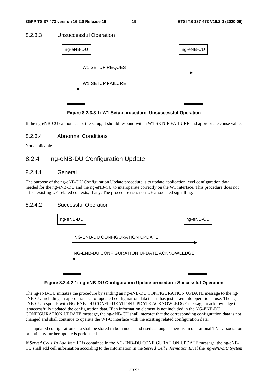### 8.2.3.3 Unsuccessful Operation

| ng-eNB-DU               | ng-eNB-CU |  |
|-------------------------|-----------|--|
| <b>W1 SETUP REQUEST</b> |           |  |
| <b>W1 SETUP FAILURE</b> |           |  |
|                         |           |  |
|                         |           |  |

**Figure 8.2.3.3-1: W1 Setup procedure: Unsuccessful Operation** 

If the ng-eNB-CU cannot accept the setup, it should respond with a W1 SETUP FAILURE and appropriate cause value.

### 8.2.3.4 Abnormal Conditions

Not applicable.

### 8.2.4 ng-eNB-DU Configuration Update

### 8.2.4.1 General

The purpose of the ng-eNB-DU Configuration Update procedure is to update application level configuration data needed for the ng-eNB-DU and the ng-eNB-CU to interoperate correctly on the W1 interface. This procedure does not affect existing UE-related contexts, if any. The procedure uses non-UE associated signalling.

### 8.2.4.2 Successful Operation



#### **Figure 8.2.4.2-1: ng-eNB-DU Configuration Update procedure: Successful Operation**

The ng-eNB-DU initiates the procedure by sending an ng-eNB-DU CONFIGURATION UPDATE message to the ngeNB-CU including an appropriate set of updated configuration data that it has just taken into operational use. The ngeNB-CU responds with NG-ENB-DU CONFIGURATION UPDATE ACKNOWLEDGE message to acknowledge that it successfully updated the configuration data. If an information element is not included in the NG-ENB-DU CONFIGURATION UPDATE message, the ng-eNB-CU shall interpret that the corresponding configuration data is not changed and shall continue to operate the W1-C interface with the existing related configuration data.

The updated configuration data shall be stored in both nodes and used as long as there is an operational TNL association or until any further update is performed.

If *Served Cells To Add Item* IE is contained in the NG-ENB-DU CONFIGURATION UPDATE message, the ng-eNB-CU shall add cell information according to the information in the *Served Cell Information IE*. If the *ng-eNB-DU System*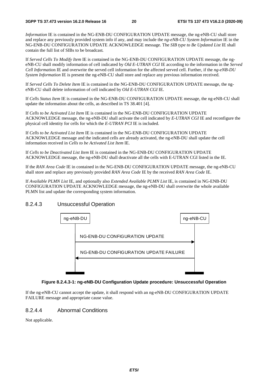*Information* IE is contained in the NG-ENB-DU CONFIGURATION UPDATE message, the ng-eNB-CU shall store and replace any previously provided system info if any, and may include the *ng-eNB-CU System Information* IE in the NG-ENB-DU CONFIGURATION UPDATE ACKNOWLEDGE message. The *SIB type to Be Updated List* IE shall contain the full list of SIBs to be broadcast*.*

If *Served Cells To Modify Item* IE is contained in the NG-ENB-DU CONFIGURATION UPDATE message, the ngeNB-CU shall modify information of cell indicated by *Old E-UTRAN CGI* IE according to the information in the *Served Cell Informatio*n IE and overwrite the served cell information for the affected served cell. Further, if the *ng-eNB-DU System Information* IE is present the ng-eNB-CU shall store and replace any previous information received.

If *Served Cells To Delete Item* IE is contained in the NG-ENB-DU CONFIGURATION UPDATE message, the ngeNB-CU shall delete information of cell indicated by *Old E-UTRAN CGI* IE.

If *Cells Status Item* IE is contained in the NG-ENB-DU CONFIGURATION UPDATE message, the ng-eNB-CU shall update the information about the cells, as described in TS 38.401 [4].

If *Cells to be Activated List Item* IE is contained in the NG-ENB-DU CONFIGURATION UPDATE ACKNOWLEDGE message, the ng-eNB-DU shall activate the cell indicated by *E-UTRAN CGI* IE and reconfigure the physical cell identity for cells for which the *E-UTRAN PCI* IE is included.

If *Cells to be Activated List Item* IE is contained in the NG-ENB-DU CONFIGURATION UPDATE ACKNOWLEDGE message and the indicated cells are already activated, the ng-eNB-DU shall update the cell information received in *Cells to be Activated List Item* IE.

If *Cells to be Deactivated List Item* IE is contained in the NG-ENB-DU CONFIGURATION UPDATE ACKNOWLEDGE message, the ng-eNB-DU shall deactivate all the cells with E-UTRAN CGI listed in the IE.

If the *RAN Area Code* IE in contained in the NG-ENB-DU CONFIGURATION UPDATE message, the ng-eNB-CU shall store and replace any previously provided *RAN Area Code* IE by the received *RAN Area Code* IE.

If *Available PLMN List* IE, and optionally also *Extended Available PLMN List* IE, is contained in NG-ENB-DU CONFIGURATION UPDATE ACKNOWLEDGE message, the ng-eNB-DU shall overwrite the whole available PLMN list and update the corresponding system information.

### 8.2.4.3 Unsuccessful Operation



#### **Figure 8.2.4.3-1: ng-eNB-DU Configuration Update procedure: Unsuccessful Operation**

If the ng-eNB-CU cannot accept the update, it shall respond with an ng-eNB-DU CONFIGURATION UPDATE FAILURE message and appropriate cause value.

### 8.2.4.4 Abnormal Conditions

Not applicable.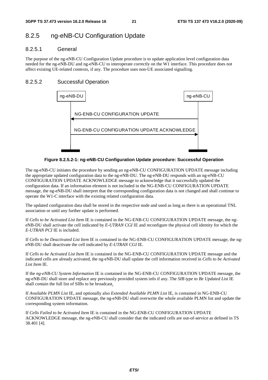### 8.2.5 ng-eNB-CU Configuration Update

### 8.2.5.1 General

The purpose of the ng-eNB-CU Configuration Update procedure is to update application level configuration data needed for the ng-eNB-DU and ng-eNB-CU to interoperate correctly on the W1 interface. This procedure does not affect existing UE-related contexts, if any. The procedure uses non-UE associated signalling.

### 8.2.5.2 Successful Operation



**Figure 8.2.5.2-1: ng-eNB-CU Configuration Update procedure: Successful Operation** 

The ng-eNB-CU initiates the procedure by sending an ng-eNB-CU CONFIGURATION UPDATE message including the appropriate updated configuration data to the ng-eNB-DU. The ng-eNB-DU responds with an ng-eNB-CU CONFIGURATION UPDATE ACKNOWLEDGE message to acknowledge that it successfully updated the configuration data. If an information element is not included in the NG-ENB-CU CONFIGURATION UPDATE message, the ng-eNB-DU shall interpret that the corresponding configuration data is not changed and shall continue to operate the W1-C interface with the existing related configuration data.

The updated configuration data shall be stored in the respective node and used as long as there is an operational TNL association or until any further update is performed.

If *Cells to be Activated List Item* IE is contained in the NG-ENB-CU CONFIGURATION UPDATE message, the ngeNB-DU shall activate the cell indicated by *E-UTRAN CGI* IE and reconfigure the physical cell identity for which the *E-UTRAN PCI* IE is included.

If *Cells to be Deactivated List Item* IE is contained in the NG-ENB-CU CONFIGURATION UPDATE message, the ngeNB-DU shall deactivate the cell indicated by *E-UTRAN CGI* IE.

If *Cells to be Activated List Item* IE is contained in the NG-ENB-CU CONFIGURATION UPDATE message and the indicated cells are already activated, the ng-eNB-DU shall update the cell information received in *Cells to be Activated List Item* IE.

If the *ng-eNB-CU System Information* IE is contained in the NG-ENB-CU CONFIGURATION UPDATE message, the ng-eNB-DU shall store and replace any previously provided system info if any. The *SIB type to Be Updated List* IE shall contain the full list of SIBs to be broadcast*.*

If *Available PLMN List* IE, and optionally also *Extended Available PLMN List* IE, is contained in NG-ENB-CU CONFIGURATION UPDATE message, the ng-eNB-DU shall overwrite the whole available PLMN list and update the corresponding system information.

If *Cells Failed to be Activated Item* IE is contained in the NG-ENB-CU CONFIGURATION UPDATE ACKNOWLEDGE message, the ng-eNB-CU shall consider that the indicated cells are out-of-service as defined in TS 38.401 [4].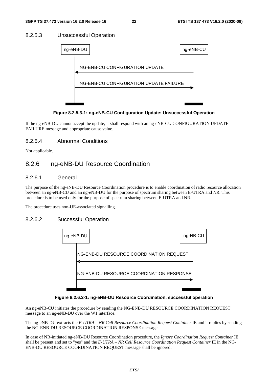### 8.2.5.3 Unsuccessful Operation



**Figure 8.2.5.3-1: ng-eNB-CU Configuration Update: Unsuccessful Operation** 

If the ng-eNB-DU cannot accept the update, it shall respond with an ng-eNB-CU CONFIGURATION UPDATE FAILURE message and appropriate cause value.

### 8.2.5.4 Abnormal Conditions

Not applicable.

### 8.2.6 ng-eNB-DU Resource Coordination

### 8.2.6.1 General

The purpose of the ng-eNB-DU Resource Coordination procedure is to enable coordination of radio resource allocation between an ng-eNB-CU and an ng-eNB-DU for the purpose of spectrum sharing between E-UTRA and NR. This procedure is to be used only for the purpose of spectrum sharing between E-UTRA and NR.

The procedure uses non-UE-associated signalling.

### 8.2.6.2 Successful Operation



**Figure 8.2.6.2-1: ng-eNB-DU Resource Coordination, successful operation** 

An ng-eNB-CU initiates the procedure by sending the NG-ENB-DU RESOURCE COORDINATION REQUEST message to an ng-eNB-DU over the W1 interface.

The ng-eNB-DU extracts the *E-UTRA – NR Cell Resource Coordination Request Container* IE and it replies by sending the NG-ENB-DU RESOURCE COORDINATION RESPONSE message.

In case of NR-initiated ng-eNB-DU Resource Coordination procedure, the *Ignore Coordination Request Container* IE shall be present and set to "yes" and the *E-UTRA – NR Cell Resource Coordination Request Container* IE in the NG-ENB-DU RESOURCE COORDINATION REQUEST message shall be ignored.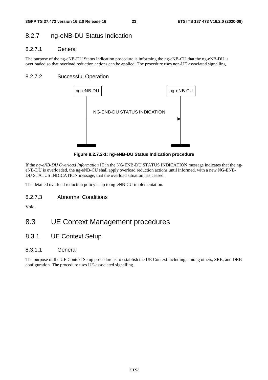### 8.2.7 ng-eNB-DU Status Indication

### 8.2.7.1 General

The purpose of the ng-eNB-DU Status Indication procedure is informing the ng-eNB-CU that the ng-eNB-DU is overloaded so that overload reduction actions can be applied. The procedure uses non-UE associated signalling.

### 8.2.7.2 Successful Operation



**Figure 8.2.7.2-1: ng-eNB-DU Status Indication procedure** 

If the *ng-eNB-DU Overload Information* IE in the NG-ENB-DU STATUS INDICATION message indicates that the ngeNB-DU is overloaded, the ng-eNB-CU shall apply overload reduction actions until informed, with a new NG-ENB-DU STATUS INDICATION message, that the overload situation has ceased.

The detailed overload reduction policy is up to ng-eNB-CU implementation.

8.2.7.3 Abnormal Conditions

Void.

# 8.3 UE Context Management procedures

8.3.1 UE Context Setup

### 8.3.1.1 General

The purpose of the UE Context Setup procedure is to establish the UE Context including, among others, SRB, and DRB configuration. The procedure uses UE-associated signalling.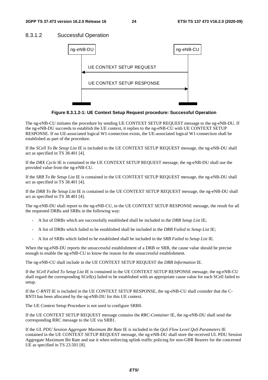### 8.3.1.2 Successful Operation



**Figure 8.3.1.2-1: UE Context Setup Request procedure: Successful Operation** 

The ng-eNB-CU initiates the procedure by sending UE CONTEXT SETUP REQUEST message to the ng-eNB-DU. If the ng-eNB-DU succeeds to establish the UE context, it replies to the ng-eNB-CU with UE CONTEXT SETUP RESPONSE. If no UE-associated logical W1-connection exists, the UE-associated logical W1-connection shall be established as part of the procedure.

If the *SCell To Be Setup List* IE is included in the UE CONTEXT SETUP REQUEST message, the ng-eNB-DU shall act as specified in TS 38.401 [4].

If the *DRX Cycle* IE is contained in the UE CONTEXT SETUP REQUEST message, the ng-eNB-DU shall use the provided value from the ng-eNB-CU.

If the *SRB To Be Setup List* IE is contained in the UE CONTEXT SETUP REQUEST message, the ng-eNB-DU shall act as specified in TS 38.401 [4].

If the *DRB To Be Setup List* IE is contained in the UE CONTEXT SETUP REQUEST message, the ng-eNB-DU shall act as specified in TS 38.401 [4].

The ng-eNB-DU shall report to the ng-eNB-CU, in the UE CONTEXT SETUP RESPONSE message, the result for all the requested DRBs and SRBs in the following way:

- A list of DRBs which are successfully established shall be included in the *DRB Setup List* IE;
- A list of DRBs which failed to be established shall be included in the *DRB Failed to Setup List* IE;
- A list of SRBs which failed to be established shall be included in the *SRB Failed to Setup List* IE.

When the ng-eNB-DU reports the unsuccessful establishment of a DRB or SRB, the cause value should be precise enough to enable the ng-eNB-CU to know the reason for the unsuccessful establishment.

The ng-eNB-CU shall include in the UE CONTEXT SETUP REQUEST the *DRB Information* IE.

If the *SCell Failed To Setup List* IE is contained in the UE CONTEXT SETUP RESPONSE message, the ng-eNB-CU shall regard the corresponding SCell(s) failed to be established with an appropriate cause value for each SCell failed to setup.

If the *C-RNTI* IE is included in the UE CONTEXT SETUP RESPONSE, the ng-eNB-CU shall consider that the C-RNTI has been allocated by the ng-eNB-DU for this UE context.

The UE Context Setup Procedure is not used to configure SRB0.

If the UE CONTEXT SETUP REQUEST message contains the *RRC-Container* IE, the ng-eNB-DU shall send the corresponding RRC message to the UE via SRB1.

If the *UL PDU Session Aggregate Maximum Bit Rate* IE is included in the *QoS Flow Level QoS Parameters* IE contained in the UE CONTEXT SETUP REQUEST message, the ng-eNB-DU shall store the received UL PDU Session Aggregate Maximum Bit Rate and use it when enforcing uplink traffic policing for non-GBR Bearers for the concerned UE as specified in TS 23.501 [8].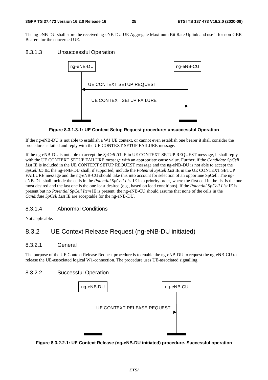The ng-eNB-DU shall store the received ng-eNB-DU UE Aggregate Maximum Bit Rate Uplink and use it for non-GBR Bearers for the concerned UE.

### 8.3.1.3 Unsuccessful Operation



**Figure 8.3.1.3-1: UE Context Setup Request procedure: unsuccessful Operation** 

If the ng-eNB-DU is not able to establish a W1 UE context, or cannot even establish one bearer it shall consider the procedure as failed and reply with the UE CONTEXT SETUP FAILURE message.

If the ng-eNB-DU is not able to accept the *SpCell ID* IE in UE CONTEXT SETUP REQUEST message, it shall reply with the UE CONTEXT SETUP FAILURE message with an appropriate cause value. Further, if the *Candidate SpCell*  List IE is included in the UE CONTEXT SETUP REQUEST message and the ng-eNB-DU is not able to accept the *SpCell ID* IE, the ng-eNB-DU shall, if supported, include the *Potential SpCell List* IE in the UE CONTEXT SETUP FAILURE message and the ng-eNB-CU should take this into account for selection of an opportune SpCell. The ngeNB-DU shall include the cells in the *Potential SpCell List* IE in a priority order, where the first cell in the list is the one most desired and the last one is the one least desired (e.g., based on load conditions). If the *Potential SpCell List* IE is present but no *Potential SpCell Item* IE is present, the ng-eNB-CU should assume that none of the cells in the *Candidate SpCell List* IE are acceptable for the ng-eNB-DU.

### 8.3.1.4 Abnormal Conditions

Not applicable.

### 8.3.2 UE Context Release Request (ng-eNB-DU initiated)

### 8.3.2.1 General

The purpose of the UE Context Release Request procedure is to enable the ng-eNB-DU to request the ng-eNB-CU to release the UE-associated logical W1-connection. The procedure uses UE-associated signalling.

### 8.3.2.2 Successful Operation



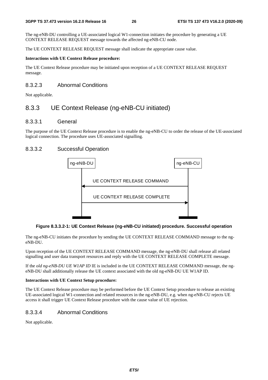The ng-eNB-DU controlling a UE-associated logical W1-connection initiates the procedure by generating a UE CONTEXT RELEASE REQUEST message towards the affected ng-eNB-CU node.

The UE CONTEXT RELEASE REQUEST message shall indicate the appropriate cause value.

#### **Interactions with UE Context Release procedure:**

The UE Context Release procedure may be initiated upon reception of a UE CONTEXT RELEASE REQUEST message.

### 8.3.2.3 Abnormal Conditions

Not applicable.

### 8.3.3 UE Context Release (ng-eNB-CU initiated)

### 8.3.3.1 General

The purpose of the UE Context Release procedure is to enable the ng-eNB-CU to order the release of the UE-associated logical connection. The procedure uses UE-associated signalling.

### 8.3.3.2 Successful Operation



#### **Figure 8.3.3.2-1: UE Context Release (ng-eNB-CU initiated) procedure. Successful operation**

The ng-eNB-CU initiates the procedure by sending the UE CONTEXT RELEASE COMMAND message to the ngeNB-DU.

Upon reception of the UE CONTEXT RELEASE COMMAND message, the ng-eNB-DU shall release all related signalling and user data transport resources and reply with the UE CONTEXT RELEASE COMPLETE message.

If the *old ng-eNB-DU UE W1AP ID* IE is included in the UE CONTEXT RELEASE COMMAND message, the ngeNB-DU shall additionally release the UE context associated with the old ng-eNB-DU UE W1AP ID.

#### **Interactions with UE Context Setup procedure:**

The UE Context Release procedure may be performed before the UE Context Setup procedure to release an existing UE-associated logical W1-connection and related resources in the ng-eNB-DU, e.g. when ng-eNB-CU rejects UE access it shall trigger UE Context Release procedure with the cause value of UE rejection.

### 8.3.3.4 Abnormal Conditions

Not applicable.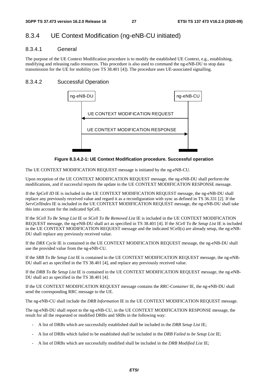### 8.3.4 UE Context Modification (ng-eNB-CU initiated)

### 8.3.4.1 General

The purpose of the UE Context Modification procedure is to modify the established UE Context, e.g., establishing, modifying and releasing radio resources. This procedure is also used to command the ng-eNB-DU to stop data transmission for the UE for mobility (see TS 38.401 [4]). The procedure uses UE-associated signalling.

### 8.3.4.2 Successful Operation



**Figure 8.3.4.2-1: UE Context Modification procedure. Successful operation** 

The UE CONTEXT MODIFICATION REQUEST message is initiated by the ng-eNB-CU.

Upon reception of the UE CONTEXT MODIFICATION REQUEST message, the ng-eNB-DU shall perform the modifications, and if successful reports the update in the UE CONTEXT MODIFICATION RESPONSE message.

If the *SpCell ID* IE is included in the UE CONTEXT MODIFICATION REQUEST message, the ng-eNB-DU shall replace any previously received value and regard it as a reconfiguration with sync as defined in TS 36.331 [2]. If the *ServCellIndex* IE is included in the UE CONTEXT MODIFICATION REQUEST message, the ng-eNB-DU shall take this into account for the indicated SpCell.

If the *SCell To Be Setup List* IE or *SCell To Be Removed List* IE is included in the UE CONTEXT MODIFICATION REQUEST message, the ng-eNB-DU shall act as specified in TS 38.401 [4]. If the *SCell To Be Setup List* IE is included in the UE CONTEXT MODIFICATION REQUEST message and the indicated SCell(s) are already setup, the ng-eNB-DU shall replace any previously received value.

If the *DRX Cycle* IE is contained in the UE CONTEXT MODIFICATION REQUEST message, the ng-eNB-DU shall use the provided value from the ng-eNB-CU.

If the *SRB To Be Setup List* IE is contained in the UE CONTEXT MODIFICATION REQUEST message, the ng-eNB-DU shall act as specified in the TS 38.401 [4], and replace any previously received value.

If the *DRB To Be Setup List* IE is contained in the UE CONTEXT MODIFICATION REQUEST message, the ng-eNB-DU shall act as specified in the TS 38.401 [4].

If the UE CONTEXT MODIFICATION REQUEST message contains the *RRC-Container* IE, the ng-eNB-DU shall send the corresponding RRC message to the UE.

The ng-eNB-CU shall include the *DRB Information* IE in the UE CONTEXT MODIFICATION REQUEST message.

The ng-eNB-DU shall report to the ng-eNB-CU, in the UE CONTEXT MODIFICATION RESPONSE message, the result for all the requested or modified DRBs and SRBs in the following way:

- A list of DRBs which are successfully established shall be included in the *DRB Setup List* IE;
- A list of DRBs which failed to be established shall be included in the *DRB Failed to be Setup List* IE;
- A list of DRBs which are successfully modified shall be included in the *DRB Modified List* IE;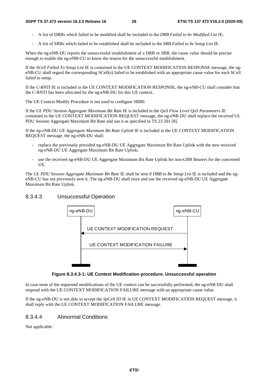- A list of DRBs which failed to be modified shall be included in the *DRB Failed to be Modified List* IE;
- A list of SRBs which failed to be established shall be included in the *SRB Failed to be Setup List* IE.

When the ng-eNB-DU reports the unsuccessful establishment of a DRB or SRB, the cause value should be precise enough to enable the ng-eNB-CU to know the reason for the unsuccessful establishment.

If the *SCell Failed To Setup List* IE is contained in the UE CONTEXT MODIFICATION RESPONSE message, the ngeNB-CU shall regard the corresponding SCell(s) failed to be established with an appropriate cause value for each SCell failed to setup.

If the *C-RNTI* IE is included in the UE CONTEXT MODIFICATION RESPONSE, the ng-eNB-CU shall consider that the C-RNTI has been allocated by the ng-eNB-DU for this UE context.

The UE Context Modify Procedure is not used to configure SRB0.

If the *UL PDU Session Aggregate Maximum Bit Rate* IE is included in the *QoS Flow Level QoS Parameters* IE contained in the UE CONTEXT MODIFICATION REQUEST message, the ng-eNB-DU shall replace the received UL PDU Session Aggregate Maximum Bit Rate and use it as specified in TS 23.501 [8].

If the *ng-eNB-DU UE Aggregate Maximum Bit Rate Uplink* IE is included in the UE CONTEXT MODIFICATION REQUEST message, the ng-eNB-DU shall:

- replace the previously provided ng-eNB-DU UE Aggregate Maximum Bit Rate Uplink with the new received ng-eNB-DU UE Aggregate Maximum Bit Rate Uplink;
- use the received ng-eNB-DU UE Aggregate Maximum Bit Rate Uplink for non-GBR Bearers for the concerned UE.

The *UL PDU Session Aggregate Maximum Bit Rate* IE shall be sent if *DRB to Be Setup List* IE is included and the ngeNB-CU has not previously sent it. The ng-eNB-DU shall store and use the received ng-eNB-DU UE Aggregate Maximum Bit Rate Uplink.

### 8.3.4.3 Unsuccessful Operation



**Figure 8.3.4.3-1: UE Context Modification procedure. Unsuccessful operation** 

In case none of the requested modifications of the UE context can be successfully performed, the ng-eNB-DU shall respond with the UE CONTEXT MODIFICATION FAILURE message with an appropriate cause value.

If the ng-eNB-DU is not able to accept the *SpCell ID* IE in UE CONTEXT MODIFICATION REQUEST message, it shall reply with the UE CONTEXT MODIFICATION FAILURE message.

### 8.3.4.4 Abnormal Conditions

Not applicable.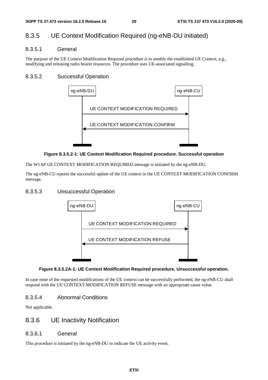### 8.3.5 UE Context Modification Required (ng-eNB-DU initiated)

### 8.3.5.1 General

The purpose of the UE Context Modification Required procedure is to modify the established UE Context, e.g., modifying and releasing radio bearer resources. The procedure uses UE-associated signalling.

### 8.3.5.2 Successful Operation



#### **Figure 8.3.5.2-1: UE Context Modification Required procedure. Successful operation**

The W1AP UE CONTEXT MODIFICATION REQUIRED message is initiated by the ng-eNB-DU.

The ng-eNB-CU reports the successful update of the UE context in the UE CONTEXT MODIFICATION CONFIRM message.

### 8.3.5.3 Unsuccessful Operation



#### **Figure 8.3.5.2A-1: UE Context Modification Required procedure. Unsuccessful operation.**

In case none of the requested modifications of the UE context can be successfully performed, the ng-eNB-CU shall respond with the UE CONTEXT MODIFICATION REFUSE message with an appropriate cause value.

### 8.3.5.4 Abnormal Conditions

Not applicable.

### 8.3.6 UE Inactivity Notification

### 8.3.6.1 General

This procedure is initiated by the ng-eNB-DU to indicate the UE activity event.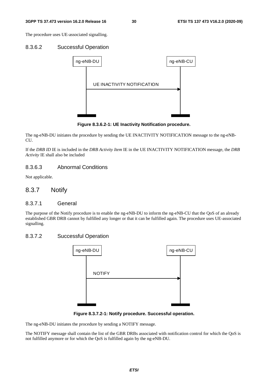The procedure uses UE-associated signalling.

#### 8.3.6.2 Successful Operation



**Figure 8.3.6.2-1: UE Inactivity Notification procedure.** 

The ng-eNB-DU initiates the procedure by sending the UE INACTIVITY NOTIFICATION message to the ng-eNB-CU.

If the *DRB ID* IE is included in the *DRB Activity Item* IE in the UE INACTIVITY NOTIFICATION message, the *DRB Activity* IE shall also be included

### 8.3.6.3 Abnormal Conditions

Not applicable.

### 8.3.7 Notify

#### 8.3.7.1 General

The purpose of the Notify procedure is to enable the ng-eNB-DU to inform the ng-eNB-CU that the QoS of an already established GBR DRB cannot by fulfilled any longer or that it can be fulfilled again. The procedure uses UE-associated signalling.

### 8.3.7.2 Successful Operation



**Figure 8.3.7.2-1: Notify procedure. Successful operation.** 

The ng-eNB-DU initiates the procedure by sending a NOTIFY message.

The NOTIFY message shall contain the list of the GBR DRBs associated with notification control for which the QoS is not fulfilled anymore or for which the QoS is fulfilled again by the ng-eNB-DU.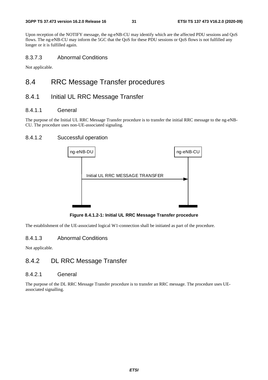Upon reception of the NOTIFY message, the ng-eNB-CU may identify which are the affected PDU sessions and QoS flows. The ng-eNB-CU may inform the 5GC that the QoS for these PDU sessions or QoS flows is not fulfilled any longer or it is fulfilled again.

### 8.3.7.3 Abnormal Conditions

Not applicable.

### 8.4 RRC Message Transfer procedures

### 8.4.1 Initial UL RRC Message Transfer

### 8.4.1.1 General

The purpose of the Initial UL RRC Message Transfer procedure is to transfer the initial RRC message to the ng-eNB-CU. The procedure uses non-UE-associated signaling.

### 8.4.1.2 Successful operation



**Figure 8.4.1.2-1: Initial UL RRC Message Transfer procedure** 

The establishment of the UE-associated logical W1-connection shall be initiated as part of the procedure.

### 8.4.1.3 Abnormal Conditions

Not applicable.

### 8.4.2 DL RRC Message Transfer

#### 8.4.2.1 General

The purpose of the DL RRC Message Transfer procedure is to transfer an RRC message. The procedure uses UEassociated signalling.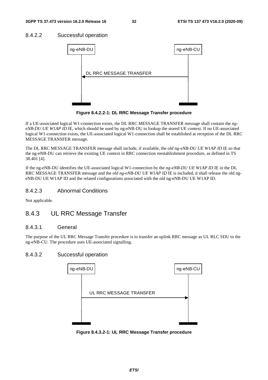### 8.4.2.2 Successful operation



**Figure 8.4.2.2-1: DL RRC Message Transfer procedure** 

If a UE-associated logical W1-connection exists, the DL RRC MESSAGE TRANSFER message shall contain the *ngeNB-DU UE W1AP ID* IE, which should be used by ng-eNB-DU to lookup the stored UE context. If no UE-associated logical W1-connection exists, the UE-associated logical W1-connection shall be established at reception of the DL RRC MESSAGE TRANSFER message.

The DL RRC MESSAGE TRANSFER message shall include, if available, the *old ng-eNB-DU UE W1AP ID* IE so that the ng-eNB-DU can retrieve the existing UE context in RRC connection reestablishment procedure, as defined in TS 38.401 [4].

If the ng-eNB-DU identifies the UE-associated logical W1-connection by the *ng-eNB-DU UE W1AP ID* IE in the DL RRC MESSAGE TRANSFER message and the *old ng-eNB-DU UE W1AP ID* IE is included, it shall release the old ngeNB-DU UE W1AP ID and the related configurations associated with the old ng-eNB-DU UE W1AP ID.

### 8.4.2.3 Abnormal Conditions

Not applicable.

### 8.4.3 UL RRC Message Transfer

### 8.4.3.1 General

The purpose of the UL RRC Message Transfer procedure is to transfer an uplink RRC message as UL RLC SDU to the ng-eNB-CU. The procedure uses UE-associated signalling.

### 8.4.3.2 Successful operation



**Figure 8.4.3.2-1: UL RRC Message Transfer procedure**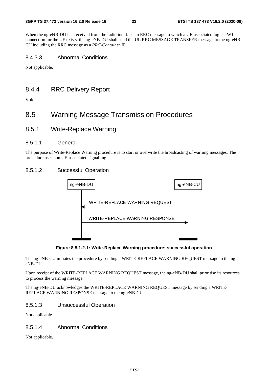When the ng-eNB-DU has received from the radio interface an RRC message to which a UE-associated logical W1 connection for the UE exists, the ng-eNB-DU shall send the UL RRC MESSAGE TRANSFER message to the ng-eNB-CU including the RRC message as a *RRC-Container* IE.

### 8.4.3.3 Abnormal Conditions

Not applicable.

### 8.4.4 RRC Delivery Report

Void

### 8.5 Warning Message Transmission Procedures

8.5.1 Write-Replace Warning

### 8.5.1.1 General

The purpose of Write-Replace Warning procedure is to start or overwrite the broadcasting of warning messages. The procedure uses non UE-associated signalling.

### 8.5.1.2 Successful Operation



**Figure 8.5.1.2-1: Write-Replace Warning procedure: successful operation** 

The ng-eNB-CU initiates the procedure by sending a WRITE-REPLACE WARNING REQUEST message to the ngeNB-DU.

Upon receipt of the WRITE-REPLACE WARNING REQUEST message, the ng-eNB-DU shall prioritise its resources to process the warning message.

The ng-eNB-DU acknowledges the WRITE-REPLACE WARNING REQUEST message by sending a WRITE-REPLACE WARNING RESPONSE message to the ng-eNB-CU.

### 8.5.1.3 Unsuccessful Operation

Not applicable.

### 8.5.1.4 Abnormal Conditions

Not applicable.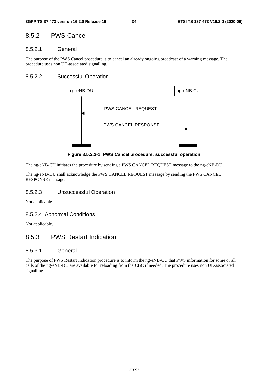### 8.5.2 PWS Cancel

### 8.5.2.1 General

The purpose of the PWS Cancel procedure is to cancel an already ongoing broadcast of a warning message. The procedure uses non UE-associated signalling.

### 8.5.2.2 Successful Operation



**Figure 8.5.2.2-1: PWS Cancel procedure: successful operation** 

The ng-eNB-CU initiates the procedure by sending a PWS CANCEL REQUEST message to the ng-eNB-DU.

The ng-eNB-DU shall acknowledge the PWS CANCEL REQUEST message by sending the PWS CANCEL RESPONSE message.

### 8.5.2.3 Unsuccessful Operation

Not applicable.

### 8.5.2.4 Abnormal Conditions

Not applicable.

### 8.5.3 PWS Restart Indication

### 8.5.3.1 General

The purpose of PWS Restart Indication procedure is to inform the ng-eNB-CU that PWS information for some or all cells of the ng-eNB-DU are available for reloading from the CBC if needed. The procedure uses non UE-associated signalling.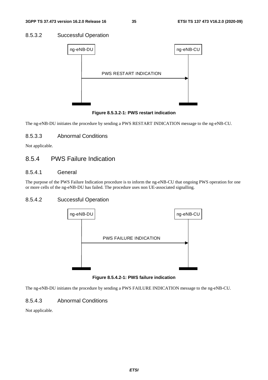### 8.5.3.2 Successful Operation



**Figure 8.5.3.2-1: PWS restart indication** 

The ng-eNB-DU initiates the procedure by sending a PWS RESTART INDICATION message to the ng-eNB-CU.

### 8.5.3.3 Abnormal Conditions

Not applicable.

### 8.5.4 PWS Failure Indication

### 8.5.4.1 General

The purpose of the PWS Failure Indication procedure is to inform the ng-eNB-CU that ongoing PWS operation for one or more cells of the ng-eNB-DU has failed. The procedure uses non UE-associated signalling.

### 8.5.4.2 Successful Operation



**Figure 8.5.4.2-1: PWS failure indication** 

The ng-eNB-DU initiates the procedure by sending a PWS FAILURE INDICATION message to the ng-eNB-CU.

### 8.5.4.3 Abnormal Conditions

Not applicable.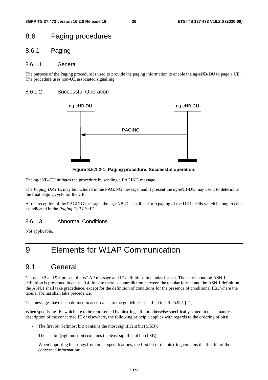# 8.6 Paging procedures

## 8.6.1 Paging

#### 8.6.1.1 General

The purpose of the Paging procedure is used to provide the paging information to enable the ng-eNB-DU to page a UE. The procedure uses non-UE associated signalling.

#### 8.6.1.2 Successful Operation



**Figure 8.6.1.2-1: Paging procedure. Successful operation.** 

The ng-eNB-CU initiates the procedure by sending a PAGING message.

The *Paging DRX* IE may be included in the PAGING message, and if present the ng-eNB-DU may use it to determine the final paging cycle for the UE.

At the reception of the PAGING message, the ng-eNB-DU shall perform paging of the UE in cells which belong to cells as indicated in the *Paging Cell List* IE.

#### 8.6.1.3 Abnormal Conditions

Not applicable.

# 9 Elements for W1AP Communication

# 9.1 General

Clauses 9.2 and 9.3 present the W1AP message and IE definitions in tabular format. The corresponding ASN.1 definition is presented in clause 9.4. In case there is contradiction between the tabular format and the ASN.1 definition, the ASN.1 shall take precedence, except for the definition of conditions for the presence of conditional IEs, where the tabular format shall take precedence.

The messages have been defined in accordance to the guidelines specified in TR 25.921 [21].

When specifying IEs which are to be represented by bitstrings, if not otherwise specifically stated in the semantics description of the concerned IE or elsewhere, the following principle applies with regards to the ordering of bits:

- The first bit (leftmost bit) contains the most significant bit (MSB);
- The last bit (rightmost bit) contains the least significant bit (LSB);
- When importing bitstrings from other specifications, the first bit of the bitstring contains the first bit of the concerned information;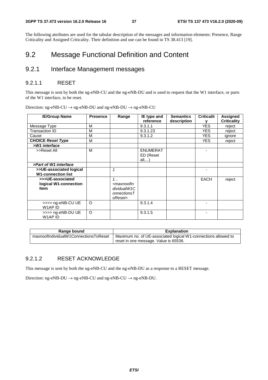The following attributes are used for the tabular description of the messages and information elements: Presence, Range Criticality and Assigned Criticality. Their definition and use can be found in TS 38.413 [19].

# 9.2 Message Functional Definition and Content

# 9.2.1 Interface Management messages

#### 9.2.1.1 RESET

This message is sent by both the ng-eNB-CU and the ng-eNB-DU and is used to request that the W1 interface, or parts of the W1 interface, to be reset.

| <b>IE/Group Name</b>                                     | <b>Presence</b> | Range                                                                                                            | IE type and                           | <b>Semantics</b> | <b>Criticalit</b> | <b>Assigned</b>    |
|----------------------------------------------------------|-----------------|------------------------------------------------------------------------------------------------------------------|---------------------------------------|------------------|-------------------|--------------------|
|                                                          |                 |                                                                                                                  | reference                             | description      | v                 | <b>Criticality</b> |
| Message Type                                             | M               |                                                                                                                  | 9.3.1.1                               |                  | <b>YES</b>        | reject             |
| Transaction ID                                           | M               |                                                                                                                  | 9.3.1.23                              |                  | YES.              | reject             |
| Cause                                                    | M               |                                                                                                                  | 9.3.1.2                               |                  | YES.              | ignore             |
| <b>CHOICE Reset Type</b>                                 | м               |                                                                                                                  |                                       |                  | <b>YES</b>        | reject             |
| >W1 interface                                            |                 |                                                                                                                  |                                       |                  |                   |                    |
| >>Reset All                                              | M               |                                                                                                                  | <b>ENUMERAT</b><br>ED (Reset<br>all,) |                  |                   |                    |
| >Part of W1 interface                                    |                 |                                                                                                                  |                                       |                  |                   |                    |
| >>UE-associated logical<br><b>W1-connection list</b>     |                 | 1                                                                                                                |                                       |                  |                   |                    |
| >>>UE-associated<br>logical W1-connection<br><b>Item</b> |                 | $1 \ldots$<br><maxnoofin<br>dividualW1C<br/><math>onnections <math>T</math></math><br/>oReset&gt;</maxnoofin<br> |                                       |                  | <b>EACH</b>       | reject             |
| >>>> ng-eNB-CU UE<br>W1AP ID                             | O               |                                                                                                                  | 9.3.1.4                               |                  |                   |                    |
| >>>> ng-eNB-DU UE<br>W1AP ID                             | $\circ$         |                                                                                                                  | 9.3.1.5                               |                  |                   |                    |

Direction: ng-eNB-CU  $\rightarrow$  ng-eNB-DU and ng-eNB-DU  $\rightarrow$  ng-eNB-CU

| Range bound                           | <b>Explanation</b>                                             |
|---------------------------------------|----------------------------------------------------------------|
| maxnoofIndividualW1ConnectionsToReset | Maximum no. of UE-associated logical W1-connections allowed to |
|                                       | reset in one message. Value is 65536.                          |

#### 9.2.1.2 RESET ACKNOWLEDGE

This message is sent by both the ng-eNB-CU and the ng-eNB-DU as a response to a RESET message.

Direction:  $ng-eNB-DU \rightarrow ng-eNB-CU$  and  $ng-eNB-CU \rightarrow ng-eNB-DU$ .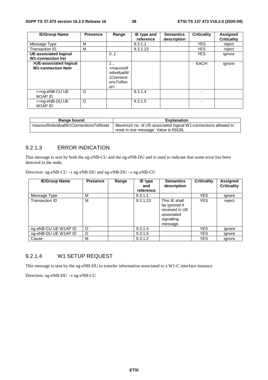| <b>IE/Group Name</b>         | <b>Presence</b> | Range                                                                   | IE type and | <b>Semantics</b> | <b>Criticality</b>       | <b>Assigned</b>    |
|------------------------------|-----------------|-------------------------------------------------------------------------|-------------|------------------|--------------------------|--------------------|
|                              |                 |                                                                         | reference   | description      |                          | <b>Criticality</b> |
| Message Type                 | M               |                                                                         | 9.3.1.1     |                  | <b>YES</b>               | reject             |
| Transaction ID               | м               |                                                                         | 9.3.1.23    |                  | <b>YES</b>               | reject             |
| <b>UE-associated logical</b> |                 | 0.1                                                                     |             |                  | <b>YES</b>               | ignore             |
| <b>W1-connection list</b>    |                 |                                                                         |             |                  |                          |                    |
| >UE-associated logical       |                 | 1.1                                                                     |             |                  | <b>EACH</b>              | ignore             |
| <b>W1-connection Item</b>    |                 | <maxnoofl<br>ndividualW<br/>1Connecti<br/>onsToRes<br/>et</maxnoofl<br> |             |                  |                          |                    |
| >>ng-eNB-CU UE<br>W1AP ID    | $\circ$         |                                                                         | 9.3.1.4     |                  | $\overline{\phantom{0}}$ |                    |
| >>ng-eNB-DU UE<br>W1AP ID    | $\circ$         |                                                                         | 9.3.1.5     |                  | ۰                        |                    |

| Range bound                           | <b>Explanation</b>                                             |
|---------------------------------------|----------------------------------------------------------------|
| maxnoofIndividualW1ConnectionsToReset | Maximum no. of UE-associated logical W1-connections allowed to |
|                                       | reset in one message. Value is 65536.                          |

### 9.2.1.3 ERROR INDICATION

This message is sent by both the ng-eNB-CU and the ng-eNB-DU and is used to indicate that some error has been detected in the node.

Direction: ng-eNB-CU  $\rightarrow$  ng-eNB-DU and ng-eNB-DU  $\rightarrow$  ng-eNB-CU

| <b>IE/Group Name</b> | <b>Presence</b> | Range | IE type<br>and<br>reference | <b>Semantics</b><br>description                                                          | <b>Criticality</b> | Assigned<br><b>Criticality</b> |
|----------------------|-----------------|-------|-----------------------------|------------------------------------------------------------------------------------------|--------------------|--------------------------------|
| Message Type         | M               |       | 9.3.1.1                     |                                                                                          | <b>YES</b>         | ignore                         |
| Transaction ID       | M               |       | 9.3.1.23                    | This IE shall<br>be ignored if<br>received in UE<br>associated<br>signalling<br>message. | <b>YES</b>         | reject                         |
| ng-eNB-CU UE W1AP ID | O               |       | 9.3.1.4                     |                                                                                          | <b>YES</b>         | ignore                         |
| ng-eNB-DU UE W1AP ID | O               |       | 9.3.1.5                     |                                                                                          | YES                | ignore                         |
| Cause                | М               |       | 9.3.1.2                     |                                                                                          | YES                | ignore                         |

#### 9.2.1.4 W1 SETUP REQUEST

This message is sent by the ng-eNB-DU to transfer information associated to a W1-C interface instance.

Direction: ng-eNB-DU  $\rightarrow$  ng-eNB-CU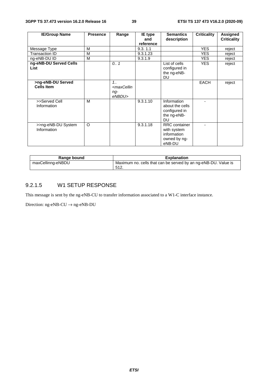| <b>IE/Group Name</b>                   | <b>Presence</b> | Range                                                 | IE type<br>and | <b>Semantics</b><br>description                                              | <b>Criticality</b> | <b>Assigned</b><br><b>Criticality</b> |
|----------------------------------------|-----------------|-------------------------------------------------------|----------------|------------------------------------------------------------------------------|--------------------|---------------------------------------|
|                                        |                 |                                                       | reference      |                                                                              |                    |                                       |
| Message Type                           | M               |                                                       | 9.3.1.1        |                                                                              | <b>YES</b>         | reject                                |
| <b>Transaction ID</b>                  | м               |                                                       | 9.3.1.23       |                                                                              | <b>YES</b>         | reject                                |
| ng-eNB-DU ID                           | м               |                                                       | 9.3.1.9        |                                                                              | <b>YES</b>         | reject                                |
| ng-eNB-DU Served Cells<br>List         |                 | 0.1                                                   |                | List of cells<br>configured in<br>the ng-eNB-<br>DU                          | <b>YES</b>         | reject                                |
| >ng-eNB-DU Served<br><b>Cells Item</b> |                 | 1.1<br><maxcellin<br>ng-<br/>eNBDU&gt;</maxcellin<br> |                |                                                                              | <b>EACH</b>        | reject                                |
| >>Served Cell<br>Information           | M               |                                                       | 9.3.1.10       | Information<br>about the cells<br>configured in<br>the ng-eNB-<br>DU         |                    |                                       |
| >>ng-eNB-DU System<br>Information      | O               |                                                       | 9.3.1.18       | <b>RRC</b> container<br>with system<br>information<br>owned by ng-<br>eNB-DU |                    |                                       |

| Range bound       | <b>Explanation</b>                                                      |
|-------------------|-------------------------------------------------------------------------|
| maxCellinng-eNBDU | Maximum no. cells that can be served by an ng-eNB-DU. Value is<br>-512. |

# 9.2.1.5 W1 SETUP RESPONSE

This message is sent by the ng-eNB-CU to transfer information associated to a W1-C interface instance.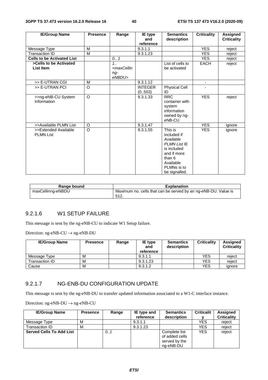| <b>IE/Group Name</b>                     | <b>Presence</b> | Range                                                                           | IE type<br>and           | <b>Semantics</b><br>description                                                                                                                 | <b>Criticality</b>       | <b>Assigned</b><br><b>Criticality</b> |
|------------------------------------------|-----------------|---------------------------------------------------------------------------------|--------------------------|-------------------------------------------------------------------------------------------------------------------------------------------------|--------------------------|---------------------------------------|
|                                          |                 |                                                                                 | reference                |                                                                                                                                                 |                          |                                       |
| Message Type                             | M               |                                                                                 | 9.3.1.1                  |                                                                                                                                                 | <b>YES</b>               | reject                                |
| <b>Transaction ID</b>                    | M               |                                                                                 | 9.3.1.23                 |                                                                                                                                                 | <b>YES</b>               | reject                                |
| <b>Cells to be Activated List</b>        |                 | 0.1                                                                             |                          |                                                                                                                                                 | <b>YES</b>               | reject                                |
| >Cells to be Activated                   |                 | 1.1                                                                             |                          | List of cells to                                                                                                                                | <b>EACH</b>              | reject                                |
| List Item                                |                 | <maxcellin< td=""><td></td><td>be activated</td><td></td><td></td></maxcellin<> |                          | be activated                                                                                                                                    |                          |                                       |
|                                          |                 | ng-<br>eNBDU>                                                                   |                          |                                                                                                                                                 |                          |                                       |
| >> E-UTRAN CGI                           | M               |                                                                                 | 9.3.1.12                 |                                                                                                                                                 | $\overline{\phantom{a}}$ |                                       |
| >> E-UTRAN PCI                           | $\Omega$        |                                                                                 | <b>INTEGER</b><br>(0503) | <b>Physical Cell</b><br>ID                                                                                                                      |                          |                                       |
| >>ng-eNB-CU System<br>Information        | $\Omega$        |                                                                                 | 9.3.1.33                 | <b>RRC</b><br>container with<br>system<br>information<br>owned by ng-<br>eNB-CU                                                                 | <b>YES</b>               | reject                                |
| >>Available PLMN List                    | O               |                                                                                 | 9.3.1.47                 |                                                                                                                                                 | <b>YES</b>               | ignore                                |
| >>Extended Available<br><b>PLMN List</b> | $\Omega$        |                                                                                 | 9.3.1.55                 | This is<br>included if<br>Available<br><b>PLMN List IE</b><br>is included<br>and if more<br>than 6<br>Available<br>PLMNs is to<br>be signalled. | <b>YES</b>               | ignore                                |

| Range bound       | <b>Explanation</b>                                                      |
|-------------------|-------------------------------------------------------------------------|
| maxCellinng-eNBDU | Maximum no. cells that can be served by an ng-eNB-DU. Value is<br>-512. |

### 9.2.1.6 W1 SETUP FAILURE

This message is sent by the ng-eNB-CU to indicate W1 Setup failure.

Direction: ng-eNB-CU  $\rightarrow$  ng-eNB-DU

| <b>IE/Group Name</b> | <b>Presence</b> | Range | IE type<br>and<br>reference | <b>Semantics</b><br>description | <b>Criticality</b> | <b>Assigned</b><br><b>Criticality</b> |
|----------------------|-----------------|-------|-----------------------------|---------------------------------|--------------------|---------------------------------------|
| Message Type         | M               |       | 9.3.1.1                     |                                 | YES                | reiect                                |
| Transaction ID       | M               |       | 9.3.1.23                    |                                 | YES                | reiect                                |
| Cause                | M               |       | 9.3.1.2                     |                                 | YES                | ignore                                |

#### 9.2.1.7 NG-ENB-DU CONFIGURATION UPDATE

This message is sent by the ng-eNB-DU to transfer updated information associated to a W1-C interface instance.

| <b>IE/Group Name</b>            | <b>Presence</b> | Range | IE type and<br>reference | <b>Semantics</b><br>description                               | <b>Criticalit</b> | Assigned<br><b>Criticality</b> |
|---------------------------------|-----------------|-------|--------------------------|---------------------------------------------------------------|-------------------|--------------------------------|
| Message Type                    | M               |       | 9.3.1.1                  |                                                               | YES               | reject                         |
| Transaction ID                  | M               |       | 9.3.1.23                 |                                                               | YES               | reject                         |
| <b>Served Cells To Add List</b> |                 | 0.1   |                          | Complete list<br>of added cells<br>served by the<br>ng-eNB-DU | <b>YES</b>        | reject                         |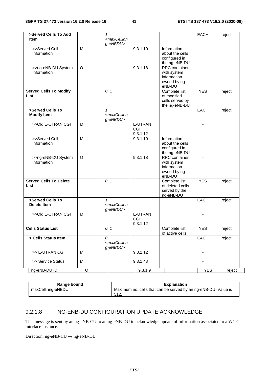| >Served Cells To Add<br><b>Item</b>          |                | 1<br><maxcellinn< th=""><th></th><th></th><th>EACH</th><th>reject</th></maxcellinn<> |                            |                                                                              | EACH                     | reject |
|----------------------------------------------|----------------|--------------------------------------------------------------------------------------|----------------------------|------------------------------------------------------------------------------|--------------------------|--------|
|                                              |                | g-eNBDU>                                                                             |                            |                                                                              |                          |        |
| >>Served Cell<br>Information                 | M              |                                                                                      | 9.3.1.10                   | Information<br>about the cells<br>configured in<br>the ng-eNB-DU             | $\blacksquare$           |        |
| >>ng-eNB-DU System<br>Information            | $\circ$        |                                                                                      | 9.3.1.18                   | <b>RRC</b> container<br>with system<br>information<br>owned by ng-<br>eNB-DU | $\blacksquare$           |        |
| <b>Served Cells To Modify</b><br>List        |                | 0.1                                                                                  |                            | Complete list<br>of modified<br>cells served by<br>the ng-eNB-DU             | <b>YES</b>               | reject |
| >Served Cells To<br><b>Modify Item</b>       |                | $1 \ldots$<br><maxcellinn<br>g-eNBDU&gt;</maxcellinn<br>                             |                            |                                                                              | EACH                     | reject |
| >>Old E-UTRAN CGI                            | M              |                                                                                      | E-UTRAN<br>CGI<br>9.3.1.12 |                                                                              | $\blacksquare$           |        |
| >>Served Cell<br>Information                 | $\overline{M}$ |                                                                                      | 9.3.1.10                   | Information<br>about the cells<br>configured in<br>the ng-eNB-DU             |                          |        |
| >>ng-eNB-DU System<br>Information            | $\circ$        |                                                                                      | 9.3.1.18                   | <b>RRC</b> container<br>with system<br>information<br>owned by ng-<br>eNB-DU |                          |        |
| <b>Served Cells To Delete</b><br><b>List</b> |                | 0.1                                                                                  |                            | Complete list<br>of deleted cells<br>served by the<br>ng-eNB-DU              | <b>YES</b>               | reject |
| >Served Cells To<br><b>Delete Item</b>       |                | $1_{1}$<br><maxcellinn<br>g-eNBDU&gt;</maxcellinn<br>                                |                            |                                                                              | <b>EACH</b>              | reject |
| >>Old E-UTRAN CGI                            | M              |                                                                                      | E-UTRAN<br>CGI<br>9.3.1.12 |                                                                              | $\blacksquare$           |        |
| <b>Cells Status List</b>                     |                | 0.1                                                                                  |                            | Complete list<br>of active cells                                             | <b>YES</b>               | reject |
| > Cells Status Item                          |                | 0<br><maxcellinn<br>g-eNBDU&gt;</maxcellinn<br>                                      |                            |                                                                              | <b>EACH</b>              | reject |
| >> E-UTRAN CGI                               | M              |                                                                                      | 9.3.1.12                   |                                                                              |                          |        |
| >> Service Status                            | M              |                                                                                      | 9.3.1.48                   |                                                                              | $\overline{\phantom{a}}$ |        |
| ng-eNB-DU ID                                 | $\mathsf O$    |                                                                                      | 9.3.1.9                    |                                                                              | <b>YES</b>               | reject |

| Range bound       | <b>Explanation</b>                                             |
|-------------------|----------------------------------------------------------------|
| maxCellinng-eNBDU | Maximum no. cells that can be served by an ng-eNB-DU. Value is |
|                   | 512                                                            |

# 9.2.1.8 NG-ENB-DU CONFIGURATION UPDATE ACKNOWLEDGE

This message is sent by an ng-eNB-CU to an ng-eNB-DU to acknowledge update of information associated to a W1-C interface instance.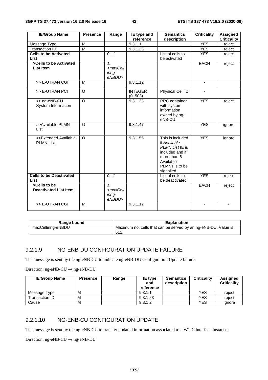| <b>IE/Group Name</b>                     | <b>Presence</b> | Range                                                           | IE type and    | <b>Semantics</b>                 | <b>Criticality</b>       | <b>Assigned</b>    |
|------------------------------------------|-----------------|-----------------------------------------------------------------|----------------|----------------------------------|--------------------------|--------------------|
|                                          |                 |                                                                 | reference      | description                      |                          | <b>Criticality</b> |
| Message Type                             | M               |                                                                 | 9.3.1.1        |                                  | <b>YES</b>               | reject             |
| <b>Transaction ID</b>                    | $\overline{M}$  |                                                                 | 9.3.1.23       |                                  | <b>YES</b>               | reject             |
| <b>Cells to be Activated</b>             |                 | 0.1                                                             |                | List of cells to                 | <b>YES</b>               | reject             |
| List                                     |                 |                                                                 |                | be activated                     |                          |                    |
| >Cells to be Activated                   |                 | 1.1                                                             |                |                                  | EACH                     | reject             |
| List Item                                |                 | <maxcell< td=""><td></td><td></td><td></td><td></td></maxcell<> |                |                                  |                          |                    |
|                                          |                 | inng-                                                           |                |                                  |                          |                    |
|                                          |                 | eNBDU>                                                          |                |                                  |                          |                    |
| >> E-UTRAN CGI                           | M               |                                                                 | 9.3.1.12       |                                  | $\overline{\phantom{a}}$ |                    |
| >> E-UTRAN PCI                           | $\overline{O}$  |                                                                 | <b>INTEGER</b> | Physical Cell ID                 |                          |                    |
|                                          |                 |                                                                 | (0.503)        |                                  |                          |                    |
| >> ng-eNB-CU                             | $\circ$         |                                                                 | 9.3.1.33       | RRC container                    | <b>YES</b>               | reject             |
| System Information                       |                 |                                                                 |                | with system                      |                          |                    |
|                                          |                 |                                                                 |                | information                      |                          |                    |
|                                          |                 |                                                                 |                | owned by ng-                     |                          |                    |
|                                          |                 |                                                                 |                | eNB-CU                           |                          |                    |
| >>Available PLMN                         | $\circ$         |                                                                 | 9.3.1.47       |                                  | <b>YES</b>               | ignore             |
| List                                     |                 |                                                                 |                |                                  |                          |                    |
|                                          | $\Omega$        |                                                                 |                |                                  |                          |                    |
| >>Extended Available<br><b>PLMN List</b> |                 |                                                                 | 9.3.1.55       | This is included<br>if Available | <b>YES</b>               | ignore             |
|                                          |                 |                                                                 |                | PLMN List IE is                  |                          |                    |
|                                          |                 |                                                                 |                | included and if                  |                          |                    |
|                                          |                 |                                                                 |                | more than 6                      |                          |                    |
|                                          |                 |                                                                 |                | Available                        |                          |                    |
|                                          |                 |                                                                 |                | PLMNs is to be                   |                          |                    |
|                                          |                 |                                                                 |                | signalled.                       |                          |                    |
| <b>Cells to be Deactivated</b>           |                 | 0.7                                                             |                | List of cells to                 | <b>YES</b>               | reject             |
| List                                     |                 |                                                                 |                | be deactivated                   |                          |                    |
| >Cells to be                             |                 | 1.1                                                             |                |                                  | <b>EACH</b>              | reject             |
| <b>Deactivated List Item</b>             |                 | <maxcell< td=""><td></td><td></td><td></td><td></td></maxcell<> |                |                                  |                          |                    |
|                                          |                 | inng-                                                           |                |                                  |                          |                    |
|                                          |                 | eNBDU>                                                          |                |                                  |                          |                    |
| >> E-UTRAN CGI                           | M               |                                                                 | 9.3.1.12       |                                  |                          | ٠                  |
|                                          |                 |                                                                 |                |                                  |                          |                    |

| Range bound       | <b>Explanation</b>                                                     |
|-------------------|------------------------------------------------------------------------|
| maxCellinng-eNBDU | Maximum no. cells that can be served by an ng-eNB-DU. Value is<br>512. |

#### 9.2.1.9 NG-ENB-DU CONFIGURATION UPDATE FAILURE

This message is sent by the ng-eNB-CU to indicate ng-eNB-DU Configuration Update failure.

Direction: ng-eNB-CU  $\rightarrow$  ng-eNB-DU

| <b>IE/Group Name</b> | <b>Presence</b> | Range | IE type<br>and<br>reference | <b>Semantics</b><br>description | <b>Criticality</b> | Assigned<br><b>Criticality</b> |
|----------------------|-----------------|-------|-----------------------------|---------------------------------|--------------------|--------------------------------|
| Message Type         | м               |       | 9.3.1.1                     |                                 | <b>YES</b>         | reject                         |
| Transaction ID       | м               |       | 9.3.1.23                    |                                 | <b>YES</b>         | reject                         |
| Cause                | M               |       | 9.3.1.2                     |                                 | <b>YES</b>         | ignore                         |

#### 9.2.1.10 NG-ENB-CU CONFIGURATION UPDATE

This message is sent by the ng-eNB-CU to transfer updated information associated to a W1-C interface instance.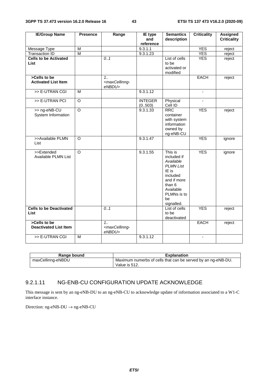| <b>IE/Group Name</b>                         | <b>Presence</b>         | Range                                                          | <b>IE</b> type<br>and     | <b>Semantics</b><br>description                                                                                                                       | <b>Criticality</b> | <b>Assigned</b><br><b>Criticality</b> |
|----------------------------------------------|-------------------------|----------------------------------------------------------------|---------------------------|-------------------------------------------------------------------------------------------------------------------------------------------------------|--------------------|---------------------------------------|
|                                              |                         |                                                                | reference                 |                                                                                                                                                       |                    |                                       |
| Message Type                                 | $\overline{M}$          |                                                                | 9.3.1.1                   |                                                                                                                                                       | <b>YES</b>         | reject                                |
| <b>Transaction ID</b>                        | $\overline{\mathsf{M}}$ |                                                                | 9.3.1.23                  |                                                                                                                                                       | <b>YES</b>         | reject                                |
| <b>Cells to be Activated</b><br>List         |                         | 0.1                                                            |                           | List of cells<br>to be<br>activated or<br>modified                                                                                                    | <b>YES</b>         | reject                                |
| >Cells to be<br><b>Activated List Item</b>   |                         | 1.1<br><maxcellinng-<br>eNBDU&gt;</maxcellinng-<br>            |                           |                                                                                                                                                       | <b>EACH</b>        | reject                                |
| >> E-UTRAN CGI                               | M                       |                                                                | 9.3.1.12                  |                                                                                                                                                       | $\blacksquare$     |                                       |
| >> E-UTRAN PCI                               | $\overline{O}$          |                                                                | <b>INTEGER</b><br>(0.503) | Physical<br>Cell ID                                                                                                                                   | ÷,                 |                                       |
| >> ng-eNB-CU<br>System Information           | $\overline{\circ}$      |                                                                | 9.3.1.33                  | <b>RRC</b><br>container<br>with system<br>information<br>owned by<br>ng-eNB-CU                                                                        | <b>YES</b>         | reject                                |
| >>Available PLMN<br>List                     | $\circ$                 |                                                                | 9.3.1.47                  |                                                                                                                                                       | <b>YES</b>         | ignore                                |
| >>Extended<br>Available PLMN List            | $\overline{O}$          |                                                                | 9.3.1.55                  | This is<br>included if<br>Available<br><b>PLMN List</b><br>IE is<br>included<br>and if more<br>than 6<br>Available<br>PLMNs is to<br>be<br>signalled. | <b>YES</b>         | ignore                                |
| <b>Cells to be Deactivated</b><br>List       |                         | 0.1                                                            |                           | List of cells<br>to be<br>deactivated                                                                                                                 | <b>YES</b>         | reject                                |
| >Cells to be<br><b>Deactivated List Item</b> |                         | 1 <sub>1</sub><br><maxcellinng-<br>eNBDU&gt;</maxcellinng-<br> |                           |                                                                                                                                                       | <b>EACH</b>        | reject                                |
| >> E-UTRAN CGI                               | $\overline{M}$          |                                                                | 9.3.1.12                  |                                                                                                                                                       | $\blacksquare$     |                                       |

| Range bound       | Explanation                                                  |
|-------------------|--------------------------------------------------------------|
| maxCellinng-eNBDU | Maximum numerbs of cells that can be served by an ng-eNB-DU. |
|                   | Value is 512.                                                |

#### 9.2.1.11 NG-ENB-CU CONFIGURATION UPDATE ACKNOWLEDGE

This message is sent by an ng-eNB-DU to an ng-eNB-CU to acknowledge update of information associated to a W1-C interface instance.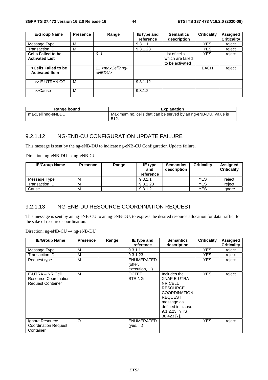| <b>IE/Group Name</b>                               | <b>Presence</b> | Range                                           | IE type and<br>reference | <b>Semantics</b><br>description                      | <b>Criticality</b> | <b>Assigned</b><br><b>Criticality</b> |
|----------------------------------------------------|-----------------|-------------------------------------------------|--------------------------|------------------------------------------------------|--------------------|---------------------------------------|
| Message Type                                       | м               |                                                 | 9.3.1.1                  |                                                      | <b>YES</b>         | reject                                |
| Transaction ID                                     | M               |                                                 | 9.3.1.23                 |                                                      | <b>YES</b>         | reject                                |
| <b>Cells Failed to be</b><br><b>Activated List</b> |                 | 0.1                                             |                          | List of cells<br>which are failed<br>to be activated | <b>YES</b>         | reject                                |
| >Cells Failed to be<br><b>Activated Item</b>       |                 | 1. <maxcellinng-<br>eNBDU&gt;</maxcellinng-<br> |                          |                                                      | <b>EACH</b>        | reject                                |
| >> E-UTRAN CGI                                     | M               |                                                 | 9.3.1.12                 |                                                      |                    |                                       |
| >>Cause                                            | M               |                                                 | 9.3.1.2                  |                                                      |                    |                                       |

| Range bound       | <b>Explanation</b>                                                      |
|-------------------|-------------------------------------------------------------------------|
| maxCellinng-eNBDU | Maximum no. cells that can be served by an ng-eNB-DU. Value is<br>-512. |

## 9.2.1.12 NG-ENB-CU CONFIGURATION UPDATE FAILURE

This message is sent by the ng-eNB-DU to indicate ng-eNB-CU Configuration Update failure.

Direction: ng-eNB-DU → ng-eNB-CU

| <b>IE/Group Name</b> | <b>Presence</b> | Range | IE type<br>and<br>reference | <b>Semantics</b><br>description | <b>Criticality</b> | <b>Assigned</b><br><b>Criticality</b> |
|----------------------|-----------------|-------|-----------------------------|---------------------------------|--------------------|---------------------------------------|
| Message Type         | M               |       | 9.3.1.1                     |                                 | <b>YES</b>         | reiect                                |
| Transaction ID       | M               |       | 9.3.1.23                    |                                 | <b>YES</b>         | reiect                                |
| Cause                | M               |       | 9.3.1.2                     |                                 | <b>YES</b>         | ignore                                |

### 9.2.1.13 NG-ENB-DU RESOURCE COORDINATION REQUEST

This message is sent by an ng-eNB-CU to an ng-eNB-DU, to express the desired resource allocation for data traffic, for the sake of resource coordination.

| <b>IE/Group Name</b>                                                         | <b>Presence</b> | Range | IE type and<br>reference                     | <b>Semantics</b><br>description                                                                                                                                          | <b>Criticality</b> | <b>Assigned</b><br><b>Criticality</b> |
|------------------------------------------------------------------------------|-----------------|-------|----------------------------------------------|--------------------------------------------------------------------------------------------------------------------------------------------------------------------------|--------------------|---------------------------------------|
| Message Type                                                                 | M               |       | 9.3.1.1                                      |                                                                                                                                                                          | <b>YES</b>         | reject                                |
| Transaction ID                                                               | M               |       | 9.3.1.23                                     |                                                                                                                                                                          | YES.               | reject                                |
| Request type                                                                 | M               |       | <b>ENUMERATED</b><br>(offer,<br>execution, ) |                                                                                                                                                                          | <b>YES</b>         | reject                                |
| E-UTRA – NR Cell<br><b>Resource Coordination</b><br><b>Request Container</b> | M               |       | <b>OCTET</b><br><b>STRING</b>                | Includes the<br>XNAP E-UTRA -<br>NR CELL<br><b>RESOURCE</b><br><b>COORDINATION</b><br><b>REQUEST</b><br>message as<br>defined in clause<br>9.1.2.23 in TS<br>38.423 [7]. | <b>YES</b>         | reject                                |
| Ignore Resource<br><b>Coordination Request</b><br>Container                  | $\circ$         |       | <b>ENUMERATED</b><br>(yes, )                 |                                                                                                                                                                          | <b>YES</b>         | reject                                |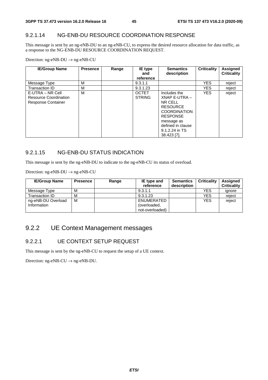### 9.2.1.14 NG-ENB-DU RESOURCE COORDINATION RESPONSE

This message is sent by an ng-eNB-DU to an ng-eNB-CU, to express the desired resource allocation for data traffic, as a response to the NG-ENB-DU RESOURCE COORDINATION REQUEST.

Direction: ng-eNB-DU → ng-eNB-CU

| <b>IE/Group Name</b>                                                   | <b>Presence</b> | Range | IE type<br>and<br>reference   | <b>Semantics</b><br>description                                                                                                                                           | Criticality | Assigned<br><b>Criticality</b> |
|------------------------------------------------------------------------|-----------------|-------|-------------------------------|---------------------------------------------------------------------------------------------------------------------------------------------------------------------------|-------------|--------------------------------|
| Message Type                                                           | М               |       | 9.3.1.1                       |                                                                                                                                                                           | <b>YES</b>  | reject                         |
| Transaction ID                                                         | M               |       | 9.3.1.23                      |                                                                                                                                                                           | <b>YES</b>  | reject                         |
| E-UTRA – NR Cell<br>Resource Coordination<br><b>Response Container</b> | M               |       | <b>OCTET</b><br><b>STRING</b> | Includes the<br>XNAP E-UTRA -<br>NR CELL<br><b>RESOURCE</b><br><b>COORDINATION</b><br><b>RESPONSE</b><br>message as<br>defined in clause<br>9.1.2.24 in TS<br>38.423 [7]. | <b>YES</b>  | reject                         |

## 9.2.1.15 NG-ENB-DU STATUS INDICATION

This message is sent by the ng-eNB-DU to indicate to the ng-eNB-CU its status of overload.

Direction: ng-eNB-DU → ng-eNB-CU

| <b>IE/Group Name</b> | <b>Presence</b> | Range | <b>IE</b> type and<br>reference | <b>Semantics</b><br>description | <b>Criticality</b> | <b>Assigned</b><br><b>Criticality</b> |
|----------------------|-----------------|-------|---------------------------------|---------------------------------|--------------------|---------------------------------------|
| Message Type         | М               |       | 9.3.1.1                         |                                 | <b>YES</b>         | ignore                                |
| Transaction ID       | М               |       | 9.3.1.23                        |                                 | YES                | reject                                |
| ng-eNB-DU Overload   | M               |       | ENUMERATED                      |                                 | <b>YES</b>         | reject                                |
| Information          |                 |       | (overloaded,                    |                                 |                    |                                       |
|                      |                 |       | not-overloaded)                 |                                 |                    |                                       |

# 9.2.2 UE Context Management messages

#### 9.2.2.1 UE CONTEXT SETUP REQUEST

This message is sent by the ng-eNB-CU to request the setup of a UE context.

Direction:  $ng-eNB-CU \rightarrow ng-eNB-DU$ .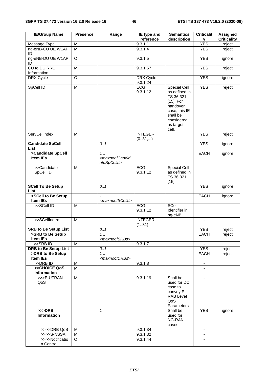| <b>IE/Group Name</b>                            | <b>Presence</b>                                                                       | Range                                                     | IE type and<br>reference | <b>Semantics</b><br>description                                                                                                      | <b>Criticalit</b><br>У    | <b>Assigned</b><br><b>Criticality</b> |
|-------------------------------------------------|---------------------------------------------------------------------------------------|-----------------------------------------------------------|--------------------------|--------------------------------------------------------------------------------------------------------------------------------------|---------------------------|---------------------------------------|
| Message Type                                    | M                                                                                     |                                                           | 9.3.1.1                  |                                                                                                                                      | <b>YES</b>                | reject                                |
| ng-eNB-CU UE W1AP<br>ID                         | M                                                                                     |                                                           | 9.3.1.4                  |                                                                                                                                      | <b>YES</b>                | reject                                |
| ng-eNB-DU UE W1AP<br>ID                         | O                                                                                     |                                                           | 9.3.1.5                  |                                                                                                                                      | <b>YES</b>                | ignore                                |
| CU to DU RRC<br>Information                     | M                                                                                     |                                                           | 9.3.1.57                 |                                                                                                                                      | <b>YES</b>                | reject                                |
| DRX Cycle                                       | O                                                                                     |                                                           | DRX Cycle<br>9.3.1.24    |                                                                                                                                      | <b>YES</b>                | ignore                                |
| SpCell ID                                       | $\overline{M}$                                                                        |                                                           | <b>ECGI</b><br>9.3.1.12  | Special Cell<br>as defined in<br>TS 36.321<br>[15]. For<br>handover<br>case, this IE<br>shall be<br>considered<br>as target<br>cell. | <b>YES</b>                | reject                                |
| <b>ServCellIndex</b>                            | M                                                                                     |                                                           | <b>INTEGER</b><br>(031,) |                                                                                                                                      | <b>YES</b>                | reject                                |
| <b>Candidate SpCell</b><br><b>List</b>          |                                                                                       | 0.1                                                       |                          |                                                                                                                                      | <b>YES</b>                | ignore                                |
| >Candidate SpCell<br><b>Item IEs</b>            |                                                                                       | 1.<br><maxnoofcandid<br>ateSpCells&gt;</maxnoofcandid<br> |                          |                                                                                                                                      | <b>EACH</b>               | ignore                                |
| >>Candidate<br>SpCell ID                        | M                                                                                     |                                                           | <b>ECGI</b><br>9.3.1.12  | Special Cell<br>as defined in<br>TS 36.321<br>$[15]$                                                                                 | $\blacksquare$            |                                       |
| <b>SCell To Be Setup</b><br><b>List</b>         |                                                                                       | 0.1                                                       |                          |                                                                                                                                      | <b>YES</b>                | ignore                                |
| >SCell to Be Setup<br>Item IEs                  |                                                                                       | 1.1<br><maxnoofscells></maxnoofscells>                    |                          |                                                                                                                                      | EACH                      | ignore                                |
| >>SCell ID                                      | $\overline{M}$                                                                        |                                                           | <b>ECGI</b><br>9.3.1.12  | <b>SCell</b><br>Identifier in<br>ng-eNB                                                                                              | $\blacksquare$            |                                       |
| >>SCellIndex                                    | M                                                                                     |                                                           | <b>INTEGER</b><br>(131)  |                                                                                                                                      |                           |                                       |
| <b>SRB to Be Setup List</b>                     |                                                                                       | 0.1                                                       |                          |                                                                                                                                      | <b>YES</b>                | reject                                |
| >SRB to Be Setup                                |                                                                                       | 1                                                         |                          |                                                                                                                                      | EACH                      | reject                                |
| Item IEs                                        |                                                                                       | <maxnoofsrbs></maxnoofsrbs>                               |                          |                                                                                                                                      |                           |                                       |
| >>SRB ID                                        | $\overline{M}$                                                                        |                                                           | 9.3.1.7                  |                                                                                                                                      |                           |                                       |
| <b>DRB to Be Setup List</b><br>>DRB to Be Setup |                                                                                       | 0.1<br>1                                                  |                          |                                                                                                                                      | <b>YES</b><br><b>EACH</b> | reject                                |
| Item IEs                                        |                                                                                       | <maxnoofdrbs></maxnoofdrbs>                               |                          |                                                                                                                                      |                           | reject                                |
| >>DRB ID                                        | $\mathsf{M}% _{T}=\mathsf{M}_{T}\!\left( a,b\right) ,\ \mathsf{M}_{T}=\mathsf{M}_{T}$ |                                                           | 9.3.1.8                  |                                                                                                                                      |                           |                                       |
| >>CHOICE QoS                                    | M                                                                                     |                                                           |                          |                                                                                                                                      |                           |                                       |
| Information                                     |                                                                                       |                                                           |                          |                                                                                                                                      |                           |                                       |
| >>>E-UTRAN<br>QoS                               | M                                                                                     |                                                           | 9.3.1.19                 | Shall be<br>used for DC<br>case to<br>convey E-<br><b>RAB Level</b><br>QoS<br>Parameters                                             | $\overline{\phantom{a}}$  |                                       |
| $>>$ DRB<br>Information                         |                                                                                       | $\mathbf{1}$                                              |                          | Shall be<br>used for<br>NG-RAN<br>cases                                                                                              | <b>YES</b>                | ignore                                |
| >>>>DRB QoS                                     | м                                                                                     |                                                           | 9.3.1.34                 |                                                                                                                                      | $\blacksquare$            |                                       |
| >>>>S-NSSAI                                     | M                                                                                     |                                                           | 9.3.1.32                 |                                                                                                                                      | $\blacksquare$            |                                       |
| >>>>Notificatio<br>n Control                    | O                                                                                     |                                                           | 9.3.1.44                 |                                                                                                                                      |                           |                                       |
|                                                 |                                                                                       |                                                           |                          |                                                                                                                                      |                           |                                       |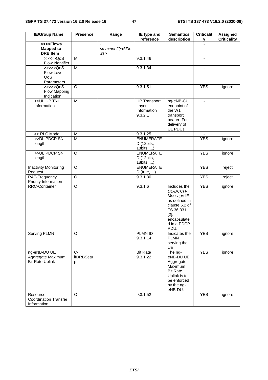| <b>IE/Group Name</b>                                                | <b>Presence</b>        | Range                                          | IE type and<br>reference                               | <b>Semantics</b><br>description                                                                                                        | <b>Criticalit</b><br>У | <b>Assigned</b><br><b>Criticality</b> |
|---------------------------------------------------------------------|------------------------|------------------------------------------------|--------------------------------------------------------|----------------------------------------------------------------------------------------------------------------------------------------|------------------------|---------------------------------------|
| >>>>Flows<br><b>Mapped to</b><br><b>DRB</b> Item                    |                        | $1$<br><maxnoofqosflo<br>WS</maxnoofqosflo<br> |                                                        |                                                                                                                                        |                        |                                       |
| $\rightarrow \rightarrow \rightarrow \text{QoS}$<br>Flow Identifier | M                      |                                                | 9.3.1.46                                               |                                                                                                                                        | $\blacksquare$         |                                       |
| >>>>QoS<br>Flow Level<br>QoS<br>Parameters                          | $\overline{M}$         |                                                | 9.3.1.34                                               |                                                                                                                                        |                        |                                       |
| $\gg >> >QoS$<br>Flow Mapping<br>Indication                         | $\circ$                |                                                | 9.3.1.51                                               |                                                                                                                                        | <b>YES</b>             | ignore                                |
| >>UL UP TNL<br>Information                                          | $\overline{M}$         |                                                | <b>UP Transport</b><br>Layer<br>Information<br>9.3.2.1 | ng-eNB-CU<br>endpoint of<br>the W1<br>transport<br>bearer. For<br>delivery of<br>UL PDUs.                                              |                        |                                       |
| >> RLC Mode                                                         | M                      |                                                | 9.3.1.25                                               |                                                                                                                                        |                        |                                       |
| >>DL PDCP SN<br>length                                              | $\overline{M}$         |                                                | <b>ENUMERATE</b><br>D (12bits,<br>18bits, )            |                                                                                                                                        | <b>YES</b>             | ignore                                |
| >>UL PDCP SN<br>length                                              | $\overline{O}$         |                                                | <b>ENUMERATE</b><br>D (12bits,<br>18bits, )            |                                                                                                                                        | <b>YES</b>             | ignore                                |
| <b>Inactivity Monitoring</b><br>Request                             | O                      |                                                | <b>ENUMERATE</b><br>$D$ (true, )                       |                                                                                                                                        | <b>YES</b>             | reject                                |
| RAT-Frequency<br>Priority Information                               | $\overline{\circ}$     |                                                | 9.3.1.30                                               |                                                                                                                                        | <b>YES</b>             | reject                                |
| <b>RRC-Container</b>                                                | $\circ$                |                                                | 9.3.1.6                                                | Includes the<br>DL-DCCH-<br>Message IE<br>as defined in<br>clause 6.2 of<br>TS 36.331<br>$[2]$ ,<br>encapsulate<br>d in a PDCP<br>PDU. | <b>YES</b>             | ignore                                |
| Serving PLMN                                                        | $\overline{O}$         |                                                | PLMN ID<br>9.3.1.14                                    | Indicates the<br><b>PLMN</b><br>serving the<br>UE.                                                                                     | <b>YES</b>             | ignore                                |
| ng-eNB-DU UE<br>Aggregate Maximum<br><b>Bit Rate Uplink</b>         | $C-$<br>ifDRBSetu<br>р |                                                | <b>Bit Rate</b><br>9.3.1.22                            | The ng-<br>eNB-DU UE<br>Aggregate<br>Maximum<br><b>Bit Rate</b><br>Uplink is to<br>be enforced<br>by the ng-<br>eNB-DU.                | <b>YES</b>             | ignore                                |
| Resource<br><b>Coordination Transfer</b><br>Information             | O                      |                                                | 9.3.1.52                                               |                                                                                                                                        | <b>YES</b>             | ignore                                |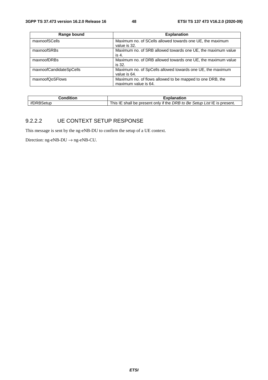| Range bound             | <b>Explanation</b>                                           |
|-------------------------|--------------------------------------------------------------|
| maxnoofSCells           | Maximum no. of SCells allowed towards one UE, the maximum    |
|                         | value is 32.                                                 |
| maxnoofSRBs             | Maximum no. of SRB allowed towards one UE, the maximum value |
|                         | is 4.                                                        |
| maxnoofDRBs             | Maximum no. of DRB allowed towards one UE, the maximum value |
|                         | is 32.                                                       |
| maxnoofCandidateSpCells | Maximum no. of SpCells allowed towards one UE, the maximum   |
|                         | value is 64.                                                 |
| maxnoofQoSFlows         | Maximum no. of flows allowed to be mapped to one DRB, the    |
|                         | maximum value is 64.                                         |

| :onditior | $\overline{\phantom{a}}$<br>blanation)،                                                        |
|-----------|------------------------------------------------------------------------------------------------|
| itur      | if the<br>Setup List IE is present.<br>This .<br>DRB to<br>Be .<br>shall<br>be present<br>only |

#### 9.2.2.2 UE CONTEXT SETUP RESPONSE

This message is sent by the ng-eNB-DU to confirm the setup of a UE context.

Direction:  $ng-eNB-DU \rightarrow ng-eNB-CU$ .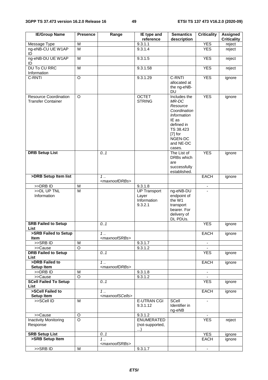| <b>IE/Group Name</b>                                      | <b>Presence</b>         | Range                                     | IE type and<br>reference                               | <b>Semantics</b><br>description                                                                                                                        | <b>Criticality</b> | <b>Assigned</b><br><b>Criticality</b> |
|-----------------------------------------------------------|-------------------------|-------------------------------------------|--------------------------------------------------------|--------------------------------------------------------------------------------------------------------------------------------------------------------|--------------------|---------------------------------------|
| Message Type                                              | M                       |                                           | 9.3.1.1                                                |                                                                                                                                                        | <b>YES</b>         | reject                                |
| ng-eNB-CU UE W1AP<br>ID                                   | $\overline{M}$          |                                           | 9.3.1.4                                                |                                                                                                                                                        | <b>YES</b>         | reject                                |
| ng-eNB-DU UE W1AP<br>ID                                   | M                       |                                           | 9.3.1.5                                                |                                                                                                                                                        | <b>YES</b>         | reject                                |
| <b>DU To CU RRC</b><br>Information                        | $\overline{M}$          |                                           | 9.3.1.58                                               |                                                                                                                                                        | <b>YES</b>         | reject                                |
| C-RNTI                                                    | $\overline{O}$          |                                           | 9.3.1.29                                               | C-RNTI<br>allocated at<br>the ng-eNB-                                                                                                                  | <b>YES</b>         | ignore                                |
| <b>Resource Coordination</b><br><b>Transfer Container</b> | O                       |                                           | <b>OCTET</b><br><b>STRING</b>                          | <b>DU</b><br>Includes the<br>MR-DC<br>Resource<br>Coordination<br>Information<br>IE as<br>defined in<br>TS 38.423<br>$[7]$ for<br>NGEN-DC<br>and NE-DC | <b>YES</b>         | ignore                                |
| <b>DRB Setup List</b>                                     |                         | 0.1                                       |                                                        | cases.<br>The List of<br>DRBs which<br>are<br>successfully<br>established.                                                                             | <b>YES</b>         | ignore                                |
| >DRB Setup Item list                                      |                         | $1$ .<br><maxnoofdrbs></maxnoofdrbs>      |                                                        |                                                                                                                                                        | <b>EACH</b>        | ignore                                |
| >>DRB ID                                                  | M                       |                                           | 9.3.1.8                                                |                                                                                                                                                        | $\blacksquare$     |                                       |
| >>DL UP TNL<br>Information                                | $\overline{\mathsf{M}}$ |                                           | <b>UP Transport</b><br>Layer<br>Information<br>9.3.2.1 | ng-eNB-DU<br>endpoint of<br>the W1<br>transport<br>bearer. For<br>delivery of<br>DL PDUs.                                                              |                    |                                       |
| <b>SRB Failed to Setup</b><br>List                        |                         | 0.1                                       |                                                        |                                                                                                                                                        | <b>YES</b>         | ignore                                |
| >SRB Failed to Setup<br><b>Item</b>                       |                         | $1$<br><maxnoofsrbs></maxnoofsrbs>        |                                                        |                                                                                                                                                        | <b>EACH</b>        | ignore                                |
| >>SRBID                                                   | M                       |                                           | 9.3.1.7                                                |                                                                                                                                                        |                    |                                       |
| >>Cause<br><b>DRB Failed to Setup</b><br>List             | $\overline{O}$          | 0.1                                       | 9.3.1.2                                                |                                                                                                                                                        | <b>YES</b>         | ignore                                |
| >DRB Failed to<br><b>Setup Item</b>                       |                         | $1$<br><maxnoofdrbs></maxnoofdrbs>        |                                                        |                                                                                                                                                        | EACH               | ignore                                |
| >>DRB ID                                                  | M                       |                                           | 9.3.1.8                                                |                                                                                                                                                        |                    |                                       |
| >>Cause                                                   | O                       |                                           | 9.3.1.2                                                |                                                                                                                                                        |                    |                                       |
| <b>SCell Failed To Setup</b><br>List                      |                         | 0.1                                       |                                                        |                                                                                                                                                        | <b>YES</b>         | ignore                                |
| >SCell Failed to<br>Setup Item                            |                         | $1$<br><maxnoofscells></maxnoofscells>    |                                                        |                                                                                                                                                        | <b>EACH</b>        | ignore                                |
| >>SCell ID                                                | M                       |                                           | <b>E-UTRAN CGI</b><br>9.3.1.12                         | SCell<br>Identifier in<br>ng-eNB                                                                                                                       | $\blacksquare$     |                                       |
| >>Cause<br><b>Inactivity Monitoring</b><br>Response       | O<br>$\overline{O}$     |                                           | 9.3.1.2<br><b>ENUMERATED</b><br>(not-supported,<br>)   |                                                                                                                                                        | <b>YES</b>         | reject                                |
| <b>SRB Setup List</b>                                     |                         | 0.1                                       |                                                        |                                                                                                                                                        | <b>YES</b>         | ignore                                |
| >SRB Setup Item                                           |                         | $1 \ldots$<br><maxnoofsrbs></maxnoofsrbs> |                                                        |                                                                                                                                                        | EACH               | ignore                                |
| >>SRB ID                                                  | M                       |                                           | 9.3.1.7                                                |                                                                                                                                                        | $\blacksquare$     |                                       |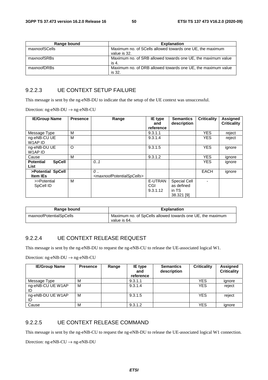| Range bound   | <b>Explanation</b>                                                        |
|---------------|---------------------------------------------------------------------------|
| maxnoofSCells | Maximum no. of SCells allowed towards one UE, the maximum<br>value is 32. |
| maxnoofSRBs   | Maximum no. of SRB allowed towards one UE, the maximum value<br>is 4.     |
| maxnoofDRBs   | Maximum no. of DRB allowed towards one UE, the maximum value<br>is 32.    |

#### 9.2.2.3 UE CONTEXT SETUP FAILURE

This message is sent by the ng-eNB-DU to indicate that the setup of the UE context was unsuccessful.

Direction: ng-eNB-DU → ng-eNB-CU

| <b>IE/Group Name</b>                      | <b>Presence</b> | Range                                                                | <b>IE</b> type<br>and      | <b>Semantics</b><br>description                          | <b>Criticality</b> | Assigned<br><b>Criticality</b> |
|-------------------------------------------|-----------------|----------------------------------------------------------------------|----------------------------|----------------------------------------------------------|--------------------|--------------------------------|
|                                           |                 |                                                                      | reference                  |                                                          |                    |                                |
| Message Type                              | м               |                                                                      | 9.3.1.1                    |                                                          | <b>YES</b>         | reject                         |
| ng-eNB-CU UE<br>W1AP ID                   | M               |                                                                      | 9.3.1.4                    |                                                          | <b>YES</b>         | reject                         |
| ng-eNB-DU UE<br>W1AP ID                   | O               |                                                                      | 9.3.1.5                    |                                                          | <b>YES</b>         | ignore                         |
| Cause                                     | М               |                                                                      | 9.3.1.2                    |                                                          | <b>YES</b>         | ignore                         |
| <b>Potential</b><br><b>SpCell</b><br>List |                 | 0.1                                                                  |                            |                                                          | <b>YES</b>         | ignore                         |
| >Potential SpCell<br><b>Item IEs</b>      |                 | $\mathcal{O}$<br><maxnoofpotentialspcells></maxnoofpotentialspcells> |                            |                                                          | <b>EACH</b>        | ignore                         |
| >>Potential<br>SpCell ID                  | м               |                                                                      | E-UTRAN<br>CGI<br>9.3.1.12 | <b>Special Cell</b><br>as defined<br>in TS<br>38.321 [9] |                    |                                |

| Range bound             | <b>Explanation</b>                                                         |
|-------------------------|----------------------------------------------------------------------------|
| maxnoofPotentialSpCells | Maximum no. of SpCells allowed towards one UE, the maximum<br>value is 64. |

#### 9.2.2.4 UE CONTEXT RELEASE REQUEST

This message is sent by the ng-eNB-DU to request the ng-eNB-CU to release the UE-associated logical W1.

Direction: ng-eNB-DU → ng-eNB-CU

| <b>IE/Group Name</b>    | <b>Presence</b> | Range | <b>IE</b> type<br>and<br>reference | <b>Semantics</b><br>description | <b>Criticality</b> | Assigned<br><b>Criticality</b> |
|-------------------------|-----------------|-------|------------------------------------|---------------------------------|--------------------|--------------------------------|
| Message Type            | M               |       | 9.3.1.1                            |                                 | <b>YES</b>         | ignore                         |
| ng-eNB-CU UE W1AP<br>ID | M               |       | 9.3.1.4                            |                                 | <b>YES</b>         | reject                         |
| ng-eNB-DU UE W1AP<br>ID | M               |       | 9.3.1.5                            |                                 | <b>YES</b>         | reject                         |
| Cause                   | M               |       | 9.3.1.2                            |                                 | YES                | ignore                         |

#### 9.2.2.5 UE CONTEXT RELEASE COMMAND

This message is sent by the ng-eNB-CU to request the ng-eNB-DU to release the UE-associated logical W1 connection.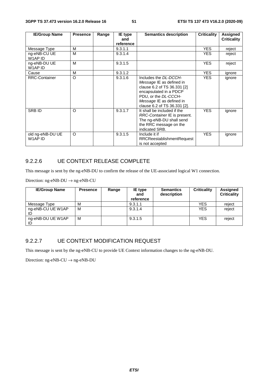| <b>IE/Group Name</b>        | <b>Presence</b> | Range | <b>IE</b> type<br>and | <b>Semantics description</b>                                                                                                                                                                   | <b>Criticality</b> | Assigned<br><b>Criticality</b> |
|-----------------------------|-----------------|-------|-----------------------|------------------------------------------------------------------------------------------------------------------------------------------------------------------------------------------------|--------------------|--------------------------------|
|                             |                 |       | reference             |                                                                                                                                                                                                |                    |                                |
| Message Type                | м               |       | 9.3.1.1               |                                                                                                                                                                                                | <b>YES</b>         | reject                         |
| ng-eNB-CU UE<br>W1AP ID     | м               |       | 9.3.1.4               |                                                                                                                                                                                                | <b>YES</b>         | reject                         |
| ng-eNB-DU UE<br>W1AP ID     | м               |       | 9.3.1.5               |                                                                                                                                                                                                | <b>YES</b>         | reject                         |
| Cause                       | M               |       | 9.3.1.2               |                                                                                                                                                                                                | YES.               | ignore                         |
| <b>RRC-Container</b>        | $\circ$         |       | 9.3.1.6               | Includes the DL-DCCH-<br>Message IE as defined in<br>clause 6.2 of TS 36.331 [2]<br>encapsulated in a PDCP<br>PDU, or the DL-CCCH-<br>Message IE as defined in<br>clause 6.2 of TS 36.331 [2]. | <b>YES</b>         | ignore                         |
| <b>SRBID</b>                | $\circ$         |       | 9.3.1.7               | It shall be included if the<br>RRC-Container IE is present.<br>The ng-eNB-DU shall send<br>the RRC message on the<br>indicated SRB.                                                            | <b>YES</b>         | ignore                         |
| old ng-eNB-DU UE<br>W1AP ID | $\circ$         |       | 9.3.1.5               | Include it if<br><b>RRCReestablishmentRequest</b><br>is not accepted                                                                                                                           | <b>YES</b>         | ignore                         |

## 9.2.2.6 UE CONTEXT RELEASE COMPLETE

This message is sent by the ng-eNB-DU to confirm the release of the UE-associated logical W1 connection.

Direction: ng-eNB-DU  $\rightarrow$  ng-eNB-CU

| <b>IE/Group Name</b>    | <b>Presence</b> | Range | <b>IE</b> type<br>and<br>reference | <b>Semantics</b><br>description | <b>Criticality</b> | Assigned<br><b>Criticality</b> |
|-------------------------|-----------------|-------|------------------------------------|---------------------------------|--------------------|--------------------------------|
| Message Type            | M               |       | 9.3.1.1                            |                                 | <b>YES</b>         | reject                         |
| ng-eNB-CU UE W1AP<br>ID | M               |       | 9.3.1.4                            |                                 | <b>YES</b>         | reject                         |
| ng-eNB-DU UE W1AP<br>ID | M               |       | 9.3.1.5                            |                                 | <b>YES</b>         | reject                         |

## 9.2.2.7 UE CONTEXT MODIFICATION REQUEST

This message is sent by the ng-eNB-CU to provide UE Context information changes to the ng-eNB-DU.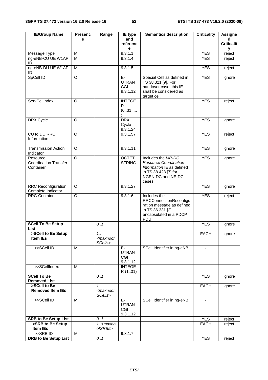| <b>IE/Group Name</b>                                  | <b>Presenc</b>     | Range                                      | IE type                                 | <b>Semantics description</b>                                                                                                           | <b>Criticality</b> | <b>Assigne</b>    |
|-------------------------------------------------------|--------------------|--------------------------------------------|-----------------------------------------|----------------------------------------------------------------------------------------------------------------------------------------|--------------------|-------------------|
|                                                       | e                  |                                            | and                                     |                                                                                                                                        |                    | d                 |
|                                                       |                    |                                            | referenc<br>е                           |                                                                                                                                        |                    | <b>Criticalit</b> |
| Message Type                                          | M                  |                                            | 9.3.1.1                                 |                                                                                                                                        | <b>YES</b>         | у<br>reject       |
| ng-eNB-CU UE W1AP<br>ID                               | M                  |                                            | 9.3.1.4                                 |                                                                                                                                        | <b>YES</b>         | reject            |
| ng-eNB-DU UE W1AP<br>ID                               | M                  |                                            | 9.3.1.5                                 |                                                                                                                                        | <b>YES</b>         | reject            |
| SpCell ID                                             | $\overline{O}$     |                                            | $E-$<br><b>UTRAN</b><br>CGI<br>9.3.1.12 | Special Cell as defined in<br>TS 38.321 [9]. For<br>handover case, this IE<br>shall be considered as<br>target cell.                   | <b>YES</b>         | ignore            |
| ServCellIndex                                         | $\Omega$           |                                            | <b>INTEGE</b><br>R<br>(031,             |                                                                                                                                        | <b>YES</b>         | reject            |
| DRX Cycle                                             | $\Omega$           |                                            | <b>DRX</b><br>Cycle<br>9.3.1.24         |                                                                                                                                        | <b>YES</b>         | ignore            |
| CU to DU RRC<br>Information                           | O                  |                                            | 9.3.1.57                                |                                                                                                                                        | <b>YES</b>         | reject            |
| <b>Transmission Action</b><br>Indicator               | $\Omega$           |                                            | 9.3.1.11                                |                                                                                                                                        | <b>YES</b>         | ignore            |
| Resource<br><b>Coordination Transfer</b><br>Container | $\overline{\circ}$ |                                            | <b>OCTET</b><br><b>STRING</b>           | Includes the MR-DC<br><b>Resource Coordination</b><br>Information IE as defined<br>in TS 38.423 [7] for<br>NGEN-DC and NE-DC<br>cases. | <b>YES</b>         | ignore            |
| <b>RRC Reconfiguration</b><br>Complete Indicator      | O                  |                                            | 9.3.1.27                                |                                                                                                                                        | <b>YES</b>         | ignore            |
| <b>RRC-Container</b>                                  | $\circ$            |                                            | 9.3.1.6                                 | Includes the<br><b>RRCConnectionReconfigu</b><br>ration message as defined<br>in TS 36.331 [2],<br>encapsulated in a PDCP<br>PDU.      | <b>YES</b>         | reject            |
| <b>SCell To Be Setup</b><br>List                      |                    | 0.1                                        |                                         |                                                                                                                                        | <b>YES</b>         | ignore            |
| >SCell to Be Setup<br>Item IEs                        |                    | 1.1<br><maxnoof<br>SCells&gt;</maxnoof<br> |                                         |                                                                                                                                        | <b>EACH</b>        | ignore            |
| >>SCell ID                                            | M                  |                                            | E-<br><b>UTRAN</b><br>CGI<br>9.3.1.12   | SCell Identifier in ng-eNB                                                                                                             | $\blacksquare$     |                   |
| >>SCellIndex                                          | M                  |                                            | <b>INTEGE</b><br>R (131)                |                                                                                                                                        |                    |                   |
| <b>SCell To Be</b><br><b>Removed List</b>             |                    | 0.1                                        |                                         |                                                                                                                                        | <b>YES</b>         | ignore            |
| >SCell to Be<br><b>Removed Item IEs</b>               |                    | 1.<br><maxnoof<br>SCells&gt;</maxnoof<br>  |                                         |                                                                                                                                        | <b>EACH</b>        | ignore            |
| >>SCell ID                                            | M                  |                                            | E-<br><b>UTRAN</b><br>CGI<br>9.3.1.12   | SCell Identifier in ng-eNB                                                                                                             | $\blacksquare$     |                   |
| <b>SRB to Be Setup List</b>                           |                    | 0.1                                        |                                         |                                                                                                                                        | <b>YES</b>         | reject            |
| >SRB to Be Setup<br>Item IEs                          |                    | $1. maxnoofSRBs>$                          |                                         |                                                                                                                                        | <b>EACH</b>        | reject            |
| >>SRBID                                               | M                  |                                            | 9.3.1.7                                 |                                                                                                                                        |                    |                   |
| <b>DRB to Be Setup List</b>                           |                    | 0.1                                        |                                         |                                                                                                                                        | <b>YES</b>         | reject            |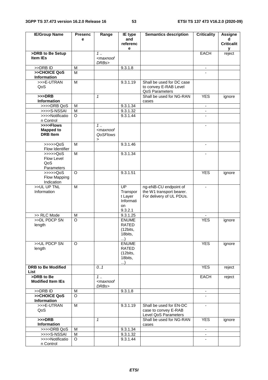| <b>IE/Group Name</b>                             | <b>Presenc</b> | Range                                                                                | IE type                                                         | <b>Semantics description</b>                                                  | <b>Criticality</b>       | <b>Assigne</b>         |
|--------------------------------------------------|----------------|--------------------------------------------------------------------------------------|-----------------------------------------------------------------|-------------------------------------------------------------------------------|--------------------------|------------------------|
|                                                  | e              |                                                                                      | and                                                             |                                                                               |                          | d                      |
|                                                  |                |                                                                                      | referenc<br>е                                                   |                                                                               |                          | <b>Criticalit</b><br>у |
| >DRB to Be Setup                                 |                | $\overline{1}$                                                                       |                                                                 |                                                                               | <b>EACH</b>              | reject                 |
| Item IEs                                         |                | <maxnoof<br>DRBs&gt;</maxnoof<br>                                                    |                                                                 |                                                                               |                          |                        |
| >>DRB ID                                         | M              |                                                                                      | 9.3.1.8                                                         |                                                                               | $\overline{\phantom{a}}$ |                        |
| >>CHOICE QoS<br>Information                      | M              |                                                                                      |                                                                 |                                                                               |                          |                        |
| >>>E-UTRAN<br>QoS                                | M              |                                                                                      | 9.3.1.19                                                        | Shall be used for DC case<br>to convey E-RAB Level<br>QoS Parameters          |                          |                        |
| $>>$ DRB<br>Information                          |                | $\mathbf{1}$                                                                         |                                                                 | Shall be used for NG-RAN<br>cases                                             | <b>YES</b>               | ignore                 |
| >>>>DRB QoS                                      | M              |                                                                                      | 9.3.1.34                                                        |                                                                               | $\overline{\phantom{a}}$ |                        |
| >>>>S-NSSAI                                      | M              |                                                                                      | 9.3.1.32                                                        |                                                                               | $\blacksquare$           |                        |
| >>>>Notificatio<br>n Control                     | O              |                                                                                      | 9.3.1.44                                                        |                                                                               | $\blacksquare$           |                        |
| >>>>Flows<br><b>Mapped to</b><br><b>DRB</b> Item |                | $1$<br><maxnoof<br><b>QoSFlows</b><br/><math display="inline">\,</math></maxnoof<br> |                                                                 |                                                                               |                          |                        |
| >>>>QoS<br>Flow Identifier                       | M              |                                                                                      | 9.3.1.46                                                        |                                                                               | -                        |                        |
| >>>>QoS<br>Flow Level<br>QoS<br>Parameters       | M              |                                                                                      | 9.3.1.34                                                        |                                                                               |                          |                        |
| >>>>>QoS<br>Flow Mapping<br>Indication           | O              |                                                                                      | 9.3.1.51                                                        |                                                                               | <b>YES</b>               | ignore                 |
| >>UL UP TNL<br>Information                       | M              |                                                                                      | UP<br>Transpor<br>t Layer<br>Informati<br>on<br>9.3.2.1         | ng-eNB-CU endpoint of<br>the W1 transport bearer.<br>For delivery of UL PDUs. | $\blacksquare$           |                        |
| >> RLC Mode                                      | M              |                                                                                      | 9.3.1.25                                                        |                                                                               |                          |                        |
| >>DL PDCP SN<br>length                           | $\circ$        |                                                                                      | <b>ENUME</b><br><b>RATED</b><br>(12bits,<br>18bits,<br>)        |                                                                               | <b>YES</b>               | ignore                 |
| >>UL PDCP SN<br>length                           | $\circ$        |                                                                                      | <b>ENUME</b><br><b>RATED</b><br>(12bits,<br>18bits,<br>$\ldots$ |                                                                               | <b>YES</b>               | ignore                 |
| <b>DRB to Be Modified</b><br>List                |                | 0.1                                                                                  |                                                                 |                                                                               | <b>YES</b>               | reject                 |
| >DRB to Be<br><b>Modified Item IEs</b>           |                | 1.1<br><maxnoof<br>DRBs&gt;</maxnoof<br>                                             |                                                                 |                                                                               | <b>EACH</b>              | reject                 |
| >>DRB ID                                         | M              |                                                                                      | 9.3.1.8                                                         |                                                                               | $\blacksquare$           |                        |
| >>CHOICE QoS<br>Information                      | $\Omega$       |                                                                                      |                                                                 |                                                                               |                          |                        |
| >>>E-UTRAN<br>QoS                                | M              |                                                                                      | 9.3.1.19                                                        | Shall be used for EN-DC<br>case to convey E-RAB<br>Level QoS Parameters       | $\blacksquare$           |                        |
| $>>$ DRB<br>Information                          |                | $\mathbf{1}$                                                                         |                                                                 | Shall be used for NG-RAN<br>cases                                             | <b>YES</b>               | ignore                 |
| >>>>DRB QoS                                      | M              |                                                                                      | 9.3.1.34                                                        |                                                                               | $\blacksquare$           |                        |
| >>>>S-NSSAI                                      | M              |                                                                                      | 9.3.1.32                                                        |                                                                               |                          |                        |
| >>>>Notificatio<br>n Control                     | O              |                                                                                      | 9.3.1.44                                                        |                                                                               |                          |                        |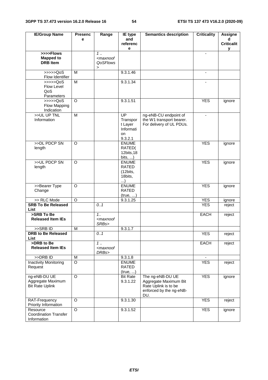| <b>IE/Group Name</b>                             | <b>Presenc</b>      | Range                                                                     | IE type                 | <b>Semantics description</b> | <b>Criticality</b> | <b>Assigne</b>    |
|--------------------------------------------------|---------------------|---------------------------------------------------------------------------|-------------------------|------------------------------|--------------------|-------------------|
|                                                  | e                   |                                                                           | and                     |                              |                    | d                 |
|                                                  |                     |                                                                           | referenc                |                              |                    | <b>Criticalit</b> |
| >>>>Flows                                        |                     | 1.                                                                        | е                       |                              | $\blacksquare$     | У                 |
| <b>Mapped to</b>                                 |                     | <maxnoof< td=""><td></td><td></td><td></td><td></td></maxnoof<>           |                         |                              |                    |                   |
| <b>DRB</b> Item                                  |                     | QoSFlows                                                                  |                         |                              |                    |                   |
|                                                  |                     | $\, > \,$                                                                 |                         |                              |                    |                   |
| $\gg >> >QoS$                                    | M                   |                                                                           | 9.3.1.46                |                              | $\blacksquare$     |                   |
| Flow Identifier                                  |                     |                                                                           |                         |                              |                    |                   |
| $\rightarrow \rightarrow \rightarrow \text{QoS}$ | $\overline{M}$      |                                                                           | 9.3.1.34                |                              |                    |                   |
| Flow Level<br>QoS                                |                     |                                                                           |                         |                              |                    |                   |
| Parameters                                       |                     |                                                                           |                         |                              |                    |                   |
| $\gg >> >QoS$                                    | $\Omega$            |                                                                           | 9.3.1.51                |                              | <b>YES</b>         | ignore            |
| Flow Mapping                                     |                     |                                                                           |                         |                              |                    |                   |
| Indication                                       |                     |                                                                           |                         |                              |                    |                   |
| >>UL UP TNL                                      | M                   |                                                                           | UP                      | ng-eNB-CU endpoint of        |                    |                   |
| Information                                      |                     |                                                                           | Transpor                | the W1 transport bearer.     |                    |                   |
|                                                  |                     |                                                                           | t Layer                 | For delivery of UL PDUs.     |                    |                   |
|                                                  |                     |                                                                           | Informati               |                              |                    |                   |
|                                                  |                     |                                                                           | on<br>9.3.2.1           |                              |                    |                   |
| >>DL PDCP SN                                     | O                   |                                                                           | <b>ENUME</b>            |                              | <b>YES</b>         | ignore            |
| length                                           |                     |                                                                           | RATED(                  |                              |                    |                   |
|                                                  |                     |                                                                           | 12bits, 18              |                              |                    |                   |
|                                                  |                     |                                                                           | bits, $\dots$ )         |                              |                    |                   |
| >>UL PDCP SN                                     | O                   |                                                                           | <b>ENUME</b>            |                              | <b>YES</b>         | ignore            |
| length                                           |                     |                                                                           | <b>RATED</b>            |                              |                    |                   |
|                                                  |                     |                                                                           | (12bits,                |                              |                    |                   |
|                                                  |                     |                                                                           | 18bits,<br>)            |                              |                    |                   |
| >>Bearer Type                                    | O                   |                                                                           | <b>ENUME</b>            |                              | <b>YES</b>         | ignore            |
| Change                                           |                     |                                                                           | RATED                   |                              |                    |                   |
|                                                  |                     |                                                                           | (true, )                |                              |                    |                   |
| >> RLC Mode                                      | $\circ$             |                                                                           | 9.3.1.25                |                              | <b>YES</b>         | ignore            |
| <b>SRB To Be Released</b>                        |                     | 0.1                                                                       |                         |                              | <b>YES</b>         | reject            |
| List<br>>SRB To Be                               |                     | 1.1                                                                       |                         |                              |                    |                   |
| <b>Released Item IEs</b>                         |                     | <maxnoof< td=""><td></td><td></td><td>EACH</td><td>reject</td></maxnoof<> |                         |                              | EACH               | reject            |
|                                                  |                     | SRBs>                                                                     |                         |                              |                    |                   |
| >>SRB ID                                         | M                   |                                                                           | 9.3.1.7                 |                              |                    |                   |
| <b>DRB</b> to Be Released                        |                     | 0.1                                                                       |                         |                              | <b>YES</b>         | reject            |
| <b>List</b>                                      |                     |                                                                           |                         |                              |                    |                   |
| >DRB to Be                                       |                     | 1.                                                                        |                         |                              | EACH               | reject            |
| <b>Released Item IEs</b>                         |                     | <maxnoof< td=""><td></td><td></td><td></td><td></td></maxnoof<>           |                         |                              |                    |                   |
| >>DRB ID                                         |                     | DRBs>                                                                     |                         |                              |                    |                   |
| Inactivity Monitoring                            | M<br>$\overline{O}$ |                                                                           | 9.3.1.8<br><b>ENUME</b> |                              | <b>YES</b>         | reject            |
| Request                                          |                     |                                                                           | RATED                   |                              |                    |                   |
|                                                  |                     |                                                                           | (true, )                |                              |                    |                   |
| ng-eNB-DU UE                                     | $\circ$             |                                                                           | <b>Bit Rate</b>         | The ng-eNB-DU UE             | <b>YES</b>         | ignore            |
| Aggregate Maximum                                |                     |                                                                           | 9.3.1.22                | Aggregate Maximum Bit        |                    |                   |
| <b>Bit Rate Uplink</b>                           |                     |                                                                           |                         | Rate Uplink is to be         |                    |                   |
|                                                  |                     |                                                                           |                         | enforced by the ng-eNB-      |                    |                   |
|                                                  |                     |                                                                           |                         | DU.                          |                    |                   |
| RAT-Frequency<br>Priority Information            | O                   |                                                                           | 9.3.1.30                |                              | <b>YES</b>         | reject            |
| Resource                                         | O                   |                                                                           | 9.3.1.52                |                              | <b>YES</b>         | ignore            |
| <b>Coordination Transfer</b>                     |                     |                                                                           |                         |                              |                    |                   |
| Information                                      |                     |                                                                           |                         |                              |                    |                   |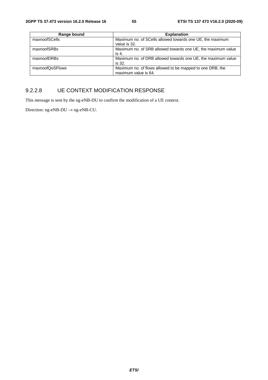| Range bound     | <b>Explanation</b>                                                                |
|-----------------|-----------------------------------------------------------------------------------|
| maxnoofSCells   | Maximum no. of SCells allowed towards one UE, the maximum<br>value is 32.         |
| maxnoofSRBs     | Maximum no. of SRB allowed towards one UE, the maximum value<br>is 4.             |
| maxnoofDRBs     | Maximum no. of DRB allowed towards one UE, the maximum value<br>is 32.            |
| maxnoofQoSFlows | Maximum no. of flows allowed to be mapped to one DRB, the<br>maximum value is 64. |

### 9.2.2.8 UE CONTEXT MODIFICATION RESPONSE

This message is sent by the ng-eNB-DU to confirm the modification of a UE context.

Direction: ng-eNB-DU  $\rightarrow$  ng-eNB-CU.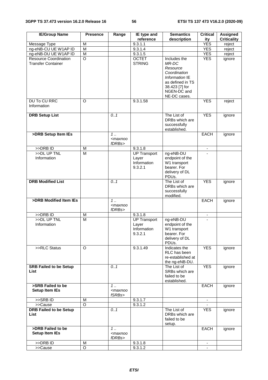| <b>IE/Group Name</b>                                      | <b>Presence</b> | Range                                          | IE type and                                            | <b>Semantics</b>                                                                                                                         | <b>Critical</b>          | <b>Assigned</b>    |
|-----------------------------------------------------------|-----------------|------------------------------------------------|--------------------------------------------------------|------------------------------------------------------------------------------------------------------------------------------------------|--------------------------|--------------------|
|                                                           |                 |                                                | reference                                              | description                                                                                                                              | ity                      | <b>Criticality</b> |
| Message Type                                              | M               |                                                | 9.3.1.1                                                |                                                                                                                                          | <b>YES</b>               | reject             |
| ng-eNB-CU UE W1AP ID                                      | M               |                                                | 9.3.1.4                                                |                                                                                                                                          | <b>YES</b>               | reject             |
| ng-eNB-DU UE W1AP ID                                      | M               |                                                | 9.3.1.5                                                |                                                                                                                                          | <b>YES</b>               | reject             |
| <b>Resource Coordination</b><br><b>Transfer Container</b> | $\circ$         |                                                | <b>OCTET</b><br><b>STRING</b>                          | Includes the<br>MR-DC<br>Resource<br>Coordination<br>Information IE<br>as defined in TS<br>38.423 [7] for<br>NGEN-DC and<br>NE-DC cases. | <b>YES</b>               | ignore             |
| <b>DU To CU RRC</b>                                       | O               |                                                | 9.3.1.58                                               |                                                                                                                                          | <b>YES</b>               | reject             |
| Information                                               |                 |                                                |                                                        |                                                                                                                                          |                          |                    |
| <b>DRB Setup List</b>                                     |                 | 0.1                                            |                                                        | The List of<br>DRBs which are<br>successfully<br>established.                                                                            | <b>YES</b>               | ignore             |
| >DRB Setup Item IEs                                       |                 | 1<br><maxnoo<br>fDRBs&gt;</maxnoo<br>          |                                                        |                                                                                                                                          | <b>EACH</b>              | ignore             |
| >>DRB ID                                                  | ${\sf M}$       |                                                | 9.3.1.8                                                |                                                                                                                                          | $\overline{\phantom{a}}$ |                    |
| >>DL UP TNL                                               | M               |                                                | <b>UP Transport</b>                                    | ng-eNB-DU                                                                                                                                |                          |                    |
| Information                                               |                 |                                                | Layer<br>Information<br>9.3.2.1                        | endpoint of the<br>W1 transport<br>bearer. For<br>delivery of DL<br>PDUs.                                                                |                          |                    |
| <b>DRB Modified List</b>                                  |                 | 0.1                                            |                                                        | The List of<br>DRBs which are<br>successfully<br>modified.                                                                               | <b>YES</b>               | ignore             |
| >DRB Modified Item IEs                                    |                 | $1 \ldots$<br><maxnoo<br>fDRBs&gt;</maxnoo<br> |                                                        |                                                                                                                                          | <b>EACH</b>              | ignore             |
| >>DRB ID                                                  | M               |                                                | 9.3.1.8                                                |                                                                                                                                          |                          |                    |
| >>DL UP TNL<br>Information                                | M               |                                                | <b>UP Transport</b><br>Layer<br>Information<br>9.3.2.1 | ng-eNB-DU<br>endpoint of the<br>W1 transport<br>bearer. For<br>delivery of DL<br>PDU <sub>s</sub> .                                      | ٠                        |                    |
| >>RLC Status                                              | $\Omega$        |                                                | 9.3.1.49                                               | Indicates the<br>RLC has been<br>re-established at<br>the ng-eNB-DU.                                                                     | <b>YES</b>               | ignore             |
| <b>SRB Failed to be Setup</b><br>List                     |                 | 0.1                                            |                                                        | The List of<br>SRBs which are<br>failed to be<br>established.                                                                            | <b>YES</b>               | ignore             |
| >SRB Failed to be<br><b>Setup Item IEs</b>                |                 | $1 \ldots$<br><maxnoo<br>fSRBs&gt;</maxnoo<br> |                                                        |                                                                                                                                          | EACH                     | ignore             |
| >>SRBID                                                   | M               |                                                | 9.3.1.7                                                |                                                                                                                                          |                          |                    |
| >>Cause                                                   | O               |                                                | 9.3.1.2                                                |                                                                                                                                          |                          |                    |
| <b>DRB Failed to be Setup</b><br>List                     |                 | 0.1                                            |                                                        | The List of<br>DRBs which are<br>failed to be<br>setup.                                                                                  | <b>YES</b>               | ignore             |
| >DRB Failed to be<br><b>Setup Item IEs</b>                |                 | $1 \ldots$<br><maxnoo<br>fDRBs&gt;</maxnoo<br> |                                                        |                                                                                                                                          | EACH                     | ignore             |
| >>DRB ID                                                  | M               |                                                | 9.3.1.8                                                |                                                                                                                                          |                          |                    |
| >>Cause                                                   | O               |                                                | 9.3.1.2                                                |                                                                                                                                          |                          |                    |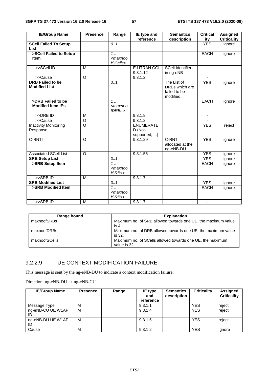| <b>IE/Group Name</b>         | <b>Presence</b> | Range                                                         | IE type and        | <b>Semantics</b>        | <b>Critical</b> | <b>Assigned</b>    |
|------------------------------|-----------------|---------------------------------------------------------------|--------------------|-------------------------|-----------------|--------------------|
|                              |                 |                                                               | reference          | description             | ity             | <b>Criticality</b> |
| <b>SCell Failed To Setup</b> |                 | 0.1                                                           |                    |                         | <b>YES</b>      | ignore             |
| <b>List</b>                  |                 |                                                               |                    |                         |                 |                    |
| >SCell Failed to Setup       |                 | $1$ .                                                         |                    |                         | <b>EACH</b>     | ignore             |
| <b>Item</b>                  |                 | $<$ maxnoo                                                    |                    |                         |                 |                    |
|                              |                 | fSCells>                                                      |                    |                         |                 |                    |
| >>SCell ID                   | M               |                                                               | <b>E-UTRAN CGI</b> | <b>SCell Identifier</b> | ٠               |                    |
|                              |                 |                                                               | 9.3.1.12           | in ng-eNB               |                 |                    |
| >>Cause                      | $\circ$         |                                                               | 9.3.1.2            |                         |                 |                    |
| <b>DRB Failed to be</b>      |                 | 0.1                                                           |                    | The List of             | <b>YES</b>      | ignore             |
| <b>Modified List</b>         |                 |                                                               |                    | DRBs which are          |                 |                    |
|                              |                 |                                                               |                    | failed to be            |                 |                    |
|                              |                 |                                                               |                    | modified.               |                 |                    |
| >DRB Failed to be            |                 | 1.                                                            |                    |                         | <b>EACH</b>     | ignore             |
| <b>Modified Item IEs</b>     |                 | $maxnoo$                                                      |                    |                         |                 |                    |
|                              |                 | fDRBs>                                                        |                    |                         |                 |                    |
| $>>DRB$ ID                   | м               |                                                               | 9.3.1.8            |                         | $\blacksquare$  |                    |
| >>Cause                      | O               |                                                               | 9.3.1.2            |                         |                 |                    |
| <b>Inactivity Monitoring</b> | $\circ$         |                                                               | <b>ENUMERATE</b>   |                         | <b>YES</b>      | reject             |
| Response                     |                 |                                                               | D (Not-            |                         |                 |                    |
|                              |                 |                                                               | supported, )       |                         |                 |                    |
| C-RNTI                       | $\circ$         |                                                               | 9.3.1.29           | C-RNTI                  | <b>YES</b>      | ignore             |
|                              |                 |                                                               |                    | allocated at the        |                 |                    |
|                              |                 |                                                               |                    | ng-eNB-DU               |                 |                    |
| <b>Associated SCell List</b> | $\Omega$        |                                                               | 9.3.1.56           |                         | <b>YES</b>      | ignore             |
| <b>SRB Setup List</b>        |                 | 0.1                                                           |                    |                         | <b>YES</b>      | ignore             |
| >SRB Setup Item              |                 | $1$ .                                                         |                    |                         | <b>EACH</b>     | ignore             |
|                              |                 | <maxnoo< td=""><td></td><td></td><td></td><td></td></maxnoo<> |                    |                         |                 |                    |
|                              |                 | fSRBs>                                                        |                    |                         |                 |                    |
| $>>$ SRBID                   | M               |                                                               | 9.3.1.7            |                         |                 |                    |
| <b>SRB Modified List</b>     |                 | 0.1                                                           |                    |                         | <b>YES</b>      | ignore             |
| >SRB Modified Item           |                 | $1$ .                                                         |                    |                         | <b>EACH</b>     | ignore             |
|                              |                 | $maxnoo$                                                      |                    |                         |                 |                    |
|                              |                 | fSRBs>                                                        |                    |                         |                 |                    |
| $>>$ SRBID                   | M               |                                                               | 9.3.1.7            |                         |                 |                    |

| Range bound   | <b>Explanation</b>                                                        |
|---------------|---------------------------------------------------------------------------|
| maxnoofSRBs   | Maximum no. of SRB allowed towards one UE, the maximum value<br>is 4.     |
| maxnoofDRBs   | Maximum no. of DRB allowed towards one UE, the maximum value<br>is 32.    |
| maxnoofSCells | Maximum no. of SCells allowed towards one UE, the maximum<br>value is 32. |

#### 9.2.2.9 UE CONTEXT MODIFICATION FAILURE

This message is sent by the ng-eNB-DU to indicate a context modification failure.

| <b>IE/Group Name</b> | <b>Presence</b> | Range | IE type<br>and<br>reference | <b>Semantics</b><br>description | <b>Criticality</b> | Assigned<br><b>Criticality</b> |
|----------------------|-----------------|-------|-----------------------------|---------------------------------|--------------------|--------------------------------|
| Message Type         | М               |       | 9.3.1.1                     |                                 | <b>YES</b>         | reject                         |
| ng-eNB-CU UE W1AP    | M               |       | 9.3.1.4                     |                                 | <b>YES</b>         | reject                         |
| ng-eNB-DU UE W1AP    | M               |       | 9.3.1.5                     |                                 | <b>YES</b>         | reject                         |
| Cause                | M               |       | 9.3.1.2                     |                                 | <b>YES</b>         | ignore                         |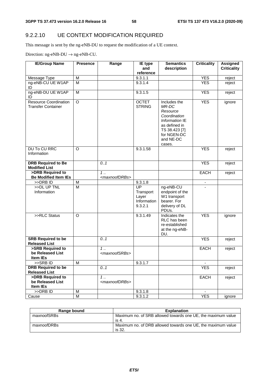# 9.2.2.10 UE CONTEXT MODIFICATION REQUIRED

This message is sent by the ng-eNB-DU to request the modification of a UE context.

Direction:  $ng$ -eNB-DU  $\rightarrow$   $ng$ -eNB-CU.

| <b>IE/Group Name</b>                                      | <b>Presence</b> | Range                              | IE type                                            | <b>Semantics</b>                                                                                                                            | <b>Criticality</b> | <b>Assigned</b>    |
|-----------------------------------------------------------|-----------------|------------------------------------|----------------------------------------------------|---------------------------------------------------------------------------------------------------------------------------------------------|--------------------|--------------------|
|                                                           |                 |                                    | and<br>reference                                   | description                                                                                                                                 |                    | <b>Criticality</b> |
| Message Type                                              | M               |                                    | 9.3.1.1                                            |                                                                                                                                             | <b>YES</b>         | reject             |
| ng-eNB-CU UE W1AP<br>ID                                   | M               |                                    | 9.3.1.4                                            |                                                                                                                                             | <b>YES</b>         | reject             |
| ng-eNB-DU UE W1AP<br>ID                                   | M               |                                    | 9.3.1.5                                            |                                                                                                                                             | <b>YES</b>         | reject             |
| <b>Resource Coordination</b><br><b>Transfer Container</b> | $\overline{O}$  |                                    | <b>OCTET</b><br><b>STRING</b>                      | Includes the<br>MR-DC<br>Resource<br>Coordination<br>Information IE<br>as defined in<br>TS 38.423 [7]<br>for NGEN-DC<br>and NE-DC<br>cases. | <b>YES</b>         | ignore             |
| <b>DU To CU RRC</b><br>Information                        | $\Omega$        |                                    | 9.3.1.58                                           |                                                                                                                                             | <b>YES</b>         | reject             |
| <b>DRB Required to Be</b><br><b>Modified List</b>         |                 | 0.1                                |                                                    |                                                                                                                                             | <b>YES</b>         | reject             |
| >DRB Required to<br><b>Be Modified Item IEs</b>           |                 | 1.<br><maxnoofdrbs></maxnoofdrbs>  |                                                    |                                                                                                                                             | <b>EACH</b>        | reject             |
| >>DRB ID                                                  | M               |                                    | 9.3.1.8                                            |                                                                                                                                             |                    |                    |
| >>DL UP TNL<br>Information                                | $\overline{M}$  |                                    | UP<br>Transport<br>Layer<br>Information<br>9.3.2.1 | ng-eNB-CU<br>endpoint of the<br>W1 transport<br>bearer. For<br>delivery of DL<br>PDUs.                                                      |                    |                    |
| >>RLC Status                                              | $\Omega$        |                                    | 9.3.1.49                                           | Indicates the<br>RLC has been<br>re-established<br>at the ng-eNB-<br>DU.                                                                    | <b>YES</b>         | ignore             |
| <b>SRB Required to be</b><br><b>Released List</b>         |                 | 0.1                                |                                                    |                                                                                                                                             | <b>YES</b>         | reject             |
| >SRB Required to<br>be Released List<br>Item IEs          |                 | $1$<br><maxnoofsrbs></maxnoofsrbs> |                                                    |                                                                                                                                             | <b>EACH</b>        | reject             |
| >>SRB ID                                                  | M               |                                    | 9.3.1.7                                            |                                                                                                                                             |                    |                    |
| <b>DRB Required to be</b>                                 |                 | 0.1                                |                                                    |                                                                                                                                             | <b>YES</b>         | reject             |
| <b>Released List</b>                                      |                 |                                    |                                                    |                                                                                                                                             |                    |                    |
| >DRB Required to<br>be Released List<br>Item IEs          |                 | $1$<br><maxnoofdrbs></maxnoofdrbs> |                                                    |                                                                                                                                             | <b>EACH</b>        | reject             |
| >>DRB ID                                                  | M               |                                    | 9.3.1.8                                            |                                                                                                                                             |                    |                    |
| Cause                                                     | M               |                                    | 9.3.1.2                                            |                                                                                                                                             | <b>YES</b>         | ignore             |

| Range bound | <b>Explanation</b>                                                     |
|-------------|------------------------------------------------------------------------|
| maxnoofSRBs | Maximum no. of SRB allowed towards one UE, the maximum value<br>is 4.  |
| maxnoofDRBs | Maximum no. of DRB allowed towards one UE, the maximum value<br>is 32. |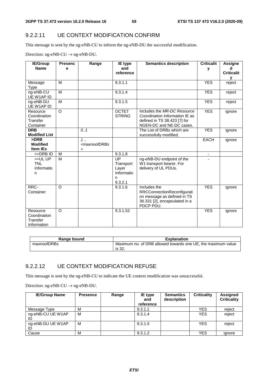#### 9.2.2.11 UE CONTEXT MODIFICATION CONFIRM

This message is sent by the ng-eNB-CU to inform the ng-eNB-DU the successful modification.

Direction:  $ng-eNB-CU \rightarrow ng-eNB-DU$ .

| <b>IE/Group</b>          | <b>Presenc</b> | Range                                                                   | <b>IE</b> type  | <b>Semantics description</b>   | <b>Criticalit</b>        | Assigne           |
|--------------------------|----------------|-------------------------------------------------------------------------|-----------------|--------------------------------|--------------------------|-------------------|
| <b>Name</b>              | е              |                                                                         | and             |                                | v                        | d                 |
|                          |                |                                                                         | reference       |                                |                          | <b>Criticalit</b> |
|                          |                |                                                                         |                 |                                |                          | v                 |
| Message                  | M              |                                                                         | 9.3.1.1         |                                | <b>YES</b>               | reject            |
| <b>Type</b>              |                |                                                                         |                 |                                |                          |                   |
| ng-eNB-CU                | M              |                                                                         | 9.3.1.4         |                                | <b>YES</b>               | reject            |
| UE W1AP ID               |                |                                                                         |                 |                                |                          |                   |
| ng-eNB-DU                | M              |                                                                         | 9.3.1.5         |                                | <b>YES</b>               | reject            |
| UE W1AP ID               | $\circ$        |                                                                         | <b>OCTET</b>    | Includes the MR-DC Resource    | <b>YES</b>               |                   |
| Resource<br>Coordination |                |                                                                         | <b>STRING</b>   | Coordination Information IE as |                          | ignore            |
| Transfer                 |                |                                                                         |                 | defined in TS 38.423 [7] for   |                          |                   |
| Container                |                |                                                                         |                 | NGEN-DC and NE-DC cases.       |                          |                   |
| <b>DRB</b>               |                | 0.1                                                                     |                 | The List of DRBs which are     | <b>YES</b>               | ignore            |
| <b>Modified List</b>     |                |                                                                         |                 | successfully modified.         |                          |                   |
| >DRB                     |                | $1$                                                                     |                 |                                | <b>EACH</b>              | ignore            |
| <b>Modified</b>          |                | <maxnoofdrbs< td=""><td></td><td></td><td></td><td></td></maxnoofdrbs<> |                 |                                |                          |                   |
| <b>Item IEs</b>          |                | $\geq$                                                                  |                 |                                |                          |                   |
| >>DRB ID                 | M              |                                                                         | 9.3.1.8         |                                | $\overline{\phantom{a}}$ |                   |
| >>ULUP                   | M              |                                                                         | $\overline{UP}$ | ng-eNB-DU endpoint of the      |                          |                   |
| <b>TNL</b>               |                |                                                                         | Transport       | W1 transport bearer. For       |                          |                   |
| Informatio               |                |                                                                         | Layer           | delivery of UL PDUs.           |                          |                   |
| n                        |                |                                                                         | Informatio      |                                |                          |                   |
|                          |                |                                                                         | n               |                                |                          |                   |
|                          |                |                                                                         | 9.3.2.1         |                                |                          |                   |
| RRC-                     | $\circ$        |                                                                         | 9.3.1.6         | Includes the                   | <b>YES</b>               | ignore            |
| Container                |                |                                                                         |                 | RRCConnectionReconfigurati     |                          |                   |
|                          |                |                                                                         |                 | on message as defined in TS    |                          |                   |
|                          |                |                                                                         |                 | 36.331 [2], encapsulated in a  |                          |                   |
|                          |                |                                                                         |                 | PDCP PDU.                      |                          |                   |
| Resource                 | $\circ$        |                                                                         | 9.3.1.52        |                                | <b>YES</b>               | ignore            |
| Coordination             |                |                                                                         |                 |                                |                          |                   |
| Transfer                 |                |                                                                         |                 |                                |                          |                   |
| Information              |                |                                                                         |                 |                                |                          |                   |

| Range bound | <b>Explanation</b>                                                           |
|-------------|------------------------------------------------------------------------------|
| maxnoofDRBs | Maximum no. of DRB allowed towards one UE, the maximum value<br>ാറ<br>is 32. |

#### 9.2.2.12 UE CONTEXT MODIFICATION REFUSE

This message is sent by the ng-eNB-CU to indicate the UE context modification was unsuccessful.

Direction:  $ng-eNB-CU \rightarrow ng-eNB-DU$ .

| <b>IE/Group Name</b>    | <b>Presence</b> | Range | IE type<br>and<br>reference | <b>Semantics</b><br>description | <b>Criticality</b> | Assigned<br><b>Criticality</b> |
|-------------------------|-----------------|-------|-----------------------------|---------------------------------|--------------------|--------------------------------|
| Message Type            | M               |       | 9.3.1.1                     |                                 | <b>YES</b>         | reject                         |
| ng-eNB-CU UE W1AP       | M               |       | 9.3.1.4                     |                                 | <b>YES</b>         | reject                         |
| ng-eNB-DU UE W1AP<br>ID | M               |       | 9.3.1.5                     |                                 | <b>YES</b>         | reject                         |
| Cause                   | M               |       | 9.3.1.2                     |                                 | <b>YES</b>         | ignore                         |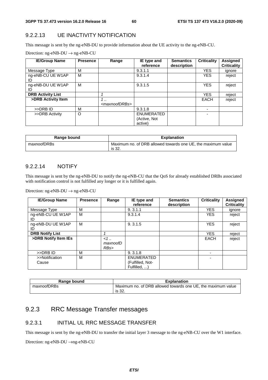#### 9.2.2.13 UE INACTIVITY NOTIFICATION

This message is sent by the ng-eNB-DU to provide information about the UE activity to the ng-eNB-CU.

| <b>IE/Group Name</b>     | <b>Presence</b> | Range                                    | IE type and<br>reference              | <b>Semantics</b><br>description | <b>Criticality</b> | <b>Assigned</b><br><b>Criticality</b> |
|--------------------------|-----------------|------------------------------------------|---------------------------------------|---------------------------------|--------------------|---------------------------------------|
| Message Type             | М               |                                          | 9.3.1.1                               |                                 | <b>YES</b>         | ignore                                |
| ng-eNB-CU UE W1AP<br>ID  | M               |                                          | 9.3.1.4                               |                                 | <b>YES</b>         | reject                                |
| ng-eNB-DU UE W1AP<br>ID  | M               |                                          | 9.3.1.5                               |                                 | <b>YES</b>         | reject                                |
| <b>DRB Activity List</b> |                 |                                          |                                       |                                 | <b>YES</b>         | reject                                |
| >DRB Activity Item       |                 | $\cdot$ .<br><maxnoofdrbs></maxnoofdrbs> |                                       |                                 | <b>EACH</b>        | reject                                |
| >>DRB ID                 | M               |                                          | 9.3.1.8                               |                                 |                    |                                       |
| >>DRB Activity           | O               |                                          | ENUMERATED<br>(Active, Not<br>active) |                                 |                    |                                       |

| Range bound | <b>Explanation</b>                                                     |
|-------------|------------------------------------------------------------------------|
| maxnoofDRBs | Maximum no. of DRB allowed towards one UE, the maximum value<br>is 32. |

#### 9.2.2.14 NOTIFY

This message is sent by the ng-eNB-DU to notify the ng-eNB-CU that the QoS for already established DRBs associated with notification control is not fulfilled any longer or it is fulfilled again.

Direction: ng-eNB-DU  $\rightarrow$  ng-eNB-CU

| <b>IE/Group Name</b>    | <b>Presence</b> | Range                      | IE type and<br>reference                              | <b>Semantics</b><br>description | <b>Criticality</b> | Assigned<br><b>Criticality</b> |
|-------------------------|-----------------|----------------------------|-------------------------------------------------------|---------------------------------|--------------------|--------------------------------|
| Message Type            | M               |                            | 9.3.1.1                                               |                                 | <b>YES</b>         | ignore                         |
| ng-eNB-CU UE W1AP<br>ID | M               |                            | 9.3.1.4                                               |                                 | <b>YES</b>         | reject                         |
| ng-eNB-DU UE W1AP<br>ID | M               |                            | 9.3.1.5                                               |                                 | <b>YES</b>         | reject                         |
| <b>DRB Notify List</b>  |                 |                            |                                                       |                                 | <b>YES</b>         | reject                         |
| >DRB Notify Item IEs    |                 | $\lt 1$<br>maxnoofD<br>RBs |                                                       |                                 | <b>EACH</b>        | reject                         |
| >>DRB ID                | M               |                            | 9.3.1.8                                               |                                 | ۰                  |                                |
| >>Notification<br>Cause | M               |                            | <b>ENUMERATED</b><br>(Fulfilled, Not-<br>Fulfilled, ) |                                 |                    |                                |

| Range bound | Explanation                                                  |
|-------------|--------------------------------------------------------------|
| maxnoofDRBs | Maximum no. of DRB allowed towards one UE, the maximum value |
|             | is 32.                                                       |

# 9.2.3 RRC Message Transfer messages

#### 9.2.3.1 INITIAL UL RRC MESSAGE TRANSFER

This message is sent by the ng-eNB-DU to transfer the initial layer 3 message to the ng-eNB-CU over the W1 interface.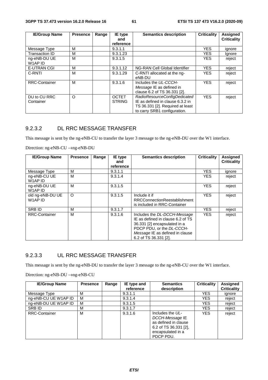| <b>IE/Group Name</b>      | <b>Presence</b> | Range | <b>Semantics description</b><br>IE type |                                                                                                                                      | <b>Criticality</b> | <b>Assigned</b>    |
|---------------------------|-----------------|-------|-----------------------------------------|--------------------------------------------------------------------------------------------------------------------------------------|--------------------|--------------------|
|                           |                 |       | and<br>reference                        |                                                                                                                                      |                    | <b>Criticality</b> |
| Message Type              | м               |       | 9.3.1.1                                 |                                                                                                                                      | <b>YES</b>         | ignore             |
| Transaction ID            | м               |       | 9.3.1.23                                |                                                                                                                                      | YES.               | Ignore             |
| ng-eNB-DU UE<br>W1AP ID   | м               |       | 9.3.1.5                                 |                                                                                                                                      | <b>YES</b>         | reject             |
| <b>E-UTRAN CGI</b>        | м               |       | 9.3.1.12                                | NG-RAN Cell Global Identifier                                                                                                        | <b>YES</b>         | reject             |
| C-RNTI                    | м               |       | 9.3.1.29                                | C-RNTI allocated at the ng-<br>eNB-DU                                                                                                | <b>YES</b>         | reject             |
| <b>RRC-Container</b>      | м               |       | 9.3.1.6                                 | Includes the UL-CCCH-<br>Message IE as defined in<br>clause 6.2 of TS 36.331 [2].                                                    | <b>YES</b>         | reject             |
| DU to CU RRC<br>Container | O               |       | <b>OCTET</b><br><b>STRING</b>           | RadioResourceConfigDedicated<br>IE as defined in clause 6.3.2 in<br>TS 36.331 [2]. Required at least<br>to carry SRB1 configuration. | <b>YES</b>         | reject             |

#### 9.2.3.2 DL RRC MESSAGE TRANSFER

This message is sent by the ng-eNB-CU to transfer the layer 3 message to the ng-eNB-DU over the W1 interface.

Direction: ng-eNB-CU →ng-eNB-DU

| <b>IE/Group Name</b>        | <b>Presence</b> | Range | IE type<br>and | <b>Semantics description</b>                                                                                                                                                               | <b>Criticality</b> | Assigned<br><b>Criticality</b> |
|-----------------------------|-----------------|-------|----------------|--------------------------------------------------------------------------------------------------------------------------------------------------------------------------------------------|--------------------|--------------------------------|
|                             |                 |       | reference      |                                                                                                                                                                                            |                    |                                |
| Message Type                | м               |       | 9.3.1.1        |                                                                                                                                                                                            | <b>YES</b>         | ignore                         |
| ng-eNB-CU UE<br>W1AP ID     | M               |       | 9.3.1.4        |                                                                                                                                                                                            | <b>YES</b>         | reject                         |
| ng-eNB-DU UE<br>W1AP ID     | М               |       | 9.3.1.5        |                                                                                                                                                                                            | <b>YES</b>         | reject                         |
| old ng-eNB-DU UE<br>W1AP ID | $\circ$         |       | 9.3.1.5        | Include it if<br><b>RRCConnectionReestablishment</b><br>is included in RRC-Container                                                                                                       | <b>YES</b>         | reject                         |
| <b>SRB ID</b>               | м               |       | 9.3.1.7        |                                                                                                                                                                                            | <b>YES</b>         | reject                         |
| <b>RRC-Container</b>        | М               |       | 9.3.1.6        | Includes the DL-DCCH-Message<br>IE as defined in clause 6.2 of TS<br>36.331 [2] encapsulated in a<br>PDCP PDU, or the DL-CCCH-<br>Message IE as defined in clause<br>6.2 of TS 36.331 [2]. | <b>YES</b>         | reject                         |

## 9.2.3.3 UL RRC MESSAGE TRANSFER

This message is sent by the ng-eNB-DU to transfer the layer 3 message to the ng-eNB-CU over the W1 interface.

| <b>IE/Group Name</b> | <b>Presence</b> | Range | IE type and | <b>Semantics</b>                                                                                                         | <b>Criticality</b> | <b>Assigned</b>    |
|----------------------|-----------------|-------|-------------|--------------------------------------------------------------------------------------------------------------------------|--------------------|--------------------|
|                      |                 |       | reference   | description                                                                                                              |                    | <b>Criticality</b> |
| Message Type         | м               |       | 9.3.1.1     |                                                                                                                          | <b>YES</b>         | ignore             |
| ng-eNB-CU UE W1AP ID | м               |       | 9.3.1.4     |                                                                                                                          | YES                | reject             |
| ng-eNB-DU UE W1AP ID | м               |       | 9.3.1.5     |                                                                                                                          | YES                | reject             |
| SRB ID               | М               |       | 9.3.1.7     |                                                                                                                          | YES                | reject             |
| <b>RRC-Container</b> | М               |       | 9.3.1.6     | Includes the UL-<br>DCCH-Message IE<br>as defined in clause<br>6.2 of TS $36.331$ [2],<br>encapsulated in a<br>PDCP PDU. | <b>YES</b>         | reject             |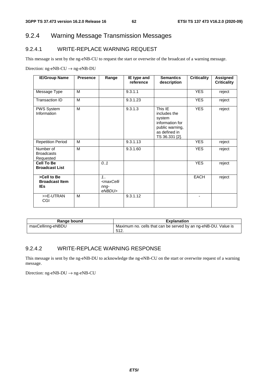# 9.2.4 Warning Message Transmission Messages

### 9.2.4.1 WRITE-REPLACE WARNING REQUEST

This message is sent by the ng-eNB-CU to request the start or overwrite of the broadcast of a warning message.

Direction:  $ng$ -eNB-CU  $\rightarrow$  ng-eNB-DU

| <b>IE/Group Name</b>                               | <b>Presence</b> | Range                                                    | IE type and<br>reference | <b>Semantics</b><br>description                                                                            | <b>Criticality</b> | Assigned<br><b>Criticality</b> |
|----------------------------------------------------|-----------------|----------------------------------------------------------|--------------------------|------------------------------------------------------------------------------------------------------------|--------------------|--------------------------------|
| Message Type                                       | M               |                                                          | 9.3.1.1                  |                                                                                                            | <b>YES</b>         | reject                         |
| Transaction ID                                     | M               |                                                          | 9.3.1.23                 |                                                                                                            | <b>YES</b>         | reject                         |
| PWS System<br>Information                          | M               |                                                          | 9.3.1.3                  | This IE<br>includes the<br>system<br>information for<br>public warning,<br>as defined in<br>TS 36.331 [2]. | <b>YES</b>         | reject                         |
| <b>Repetition Period</b>                           | M               |                                                          | 9.3.1.13                 |                                                                                                            | <b>YES</b>         | reject                         |
| Number of<br><b>Broadcasts</b><br>Requested        | M               |                                                          | 9.3.1.60                 |                                                                                                            | <b>YES</b>         | reject                         |
| <b>Cell To Be</b><br><b>Broadcast List</b>         |                 | 0.1                                                      |                          |                                                                                                            | <b>YES</b>         | reject                         |
| >Cell to Be<br><b>Broadcast Item</b><br><b>IEs</b> |                 | $1_{1}$<br><maxcelli<br>nng-<br/>eNBDU&gt;</maxcelli<br> |                          |                                                                                                            | <b>EACH</b>        | reject                         |
| >>E-UTRAN<br>CGI                                   | M               |                                                          | 9.3.1.12                 |                                                                                                            |                    |                                |

| Range bound       | <b>Explanation</b>                                             |
|-------------------|----------------------------------------------------------------|
| maxCellinng-eNBDU | Maximum no. cells that can be served by an ng-eNB-DU. Value is |
|                   | 512.                                                           |

#### 9.2.4.2 WRITE-REPLACE WARNING RESPONSE

This message is sent by the ng-eNB-DU to acknowledge the ng-eNB-CU on the start or overwrite request of a warning message.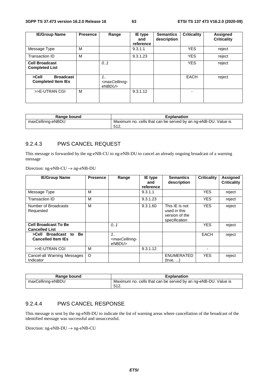| <b>IE/Group Name</b>                                   | <b>Presence</b> | Range                                             | IE type<br>and<br>reference | <b>Semantics</b><br>description | <b>Criticality</b> | <b>Assigned</b><br><b>Criticality</b> |
|--------------------------------------------------------|-----------------|---------------------------------------------------|-----------------------------|---------------------------------|--------------------|---------------------------------------|
| Message Type                                           | м               |                                                   | 9.3.1.1                     |                                 | <b>YES</b>         | reject                                |
| Transaction ID                                         | м               |                                                   | 9.3.1.23                    |                                 | <b>YES</b>         | reject                                |
| <b>Cell Broadcast</b><br><b>Completed List</b>         |                 | 0.1                                               |                             |                                 | <b>YES</b>         | reject                                |
| <b>Broadcast</b><br>>Cell<br><b>Completed Item IEs</b> |                 | 1<br><maxcellinng-<br>eNBDU&gt;</maxcellinng-<br> |                             |                                 | EACH               | reject                                |
| >>E-UTRAN CGI                                          | м               |                                                   | 9.3.1.12                    |                                 | -                  |                                       |

| Range bound       | <b>Explanation</b>                                             |
|-------------------|----------------------------------------------------------------|
| maxCellinng-eNBDU | Maximum no. cells that can be served by an ng-eNB-DU. Value is |
|                   | 512.                                                           |

#### 9.2.4.3 PWS CANCEL REQUEST

This message is forwarded by the ng-eNB-CU to ng-eNB-DU to cancel an already ongoing broadcast of a warning message

Direction: ng-eNB-CU → ng-eNB-DU

| <b>IE/Group Name</b>                                         | <b>Presence</b> | Range                                               | <b>IE</b> type<br>and | <b>Semantics</b><br>description                                   | <b>Criticality</b> | <b>Assigned</b><br><b>Criticality</b> |
|--------------------------------------------------------------|-----------------|-----------------------------------------------------|-----------------------|-------------------------------------------------------------------|--------------------|---------------------------------------|
|                                                              |                 |                                                     | reference             |                                                                   |                    |                                       |
| Message Type                                                 | м               |                                                     | 9.3.1.1               |                                                                   | <b>YES</b>         | reject                                |
| Transaction ID                                               | м               |                                                     | 9.3.1.23              |                                                                   | <b>YES</b>         | reject                                |
| Number of Broadcasts<br>Requested                            | м               |                                                     | 9.3.1.60              | This IE is not<br>used in this<br>version of the<br>specification | <b>YES</b>         | reject                                |
| <b>Cell Broadcast To Be</b><br><b>Cancelled List</b>         |                 | 0.1                                                 |                       |                                                                   | <b>YES</b>         | reject                                |
| >Cell Broadcast to<br><b>Be</b><br><b>Cancelled Item IEs</b> |                 | 1.1<br><maxcellinng-<br>eNBDU&gt;</maxcellinng-<br> |                       |                                                                   | <b>EACH</b>        | reject                                |
| >>E-UTRAN CGI                                                | м               |                                                     | 9.3.1.12              |                                                                   |                    |                                       |
| Cancel-all Warning Messages<br>Indicator                     | O               |                                                     |                       | <b>ENUMERATED</b><br>(true, )                                     | <b>YES</b>         | reject                                |

| Range bound       | <b>Explanation</b>                                                      |
|-------------------|-------------------------------------------------------------------------|
| maxCellinng-eNBDU | Maximum no. cells that can be served by an ng-eNB-DU. Value is<br>-512. |

#### 9.2.4.4 PWS CANCEL RESPONSE

This message is sent by the ng-eNB-DU to indicate the list of warning areas where cancellation of the broadcast of the identified message was successful and unsuccessful.

Direction:  $ng-eNB-DU \rightarrow ng-eNB-CU$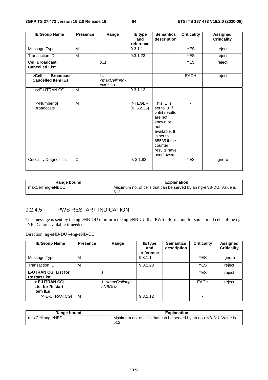| <b>IE/Group Name</b>                                   | <b>Presence</b> | Range                                               | IE type<br>and<br>reference | <b>Semantics</b><br>description                                                                                                                                    | <b>Criticality</b>       | <b>Assigned</b><br><b>Criticality</b> |
|--------------------------------------------------------|-----------------|-----------------------------------------------------|-----------------------------|--------------------------------------------------------------------------------------------------------------------------------------------------------------------|--------------------------|---------------------------------------|
| Message Type                                           | M               |                                                     | 9.3.1.1                     |                                                                                                                                                                    | <b>YES</b>               | reject                                |
| <b>Transaction ID</b>                                  | M               |                                                     | 9.3.1.23                    |                                                                                                                                                                    | <b>YES</b>               | reject                                |
| <b>Cell Broadcast</b><br><b>Cancelled List</b>         |                 | 0.1                                                 |                             |                                                                                                                                                                    | <b>YES</b>               | reject                                |
| <b>Broadcast</b><br>>Cell<br><b>Cancelled Item IEs</b> |                 | 1.1<br><maxcellinng-<br>eNBDU&gt;</maxcellinng-<br> |                             |                                                                                                                                                                    | <b>EACH</b>              | reject                                |
| >>E-UTRAN CGI                                          | M               |                                                     | 9.3.1.12                    |                                                                                                                                                                    | $\overline{\phantom{0}}$ |                                       |
| >>Number of<br><b>Broadcasts</b>                       | M               |                                                     | <b>INTEGER</b><br>(0.65535) | This IE is<br>set to '0' if<br>valid results<br>are not<br>known or<br>not<br>available. It<br>is set to<br>65535 if the<br>counter<br>results have<br>overflowed. | ٠                        |                                       |
| <b>Criticality Diagnostics</b>                         | $\circ$         |                                                     | 9.3.1.82                    |                                                                                                                                                                    | <b>YES</b>               | ignore                                |

| Range bound       | <b>Explanation</b>                                                       |
|-------------------|--------------------------------------------------------------------------|
| maxCellinng-eNBDU | Maximum no. of cells that can be served by an ng-eNB-DU. Value is<br>512 |

#### 9.2.4.5 PWS RESTART INDICATION

This message is sent by the ng-eNB-DU to inform the ng-eNB-CU that PWS information for some or all cells of the ngeNB-DU are available if needed.

| <b>IE/Group Name</b>                                        | <b>Presence</b> | Range                                          | <b>IE</b> type<br>and<br>reference | <b>Semantics</b><br>description | <b>Criticality</b> | <b>Assigned</b><br><b>Criticality</b> |
|-------------------------------------------------------------|-----------------|------------------------------------------------|------------------------------------|---------------------------------|--------------------|---------------------------------------|
| Message Type                                                | M               |                                                | 9.3.1.1                            |                                 | <b>YES</b>         | ignore                                |
| Transaction ID                                              | M               |                                                | 9.3.1.23                           |                                 | <b>YES</b>         | reject                                |
| <b>E-UTRAN CGI List for</b><br><b>Restart List</b>          |                 |                                                |                                    |                                 | <b>YES</b>         | reject                                |
| > E-UTRAN CGI<br><b>List for Restart</b><br><b>Item IEs</b> |                 | 1 <maxcellinng-<br>eNBDU&gt;</maxcellinng-<br> |                                    |                                 | <b>EACH</b>        | reject                                |
| >>E-UTRAN CGI                                               | M               |                                                | 9.3.1.12                           |                                 |                    |                                       |

| Range bound       | <b>Explanation</b>                                                                |
|-------------------|-----------------------------------------------------------------------------------|
| maxCellinng-eNBDU | Maximum no. of cells that can be served by an ng-eNB-DU. Value is<br>512<br>◡ ।∠. |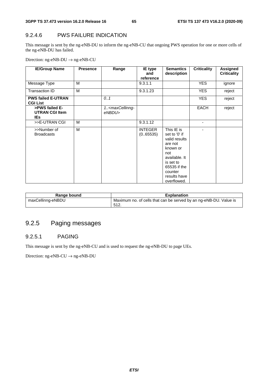#### 9.2.4.6 PWS FAILURE INDICATION

This message is sent by the ng-eNB-DU to inform the ng-eNB-CU that ongoing PWS operation for one or more cells of the ng-eNB-DU has failed.

Direction: ng-eNB-DU → ng-eNB-CU

| <b>IE/Group Name</b>                            | <b>Presence</b> | Range                                          | IE type<br>and<br>reference | <b>Semantics</b><br>description                                                                                                                                    | <b>Criticality</b> | Assigned<br><b>Criticality</b> |
|-------------------------------------------------|-----------------|------------------------------------------------|-----------------------------|--------------------------------------------------------------------------------------------------------------------------------------------------------------------|--------------------|--------------------------------|
| Message Type                                    | M               |                                                | 9.3.1.1                     |                                                                                                                                                                    | <b>YES</b>         | ignore                         |
| Transaction ID                                  | M               |                                                | 9.3.1.23                    |                                                                                                                                                                    | <b>YES</b>         | reject                         |
| <b>PWS failed E-UTRAN</b><br><b>CGI List</b>    |                 | 0.1                                            |                             |                                                                                                                                                                    | <b>YES</b>         | reject                         |
| >PWS failed E-<br><b>UTRAN CGI Item</b><br>IEs. |                 | 1 <maxcellinng-<br>eNBDU&gt;</maxcellinng-<br> |                             |                                                                                                                                                                    | <b>EACH</b>        | reject                         |
| >>E-UTRAN CGI                                   | M               |                                                | 9.3.1.12                    |                                                                                                                                                                    |                    |                                |
| >>Number of<br><b>Broadcasts</b>                | M               |                                                | <b>INTEGER</b><br>(0.65535) | This IE is<br>set to '0' if<br>valid results<br>are not<br>known or<br>not<br>available. It<br>is set to<br>65535 if the<br>counter<br>results have<br>overflowed. | ä,                 |                                |

| Range bound       | <b>Explanation</b>                                                                  |
|-------------------|-------------------------------------------------------------------------------------|
| maxCellinng-eNBDU | Maximum no. of cells that can be served by an ng-eNB-DU. Value is<br>512<br>◡ । ∠ . |

# 9.2.5 Paging messages

#### 9.2.5.1 PAGING

This message is sent by the ng-eNB-CU and is used to request the ng-eNB-DU to page UEs.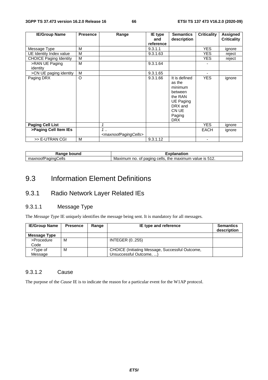| <b>IE/Group Name</b>          | <b>Presence</b> | Range                                            | IE type<br>and | <b>Semantics</b><br>description                                                                                   | <b>Criticality</b>       | Assigned<br><b>Criticality</b> |
|-------------------------------|-----------------|--------------------------------------------------|----------------|-------------------------------------------------------------------------------------------------------------------|--------------------------|--------------------------------|
|                               |                 |                                                  | reference      |                                                                                                                   |                          |                                |
| Message Type                  | М               |                                                  | 9.3.1.1        |                                                                                                                   | <b>YES</b>               | ignore                         |
| UE Identity Index value       | M               |                                                  | 9.3.1.63       |                                                                                                                   | <b>YES</b>               | reject                         |
| <b>CHOICE Paging Identity</b> | M               |                                                  |                |                                                                                                                   | YES.                     | reject                         |
| >RAN UE Paging<br>identity    | M               |                                                  | 9.3.1.64       |                                                                                                                   |                          |                                |
| >CN UE paging identity        | M               |                                                  | 9.3.1.65       |                                                                                                                   |                          |                                |
| Paging DRX                    | O               |                                                  | 9.3.1.66       | It is defined<br>as the<br>minimum<br>between<br>the RAN<br>UE Paging<br>DRX and<br>CN UE<br>Paging<br><b>DRX</b> | <b>YES</b>               | ignore                         |
| <b>Paging Cell List</b>       |                 | 1                                                |                |                                                                                                                   | <b>YES</b>               | ignore                         |
| >Paging Cell Item IEs         |                 | $1$<br><maxnoofpagingcells></maxnoofpagingcells> |                |                                                                                                                   | <b>EACH</b>              | ignore                         |
| >> E-UTRAN CGI                | M               |                                                  | 9.3.1.12       |                                                                                                                   | $\overline{\phantom{a}}$ |                                |

| ----<br>bound<br>.valiye | .<br>nation                                                                                  |
|--------------------------|----------------------------------------------------------------------------------------------|
| ells<br>атн<br>axnooth   | $\cdot$ is 512.<br>paging<br>the<br>cells<br>maximum<br>Maxım<br>.num<br>value.<br>no.<br>ОT |

# 9.3 Information Element Definitions

# 9.3.1 Radio Network Layer Related IEs

## 9.3.1.1 Message Type

The *Message Type* IE uniquely identifies the message being sent. It is mandatory for all messages.

| <b>IE/Group Name</b> | <b>Presence</b> | Range | IE type and reference                           | <b>Semantics</b><br>description |
|----------------------|-----------------|-------|-------------------------------------------------|---------------------------------|
| Message Type         |                 |       |                                                 |                                 |
| >Procedure           | м               |       | <b>INTEGER (0255)</b>                           |                                 |
| Code                 |                 |       |                                                 |                                 |
| >Type of             | м               |       | CHOICE (Initiating Message, Successful Outcome, |                                 |
| Message              |                 |       | Unsuccessful Outcome, )                         |                                 |

#### 9.3.1.2 Cause

The purpose of the *Cause* IE is to indicate the reason for a particular event for the W1AP protocol.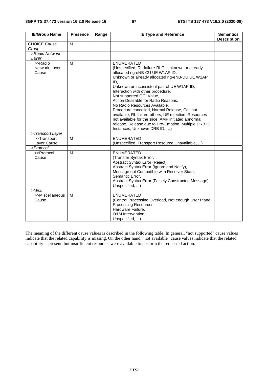| <b>IE/Group Name</b>            | <b>Presence</b> | Range | <b>IE Type and Reference</b>                          | <b>Semantics</b>   |
|---------------------------------|-----------------|-------|-------------------------------------------------------|--------------------|
|                                 |                 |       |                                                       | <b>Description</b> |
| <b>CHOICE Cause</b>             | M               |       |                                                       |                    |
| Group                           |                 |       |                                                       |                    |
| >Radio Network                  |                 |       |                                                       |                    |
| Layer<br>>>Radio                | M               |       | <b>ENUMERATED</b>                                     |                    |
| Network Layer                   |                 |       | (Unspecified, RL failure-RLC, Unknown or already      |                    |
| Cause                           |                 |       | allocated ng-eNB-CU UE W1AP ID,                       |                    |
|                                 |                 |       | Unknown or already allocated ng-eNB-DU UE W1AP        |                    |
|                                 |                 |       | ID,                                                   |                    |
|                                 |                 |       | Unknown or inconsistent pair of UE W1AP ID,           |                    |
|                                 |                 |       | Interaction with other procedure,                     |                    |
|                                 |                 |       | Not supported QCI Value,                              |                    |
|                                 |                 |       | Action Desirable for Radio Reasons,                   |                    |
|                                 |                 |       | No Radio Resources Available,                         |                    |
|                                 |                 |       | Procedure cancelled, Normal Release, Cell not         |                    |
|                                 |                 |       | available, RL failure-others, UE rejection, Resources |                    |
|                                 |                 |       | not available for the slice, AMF initiated abnormal   |                    |
|                                 |                 |       | release, Release due to Pre-Emption, Multiple DRB ID  |                    |
|                                 |                 |       | Instances, Unknown DRB ID, )                          |                    |
| >Transport Layer<br>>>Transport | M               |       | <b>ENUMERATED</b>                                     |                    |
| Layer Cause                     |                 |       | (Unspecified, Transport Resource Unavailable, )       |                    |
| >Protocol                       |                 |       |                                                       |                    |
| >>Protocol                      | M               |       | <b>ENUMERATED</b>                                     |                    |
| Cause                           |                 |       | (Transfer Syntax Error,                               |                    |
|                                 |                 |       | Abstract Syntax Error (Reject),                       |                    |
|                                 |                 |       | Abstract Syntax Error (Ignore and Notify),            |                    |
|                                 |                 |       | Message not Compatible with Receiver State,           |                    |
|                                 |                 |       | Semantic Error,                                       |                    |
|                                 |                 |       | Abstract Syntax Error (Falsely Constructed Message),  |                    |
|                                 |                 |       | Unspecified, )                                        |                    |
| >Misc                           |                 |       |                                                       |                    |
| >>Miscellaneous                 | M               |       | <b>ENUMERATED</b>                                     |                    |
| Cause                           |                 |       | (Control Processing Overload, Not enough User Plane   |                    |
|                                 |                 |       | Processing Resources,                                 |                    |
|                                 |                 |       | Hardware Failure,                                     |                    |
|                                 |                 |       | O&M Intervention,                                     |                    |
|                                 |                 |       | Unspecified, )                                        |                    |

The meaning of the different cause values is described in the following table. In general, "not supported" cause values indicate that the related capability is missing. On the other hand, "not available" cause values indicate that the related capability is present, but insufficient resources were available to perform the requested action.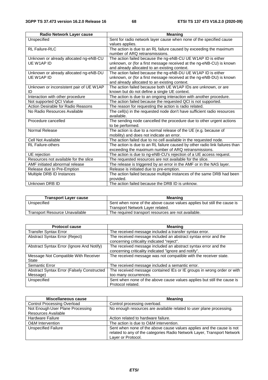| Radio Network Layer cause               | <b>Meaning</b>                                                              |
|-----------------------------------------|-----------------------------------------------------------------------------|
| Unspecified                             | Sent for radio network layer cause when none of the specified cause         |
|                                         | values applies.                                                             |
| <b>RL Failure-RLC</b>                   | The action is due to an RL failure caused by exceeding the maximum          |
|                                         | number of ARQ retransmissions.                                              |
| Unknown or already allocated ng-eNB-CU  | The action failed because the ng-eNB-CU UE W1AP ID is either                |
| UE W1AP ID                              | unknown, or (for a first message received at the ng-eNB-CU) is known        |
|                                         | and already allocated to an existing context.                               |
| Unknown or already allocated ng-eNB-DU  | The action failed because the ng-eNB-DU UE W1AP ID is either                |
| UE W1AP ID                              | unknown, or (for a first message received at the ng-eNB-DU) is known        |
|                                         | and already allocated to an existing context.                               |
| Unknown or inconsistent pair of UE W1AP | The action failed because both UE W1AP IDs are unknown, or are              |
| ID                                      | known but do not define a single UE context.                                |
| Interaction with other procedure        | The action is due to an ongoing interaction with another procedure.         |
| Not supported QCI Value                 | The action failed because the requested QCI is not supported.               |
| Action Desirable for Radio Reasons      | The reason for requesting the action is radio related.                      |
| No Radio Resources Available            | The cell(s) in the requested node don't have sufficient radio resources     |
|                                         | available.                                                                  |
| Procedure cancelled                     | The sending node cancelled the procedure due to other urgent actions        |
|                                         | to be performed.                                                            |
| Normal Release                          | The action is due to a normal release of the UE (e.g. because of            |
|                                         | mobility) and does not indicate an error.                                   |
| Cell Not Available                      | The action failed due to no cell available in the requested node.           |
| <b>RL</b> Failure-others                | The action is due to an RL failure caused by other radio link failures than |
|                                         | exceeding the maximum number of ARQ retransmissions.                        |
| UE rejection                            | The action is due to ng-eNB-CU's rejection of a UE access request.          |
| Resources not available for the slice   | The requested resources are not available for the slice.                    |
| AMF initiated abnormal release          | The release is triggered by an error in the AMF or in the NAS layer.        |
| Release due to Pre-Emption              | Release is initiated due to pre-emption.                                    |
| Multiple DRB ID Instances               | The action failed because multiple instances of the same DRB had been       |
|                                         | provided.                                                                   |
| Unknown DRB ID                          | The action failed because the DRB ID is unknow.                             |

| <b>Transport Layer cause</b>   | Meaning                                                                 |
|--------------------------------|-------------------------------------------------------------------------|
| Unspecified                    | Sent when none of the above cause values applies but still the cause is |
|                                | Transport Network Layer related.                                        |
| Transport Resource Unavailable | The required transport resources are not available.                     |

| <b>Protocol cause</b>                              | <b>Meaning</b>                                                                                                          |
|----------------------------------------------------|-------------------------------------------------------------------------------------------------------------------------|
| <b>Transfer Syntax Error</b>                       | The received message included a transfer syntax error.                                                                  |
| Abstract Syntax Error (Reject)                     | The received message included an abstract syntax error and the<br>concerning criticality indicated "reject".            |
| Abstract Syntax Error (Ignore And Notify)          | The received message included an abstract syntax error and the<br>concerning criticality indicated "ignore and notify". |
| Message Not Compatible With Receiver<br>State      | The received message was not compatible with the receiver state.                                                        |
| Semantic Error                                     | The received message included a semantic error.                                                                         |
| <b>Abstract Syntax Error (Falsely Constructed)</b> | The received message contained IEs or IE groups in wrong order or with                                                  |
| Message)                                           | too many occurrences.                                                                                                   |
| Unspecified                                        | Sent when none of the above cause values applies but still the cause is<br>Protocol related.                            |

| Miscellaneous cause                | <b>Meaning</b>                                                          |
|------------------------------------|-------------------------------------------------------------------------|
| <b>Control Processing Overload</b> | Control processing overload.                                            |
| Not Enough User Plane Processing   | No enough resources are available related to user plane processing.     |
| Resources Available                |                                                                         |
| <b>Hardware Failure</b>            | Action related to hardware failure.                                     |
| <b>O&amp;M</b> Intervention        | The action is due to O&M intervention.                                  |
| <b>Unspecified Failure</b>         | Sent when none of the above cause values applies and the cause is not   |
|                                    | related to any of the categories Radio Network Layer, Transport Network |
|                                    | Layer or Protocol.                                                      |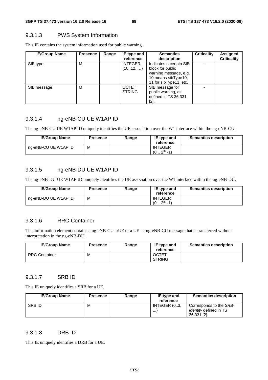#### 9.3.1.3 PWS System Information

This IE contains the system information used for public warning.

| <b>IE/Group Name</b> | <b>Presence</b> | Range | IE type and<br>reference      | <b>Semantics</b><br>description                                                                                       | <b>Criticality</b> | Assigned<br><b>Criticality</b> |
|----------------------|-----------------|-------|-------------------------------|-----------------------------------------------------------------------------------------------------------------------|--------------------|--------------------------------|
| SIB type             | М               |       | <b>INTEGER</b><br>(1012, )    | Indicates a certain SIB<br>block for public<br>warning message, e.g.<br>10 means sibType10,<br>11 for sibType11, etc. |                    |                                |
| SIB message          | М               |       | <b>OCTET</b><br><b>STRING</b> | SIB message for<br>public warning, as<br>defined in TS 36.331<br>[2].                                                 |                    |                                |

#### 9.3.1.4 ng-eNB-CU UE W1AP ID

The ng-eNB-CU UE W1AP ID uniquely identifies the UE association over the W1 interface within the ng-eNB-CU.

| <b>IE/Group Name</b> | <b>Presence</b> | Range | IE type and<br>reference     | <b>Semantics description</b> |
|----------------------|-----------------|-------|------------------------------|------------------------------|
| ng-eNB-CU UE W1AP ID | м               |       | <b>INTEGER</b><br>$232 - 1)$ |                              |

## 9.3.1.5 ng-eNB-DU UE W1AP ID

The ng-eNB-DU UE W1AP ID uniquely identifies the UE association over the W1 interface within the ng-eNB-DU.

| <b>IE/Group Name</b> | <b>Presence</b> | Range | IE type and<br>reference     | <b>Semantics description</b> |
|----------------------|-----------------|-------|------------------------------|------------------------------|
| ng-eNB-DU UE W1AP ID | м               |       | <b>INTEGER</b><br>$232 - 1)$ |                              |

#### 9.3.1.6 RRC-Container

This information element contains a ng-eNB-CU→UE or a UE → ng-eNB-CU message that is transferred without interpretation in the ng-eNB-DU.

| <b>IE/Group Name</b> | <b>Presence</b> | Range | IE type and<br>reference      | <b>Semantics description</b> |
|----------------------|-----------------|-------|-------------------------------|------------------------------|
| <b>RRC-Container</b> | M               |       | <b>OCTET</b><br><b>STRING</b> |                              |

#### 9.3.1.7 SRB ID

This IE uniquely identifies a SRB for a UE.

| <b>IE/Group Name</b> | <b>Presence</b> | Range | IE type and<br>reference | <b>Semantics description</b>                                            |
|----------------------|-----------------|-------|--------------------------|-------------------------------------------------------------------------|
| <b>SRBID</b>         | м               |       | INTEGER (03,<br>$\cdots$ | Corresponds to the SRB-<br><i>Identity</i> defined in TS<br>36.331 [2]. |

#### 9.3.1.8 DRB ID

This IE uniquely identifies a DRB for a UE.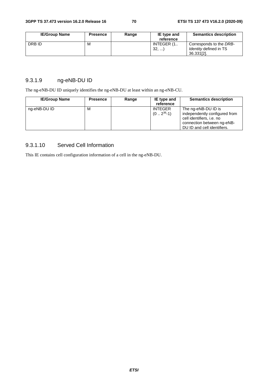| <b>IE/Group Name</b> | <b>Presence</b> | Range | IE type and<br>reference | <b>Semantics description</b>                                           |
|----------------------|-----------------|-------|--------------------------|------------------------------------------------------------------------|
| DRB ID               | M               |       | INTEGER (1<br>32,        | Corresponds to the DRB-<br><i>Identity</i> defined in TS<br>36.331[2]. |

# 9.3.1.9 ng-eNB-DU ID

The ng-eNB-DU ID uniquely identifies the ng-eNB-DU at least within an ng-eNB-CU.

| <b>IE/Group Name</b> | <b>Presence</b> | Range | IE type and<br>reference        | <b>Semantics description</b>                                                                                                                   |
|----------------------|-----------------|-------|---------------------------------|------------------------------------------------------------------------------------------------------------------------------------------------|
| ng-eNB-DU ID         | м               |       | <b>INTEGER</b><br>$(02^{36}-1)$ | The ng-eNB-DU ID is<br>independently configured from<br>cell identifiers, i.e. no<br>connection between ng-eNB-<br>DU ID and cell identifiers. |

#### 9.3.1.10 Served Cell Information

This IE contains cell configuration information of a cell in the ng-eNB-DU.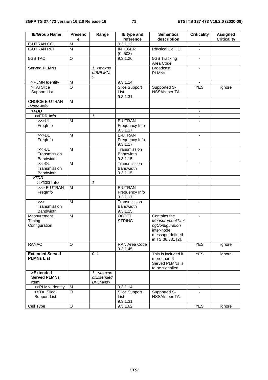| <b>IE/Group Name</b>              | <b>Presenc</b>               | Range                                                                                                   | IE type and                  | <b>Semantics</b>               | <b>Criticality</b>       | <b>Assigned</b>    |
|-----------------------------------|------------------------------|---------------------------------------------------------------------------------------------------------|------------------------------|--------------------------------|--------------------------|--------------------|
| <b>E-UTRAN CGI</b>                | е<br>$\overline{\mathsf{M}}$ |                                                                                                         | reference<br>9.3.1.12        | description                    |                          | <b>Criticality</b> |
| <b>E-UTRAN PCI</b>                | $\overline{M}$               |                                                                                                         | <b>INTEGER</b>               | <b>Physical Cell ID</b>        | $\overline{\phantom{a}}$ |                    |
|                                   |                              |                                                                                                         | (0503)                       |                                |                          |                    |
| 5GS TAC                           | $\overline{O}$               |                                                                                                         | 9.3.1.26                     | <b>5GS Tracking</b>            | $\overline{\phantom{a}}$ |                    |
|                                   |                              |                                                                                                         |                              | Area Code                      |                          |                    |
| <b>Served PLMNs</b>               |                              | $1. maxno$                                                                                              |                              | <b>Broadcast</b>               |                          |                    |
|                                   |                              | <i>ofBPLMNs</i>                                                                                         |                              | <b>PLMNs</b>                   |                          |                    |
|                                   |                              | $\geq$                                                                                                  |                              |                                |                          |                    |
| >PLMN Identity                    | M                            |                                                                                                         | 9.3.1.14                     |                                |                          |                    |
| >TAI Slice<br><b>Support List</b> | $\circ$                      |                                                                                                         | <b>Slice Support</b><br>List | Supported S-<br>NSSAIs per TA. | <b>YES</b>               | ignore             |
|                                   |                              |                                                                                                         | 9.3.1.31                     |                                |                          |                    |
| <b>CHOICE E-UTRAN</b>             | M                            |                                                                                                         |                              |                                | $\overline{\phantom{a}}$ |                    |
| -Mode-Info                        |                              |                                                                                                         |                              |                                |                          |                    |
| > FDD                             |                              |                                                                                                         |                              |                                |                          |                    |
| >>FDD Info                        |                              | $\mathbf{1}$                                                                                            |                              |                                | $\blacksquare$           |                    |
| $>>$ UL                           | $\overline{\mathsf{M}}$      |                                                                                                         | E-UTRAN                      |                                |                          |                    |
| FregInfo                          |                              |                                                                                                         | Frequency Info               |                                |                          |                    |
|                                   |                              |                                                                                                         | 9.3.1.17                     |                                |                          |                    |
| >>DL                              | M                            |                                                                                                         | E-UTRAN                      |                                |                          |                    |
| FreqInfo                          |                              |                                                                                                         | Frequency Info<br>9.3.1.17   |                                |                          |                    |
| >>UL                              | $\overline{M}$               |                                                                                                         | Transmission                 |                                |                          |                    |
| Transmission                      |                              |                                                                                                         | <b>Bandwidth</b>             |                                |                          |                    |
| <b>Bandwidth</b>                  |                              |                                                                                                         | 9.3.1.15                     |                                |                          |                    |
| >>DL                              | M                            |                                                                                                         | Transmission                 |                                | $\blacksquare$           |                    |
| Transmission                      |                              |                                                                                                         | <b>Bandwidth</b>             |                                |                          |                    |
| <b>Bandwidth</b>                  |                              |                                                                                                         | 9.3.1.15                     |                                |                          |                    |
| >TDD                              |                              |                                                                                                         |                              |                                | $\overline{\phantom{a}}$ |                    |
| >>TDD Info                        |                              | $\mathbf{1}$                                                                                            | E-UTRAN                      |                                | $\overline{\phantom{a}}$ |                    |
| >>> E-UTRAN<br>FreqInfo           | M                            |                                                                                                         | Frequency Info               |                                |                          |                    |
|                                   |                              |                                                                                                         | 9.3.1.17                     |                                |                          |                    |
| >>                                | M                            |                                                                                                         | Transmission                 |                                | $\overline{\phantom{a}}$ |                    |
| Transmission                      |                              |                                                                                                         | <b>Bandwidth</b>             |                                |                          |                    |
| <b>Bandwidth</b>                  |                              |                                                                                                         | 9.3.1.15                     |                                |                          |                    |
| Measurement                       | M                            |                                                                                                         | <b>OCTET</b>                 | Contains the                   | $\blacksquare$           |                    |
| Timing                            |                              |                                                                                                         | <b>STRING</b>                | MeasurementTimi                |                          |                    |
| Configuration                     |                              |                                                                                                         |                              | ngConfiguration                |                          |                    |
|                                   |                              |                                                                                                         |                              | inter-node<br>message defined  |                          |                    |
|                                   |                              |                                                                                                         |                              | in TS 36.331 [2].              |                          |                    |
| <b>RANAC</b>                      | $\Omega$                     |                                                                                                         | RAN Area Code                |                                | <b>YES</b>               | ignore             |
|                                   |                              |                                                                                                         | 9.3.1.45                     |                                |                          |                    |
| <b>Extended Served</b>            |                              | 0.1                                                                                                     |                              | This is included if            | <b>YES</b>               | ignore             |
| <b>PLMNs List</b>                 |                              |                                                                                                         |                              | more than 6                    |                          |                    |
|                                   |                              |                                                                                                         |                              | Served PLMNs is                |                          |                    |
|                                   |                              |                                                                                                         |                              | to be signalled.               |                          |                    |
| >Extended<br><b>Served PLMNs</b>  |                              | 1 <maxno< td=""><td></td><td></td><td><math display="inline">\blacksquare</math></td><td></td></maxno<> |                              |                                | $\blacksquare$           |                    |
| Item                              |                              | ofExtended<br>BPLMNs>                                                                                   |                              |                                |                          |                    |
| >>PLMN Identity                   | M                            |                                                                                                         | 9.3.1.14                     |                                |                          |                    |
| >>TAI Slice                       | $\circ$                      |                                                                                                         | Slice Support                | Supported S-                   | $\overline{a}$           |                    |
| Support List                      |                              |                                                                                                         | List                         | NSSAIs per TA.                 |                          |                    |
|                                   |                              |                                                                                                         | 9.3.1.31                     |                                |                          |                    |
| Cell Type                         | $\mathsf O$                  |                                                                                                         | 9.3.1.62                     |                                | <b>YES</b>               | ignore             |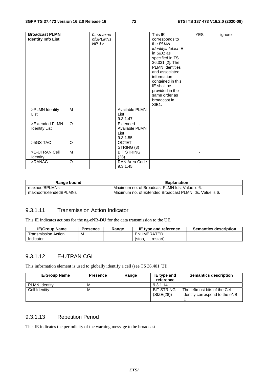| <b>Broadcast PLMN</b><br><b>Identity Info List</b> |         | 0 <maxno<br><i>ofBPLMNs</i><br/><math>NR-1</math></maxno<br> |                                                | This IE<br>corresponds to<br>the PLMN-<br>IdentityInfoList IE<br>in $SIB1$ as<br>specified in TS<br>36.331 [2]. The<br><b>PLMN Identities</b><br>and associated<br>information<br>contained in this<br>IE shall be<br>provided in the<br>same order as<br>broadcast in<br>SIB1. | <b>YES</b> | ignore |
|----------------------------------------------------|---------|--------------------------------------------------------------|------------------------------------------------|---------------------------------------------------------------------------------------------------------------------------------------------------------------------------------------------------------------------------------------------------------------------------------|------------|--------|
| >PLMN Identity<br>List                             | M       |                                                              | Available PLMN<br>List<br>9.3.1.47             |                                                                                                                                                                                                                                                                                 |            |        |
| >Extended PLMN<br><b>Identity List</b>             | $\circ$ |                                                              | Extended<br>Available PLMN<br>List<br>9.3.1.55 |                                                                                                                                                                                                                                                                                 |            |        |
| >5GS-TAC                                           | O       |                                                              | <b>OCTET</b><br>STRING (3)                     |                                                                                                                                                                                                                                                                                 |            |        |
| >E-UTRAN Cell<br>Identity                          | M       |                                                              | <b>BIT STRING</b><br>(28)                      |                                                                                                                                                                                                                                                                                 |            |        |
| >RANAC                                             | O       |                                                              | RAN Area Code<br>9.3.1.45                      |                                                                                                                                                                                                                                                                                 |            |        |

| Range bound           | <b>Explanation</b>                                      |
|-----------------------|---------------------------------------------------------|
| maxnoofBPLMNs         | Maximum no. of Broadcast PLMN Ids. Value is 6.          |
| maxnoofExtendedBPLMNs | Maximum no. of Extended Broadcast PLMN Ids. Value is 6. |

## 9.3.1.11 Transmission Action Indicator

This IE indicates actions for the ng-eNB-DU for the data transmission to the UE.

| <b>IE/Group Name</b> | <b>Presence</b> | Range | <b>IE type and reference</b> | <b>Semantics description</b> |
|----------------------|-----------------|-------|------------------------------|------------------------------|
| Transmission Action  | М               |       | ENUMERATED                   |                              |
| Indicator            |                 |       | restart)<br>$5$              |                              |

# 9.3.1.12 E-UTRAN CGI

This information element is used to globally identify a cell (see TS 36.401 [3]).

| <b>IE/Group Name</b> | <b>Presence</b> | Range | IE type and       | <b>Semantics description</b>   |
|----------------------|-----------------|-------|-------------------|--------------------------------|
|                      |                 |       | reference         |                                |
| <b>PLMN Identity</b> | м               |       | 9.3.1.14          |                                |
| Cell Identity        | м               |       | <b>BIT STRING</b> | The leftmost bits of the Cell  |
|                      |                 |       | (SIZE(28))        | Identity correspond to the eNB |
|                      |                 |       |                   | ID.                            |

## 9.3.1.13 Repetition Period

This IE indicates the periodicity of the warning message to be broadcast.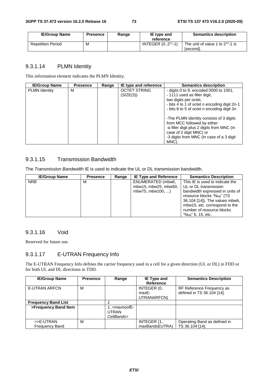| <b>IE/Group Name</b>     | <b>Presence</b> | Range | IE type and<br>reference | <b>Semantics description</b>                       |
|--------------------------|-----------------|-------|--------------------------|----------------------------------------------------|
| <b>Repetition Period</b> | M               |       | INTEGER $(0217 - 1)$     | The unit of value 1 to $2^{17}$ -1 is<br>[second]. |

## 9.3.1.14 PLMN Identity

This information element indicates the PLMN Identity.

| <b>IE/Group Name</b> | <b>Presence</b> | Range | IE type and reference            | <b>Semantics description</b>                                                                                                                    |
|----------------------|-----------------|-------|----------------------------------|-------------------------------------------------------------------------------------------------------------------------------------------------|
| <b>PLMN</b> Identity | М               |       | <b>OCTET STRING</b><br>(SIZE(3)) | - digits 0 to 9, encoded 0000 to $1001$ ,<br>- 1111 used as filler digit,<br>two digits per octet,                                              |
|                      |                 |       |                                  | - bits 4 to 1 of octet n encoding digit 2n-1<br>- bits 8 to 5 of octet n encoding digit 2n                                                      |
|                      |                 |       |                                  | -The PLMN identity consists of 3 digits<br>from MCC followed by either<br>-a filler digit plus 2 digits from MNC (in<br>case of 2 digit MNC) or |
|                      |                 |       |                                  | -3 digits from MNC (in case of a 3 digit)<br>MNC).                                                                                              |

## 9.3.1.15 Transmission Bandwidth

The *Transmission Bandwidth* IE is used to indicate the UL or DL transmission bandwidth.

| <b>IE/Group Name</b> | <b>Presence</b> | Range | <b>IE Type and Reference</b> | <b>Semantics Description</b>           |
|----------------------|-----------------|-------|------------------------------|----------------------------------------|
| <b>NRB</b>           | м               |       | ENUMERATED (mbw6,            | This IE is used to indicate the        |
|                      |                 |       | mbw15, mbw25, mbw50,         | UL or DL transmission                  |
|                      |                 |       | mbw75, mbw100, )             | bandwidth expressed in units of        |
|                      |                 |       |                              | resource blocks "N <sub>RB</sub> " (TS |
|                      |                 |       |                              | 36.104 [14]). The values mbw6,         |
|                      |                 |       |                              | mbw15, etc. correspond to the          |
|                      |                 |       |                              | number of resource blocks              |
|                      |                 |       |                              | $"N_{RB}"$ 6, 15, etc.                 |

## 9.3.1.16 Void

Reserved for future use.

## 9.3.1.17 E-UTRAN Frequency Info

The E-UTRAN Frequency Info defines the carrier frequency used in a cell for a given direction (UL or DL) in FDD or for both UL and DL directions in TDD.

| <b>IE/Group Name</b>       | <b>Presence</b> | Range          | IE Type and<br><b>Reference</b> | <b>Semantics Description</b> |
|----------------------------|-----------------|----------------|---------------------------------|------------------------------|
|                            |                 |                |                                 |                              |
| <b>E-UTRAN ARFCN</b>       | M               |                | INTEGER (0                      | RF Reference Frequency as    |
|                            |                 |                | maxE-                           | defined in TS 36.104 [14].   |
|                            |                 |                | UTRANARFCN)                     |                              |
| <b>Frequency Band List</b> |                 |                |                                 |                              |
| >Frequency Band Item       |                 | $1. maxnoofE-$ |                                 |                              |
|                            |                 | <b>UTRAN</b>   |                                 |                              |
|                            |                 | CellBands>     |                                 |                              |
| >>E-UTRAN                  | M               |                | INTEGER (1                      | Operating Band as defined in |
| <b>Frequency Band</b>      |                 |                | maxBandsEUTRA)                  | TS 36.104 [14].              |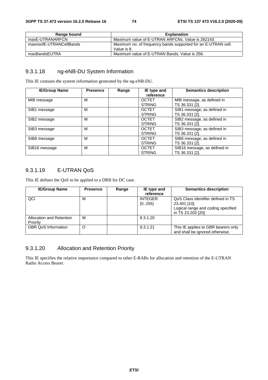| Range bound             | <b>Explanation</b>                                                           |
|-------------------------|------------------------------------------------------------------------------|
| maxE-UTRANARFCN         | Maximum value of E-UTRAN ARFCNs, Value is 262143.                            |
| maxnoofE-UTRANCellBands | Maximum no. of frequency bands supported for an E-UTRAN cell.<br>Value is 8. |
| maxBandsEUTRA           | Maximum value of E-UTRAN Bands, Value is 256.                                |

### 9.3.1.18 ng-eNB-DU System Information

This IE contains the system information generated by the ng-eNB-DU.

| <b>IE/Group Name</b> | <b>Presence</b> | Range | IE type and<br>reference      | <b>Semantics description</b>                   |
|----------------------|-----------------|-------|-------------------------------|------------------------------------------------|
| MIB message          | M               |       | <b>OCTET</b><br><b>STRING</b> | MIB message, as defined in<br>TS 36.331 [2].   |
| SIB1 message         | М               |       | <b>OCTET</b><br><b>STRING</b> | SIB1 message, as defined in<br>TS 36.331 [2].  |
| SIB2 message         | M               |       | <b>OCTET</b><br><b>STRING</b> | SIB2 message, as defined in<br>TS 36.331 [2].  |
| SIB3 message         | М               |       | <b>OCTET</b><br><b>STRING</b> | SIB3 message, as defined in<br>TS 36.331 [2].  |
| SIB8 message         | M               |       | <b>OCTET</b><br><b>STRING</b> | SIB8 message, as defined in<br>TS 36.331 [2].  |
| SIB16 message        | M               |       | <b>OCTET</b><br><b>STRING</b> | SIB16 message, as defined in<br>TS 36.331 [2]. |

## 9.3.1.19 E-UTRAN QoS

This IE defines the QoS to be applied to a DRB for DC case.

| <b>IE/Group Name</b>       | <b>Presence</b> | Range | IE type and    | <b>Semantics description</b>        |
|----------------------------|-----------------|-------|----------------|-------------------------------------|
|                            |                 |       | reference      |                                     |
| QCI                        | М               |       | <b>INTEGER</b> | QoS Class Identifier defined in TS  |
|                            |                 |       | (0255)         | 23.401 [10].                        |
|                            |                 |       |                | Logical range and coding specified  |
|                            |                 |       |                | in TS 23.203 [20].                  |
| Allocation and Retention   | м               |       | 9.3.1.20       |                                     |
| Priority                   |                 |       |                |                                     |
| <b>GBR QoS Information</b> | O               |       | 9.3.1.21       | This IE applies to GBR bearers only |
|                            |                 |       |                | and shall be ignored otherwise.     |

# 9.3.1.20 Allocation and Retention Priority

This IE specifies the relative importance compared to other E-RABs for allocation and retention of the E-UTRAN Radio Access Bearer.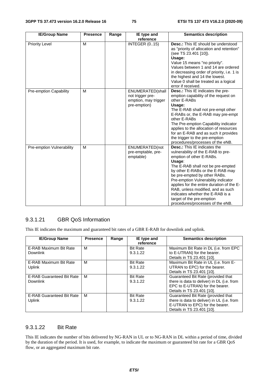| <b>IE/Group Name</b>          | <b>Presence</b> | Range | IE type and                                                                  | <b>Semantics description</b>                                                                                                                                                                                                                                                                                                                                                                                                                           |
|-------------------------------|-----------------|-------|------------------------------------------------------------------------------|--------------------------------------------------------------------------------------------------------------------------------------------------------------------------------------------------------------------------------------------------------------------------------------------------------------------------------------------------------------------------------------------------------------------------------------------------------|
| <b>Priority Level</b>         | M               |       | reference<br><b>INTEGER (015)</b>                                            | <b>Desc.:</b> This IE should be understood<br>as "priority of allocation and retention"<br>(see TS 23.401 [10]).<br>Usage:<br>Value 15 means "no priority".<br>Values between 1 and 14 are ordered<br>in decreasing order of priority, i.e. 1 is<br>the highest and 14 the lowest.<br>Value 0 shall be treated as a logical<br>error if received.                                                                                                      |
| <b>Pre-emption Capability</b> | M               |       | ENUMERATED(shall<br>not trigger pre-<br>emption, may trigger<br>pre-emption) | <b>Desc.:</b> This IE indicates the pre-<br>emption capability of the request on<br>other E-RABs<br>Usage:<br>The E-RAB shall not pre-empt other<br>E-RABs or, the E-RAB may pre-empt<br>other E-RABs<br>The Pre-emption Capability indicator<br>applies to the allocation of resources<br>for an E-RAB and as such it provides<br>the trigger to the pre-emption<br>procedures/processes of the eNB.                                                  |
| Pre-emption Vulnerability     | M               |       | ENUMERATED(not<br>pre-emptable, pre-<br>emptable)                            | <b>Desc.:</b> This IE indicates the<br>vulnerability of the E-RAB to pre-<br>emption of other E-RABs.<br>Usage:<br>The E-RAB shall not be pre-empted<br>by other E-RABs or the E-RAB may<br>be pre-empted by other RABs.<br>Pre-emption Vulnerability indicator<br>applies for the entire duration of the E-<br>RAB, unless modified, and as such<br>indicates whether the E-RAB is a<br>target of the pre-emption<br>procedures/processes of the eNB. |

## 9.3.1.21 GBR QoS Information

This IE indicates the maximum and guaranteed bit rates of a GBR E-RAB for downlink and uplink.

| <b>IE/Group Name</b>                                | <b>Presence</b> | Range | IE type and<br>reference    | <b>Semantics description</b>                                                                                                                      |
|-----------------------------------------------------|-----------------|-------|-----------------------------|---------------------------------------------------------------------------------------------------------------------------------------------------|
| E-RAB Maximum Bit Rate<br><b>Downlink</b>           | M               |       | <b>Bit Rate</b><br>9.3.1.22 | Maximum Bit Rate in DL (i.e. from EPC<br>to E-UTRAN) for the bearer.<br>Details in TS 23.401 [10].                                                |
| E-RAB Maximum Bit Rate<br>Uplink                    | M               |       | <b>Bit Rate</b><br>9.3.1.22 | Maximum Bit Rate in UL (i.e. from E-<br>UTRAN to EPC) for the bearer.<br>Details in TS 23.401 [10].                                               |
| <b>E-RAB Guaranteed Bit Rate</b><br><b>Downlink</b> | м               |       | <b>Bit Rate</b><br>9.3.1.22 | Guaranteed Bit Rate (provided that<br>there is data to deliver) in DL (i.e. from<br>EPC to E-UTRAN) for the bearer.<br>Details in TS 23.401 [10]. |
| E-RAB Guaranteed Bit Rate<br>Uplink                 | м               |       | <b>Bit Rate</b><br>9.3.1.22 | Guaranteed Bit Rate (provided that<br>there is data to deliver) in UL (i.e. from<br>E-UTRAN to EPC) for the bearer.<br>Details in TS 23.401 [10]. |

### 9.3.1.22 Bit Rate

This IE indicates the number of bits delivered by NG-RAN in UL or to NG-RAN in DL within a period of time, divided by the duration of the period. It is used, for example, to indicate the maximum or guaranteed bit rate for a GBR QoS flow, or an aggregated maximum bit rate.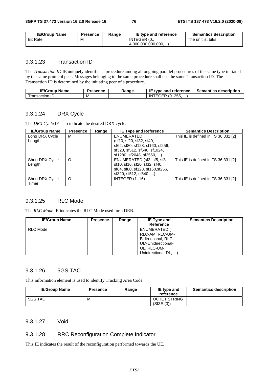| <b>IE/Group Name</b> | <b>Presence</b> | Range | IE type and reference | <b>Semantics description</b> |
|----------------------|-----------------|-------|-----------------------|------------------------------|
| <b>Bit Rate</b>      | M               |       | INTEGER (0            | The unit is: bit/s           |
|                      |                 |       | (4.000.000.000.000)   |                              |

#### 9.3.1.23 Transaction ID

The *Transaction ID* IE uniquely identifies a procedure among all ongoing parallel procedures of the same type initiated by the same protocol peer. Messages belonging to the same procedure shall use the same Transaction ID. The Transaction ID is determined by the initiating peer of a procedure.

| <b>IE/Group Name</b> | Presence | Range | IE<br>$\bar{\ }$ type and reference            | <b>Semantics description</b> |
|----------------------|----------|-------|------------------------------------------------|------------------------------|
| fransaction<br>. IL/ | M        |       | <sup>~ㄷ</sup> ዩ (0255, <i>,</i><br>IN.<br>EGER |                              |

#### 9.3.1.24 DRX Cycle

The *DRX Cycle* IE is to indicate the desired DRX cycle.

| <b>IE/Group Name</b>   | <b>Presence</b> | Range | <b>IE Type and Reference</b>     | <b>Semantics Description</b>        |
|------------------------|-----------------|-------|----------------------------------|-------------------------------------|
| Long DRX Cycle         | М               |       | ENUMERATED                       | This IE is defined in TS 36.331 [2] |
| Length                 |                 |       | (sf10, sf20, sf32, sf40,         |                                     |
|                        |                 |       | sf64, sf80, sf128, sf160, sf256, |                                     |
|                        |                 |       | sf320, sf512, sf640, sf1024,     |                                     |
|                        |                 |       | sf1280, sf2048, sf2560, )        |                                     |
| Short DRX Cycle        | O               |       | ENUMERATED (sf2, sf5, sf8,       | This IE is defined in TS 36.331 [2] |
| Length                 |                 |       | sf10, sf16, sf20, sf32, sf40,    |                                     |
|                        |                 |       | sf64, sf80, sf128, sf160, sf256, |                                     |
|                        |                 |       | $sf320$ , $sf512$ , $sf640$ , )  |                                     |
| <b>Short DRX Cycle</b> | O               |       | <b>INTEGER (116)</b>             | This IE is defined in TS 36.331 [2] |
| Timer                  |                 |       |                                  |                                     |

## 9.3.1.25 RLC Mode

The *RLC Mode* IE indicates the RLC Mode used for a DRB.

| <b>IE/Group Name</b> | <b>Presence</b> | Range | IE Type and<br><b>Reference</b>                                                                                   | <b>Semantics Description</b> |
|----------------------|-----------------|-------|-------------------------------------------------------------------------------------------------------------------|------------------------------|
| RLC Mode             |                 |       | ENUMERATED (<br>RLC-AM, RLC-UM-<br>Bidirectional, RLC-<br>UM-Unidirectional-<br>UL, RLC-UM-<br>Unidirectional-DL, |                              |

## 9.3.1.26 5GS TAC

This information element is used to identify Tracking Area Code.

| <b>IE/Group Name</b> | <b>Presence</b> | Range | IE type and<br>reference          | <b>Semantics description</b> |
|----------------------|-----------------|-------|-----------------------------------|------------------------------|
| 5GS TAC              | М               |       | <b>OCTET STRING</b><br>(SIZE (3)) |                              |

#### 9.3.1.27 Void

#### 9.3.1.28 RRC Reconfiguration Complete Indicator

This IE indicates the result of the reconfiguration performed towards the UE.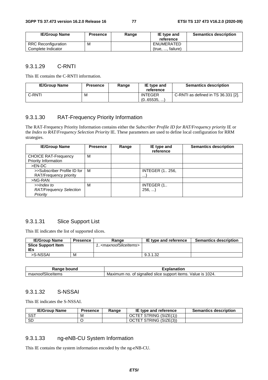| <b>IE/Group Name</b>       | <b>Presence</b> | Range | IE type and<br>reference | <b>Semantics description</b> |
|----------------------------|-----------------|-------|--------------------------|------------------------------|
|                            |                 |       |                          |                              |
| <b>RRC Reconfiguration</b> | М               |       | ENUMERATED               |                              |
| Complete Indicator         |                 |       | (true, , failure)        |                              |

#### 9.3.1.29 C-RNTI

This IE contains the C-RNTI information.

| <b>IE/Group Name</b> | <b>Presence</b> | Range | IE type and<br>reference     | <b>Semantics description</b>        |
|----------------------|-----------------|-------|------------------------------|-------------------------------------|
| C-RNTI               | M               |       | <b>INTEGER</b><br>(065535, ) | C-RNTI as defined in TS 36.331 [2]. |

## 9.3.1.30 RAT-Frequency Priority Information

The RAT-Frequency Priority Information contains either the *Subscriber Profile ID for RAT/Frequency priority* IE or the *Index to RAT/Frequency Selection Priority* IE. These parameters are used to define local configuration for RRM strategies.

| <b>IE/Group Name</b>                                     | <b>Presence</b> | Range | IE type and<br>reference           | <b>Semantics description</b> |
|----------------------------------------------------------|-----------------|-------|------------------------------------|------------------------------|
| <b>CHOICE RAT-Frequency</b><br>Priority Information      | М               |       |                                    |                              |
| $>EN-DC$                                                 |                 |       |                                    |                              |
| >>Subscriber Profile ID for<br>RAT/Frequency priority    | м               |       | <b>INTEGER (1 256,</b><br>$\cdots$ |                              |
| $>NG-RAN$                                                |                 |       |                                    |                              |
| >>Index to<br><b>RAT/Frequency Selection</b><br>Priority | М               |       | INTEGER (1.<br>256,                |                              |

#### 9.3.1.31 Slice Support List

This IE indicates the list of supported slices.

| <b>IE/Group Name</b>      | <b>Presence</b> | Range                                     | IE type and reference | <b>Semantics description</b> |
|---------------------------|-----------------|-------------------------------------------|-----------------------|------------------------------|
| <b>Slice Support Item</b> |                 | 1 <maxnoofsliceitems></maxnoofsliceitems> |                       |                              |
| IEs                       |                 |                                           |                       |                              |
| >S-NSSAI                  | м               |                                           | 9.3.1.32              |                              |

| bound                       | anation                                                                                |
|-----------------------------|----------------------------------------------------------------------------------------|
| nkann a                     | ou                                                                                     |
| $\sim$<br>maxnoofSliceItems | 1024.<br>signalled<br>Value<br>support<br>items.<br>Maximum<br>slice<br>IS<br>no<br>0t |

#### 9.3.1.32 S-NSSAI

This IE indicates the S-NSSAI.

| <b>IE/Group Name</b> | Presence | Ranɑe | IE type and reference  | <b>Semantics description</b> |
|----------------------|----------|-------|------------------------|------------------------------|
| <b>SST</b>           | ΙVΙ      |       | OCTET STRING (SIZE(1)) |                              |
| SD                   |          |       | OCTET STRING (SIZE(3)) |                              |

## 9.3.1.33 ng-eNB-CU System Information

This IE contains the system information encoded by the ng-eNB-CU.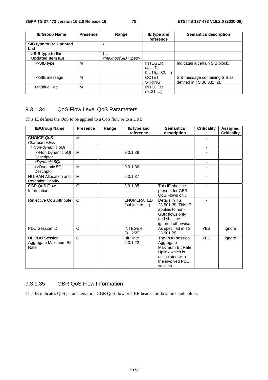| <b>IE/Group Name</b>                       | <b>Presence</b> | Range                                     | IE type and<br>reference            | <b>Semantics description</b>                               |
|--------------------------------------------|-----------------|-------------------------------------------|-------------------------------------|------------------------------------------------------------|
| SIB type to Be Updated<br>List             |                 |                                           |                                     |                                                            |
| >SIB type to Be<br><b>Updated Item IEs</b> |                 | 1.<br><maxnoofsibtypes></maxnoofsibtypes> |                                     |                                                            |
| >>SIB type                                 | M               |                                           | <b>INTEGER</b><br>(4, 7,<br>915,32, | Indicates a certain SIB block.                             |
| >>SIB message                              | м               |                                           | <b>OCTET</b><br><b>STRING</b>       | SIB message containing SIB as<br>defined in TS 36.331 [2]. |
| >>Value Tag                                | M               |                                           | <b>INTEGER</b><br>(031, )           |                                                            |

## 9.3.1.34 QoS Flow Level QoS Parameters

This IE defines the QoS to be applied to a QoS flow or to a DRB.

| <b>IE/Group Name</b>                                   | <b>Presence</b> | Range | IE type and<br>reference            | <b>Semantics</b><br>description                                                                                        | <b>Criticality</b>       | <b>Assigned</b><br><b>Criticality</b> |
|--------------------------------------------------------|-----------------|-------|-------------------------------------|------------------------------------------------------------------------------------------------------------------------|--------------------------|---------------------------------------|
| <b>CHOICE QoS</b>                                      | M               |       |                                     |                                                                                                                        |                          |                                       |
| <b>Characteristics</b>                                 |                 |       |                                     |                                                                                                                        |                          |                                       |
| >Non-dynamic 5QI                                       |                 |       |                                     |                                                                                                                        | $\overline{\phantom{a}}$ |                                       |
| >>Non Dynamic 5QI                                      | M               |       | 9.3.1.38                            |                                                                                                                        |                          |                                       |
| Descriptor                                             |                 |       |                                     |                                                                                                                        |                          |                                       |
| >Dynamic 5QI                                           |                 |       |                                     |                                                                                                                        | $\overline{\phantom{a}}$ |                                       |
| >>Dynamic 5QI<br>Descriptor                            | M               |       | 9.3.1.36                            |                                                                                                                        |                          |                                       |
| NG-RAN Allocation and<br><b>Retention Priority</b>     | M               |       | 9.3.1.37                            |                                                                                                                        | $\blacksquare$           |                                       |
| <b>GBR OoS Flow</b><br>Information                     | $\circ$         |       | 9.3.1.35                            | This IE shall be<br>present for GBR<br>QoS Flows only.                                                                 |                          |                                       |
| Reflective QoS Attribute                               | $\Omega$        |       | <b>ENUMERATED</b><br>(subject to, ) | Details in TS<br>23.501 [8]. This IE<br>applies to non-<br>GBR flows only<br>and shall be<br>ignored otherwise.        |                          |                                       |
| PDU Session ID                                         | O               |       | <b>INTEGER</b><br>(0255)            | As specified in TS<br>23.501 [8].                                                                                      | <b>YES</b>               | ignore                                |
| <b>UL PDU Session</b><br>Aggregate Maximum Bit<br>Rate | $\Omega$        |       | <b>Bit Rate</b><br>9.3.1.22         | The PDU session<br>Aggregate<br>Maximum Bit Rate<br>Uplink which is<br>associated with<br>the involved PDU<br>session. | <b>YES</b>               | ignore                                |

#### 9.3.1.35 GBR QoS Flow Information

This IE indicates QoS parameters for a GBR QoS flow or GBR bearer for downlink and uplink.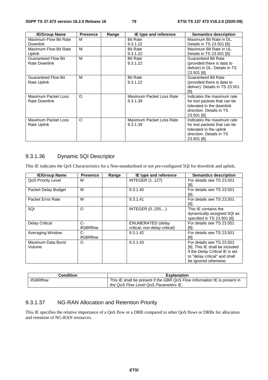| <b>IE/Group Name</b>       | <b>Presence</b> | Range | IE type and reference    | <b>Semantics description</b>   |
|----------------------------|-----------------|-------|--------------------------|--------------------------------|
| Maximum Flow Bit Rate      | м               |       | <b>Bit Rate</b>          | Maximum Bit Rate in DL.        |
| <b>Downlink</b>            |                 |       | 9.3.1.22                 | Details in TS 23.501 [8].      |
| Maximum Flow Bit Rate      | M               |       | <b>Bit Rate</b>          | Maximum Bit Rate in UL.        |
| Uplink                     |                 |       | 9.3.1.22                 | Details in TS 23.501 [8].      |
| <b>Guaranteed Flow Bit</b> | M               |       | <b>Bit Rate</b>          | <b>Guaranteed Bit Rate</b>     |
| <b>Rate Downlink</b>       |                 |       | 9.3.1.22                 | (provided there is data to     |
|                            |                 |       |                          | deliver) in DL. Details in TS  |
|                            |                 |       |                          | 23.501 [8].                    |
| <b>Guaranteed Flow Bit</b> | M               |       | <b>Bit Rate</b>          | <b>Guaranteed Bit Rate</b>     |
| Rate Uplink                |                 |       | 9.3.1.22                 | (provided there is data to     |
|                            |                 |       |                          | deliver). Details in TS 23.501 |
|                            |                 |       |                          | [8].                           |
| Maximum Packet Loss        | O               |       | Maximum Packet Loss Rate | Indicates the maximum rate     |
| Rate Downlink              |                 |       | 9.3.1.39                 | for lost packets that can be   |
|                            |                 |       |                          | tolerated in the downlink      |
|                            |                 |       |                          | direction. Details in TS       |
|                            |                 |       |                          | 23.501 [8].                    |
| Maximum Packet Loss        | O               |       | Maximum Packet Loss Rate | Indicates the maximum rate     |
| Rate Uplink                |                 |       | 9.3.1.39                 | for lost packets that can be   |
|                            |                 |       |                          | tolerated in the uplink        |
|                            |                 |       |                          | direction. Details in TS       |
|                            |                 |       |                          | 23.501 [8].                    |

## 9.3.1.36 Dynamic 5QI Descriptor

This IE indicates the QoS Characteristics for a Non-standardised or not pre-configured 5QI for downlink and uplink.

| <b>IE/Group Name</b>      | <b>Presence</b> | Range | IE type and reference         | <b>Semantics description</b>    |
|---------------------------|-----------------|-------|-------------------------------|---------------------------------|
| <b>QoS Priority Level</b> | м               |       | <b>INTEGER (1127)</b>         | For details see TS 23.501       |
|                           |                 |       |                               | [8].                            |
| Packet Delay Budget       | м               |       | 9.3.1.40                      | For details see TS 23.501       |
|                           |                 |       |                               | $[8]$ .                         |
| Packet Error Rate         | M               |       | 9.3.1.41                      | For details see TS 23.501       |
|                           |                 |       |                               | [8].                            |
| 5QI                       | $\circ$         |       | INTEGER (0255,)               | This IE contains the            |
|                           |                 |       |                               | dynamically assigned 5QI as     |
|                           |                 |       |                               | specified in TS 23.501 [8].     |
| <b>Delay Critical</b>     | $C-$            |       | <b>ENUMERATED (delay</b>      | For details see TS 23.501       |
|                           | ifGBRflow       |       | critical, non-delay critical) | [8].                            |
| Averaging Window          | C-              |       | 9.3.1.42                      | For details see TS 23.501       |
|                           | ifGBRflow       |       |                               | [8].                            |
| Maximum Data Burst        | O               |       | 9.3.1.43                      | For details see TS 23.501       |
| Volume                    |                 |       |                               | [8]. This IE shall be included  |
|                           |                 |       |                               | if the Delay Critical IE is set |
|                           |                 |       |                               | to "delay critical" and shall   |
|                           |                 |       |                               | be ignored otherwise.           |

| <b>Condition</b> | <b>Explanation</b>                                                        |
|------------------|---------------------------------------------------------------------------|
| ifGBRflow        | This IE shall be present if the GBR QoS Flow Information IE is present in |
|                  | the QoS Flow Level QoS Parameters IE.                                     |

## 9.3.1.37 NG-RAN Allocation and Retention Priority

This IE specifies the relative importance of a QoS flow or a DRB compared to other QoS flows or DRBs for allocation and retention of NG-RAN resources.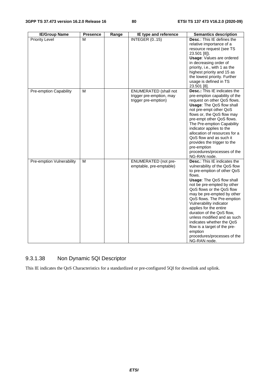| <b>IE/Group Name</b>             | <b>Presence</b> | Range | IE type and reference                                                            | <b>Semantics description</b>                                                                                                                                                                                                                                                                                                                                                                                                                                                                              |
|----------------------------------|-----------------|-------|----------------------------------------------------------------------------------|-----------------------------------------------------------------------------------------------------------------------------------------------------------------------------------------------------------------------------------------------------------------------------------------------------------------------------------------------------------------------------------------------------------------------------------------------------------------------------------------------------------|
| <b>Priority Level</b>            | М               |       | <b>INTEGER (015)</b>                                                             | Desc.: This IE defines the<br>relative importance of a<br>resource request (see TS<br>23.501 [8]).<br><b>Usage: Values are ordered</b><br>in decreasing order of<br>priority, i.e., with 1 as the<br>highest priority and 15 as<br>the lowest priority. Further<br>usage is defined in TS<br>23.501 [8].                                                                                                                                                                                                  |
| Pre-emption Capability           | M               |       | <b>ENUMERATED (shall not</b><br>trigger pre-emption, may<br>trigger pre-emption) | <b>Desc.:</b> This IE indicates the<br>pre-emption capability of the<br>request on other QoS flows.<br>Usage: The QoS flow shall<br>not pre-empt other QoS<br>flows or, the QoS flow may<br>pre-empt other QoS flows.<br>The Pre-emption Capability<br>indicator applies to the<br>allocation of resources for a<br>QoS flow and as such it<br>provides the trigger to the<br>pre-emption<br>procedures/processes of the<br>NG-RAN node.                                                                  |
| <b>Pre-emption Vulnerability</b> | м               |       | <b>ENUMERATED</b> (not pre-<br>emptable, pre-emptable)                           | Desc.: This IE indicates the<br>vulnerability of the QoS flow<br>to pre-emption of other QoS<br>flows.<br><b>Usage: The QoS flow shall</b><br>not be pre-empted by other<br>QoS flows or the QoS flow<br>may be pre-empted by other<br>QoS flows. The Pre-emption<br>Vulnerability indicator<br>applies for the entire<br>duration of the QoS flow,<br>unless modified and as such<br>indicates whether the QoS<br>flow is a target of the pre-<br>emption<br>procedures/processes of the<br>NG-RAN node. |

## 9.3.1.38 Non Dynamic 5QI Descriptor

This IE indicates the QoS Characteristics for a standardized or pre-configured 5QI for downlink and uplink.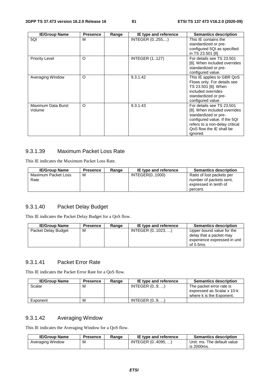| <b>IE/Group Name</b>         | <b>Presence</b> | Range | IE type and reference | <b>Semantics description</b>                                                                                                                                                                |
|------------------------------|-----------------|-------|-----------------------|---------------------------------------------------------------------------------------------------------------------------------------------------------------------------------------------|
| 5QI                          | M               |       | INTEGER (0255,)       | This IE contains the<br>standardized or pre-<br>configured 5QI as specified<br>in TS 23.501 [8]                                                                                             |
| <b>Priority Level</b>        | O               |       | <b>INTEGER (1127)</b> | For details see TS 23.501<br>[8]. When included overrides<br>standardized or pre-<br>configured value.                                                                                      |
| Averaging Window             | $\circ$         |       | 9.3.1.42              | This IE applies to GBR QoS<br>Flows only. For details see<br>TS 23.501 [8]. When<br>included overrides<br>standardized or pre-<br>configured value.                                         |
| Maximum Data Burst<br>Volume | O               |       | 9.3.1.43              | For details see TS 23.501<br>[8]. When included overrides<br>standardized or pre-<br>configured value. If the 5QI<br>refers to a non-delay critical<br>QoS flow the IE shall be<br>ignored. |

## 9.3.1.39 Maximum Packet Loss Rate

This IE indicates the Maximum Packet Loss Rate.

| <b>IE/Group Name</b>        | <b>Presence</b> | Range | IE type and reference | <b>Semantics description</b>                                                              |
|-----------------------------|-----------------|-------|-----------------------|-------------------------------------------------------------------------------------------|
| Maximum Packet Loss<br>Rate | м               |       | INTEGER(01000)        | Ratio of lost packets per<br>number of packets sent.<br>expressed in tenth of<br>percent. |

## 9.3.1.40 Packet Delay Budget

This IE indicates the Packet Delay Budget for a QoS flow.

| <b>IE/Group Name</b> | <b>Presence</b> | Range | IE type and reference | <b>Semantics description</b>                                                                      |
|----------------------|-----------------|-------|-----------------------|---------------------------------------------------------------------------------------------------|
| Packet Delay Budget  | м               |       | INTEGER (01023. )     | Upper bound value for the<br>delay that a packet may<br>experience expressed in unit<br>of 0.5ms. |

### 9.3.1.41 Packet Error Rate

This IE indicates the Packet Error Rate for a QoS flow.

| <b>IE/Group Name</b> | <b>Presence</b> | Range | IE type and reference | <b>Semantics description</b>                                                       |
|----------------------|-----------------|-------|-----------------------|------------------------------------------------------------------------------------|
| Scalar               | м               |       | INTEGR (09, )         | The packet error rate is<br>expressed as Scalar x 10-k<br>where k is the Exponent. |
| Exponent             | м               |       | INTEGR(09, )          |                                                                                    |

## 9.3.1.42 Averaging Window

This IE indicates the Averaging Window for a QoS flow.

| <b>IE/Group Name</b> | Presence | Range | IE type and reference | <b>Semantics description</b> |
|----------------------|----------|-------|-----------------------|------------------------------|
| Averaging Window     | М        |       | INTEGER (04095. )     | Unit: ms. The default value  |
|                      |          |       |                       | is 2000ms.                   |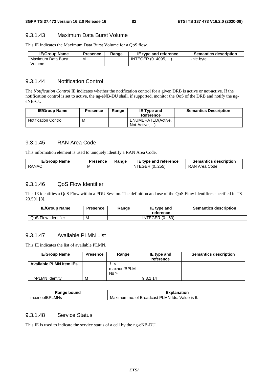#### 9.3.1.43 Maximum Data Burst Volume

This IE indicates the Maximum Data Burst Volume for a QoS flow.

| <b>IE/Group Name</b> | <b>Presence</b> | Range | IE type and reference | <b>Semantics description</b> |
|----------------------|-----------------|-------|-----------------------|------------------------------|
| Maximum Data Burst   | M               |       | INTEGER (04095, )     | Unit: byte.                  |
| Volume               |                 |       |                       |                              |

#### 9.3.1.44 Notification Control

The *Notification Control* IE indicates whether the notification control for a given DRB is active or not-active. If the notification control is set to active, the ng-eNB-DU shall, if supported, monitor the QoS of the DRB and notify the ngeNB-CU.

| <b>IE/Group Name</b>        | Presence | Range | <b>IE Type and</b><br>Reference     | <b>Semantics Description</b> |
|-----------------------------|----------|-------|-------------------------------------|------------------------------|
| <b>Notification Control</b> | M        |       | ENUMERATED(Active,<br>Not-Active, ) |                              |

#### 9.3.1.45 RAN Area Code

This information element is used to uniquely identify a RAN Area Code.

| <b>IE/Group</b><br>⊦ Name | <b>Presence</b> | Range | ΙE<br>type and reference. | <b>Semantics description</b> |
|---------------------------|-----------------|-------|---------------------------|------------------------------|
| <b>RANAC</b>              | м               |       | INTEGER (0255)            | RAN A<br>l Area Code         |

#### 9.3.1.46 QoS Flow Identifier

This IE identifies a QoS Flow within a PDU Session. The definition and use of the QoS Flow Identifiers specified in TS 23.501 [8].

| <b>IE/Group Name</b> | Presence | Range | IE type and<br>reference | <b>Semantics description</b> |
|----------------------|----------|-------|--------------------------|------------------------------|
| QoS Flow Identifier  | M        |       | <b>INTEGER (0.63)</b>    |                              |

### 9.3.1.47 Available PLMN List

This IE indicates the list of available PLMN.

| <b>IE/Group Name</b>           | <b>Presence</b> | Range                   | IE type and<br>reference | <b>Semantics description</b> |
|--------------------------------|-----------------|-------------------------|--------------------------|------------------------------|
| <b>Available PLMN Item IEs</b> |                 | >/<br>maxnoofBPLM<br>Ns |                          |                              |
| >PLMN Identity                 | M               |                         | 9.3.1.14                 |                              |

| ⊀anqe<br>bound                | <b>TAP 60</b><br>าnation<br>ла<br>.А                                         |
|-------------------------------|------------------------------------------------------------------------------|
| LMNs<br>וחס<br>maxnoofL<br>n- | lds.<br>Value is 6.<br>_MN.<br><b>Broadcast</b><br>Maximum<br>◡<br>no.<br>Οt |

## 9.3.1.48 Service Status

This IE is used to indicate the service status of a cell by the ng-eNB-DU.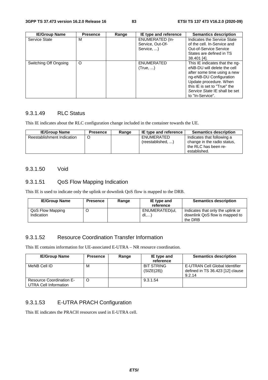| <b>IE/Group Name</b>  | <b>Presence</b> | Range | IE type and reference                                    | <b>Semantics description</b>                                                                                                                                                                                                           |
|-----------------------|-----------------|-------|----------------------------------------------------------|----------------------------------------------------------------------------------------------------------------------------------------------------------------------------------------------------------------------------------------|
| Service State         | м               |       | <b>ENUMERATED (In-</b><br>Service, Out-Of-<br>Service, ) | Indicates the Service State<br>of the cell. In-Service and<br><b>Out-of-Service Service</b><br>States are defined in TS<br>38.401 [4].                                                                                                 |
| Switching Off Ongoing | $\circ$         |       | <b>ENUMERATED</b><br>(True, )                            | This IE indicates that the ng-<br>eNB-DU will delete the cell<br>after some time using a new<br>ng-eNB-DU Configuration<br>Update procedure. When<br>this IE is set to "True" the<br>Service State IE shall be set<br>to "In-Service". |

## 9.3.1.49 RLC Status

This IE indicates about the RLC configuration change included in the container towards the UE.

| <b>IE/Group Name</b>       | Presence | Range | IE type and reference           | <b>Semantics description</b>                                                                      |
|----------------------------|----------|-------|---------------------------------|---------------------------------------------------------------------------------------------------|
| Reestablishment Indication |          |       | ENUMERATED<br>(reestablished, ) | Indicates that following a<br>change in the radio status,<br>the RLC has been re-<br>established. |

#### 9.3.1.50 Void

### 9.3.1.51 QoS Flow Mapping Indication

This IE is used to indicate only the uplink or downlink QoS flow is mapped to the DRB.

| <b>IE/Group Name</b>           | <b>Presence</b> | Range | IE type and<br>reference | <b>Semantics description</b>                                                   |
|--------------------------------|-----------------|-------|--------------------------|--------------------------------------------------------------------------------|
| QoS Flow Mapping<br>Indication | O               |       | ENUMERATED(ul.<br>dl     | Indicates that only the uplink or<br>downlink QoS flow is mapped to<br>the DRB |

### 9.3.1.52 Resource Coordination Transfer Information

This IE contains information for UE-associated E-UTRA – NR resource coordination.

| <b>IE/Group Name</b>                                     | <b>Presence</b> | Range | IE type and<br>reference        | <b>Semantics description</b>                                                 |
|----------------------------------------------------------|-----------------|-------|---------------------------------|------------------------------------------------------------------------------|
| MeNB Cell ID                                             | м               |       | <b>BIT STRING</b><br>(SIZE(28)) | E-UTRAN Cell Global Identifier<br>defined in TS 36.423 [12] clause<br>9.2.14 |
| <b>Resource Coordination E-</b><br>UTRA Cell Information | C               |       | 9.3.1.54                        |                                                                              |

## 9.3.1.53 E-UTRA PRACH Configuration

This IE indicates the PRACH resources used in E-UTRA cell.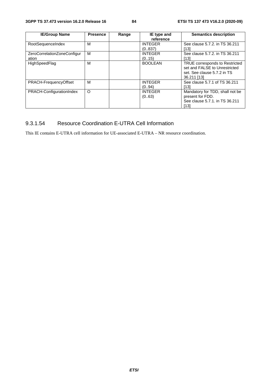| <b>IE/Group Name</b>        | <b>Presence</b> | Range | IE type and    | <b>Semantics description</b>    |
|-----------------------------|-----------------|-------|----------------|---------------------------------|
|                             |                 |       | reference      |                                 |
| RootSequenceIndex           | M               |       | <b>INTEGER</b> | See clause 5.7.2. in TS 36.211  |
|                             |                 |       | (0.837)        | [13]                            |
| ZeroCorrelationZoneConfigur | м               |       | <b>INTEGER</b> | See clause 5.7.2. in TS 36.211  |
| ation                       |                 |       | (0.15)         | [13]                            |
| HighSpeedFlag               | M               |       | <b>BOOLEAN</b> | TRUE corresponds to Restricted  |
|                             |                 |       |                | set and FALSE to Unrestricted   |
|                             |                 |       |                | set. See clause 5.7.2 in TS     |
|                             |                 |       |                | 36.211 [13]                     |
| PRACH-FrequencyOffset       | м               |       | <b>INTEGER</b> | See clause 5.7.1 of TS 36.211   |
|                             |                 |       | (0.,94)        | [13]                            |
| PRACH-ConfigurationIndex    | O               |       | <b>INTEGER</b> | Mandatory for TDD, shall not be |
|                             |                 |       | (063)          | present for FDD.                |
|                             |                 |       |                | See clause 5.7.1, in TS 36.211  |
|                             |                 |       |                | [13]                            |

# 9.3.1.54 Resource Coordination E-UTRA Cell Information

This IE contains E-UTRA cell information for UE-associated E-UTRA – NR resource coordination.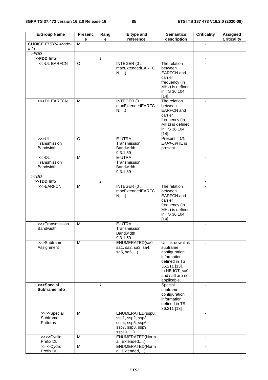| <b>IE/Group Name</b>                                 | <b>Presenc</b><br>е | Rang<br>е    | IE type and<br>reference                                                                    | <b>Semantics</b><br>description                                                                                                                  | <b>Criticality</b>       | <b>Assigned</b><br><b>Criticality</b> |
|------------------------------------------------------|---------------------|--------------|---------------------------------------------------------------------------------------------|--------------------------------------------------------------------------------------------------------------------------------------------------|--------------------------|---------------------------------------|
| <b>CHOICE EUTRA-Mode-</b>                            | $\overline{M}$      |              |                                                                                             |                                                                                                                                                  |                          |                                       |
| <b>Info</b>                                          |                     |              |                                                                                             |                                                                                                                                                  |                          |                                       |
| >FDD                                                 |                     |              |                                                                                             |                                                                                                                                                  | $\blacksquare$           |                                       |
| >>FDD Info                                           |                     | $\mathbf{1}$ |                                                                                             |                                                                                                                                                  | $\blacksquare$           |                                       |
| >>>UL EARFCN                                         | O                   |              | INTEGER (0<br>maxExtendedEARFC<br>N,                                                        | The relation<br>between<br><b>EARFCN</b> and<br>carrier<br>frequency (in<br>MHz) is defined<br>in TS 36.104<br>$[14]$ .                          |                          |                                       |
| >>>DL EARFCN                                         | м                   |              | INTEGER (0<br>maxExtendedEARFC<br>N,                                                        | The relation<br>between<br><b>EARFCN</b> and<br>carrier<br>frequency (in<br>MHz) is defined<br>in TS 36.104<br>$[14]$ .                          |                          |                                       |
| >>UL<br>Transmission<br><b>Bandwidth</b>             | $\overline{O}$      |              | E-UTRA<br>Transmission<br><b>Bandwidth</b><br>9.3.1.59                                      | Present if UL<br>EARFCN IE is<br>present.                                                                                                        | $\overline{a}$           |                                       |
| >>D <sub>L</sub><br>Transmission<br><b>Bandwidth</b> | M                   |              | E-UTRA<br>Transmission<br><b>Bandwidth</b><br>9.3.1.59                                      |                                                                                                                                                  | $\blacksquare$           |                                       |
| > TDD                                                |                     |              |                                                                                             |                                                                                                                                                  | $\blacksquare$           |                                       |
| >>TDD Info<br>$>$ > EARFCN                           | M                   | $\mathbf{1}$ | INTEGER (0                                                                                  | The relation                                                                                                                                     | $\blacksquare$           |                                       |
|                                                      |                     |              | maxExtendedEARFC<br>N,                                                                      | between<br><b>EARFCN</b> and<br>carrier<br>frequency (in<br>MHz) is defined<br>in TS 36.104<br>$[14]$ .                                          |                          |                                       |
| >>>Transmission<br><b>Bandwidth</b>                  | M                   |              | E-UTRA<br>Transmission<br><b>Bandwidth</b><br>9.3.1.59                                      |                                                                                                                                                  | $\overline{\phantom{m}}$ |                                       |
| >>>Subframe<br>Assignment                            | M                   |              | ENUMERATED(sa0,<br>sa1, sa2, sa3, sa4,<br>sa5, sa6,)                                        | Uplink-downlink<br>subframe<br>configuration<br>information<br>defined in TS<br>36.211 [13].<br>In NB-IOT, sa0<br>and sa6 are not<br>applicable. | ä,                       |                                       |
| >>>Special<br>Subframe Info                          |                     | $\mathbf{1}$ |                                                                                             | Special<br>subframe<br>configuration<br>information<br>defined in TS<br>36.211 [13]                                                              | $\blacksquare$           |                                       |
| >>>>Special<br>Subframe<br>Patterns                  | M                   |              | ENUMERATED(ssp0,<br>ssp1, ssp2, ssp3,<br>ssp4, ssp5, ssp6,<br>ssp7, ssp8, ssp9,<br>ssp10, ) |                                                                                                                                                  |                          |                                       |
| >>>>Cyclic<br>Prefix DL                              | M                   |              | ENUMERATED(Norm<br>al, Extended,)                                                           |                                                                                                                                                  | ä,                       |                                       |
| >>>>Cyclic<br>Prefix UL                              | M                   |              | ENUMERATED(Norm<br>al, Extended,)                                                           |                                                                                                                                                  | $\overline{\phantom{a}}$ |                                       |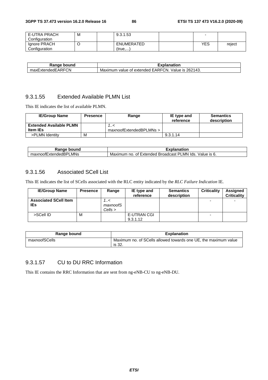| <b>E-UTRA PRACH</b> | M | 9.3.1.53   |     |        |
|---------------------|---|------------|-----|--------|
| Configuration       |   |            |     |        |
| Ignore PRACH        |   | ENUMERATED | YES | reject |
| Configuration       |   | (true….    |     |        |

| bound<br>Range          | Explanation                                                                      |
|-------------------------|----------------------------------------------------------------------------------|
| ExtendedEARFCN<br>maxE, | 262143.<br>TCN.<br><b>EARFO</b><br>Value is<br>⊧of extended.<br>Maximum<br>value |

#### 9.3.1.55 Extended Available PLMN List

This IE indicates the list of available PLMN.

| <b>IE/Group Name</b>           | <b>Presence</b> | Range                   | IE type and<br>reference | <b>Semantics</b><br>description |
|--------------------------------|-----------------|-------------------------|--------------------------|---------------------------------|
| <b>Extended Available PLMN</b> |                 | >/                      |                          |                                 |
| <b>Item IEs</b>                |                 | maxnoofExtendedBPLMNs > |                          |                                 |
| >PLMN Identity                 | M               |                         | 9.3.1.14                 |                                 |

| <b>UAR</b><br>bound                                                  | $-1.1.1$<br><br>anation                                                               |
|----------------------------------------------------------------------|---------------------------------------------------------------------------------------|
| $\overline{\phantom{0}}$<br>MNs_<br>⊻noofExtende⊾<br>maxn<br>. JIS P | _MN<br>lds.<br>√alue<br>Extended<br>Maximum<br>no.<br><b>Broadcast</b><br>Οt<br>IS 6. |

### 9.3.1.56 Associated SCell List

This IE indicates the list of SCells associated with the RLC entity indicated by the *RLC Failure Indication* IE.

| <b>IE/Group Name</b>                | <b>Presence</b> | Range                    | IE type and<br>reference | <b>Semantics</b><br>description | <b>Criticality</b> | Assigned<br><b>Criticality</b> |
|-------------------------------------|-----------------|--------------------------|--------------------------|---------------------------------|--------------------|--------------------------------|
| <b>Associated SCell Item</b><br>IEs |                 | 7…<<br>maxnoofS<br>Cells |                          |                                 | -                  | $\overline{\phantom{0}}$       |
| >SCell ID                           | M               |                          | E-UTRAN CGI<br>9.3.1.12  |                                 | -                  |                                |

| Range bound   | <b>Explanation</b>                                                        |
|---------------|---------------------------------------------------------------------------|
| maxnoofSCells | Maximum no. of SCells allowed towards one UE, the maximum value<br>is 32. |

### 9.3.1.57 CU to DU RRC Information

This IE contains the RRC Information that are sent from ng-eNB-CU to ng-eNB-DU.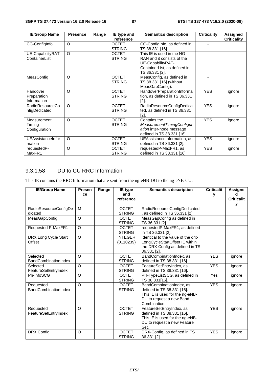| <b>IE/Group Name</b>   | <b>Presence</b> | Range | IE type and   | <b>Semantics description</b>  | <b>Criticality</b> | Assigned           |
|------------------------|-----------------|-------|---------------|-------------------------------|--------------------|--------------------|
|                        |                 |       | reference     |                               |                    | <b>Criticality</b> |
| CG-ConfigInfo          | $\Omega$        |       | <b>OCTET</b>  | CG-ConfigInfo, as defined in  |                    |                    |
|                        |                 |       | <b>STRING</b> | TS 38.331 [16].               |                    |                    |
| UE-CapabilityRAT-      | $\Omega$        |       | <b>OCTET</b>  | This IE is used in the NG-    |                    |                    |
| ContainerList          |                 |       | <b>STRING</b> | RAN and it consists of the    |                    |                    |
|                        |                 |       |               | UE-CapabilityRAT-             |                    |                    |
|                        |                 |       |               | ContainerList, as defined in  |                    |                    |
|                        |                 |       |               | TS 36.331 [2].                |                    |                    |
| MeasConfig             | O               |       | <b>OCTET</b>  | MeasConfig, as defined in     |                    |                    |
|                        |                 |       | <b>STRING</b> | TS 38.331 [16] (without       |                    |                    |
|                        |                 |       |               | MeasGapConfig).               |                    |                    |
| Handover               | $\Omega$        |       | <b>OCTET</b>  | HandoverPreparationInforma    | <b>YES</b>         | ignore             |
| Preparation            |                 |       | <b>STRING</b> | tion, as defined in TS 36.331 |                    |                    |
| Information            |                 |       |               | [2]                           |                    |                    |
| <b>RadioResourceCo</b> | $\circ$         |       | <b>OCTET</b>  | RadioResourceConfigDedica     | <b>YES</b>         | ignore             |
| nfigDedicated          |                 |       | <b>STRING</b> | ted, as defined in TS 36.331  |                    |                    |
|                        |                 |       |               | [2]                           |                    |                    |
| Measurement            | $\Omega$        |       | <b>OCTET</b>  | Contains the                  | <b>YES</b>         | ignore             |
| Timing                 |                 |       | <b>STRING</b> | MeasurementTimingConfigur     |                    |                    |
| Configuration          |                 |       |               | ation inter-node message      |                    |                    |
|                        |                 |       |               | defined in TS 38.331 [16].    |                    |                    |
| UEAssistanceInfor      | $\circ$         |       | <b>OCTET</b>  | UEAssistanceInformation, as   | <b>YES</b>         | ignore             |
| mation                 |                 |       | <b>STRING</b> | defined in TS 36.331 [2].     |                    |                    |
| requestedP-            | $\Omega$        |       | <b>OCTET</b>  | requestedP-MaxFR1, as         | <b>YES</b>         | ignore             |
| MaxFR1                 |                 |       | <b>STRING</b> | defined in TS 38.331 [16].    |                    |                    |

## 9.3.1.58 DU to CU RRC Information

This IE contains the RRC Information that are sent from the ng-eNB-DU to the ng-eNB-CU.

| <b>IE/Group Name</b>        | <b>Presen</b>  | Range | IE type        | <b>Semantics description</b>       | <b>Criticalit</b> | <b>Assigne</b>    |
|-----------------------------|----------------|-------|----------------|------------------------------------|-------------------|-------------------|
|                             | ce             |       | and            |                                    | y                 |                   |
|                             |                |       | reference      |                                    |                   | <b>Criticalit</b> |
|                             |                |       |                |                                    |                   | v                 |
| RadioResourceConfigDe       | м              |       | <b>OCTET</b>   | RadioResourceConfigDedicated       |                   |                   |
| dicated                     |                |       | <b>STRING</b>  | as defined in TS 36.331 [2].       |                   |                   |
| MeasGapConfig               | O              |       | <b>OCTET</b>   | MeasGapConfig as defined in        |                   |                   |
|                             |                |       | <b>STRING</b>  | TS 36.331 [2].                     |                   |                   |
| <b>Requested P-MaxFR1</b>   | $\overline{O}$ |       | <b>OCTET</b>   | requestedP-MaxFR1, as defined      |                   |                   |
|                             |                |       | <b>STRING</b>  | in TS 36.331 [2].                  |                   |                   |
| DRX Long Cycle Start        | O              |       | <b>INTEGER</b> | Identical to the value of the drx- |                   |                   |
| Offset                      |                |       | (0.10239)      | LongCycleStartOffset IE within     |                   |                   |
|                             |                |       |                | the DRX-Config as defined in TS    |                   |                   |
|                             |                |       |                | 36.331 [2].                        |                   |                   |
| Selected                    | O              |       | <b>OCTET</b>   | BandCombinationIndex, as           | <b>YES</b>        | ignore            |
| BandCombinationIndex        |                |       | <b>STRING</b>  | defined in TS 38.331 [16].         |                   |                   |
| Selected                    | $\Omega$       |       | <b>OCTET</b>   | FeatureSetEntryIndex, as           | <b>YES</b>        | ignore            |
| FeatureSetEntryIndex        |                |       | <b>STRING</b>  | defined in TS 38.331 [16].         |                   |                   |
| Ph-InfoSCG                  | O              |       | <b>OCTET</b>   | PH-TypeListSCG, as defined in      | Yes               | ignore            |
|                             |                |       | <b>STRING</b>  | TS 38.331[16].                     |                   |                   |
| Requested                   | O              |       | <b>OCTET</b>   | BandCombinationIndex, as           | <b>YES</b>        | ignore            |
| <b>BandCombinationIndex</b> |                |       | <b>STRING</b>  | defined in TS 38.331 [16].         |                   |                   |
|                             |                |       |                | This IE is used for the ng-eNB-    |                   |                   |
|                             |                |       |                | DU to request a new Band           |                   |                   |
|                             |                |       |                | Combination.                       |                   |                   |
| Requested                   | $\Omega$       |       | <b>OCTET</b>   | FeatureSetEntryIndex, as           | <b>YES</b>        | ignore            |
| FeatureSetEntryIndex        |                |       | <b>STRING</b>  | defined in TS 38.331 [16].         |                   |                   |
|                             |                |       |                | This IE is used for the ng-eNB-    |                   |                   |
|                             |                |       |                | DU to request a new Feature        |                   |                   |
|                             |                |       |                | Set.                               |                   |                   |
| DRX Config                  | O              |       | <b>OCTET</b>   | DRX-Config, as defined in TS       | <b>YES</b>        | ignore            |
|                             |                |       | <b>STRING</b>  | 36.331 [2].                        |                   |                   |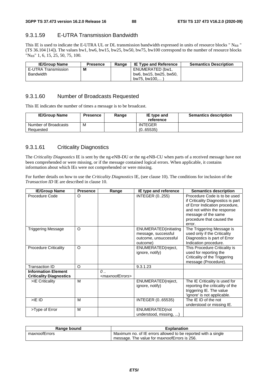### 9.3.1.59 E-UTRA Transmission Bandwidth

This IE is used to indicate the E-UTRA UL or DL transmission bandwidth expressed in units of resource blocks " $N_{RB}$ " (TS 36.104 [14]). The values bw1, bw6, bw15, bw25, bw50, bw75, bw100 correspond to the number of resource blocks "NRB" 1, 6, 15, 25, 50, 75, 100.

| <b>IE/Group Name</b> | <b>Presence</b> | Range | <b>IE Type and Reference</b> | <b>Semantics Description</b> |
|----------------------|-----------------|-------|------------------------------|------------------------------|
| E-UTRA Transmission  | M               |       | ENUMERATED (bw1.             |                              |
| <b>Bandwidth</b>     |                 |       | bw6, bw15, bw25, bw50,       |                              |
|                      |                 |       | bw75. bw100                  |                              |

#### 9.3.1.60 Number of Broadcasts Requested

This IE indicates the number of times a message is to be broadcast.

| <b>IE/Group Name</b>              | <b>Presence</b> | Range | IE type and<br>reference   | <b>Semantics description</b> |
|-----------------------------------|-----------------|-------|----------------------------|------------------------------|
| Number of Broadcasts<br>Requested | M               |       | <b>INTEGER</b><br>(065535) |                              |

## 9.3.1.61 Criticality Diagnostics

The *Criticality Diagnostics* IE is sent by the ng-eNB-DU or the ng-eNB-CU when parts of a received message have not been comprehended or were missing, or if the message contained logical errors. When applicable, it contains information about which IEs were not comprehended or were missing.

For further details on how to use the *Criticality Diagnostics* IE, (see clause 10). The conditions for inclusion of the *Transaction ID* IE are described in clause 10.

| <b>IE/Group Name</b>                                         | <b>Presence</b> | Range                                            | IE type and reference                                                                     | <b>Semantics description</b>                                                                                                                                                                      |
|--------------------------------------------------------------|-----------------|--------------------------------------------------|-------------------------------------------------------------------------------------------|---------------------------------------------------------------------------------------------------------------------------------------------------------------------------------------------------|
| Procedure Code                                               | O               |                                                  | <b>INTEGER (0255)</b>                                                                     | Procedure Code is to be used<br>if Criticality Diagnostics is part<br>of Error Indication procedure,<br>and not within the response<br>message of the same<br>procedure that caused the<br>error. |
| <b>Triggering Message</b>                                    | $\circ$         |                                                  | <b>ENUMERATED</b> (initiating<br>message, successful<br>outcome, unsuccessful<br>outcome) | The Triggering Message is<br>used only if the Criticality<br>Diagnostics is part of Error<br>Indication procedure.                                                                                |
| <b>Procedure Criticality</b>                                 | $\circ$         |                                                  | ENUMERATED(reject,<br>ignore, notify)                                                     | This Procedure Criticality is<br>used for reporting the<br>Criticality of the Triggering<br>message (Procedure).                                                                                  |
| <b>Transaction ID</b>                                        | O               |                                                  | 9.3.1.23                                                                                  |                                                                                                                                                                                                   |
| <b>Information Element</b><br><b>Criticality Diagnostics</b> |                 | $\mathcal{O}$<br><maxnooferrors></maxnooferrors> |                                                                                           |                                                                                                                                                                                                   |
| >IE Criticality                                              | M               |                                                  | ENUMERATED(reject,<br>ignore, notify)                                                     | The IE Criticality is used for<br>reporting the criticality of the<br>triggering IE. The value<br>'ignore' is not applicable.                                                                     |
| $>$ IE ID                                                    | M               |                                                  | INTEGER (065535)                                                                          | The IE ID of the not<br>understood or missing IE.                                                                                                                                                 |
| >Type of Error                                               | M               |                                                  | ENUMERATED(not<br>understood, missing, )                                                  |                                                                                                                                                                                                   |

| Range bound   | <b>Explanation</b>                                            |
|---------------|---------------------------------------------------------------|
| maxnoofErrors | Maximum no. of IE errors allowed to be reported with a single |
|               | I message. The value for maxnoofErrors is 256.                |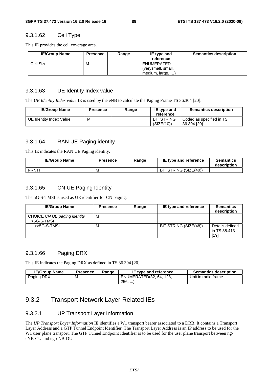#### 9.3.1.62 Cell Type

This IE provides the cell coverage area.

| <b>IE/Group Name</b> | <b>Presence</b> | Range | IE type and<br>reference                             | <b>Semantics description</b> |
|----------------------|-----------------|-------|------------------------------------------------------|------------------------------|
| Cell Size            | M               |       | ENUMERATED<br>(verysmall, small,<br>medium, large, ) |                              |

#### 9.3.1.63 UE Identity Index value

The *UE Identity Index value* IE is used by the eNB to calculate the Paging Frame TS 36.304 [20].

| <b>IE/Group Name</b>    | <b>Presence</b> | Range | IE type and<br>reference        | <b>Semantics description</b>             |
|-------------------------|-----------------|-------|---------------------------------|------------------------------------------|
| UE Identity Index Value | M               |       | <b>BIT STRING</b><br>(SIZE(10)) | Coded as specified in TS<br>36.304 [20]. |

#### 9.3.1.64 RAN UE Paging identity

This IE indicates the RAN UE Paging identity.

| <b>IE/Group Name</b> | Presence | Range | IE type and reference | <b>Semantics</b><br>description |
|----------------------|----------|-------|-----------------------|---------------------------------|
| <b>I-RNT!</b>        | M        |       | BIT STRING (SIZE(40)) |                                 |

#### 9.3.1.65 CN UE Paging Identity

The 5G-S-TMSI is used as UE identifier for CN paging.

| <b>IE/Group Name</b>         | <b>Presence</b> | Range | IE type and reference | <b>Semantics</b><br>description         |
|------------------------------|-----------------|-------|-----------------------|-----------------------------------------|
| CHOICE CN UE paging identity | м               |       |                       |                                         |
| >5G-S-TMSI                   |                 |       |                       |                                         |
| $>5G-S-TMSI$                 | M               |       | BIT STRING (SIZE(48)) | Details defined<br>in TS 38.413<br>[19] |

#### 9.3.1.66 Paging DRX

This IE indicates the Paging DRX as defined in TS 36.304 [20].

| <b>IE/Group Name</b> | Presence | Range | <b>IE type and reference</b> | <b>Semantics description</b> |
|----------------------|----------|-------|------------------------------|------------------------------|
| Paging DRX           | М        |       | ENUMERATED(32, 64, 128,      | Unit in radio frame.         |
|                      |          |       | 256,                         |                              |

# 9.3.2 Transport Network Layer Related IEs

#### 9.3.2.1 UP Transport Layer Information

The *UP Transport Layer Information* IE identifies a W1 transport bearer associated to a DRB. It contains a Transport Layer Address and a GTP Tunnel Endpoint Identifier. The Transport Layer Address is an IP address to be used for the W1 user plane transport. The GTP Tunnel Endpoint Identifier is to be used for the user plane transport between ngeNB-CU and ng-eNB-DU.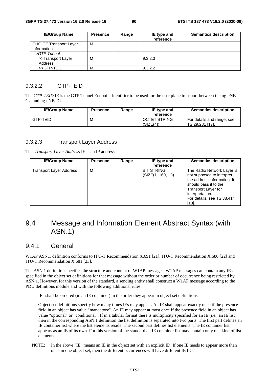| <b>IE/Group Name</b>                         | <b>Presence</b> | Range | IE type and<br>reference | <b>Semantics description</b> |
|----------------------------------------------|-----------------|-------|--------------------------|------------------------------|
| <b>CHOICE Transport Layer</b><br>Information | м               |       |                          |                              |
| >GTP Tunnel                                  |                 |       |                          |                              |
| >>Transport Layer<br>Address                 | М               |       | 9.3.2.3                  |                              |
| >>GTP-TEID                                   | М               |       | 9.3.2.2                  |                              |

#### 9.3.2.2 GTP-TEID

The *GTP-TEID* IE is the GTP Tunnel Endpoint Identifier to be used for the user plane transport between the ng-eNB-CU and ng-eNB-DU.

| <b>IE/Group Name</b> | <b>Presence</b> | Range | IE type and<br>reference         | <b>Semantics description</b>                  |
|----------------------|-----------------|-------|----------------------------------|-----------------------------------------------|
| GTP-TEID             | M               |       | <b>OCTET STRING</b><br>(SIZE(4)) | For details and range, see<br>TS 29.281 [17]. |

#### 9.3.2.3 Transport Layer Address

This *Transport Layer Address* IE is an IP address.

| <b>IE/Group Name</b>    | <b>Presence</b> | Range | IE type and<br>reference           | <b>Semantics description</b>                                                                                                                                                                     |
|-------------------------|-----------------|-------|------------------------------------|--------------------------------------------------------------------------------------------------------------------------------------------------------------------------------------------------|
| Transport Layer Address | м               |       | <b>BIT STRING</b><br>(SIZE(1160, ) | The Radio Network Layer is<br>not supposed to interpret<br>the address information. It<br>should pass it to the<br>Transport Layer for<br>interpretation.<br>For details, see TS 38.414<br>[18]. |

# 9.4 Message and Information Element Abstract Syntax (with ASN.1)

## 9.4.1 General

W1AP ASN.1 definition conforms to ITU-T Recommendation X.691 [21], ITU-T Recommendation X.680 [22] and ITU-T Recommendation X.681 [23].

The ASN.1 definition specifies the structure and content of W1AP messages. W1AP messages can contain any IEs specified in the object set definitions for that message without the order or number of occurrence being restricted by ASN.1. However, for this version of the standard, a sending entity shall construct a W1AP message according to the PDU definitions module and with the following additional rules:

- IEs shall be ordered (in an IE container) in the order they appear in object set definitions.
- Object set definitions specify how many times IEs may appear. An IE shall appear exactly once if the presence field in an object has value "mandatory". An IE may appear at most once if the presence field in an object has value "optional" or "conditional". If in a tabular format there is multiplicity specified for an IE (i.e., an IE list) then in the corresponding ASN.1 definition the list definition is separated into two parts. The first part defines an IE container list where the list elements reside. The second part defines list elements. The IE container list appears as an IE of its own. For this version of the standard an IE container list may contain only one kind of list elements.
- NOTE: In the above "IE" means an IE in the object set with an explicit ID. If one IE needs to appear more than once in one object set, then the different occurrences will have different IE IDs.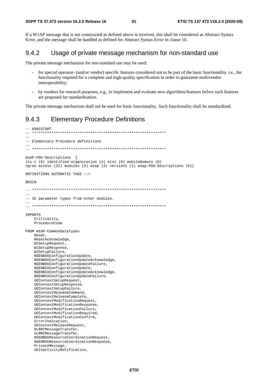If a W1AP message that is not constructed as defined above is received, this shall be considered as Abstract Syntax Error, and the message shall be handled as defined for Abstract Syntax Error in clause 10.

#### 942 Usage of private message mechanism for non-standard use

The private message mechanism for non-standard use may be used:

- for special operator- (and/or vendor) specific features considered not to be part of the basic functionality, i.e., the functionality required for a complete and high-quality specification in order to guarantee multivendor interoperability;
- by vendors for research purposes, e.g., to implement and evaluate new algorithms/features before such features are proposed for standardisation.

The private message mechanism shall not be used for basic functionality. Such functionality shall be standardised.

#### **Elementary Procedure Definitions** 943

```
-- ASN1START
             \equiv\frac{1}{2}-- Elementary Procedure definitions
W1AP-PDU-Descriptions {
itu-t (0) identified-organization (4) etsi (0) mobileDomain (0)
ngran-access (22) modules (3) wlap (3) version1 (1) wlap-PDU-Descriptions (0) }
DEFINITIONS AUTOMATIC TAGS ::=
BEGIN
\Delta \Delta-- IE parameter types from other modules.
IMPORTS
   Criticality,
   ProcedureCode
FROM W1AP-CommonDataTypes
   Reset
   ResetAcknowledge,
   W1SetupRequest,
   WlSetupResponse,
   WlSetupFailure,
   NGENBDUConfigurationUpdate,
   NGENBDUConfigurationUpdateAcknowledge,
   NGENBDUConfigurationUpdateFailure,
   NGENBCUConfigurationUpdate,
   NGENBCUConfigurationUpdateAcknowledge,
   NGENBCUConfigurationUpdateFailure,
   UEContextSetupRequest,
   UEContextSetupResponse,
   UEContextSetupFailure,
   UEContextReleaseCommand,
   UEContextReleaseComplete,
   UEContextModificationRequest
   UEContextModificationResponse,
   UEContextModificationFailure,
   UEContextModificationRequired,
   UEContextModificationConfirm,
   ErrorIndication,
   UEContextReleaseRequest,
   DLRRCMessageTransfer,
   ULRRCMessageTransfer,
   NGENBDUResourceCoordinationRequest,
   NGENBDUResourceCoordinationResponse,
   PrivateMessage.
   UEInactivityNotification,
```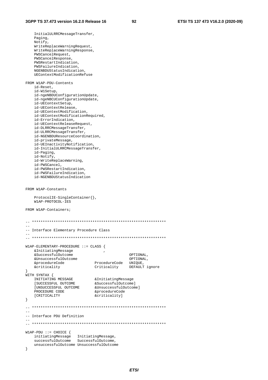InitialULRRCMessageTransfer, Paging, Notify, WriteReplaceWarningRequest, WriteReplaceWarningResponse, PWSCancelRequest, PWSCancelResponse, PWSRestartIndication, PWSFailureIndication, NGENBDUStatusIndication, UEContextModificationRefuse FROM W1AP-PDU-Contents id-Reset, id-W1Setup, id-ngeNBDUConfigurationUpdate, id-ngeNBCUConfigurationUpdate, id-UEContextSetup, id-UEContextRelease, id-UEContextModification, id-UEContextModificationRequired, id-ErrorIndication, id-UEContextReleaseRequest, id-DLRRCMessageTransfer, id-ULRRCMessageTransfer, id-NGENBDUResourceCoordination, id-privateMessage, id-UEInactivityNotification, id-InitialULRRCMessageTransfer, id-Paging, id-Notify, id-WriteReplaceWarning, id-PWSCancel, id-PWSRestartIndication, id-PWSFailureIndication, id-NGENBDUStatusIndication FROM W1AP-Constants ProtocolIE-SingleContainer{}, W1AP-PROTOCOL-IES FROM W1AP-Containers;  $\hspace{1.3cm} - \hspace{1.3cm} - \hspace{1.3cm} - \hspace{1.3cm}$  $-$ -- Interface Elementary Procedure Class -- -- \*\*\*\*\*\*\*\*\*\*\*\*\*\*\*\*\*\*\*\*\*\*\*\*\*\*\*\*\*\*\*\*\*\*\*\*\*\*\*\*\*\*\*\*\*\*\*\*\*\*\*\*\*\*\*\*\*\*\*\*\*\* W1AP-ELEMENTARY-PROCEDURE ::= CLASS { entitiating the contract of the set of the set of the set of the set of the set of the set of the set of the s<br>
set of the set of the set of the set of the set of the set of the set of the set of the set of the set of the &SuccessfulOutcome OPTIONAL, &UnsuccessfulOutcome OPTIONAL, &procedureCode ProcedureCode UNIQUE, &criticality Criticality DEFAULT ignore } WITH SYNTAX { INITIATING MESSAGE &InitiatingMessage [SUCCESSFUL OUTCOME &SuccessfulOutcome] [UNSUCCESSFUL OUTCOME &UnsuccessfulOutcome] PROCEDURE CODE &procedureCode [CRITICALITY &criticality] } -- \*\*\*\*\*\*\*\*\*\*\*\*\*\*\*\*\*\*\*\*\*\*\*\*\*\*\*\*\*\*\*\*\*\*\*\*\*\*\*\*\*\*\*\*\*\*\*\*\*\*\*\*\*\*\*\*\*\*\*\*\*\* -- -- Interface PDU Definition -- -- \*\*\*\*\*\*\*\*\*\*\*\*\*\*\*\*\*\*\*\*\*\*\*\*\*\*\*\*\*\*\*\*\*\*\*\*\*\*\*\*\*\*\*\*\*\*\*\*\*\*\*\*\*\*\*\*\*\*\*\*\*\* W1AP-PDU ::= CHOICE { initiatingMessage InitiatingMessage, successfulOutcome SuccessfulOutcome, unsuccessfulOutcome UnsuccessfulOutcome }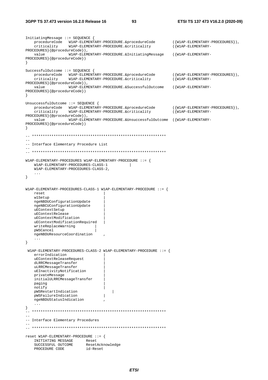```
InitiatingMessage ::= SEQUENCE { 
   procedureCode W1AP-ELEMENTARY-PROCEDURE.&procedureCode ({W1AP-ELEMENTARY-PROCEDURES}),<br>criticality W1AP-ELEMENTARY-PROCEDURE.&criticality ({W1AP-ELEMENTARY-
     criticality W1AP-ELEMENTARY-PROCEDURE.&criticality ({W1AP-ELEMENTARY-
PROCEDURES}{@procedureCode}), 
     value W1AP-ELEMENTARY-PROCEDURE.&InitiatingMessage ({W1AP-ELEMENTARY-
PROCEDURES}{@procedureCode}) 
} 
SuccessfulOutcome ::= SEQUENCE { 
 procedureCode W1AP-ELEMENTARY-PROCEDURE.&procedureCode ({W1AP-ELEMENTARY-PROCEDURES}), 
 criticality W1AP-ELEMENTARY-PROCEDURE.&criticality ({W1AP-ELEMENTARY-
PROCEDURES}{@procedureCode}), 
     value W1AP-ELEMENTARY-PROCEDURE.&SuccessfulOutcome ({W1AP-ELEMENTARY-
PROCEDURES}{@procedureCode}) 
} 
UnsuccessfulOutcome ::= SEQUENCE { 
    procedureCode W1AP-ELEMENTARY-PROCEDURE.&procedureCode ({W1AP-ELEMENTARY-PROCEDURES}),<br>criticality W1AP-ELEMENTARY-PROCEDURE.&criticality ({W1AP-ELEMENTARY-
                     w1AP-ELEMENTARY-PROCEDURE.&criticality
PROCEDURES}{@procedureCode}), 
     value W1AP-ELEMENTARY-PROCEDURE.&UnsuccessfulOutcome ({W1AP-ELEMENTARY-
PROCEDURES}{@procedureCode}) 
} 
-- ************************************************************** 
-- 
-- Interface Elementary Procedure List 
-- 
-- ************************************************************** 
W1AP-ELEMENTARY-PROCEDURES W1AP-ELEMENTARY-PROCEDURE ::= { 
     W1AP-ELEMENTARY-PROCEDURES-CLASS-1 | 
     W1AP-ELEMENTARY-PROCEDURES-CLASS-2, 
     ... 
} 
W1AP-ELEMENTARY-PROCEDURES-CLASS-1 W1AP-ELEMENTARY-PROCEDURE ::= { 
     reset | 
     w1Setup | 
     ngeNBDUConfigurationUpdate | 
     ngeNBCUConfigurationUpdate | 
     uEContextSetup | 
     uEContextRelease | 
     uEContextModification | 
     uEContextModificationRequired | 
     writeReplaceWarning | 
     pWSCancel | 
     ngeNBDUResourceCoordination , 
     ... 
} 
  W1AP-ELEMENTARY-PROCEDURES-CLASS-2 W1AP-ELEMENTARY-PROCEDURE ::= { 
     errorIndication | 
     uEContextReleaseRequest | 
     dLRRCMessageTransfer | 
     uLRRCMessageTransfer | 
     uEInactivityNotification | 
     privateMessage | 
     initialULRRCMessageTransfer | 
     paging | 
     notify | 
    pWSRestartIndication | |<br>pWSFailureIndication | |
     pWSFailureIndication | 
     ngeNBDUStatusIndication , 
     ... 
} 
-- ************************************************************** 
-- 
-- Interface Elementary Procedures 
-- 
-- ************************************************************** 
reset W1AP-ELEMENTARY-PROCEDURE ::= { 
    INITIATING MESSAGE Reset<br>SUCCESSFUL OUTCOME ResetAcknowledge
    SUCCESSFUL OUTCOME ResetAck<br>PROCEDURE CODE id-Reset
    PROCEDURE CODE
```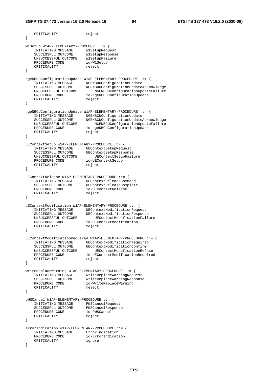```
CRITICALITY reject
} 
w1Setup W1AP-ELEMENTARY-PROCEDURE ::= { 
 INITIATING MESSAGE W1SetupRequest 
 SUCCESSFUL OUTCOME W1SetupResponse 
   UNSUCCESSFUL OUTCOME MISetupFailure<br>PROCEDURE CODE id-WISetup
   UNSUCCEDURE CODE
   CRITICALITY reject
} 
ngeNBDUConfigurationUpdate W1AP-ELEMENTARY-PROCEDURE ::= { 
 INITIATING MESSAGE NGENBDUConfigurationUpdate 
 SUCCESSFUL OUTCOME NGENBDUConfigurationUpdateAcknowledge 
 UNSUCCESSFUL OUTCOME NGENBDUConfigurationUpdateFailure 
PROCEDURE CODE id-ngeNBDUConfigurationUpdate
CRITICALITY reject
} 
ngeNBCUConfigurationUpdate W1AP-ELEMENTARY-PROCEDURE ::= { 
 INITIATING MESSAGE NGENBCUConfigurationUpdate 
 SUCCESSFUL OUTCOME NGENBCUConfigurationUpdateAcknowledge 
 UNSUCCESSFUL OUTCOME NGENBCUConfigurationUpdateFailure 
 PROCEDURE CODE id-ngeNBCUConfigurationUpdate 
CRITICALITY reject
} 
uEContextSetup W1AP-ELEMENTARY-PROCEDURE ::= { 
 INITIATING MESSAGE UEContextSetupRequest 
 SUCCESSFUL OUTCOME UEContextSetupResponse 
 UNSUCCESSFUL OUTCOME UEContextSetupFailure 
 PROCEDURE CODE id-UEContextSetup 
CRITICALITY reject
} 
uEContextRelease W1AP-ELEMENTARY-PROCEDURE ::= { 
 INITIATING MESSAGE UEContextReleaseCommand 
 SUCCESSFUL OUTCOME UEContextReleaseComplete 
PROCEDURE CODE id-UEContextRelease
CRITICALITY reject
} 
uEContextModification W1AP-ELEMENTARY-PROCEDURE ::= { 
 INITIATING MESSAGE UEContextModificationRequest 
 SUCCESSFUL OUTCOME UEContextModificationResponse 
 UNSUCCESSFUL OUTCOME UEContextModificationFailure 
 PROCEDURE CODE id-UEContextModification 
CRITICALITY reject
} 
uEContextModificationRequired W1AP-ELEMENTARY-PROCEDURE ::= { 
 INITIATING MESSAGE UEContextModificationRequired 
 SUCCESSFUL OUTCOME UEContextModificationConfirm 
 UNSUCCESSFUL OUTCOME UEContextModificationRefuse 
 PROCEDURE CODE id-UEContextModificationRequired 
CRITICALITY reject
} 
writeReplaceWarning W1AP-ELEMENTARY-PROCEDURE ::= { 
 INITIATING MESSAGE WriteReplaceWarningRequest 
 SUCCESSFUL OUTCOME WriteReplaceWarningResponse 
 PROCEDURE CODE id-WriteReplaceWarning 
CRITICALITY reject
} 
pWSCancel W1AP-ELEMENTARY-PROCEDURE ::= { 
 INITIATING MESSAGE PWSCancelRequest 
 SUCCESSFUL OUTCOME PWSCancelResponse 
 PROCEDURE CODE id-PWSCancel 
CRITICALITY reject
} 
errorIndication W1AP-ELEMENTARY-PROCEDURE ::= { 
   INITIATING MESSAGE ErrorIndication
PROCEDURE CODE id-ErrorIndication
CRITICALITY ignore
}
```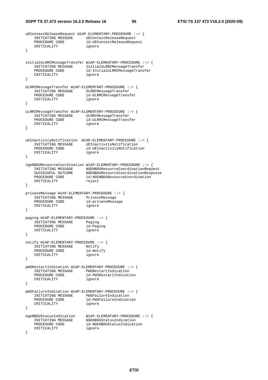#### **3GPP TS 37.473 version 16.2.0 Release 16 95 ETSI TS 137 473 V16.2.0 (2020-09)**

```
uEContextReleaseRequest W1AP-ELEMENTARY-PROCEDURE ::= { 
    INITIATING MESSAGE UEContextReleaseRequest<br>PROCEDURE CODE id-UEContextReleaseRequest
                            id-UEContextReleaseRequest
     CRITICALITY ignore 
} 
initialULRRCMessageTransfer W1AP-ELEMENTARY-PROCEDURE ::= { 
    INITIATING MESSAGE InitialULRRCMessageTransfer<br>PROCEDURE CODE id-InitialULRRCMessageTrans
                             id-InitialULRRCMessageTransfer
     CRITICALITY ignore 
} 
dLRRCMessageTransfer W1AP-ELEMENTARY-PROCEDURE ::= { 
     INITIATING MESSAGE DLRRCMessageTransfer 
                            id-DLRRCMessageTransfer
    CRITICALITY ignore
} 
uLRRCMessageTransfer W1AP-ELEMENTARY-PROCEDURE ::= { 
 INITIATING MESSAGE ULRRCMessageTransfer 
 PROCEDURE CODE id-ULRRCMessageTransfer 
    CRITICALITY ignore
} 
uEInactivityNotification W1AP-ELEMENTARY-PROCEDURE ::= { 
    INITIATING MESSAGE UEInactivityNotification<br>PROCEDURE CODE id-UEInactivityNotificat
                            id-UEInactivityNotification
     CRITICALITY ignore 
} 
ngeNBDUResourceCoordination W1AP-ELEMENTARY-PROCEDURE ::= { 
 INITIATING MESSAGE NGENBDUResourceCoordinationRequest 
 SUCCESSFUL OUTCOME NGENBDUResourceCoordinationResponse 
 PROCEDURE CODE id-NGENBDUResourceCoordination 
CRITICALITY reject
} 
privateMessage W1AP-ELEMENTARY-PROCEDURE ::= { 
    INITIATING MESSAGE PrivateMessage<br>PROCEDURE CODE id-privateMessage
    PROCEDURE CODE id-pri<br>CRITICALITY ignore
    CRITICALITY
} 
paging W1AP-ELEMENTARY-PROCEDURE ::= { 
     INITIATING MESSAGE Paging 
    PROCEDURE CODE id-Paging
    CRITICALITY ignore
} 
notify W1AP-ELEMENTARY-PROCEDURE ::= { 
    INITIATING MESSAGE Notify<br>PROCEDURE CODE id-Notify
    PROCEDURE CODE id-Noticent<br>CRITICALITY ignore
    CRITICALITY
} 
pWSRestartIndication W1AP-ELEMENTARY-PROCEDURE ::= { 
     INITIATING MESSAGE PWSRestartIndication 
                             id-PWSRestartIndication
     CRITICALITY ignore 
} 
pWSFailureIndication W1AP-ELEMENTARY-PROCEDURE ::= { 
     INITIATING MESSAGE PWSFailureIndication 
                             id-PWSFailureIndication<br>ignore
    CRITICALITY
} 
ngeNBDUStatusIndication W1AP-ELEMENTARY-PROCEDURE ::= { 
 INITIATING MESSAGE NGENBDUStatusIndication 
PROCEDURE CODE id-NGENBDUStatusIndication
    PROCEDURE CODE id-NGE<br>CRITICALITY ignore
}
```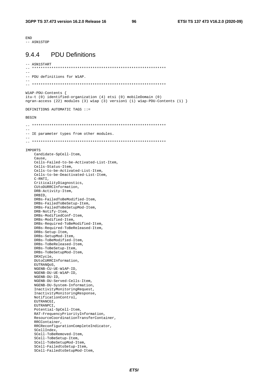**END** ---<br>-- ASN1STOP

#### **PDU Definitions**  $944$

```
-- ASN1START
            + + + +-- PDU definitions for W1AP.
WlAP-PDU-Contents {
itu-t (0) identified-organization (4) etsi (0) mobileDomain (0)
ngran-access (22) modules (3) wlap (3) version1 (1) wlap-PDU-Contents (1) }
DEFINITIONS AUTOMATIC TAGS ::=
BEGIN
= --- IE parameter types from other modules.
TMDORTS
   Candidate-SpCell-Item,
   Cause,
   Cells-Failed-to-be-Activated-List-Item,
   Cells-Status-Item,
   Cells-to-be-Activated-List-Item,
   Cells-to-be-Deactivated-List-Item,
   C-RNTI,
   CriticalityDiagnostics,
   CUtoDURRCInformation,
   DRB-Activity-Item,
   DRBID.
   DRBs-FailedToBeModified-Item,
   DRBs-FailedToBeSetup-Item,
   DRBs-FailedToBeSetupMod-Item,
   DRB-Notify-Item,
   DRBs-ModifiedConf-Item,
   DRBs-Modified-Item,
   DRBs-Required-ToBeModified-Item,
   DRBs-Required-ToBeReleased-Item,
   DRBs-Setup-Item,
   DRBs-SetupMod-Item,
   DRBs-ToBeModified-Item,
   DRBs-ToBeReleased-Item,
   DRBs-ToBeSetup-Item,
   DRBs-ToBeSetupMod-Item
   DRXCycle,
   DUtoCURRCInformation,
   EUTRANQOS,
   NGENB-CU-UE-W1AP-ID,
   NGENB-DU-UE-W1AP-ID.
   NGENB-DU-ID,
   NGENB-DU-Served-Cells-Item,
   NGENB-DU-System-Information,
   InactivityMonitoringRequest,
   InactivityMonitoringResponse,
   NotificationControl,
   EUTRANCGI,
   EUTRANPCI,
   Potential-SpCell-Item.
   RAT-FrequencyPriorityInformation,
   ResourceCoordinationTransferContainer,
   RRCContainer.
   RRCReconfigurationCompleteIndicator,
   SCellIndex,
   SCell-ToBeRemoved-Item,
   SCell-ToBeSetup-Item,
   SCe11 - ToBeSetunMod-Ttem.
   SCell-FailedtoSetup-Item
   SCell-FailedtoSetupMod-Item,
```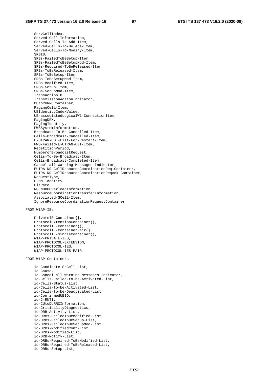ServCellIndex, Served-Cell-Information, Served-Cells-To-Add-Item, Served-Cells-To-Delete-Item, Served-Cells-To-Modify-Item, SRBID, SRBs-FailedToBeSetup-Item, SRBs-FailedToBeSetupMod-Item, SRBs-Required-ToBeReleased-Item, SRBs-ToBeReleased-Item, SRBs-ToBeSetup-Item, SRBs-ToBeSetupMod-Item, SRBs-Modified-Item, SRBs-Setup-Item, SRBs-SetupMod-Item, TransactionID, TransmissionActionIndicator, DUtoCURRCContainer, PagingCell-Item, UEIdentityIndexValue, UE-associatedLogicalW1-ConnectionItem, PagingDRX, PagingIdentity, PWSSystemInformation, Broadcast-To-Be-Cancelled-Item, Cells-Broadcast-Cancelled-Item, E-UTRAN-CGI-List-For-Restart-Item, PWS-Failed-E-UTRAN-CGI-Item, RepetitionPeriod, NumberofBroadcastRequest, Cells-To-Be-Broadcast-Item, Cells-Broadcast-Completed-Item, Cancel-all-Warning-Messages-Indicator, EUTRA-NR-CellResourceCoordinationReq-Container, EUTRA-NR-CellResourceCoordinationReqAck-Container, RequestType, PLMN-Identity, BitRate, NGENBDUOverloadInformation, ResourceCoordinationTransferInformation, Associated-SCell-Item, IgnoreResourceCoordinationRequestContainer

#### FROM W1AP-IEs

```
 PrivateIE-Container{}, 
 ProtocolExtensionContainer{}, 
 ProtocolIE-Container{}, 
 ProtocolIE-ContainerPair{}, 
 ProtocolIE-SingleContainer{}, 
 W1AP-PRIVATE-IES, 
 W1AP-PROTOCOL-EXTENSION, 
 W1AP-PROTOCOL-IES, 
 W1AP-PROTOCOL-IES-PAIR
```
FROM W1AP-Containers

```
 id-Candidate-SpCell-List, 
 id-Cause, 
 id-Cancel-all-Warning-Messages-Indicator, 
 id-Cells-Failed-to-be-Activated-List, 
 id-Cells-Status-List, 
 id-Cells-to-be-Activated-List, 
 id-Cells-to-be-Deactivated-List, 
 id-ConfirmedUEID, 
 id-C-RNTI, 
 id-CUtoDURRCInformation, 
 id-CriticalityDiagnostics, 
 id-DRB-Activity-List, 
 id-DRBs-FailedToBeModified-List, 
 id-DRBs-FailedToBeSetup-List, 
 id-DRBs-FailedToBeSetupMod-List, 
 id-DRBs-ModifiedConf-List, 
 id-DRBs-Modified-List, 
 id-DRB-Notify-List, 
 id-DRBs-Required-ToBeModified-List, 
 id-DRBs-Required-ToBeReleased-List, 
 id-DRBs-Setup-List,
```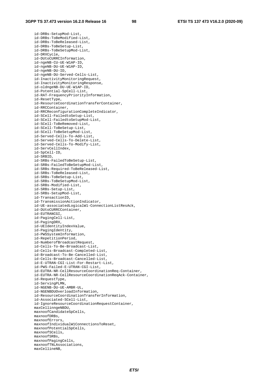id-DRBs-SetupMod-List, id-DRBs-ToBeModified-List, id-DRBs-ToBeReleased-List, id-DRBs-ToBeSetup-List, id-DRBs-ToBeSetupMod-List, id-DRXCycle, id-DUtoCURRCInformation, id-ngeNB-CU-UE-W1AP-ID, id-ngeNB-DU-UE-W1AP-ID, id-ngeNB-DU-ID, id-ngeNB-DU-Served-Cells-List, id-InactivityMonitoringRequest, id-InactivityMonitoringResponse, id-oldngeNB-DU-UE-W1AP-ID, id-Potential-SpCell-List, id-RAT-FrequencyPriorityInformation, id-ResetType, id-ResourceCoordinationTransferContainer, id-RRCContainer, id-RRCReconfigurationCompleteIndicator, id-SCell-FailedtoSetup-List, id-SCell-FailedtoSetupMod-List, id-SCell-ToBeRemoved-List, id-SCell-ToBeSetup-List, id-SCell-ToBeSetupMod-List, id-Served-Cells-To-Add-List, id-Served-Cells-To-Delete-List, id-Served-Cells-To-Modify-List, id-ServCellIndex, id-SpCell-ID, id-SRBID, id-SRBs-FailedToBeSetup-List, id-SRBs-FailedToBeSetupMod-List, id-SRBs-Required-ToBeReleased-List, id-SRBs-ToBeReleased-List, id-SRBs-ToBeSetup-List, id-SRBs-ToBeSetupMod-List, id-SRBs-Modified-List, id-SRBs-Setup-List, id-SRBs-SetupMod-List, id-TransactionID, id-TransmissionActionIndicator, id-UE-associatedLogicalW1-ConnectionListResAck, id-DUtoCURRCContainer, id-EUTRANCGI, id-PagingCell-List, id-PagingDRX, id-UEIdentityIndexValue, id-PagingIdentity, id-PWSSystemInformation, id-RepetitionPeriod, id-NumberofBroadcastRequest, id-Cells-To-Be-Broadcast-List, id-Cells-Broadcast-Completed-List, id-Broadcast-To-Be-Cancelled-List, id-Cells-Broadcast-Cancelled-List, id-E-UTRAN-CGI-List-For-Restart-List, id-PWS-Failed-E-UTRAN-CGI-List, id-EUTRA-NR-CellResourceCoordinationReq-Container, id-EUTRA-NR-CellResourceCoordinationReqAck-Container, id-RequestType, id-ServingPLMN, id-NGENB-DU-UE-AMBR-UL, id-NGENBDUOverloadInformation, id-ResourceCoordinationTransferInformation, id-Associated-SCell-List, id-IgnoreResourceCoordinationRequestContainer, maxCellinngeNBDU, maxnoofCandidateSpCells, maxnoofDRBs, maxnoofErrors, maxnoofIndividualW1ConnectionsToReset, maxnoofPotentialSpCells, maxnoofSCells, maxnoofSRBs, maxnoofPagingCells, maxnoofTNLAssociations, maxCellineNB,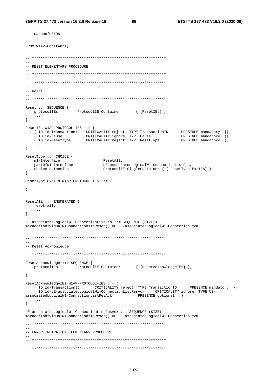maxnoofUEIDs

```
FROM W1AP-Constants:
\frac{1}{2}-- RESET ELEMENTARY PROCEDURE
\perp .
-- Reset
\equiv\begin{tabular}{ll} \texttt{Reset} :: = SEQUENCE & \\ & \\ \texttt{protocolIES} & \texttt{ProtocolIE-Container} & \texttt{\{ResetIES}\}\ \}, \\ \end{tabular}\}ResetIEs W1AP-PROTOCOL-IES ::= {
   FOR THE TRINICIST CRITICALITY reject TYPE TransactionID PRESENCE mandatory }<br>
{ ID id-Cause CRITICALITY ignore TYPE Cause PRESENCE mandatory }<br>
{ ID id-ResetType CRITICALITY reject TYPE ResetType PRESENCE mandatory },
   \sim 100\left\{ \right.ResetType ::= CHOICE {
  wl-Interface
                             ResetAll,
   partOfW1-Interface
                              UE-associatedLogicalW1-ConnectionListRes,
                             ProtocolIE-SingleContainer { { ResetType-ExtIEs} }
   choice-extension
\}ResetType-ExtIEs W1AP-PROTOCOL-IES ::= {
  \ldots\left\{ \right\}ResetAll ::= ENUMERATED {
  reset-all,
\left\{ \right\}UE-associatedLogical W1-ConnectionListRes :: = SEQUENCE (SIZE(1..maxnoofIndividualW1ConnectionsToReset)) OF UE-associatedLogicalW1-ConnectionItem
--- Reset Acknowledge
ResetAcknowledge ::= SEQUENCE {
                 ProtocolIE-Container { {ResetAcknowledgeIEs} },
  protocolIEs
   \sim \sim \sim\mathcal{F}ResetAcknowledgeIEs W1AP-PROTOCOL-IES ::= {
  {ID id-TransactionID cRITICALITY reject TYPE TransactionID PRESENCE mandatory }|
   { ID id-UE-associatedLogicalW1-ConnectionListResAck CRITICALITY ignore TYPE UE-
                                          PRESENCE optional },
associatedLogicalW1-ConnectionListResAck
   \ldots\left\{ \right\}UE-associatedLogicalW1-ConnectionListResack :: = SEOUENCE (SIZE(1..maxnoofIndividualW1ConnectionsToReset)) OF UE-associatedLogicalW1-ConnectionItem
=--- ERROR INDICATION ELEMENTARY PROCEDURE
```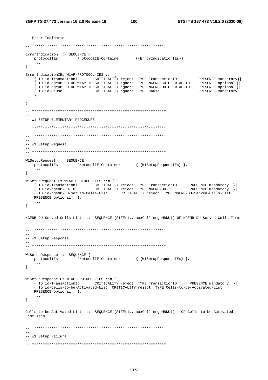```
-- Error Indication
ErrorIndication ::= SEQUENCE {
  protocolIEs ProtocolIE-Container {{ErrorIndicationIEs}},
   \mathbf{1}\left\{ \right.ErrorIndicationIEs W1AP-PROTOCOL-IES ::= {
   The contraction of the contract of the contract of the contract of the contract of the contract of the contract of the contract of the contract of the contract of the contract of the contract of the contract of the contrac
   \} ,
   \sim \sim \sim\}\frac{1}{2}-- W1 SETUP ELEMENTARY PROCEDURE
-- W1 Setup Request
\sim \simW1SetupRequest ::= SEQUENCE {
  protocolIEs ProtocolIE-Container { {W1SetupRequestIEs} },
   \sim 10 .
\}W1SetupRequestIEs W1AP-PROTOCOL-IES ::= {
   { ID id-TransactionID (CRITICALITY reject TYPE TransactionID ( PRESENCE mandatory ) {<br>{ ID id-ngeNB-DU-ID (CRITICALITY reject TYPE NGENB-DU-ID PRESENCE mandatory ) {
   { ID id-ngeNB-DU-Served-Cells-List CRITICALITY reject TYPE NGENB-DU-Served-Cells-List
   PRESENCE optional },
   \mathbf{1}\lambdaNGENB-DU-Served-Cells-List ::= SEQUENCE (SIZE(1.. maxCellinngeNBDU)) OF NGENB-DU-Served-Cells-Item
-- W1 Setup Response
W1SetupResponse ::= SEQUENCE {
  protocolIEs ProtocolIE-Container { {W1SetupResponseIEs} },
   \mathbf{1}\}W1SetupResponseIEs W1AP-PROTOCOL-IES ::= {
   { ID id-TransactionID CRITICALITY reject TYPE TransactionID PRESENCE mandatory }|
   \int ID id-Cells-to-be-Activated-List CRITICALITY reject TYPE Cells-to-be-Activated-List
   PRESENCE optional },
   \ddots\left\{ \right.Cells-to-be-Activated-List ::= SEQUENCE (SIZE(1.. maxCellinnqeNBDU)) OF Cells-to-be-Activated-
List-Item
\frac{1}{2}-- W1 Setup Failure
```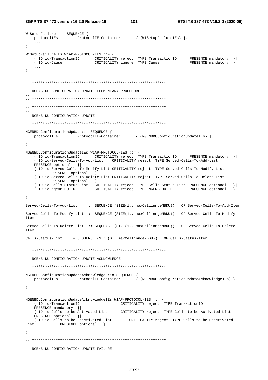```
3GPP TS 37.473 version 16.2.0 Release 16
```

```
W1SetupFailure ::= SEQUENCE {
   protocolIEs ProtocolIE-Container { {W1SetupFailureIEs} },
   \ldots\}W1SetupFailureIEs W1AP-PROTOCOL-IES ::= {
   The id-TransactionID<br>{ ID id-TransactionID CRITICALITY reject TYPE TransactionID<br>{ ID id-Cause CRITICALITY ignore TYPE Cause
                                                             PRESENCE mandatory }|<br>PRESENCE mandatory },
   \ddotsc\}-- NGENB-DU CONFIGURATION UPDATE ELEMENTARY PROCEDURE
-- NGENB-DU CONFIGURATION UPDATE
NGENBDUConfigurationUpdate::= SEQUENCE {
               ProtocolIE-Container { {NGENBDUConfigurationUpdateIEs} },
   protocolIEs
   \cdots\}NGENBDUConfigurationUpdateIEs W1AP-PROTOCOL-IES ::= {
   PRESENCE mandatory } |
   ID id-Served-Cells-To-Add-List CRITICALITY reject TYPE Served-Cells-To-Add-List
   PRESENCE optional }
   { ID id-Served-Cells-To-Modify-List CRITICALITY reject TYPE Served-Cells-To-Modify-List
         PRESENCE optional }
   { ID id-Served-Cells-To-Delete-List CRITICALITY reject TYPE Served-Cells-To-Delete-List
         PRESENCE optional } |
   {ID id-Cells-Status-List CRITICALITY reject TYPE Cells-Status-List PRESENCE optional<br>{ID id-ngeNB-DU-ID CRITICALITY reject TYPE NGENB-DU-ID PRESENCE optional
                                                                                \}\sim . .
\left\{ \right\}Served-Cells-To-Add-List ::= SEOUENCE (SIZE(1.. maxCellinngeNBDU)) OF Served-Cells-To-Add-Item
Served-Cells-To-Modify-List ::= SEQUENCE (SIZE(1.. maxCellinngeNBDU)) OF Served-Cells-To-Modify-
Item
Served-Cells-To-Delete-List ::= SEQUENCE (SIZE(1.. maxCellinngeNBDU)) OF Served-Cells-To-Delete-
Item
Cells-Status-List ::= SEQUENCE (SIZE(0.. maxCellinngeNBDU)) OF Cells-Status-Item
-- NGENB-DU CONFIGURATION UPDATE ACKNOWLEDGE
NGENBDUConfigurationUpdateAcknowledge ::= SEQUENCE {
   protocolIEs
                ProtocolIE-Container
                                          \{ {NGENBDUConfigurationUpdateAcknowledgeIEs} },
   \sim \sim \sim\}NGENBDUConfigurationUpdateAcknowledgeIEs W1AP-PROTOCOL-IES ::= {
                       CRITICALITY reject TYPE TransactionID
   { ID id-TransactionID
   PRESENCE mandatory } |
   { ID id-Cells-to-be-Activated-List CRITICALITY reject TYPE Cells-to-be-Activated-List
   PRESENCE optional } |
   { ID id-Cells-to-be-Deactivated-List CRITICALITY reject TYPE Cells-to-be-Deactivated-
List
       PRESENCE optional },
   \sim .
\}-- NGENB-DU CONFIGURATION UPDATE FAILURE
```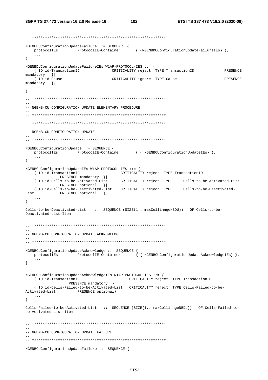NGENBDUConfigurationUpdateFailure ::= SEQUENCE { protocolIEs ProtocolIE-Container { {NGENBDUConfigurationUpdateFailureIEs} },  $\sim 100$  km s  $^{-1}$  $\mathcal{E}$ NGENBDUConfigurationUpdateFailureIEs W1AP-PROTOCOL-IES ::= { { ID id-TransactionID CRITICALITY reject TYPE TransactionID PRESENCE mandatory } | { ID id-Cause CRITICALITY ignore TYPE Cause **PRESENCE**  $mandatory$  },  $\sim$  .  $\sim$  $\left\{ \right\}$ -- NGENB-CU CONFIGURATION UPDATE ELEMENTARY PROCEDURE -- NGENB-CU CONFIGURATION UPDATE  $\equiv$ NGENBCUConfigurationUpdate ::= SEQUENCE {  $\texttt{protocolIES} \qquad \qquad \texttt{ProtocolIE-Container} \qquad \qquad \{ \ \{ \ \texttt{NGENBCUC} on \\ \texttt{figure} to \texttt{UpdateIES} \} \ \},$  $\left\{ \right\}$ NGENBCUConfigurationUpdateIEs W1AP-PROTOCOL-IES ::= { { ID id-TransactionID CRITICALITY reject TYPE TransactionID PRESENCE mandatory } | { ID id-Cells-to-be-Activated-List CRITICALITY reject TYPE Cells-to-be-Activated-List PRESENCE optional }| { ID id-Cells-to-be-Deactivated-List CRITICALITY reject TYPE Cells-to-be-Deactivated-List PRESENCE optional },  $\sim$   $\sim$   $\sim$  $\rightarrow$ Cells-to-be-Deactivated-List ::= SEQUENCE (SIZE(1.. maxCellinngeNBDU)) OF Cells-to-be-Deactivated-List-Item -- NGENB-CU CONFIGURATION UPDATE ACKNOWLEDGE NGENBCUConfigurationUpdateAcknowledge ::= SEQUENCE { protocolIEs ProtocolIE-Container {{ NGENBCUConfigurationUpdateAcknowledgeIEs} },  $\sim 100$  $\left\{ \right.$ NGENBCUConfigurationUpdateAcknowledgeIEs W1AP-PROTOCOL-IES ::= { { ID id-TransactionID CRITICALITY reject TYPE TransactionID PRESENCE mandatory } | { ID id-Cells-Failed-to-be-Activated-List CRITICALITY reject TYPE Cells-Failed-to-be-Activated-List PRESENCE optional},  $\sim$   $\sim$   $\sim$  $\left\{ \right.$ Cells-Failed-to-be-Activated-List ::= SEQUENCE (SIZE(1.. maxCellinngeNBDU)) OF Cells-Failed-tobe-Activated-List-Item  $-$ -- NGENB-CU CONFIGURATION UPDATE FAILURE NGENBCUConfigurationUpdateFailure ::= SEQUENCE {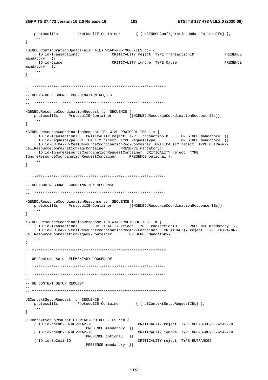3GPP TS 37.473 version 16.2.0 Release 16

 $103$ 

```
protocolIEs
                  ProtocolIE-Container
                                         { { NGENBCUConfigurationUpdateFailureIEs } },
   \sim . \sim\}NGENBCUConfigurationUpdateFailureIEs W1AP-PROTOCOL-IES ::= {
   { ID id-TransactionID CRITICALITY reject TYPE TransactionID
                                                                            PRESENCE
mandatory }
                    CRITICALITY ignore TYPE Cause
 { ID id-Cause
                                                                            PRESENCE
mandatory },
  \sim 100 km s ^{-1}\left\{ \right\}-- NGENB-DU RESOURCE COORDINATION REQUEST
NGENBDUResourceCoordinationRequest ::= SEQUENCE {
  {\rm protocolIES} \qquad {\rm ProtocolIE-Container} \qquad \quad \  \{ \{\texttt{NGENBDUResource} Coordinated on {\tt Request-IES} \} \},\sim \sim \sim\}NGENBDUResourceCoordinationRequest-IEs W1AP-PROTOCOL-IES ::= {
   { ID id-TransactionID CRITICALITY reject TYPE TransactionID PRESENCE mandatory }<br>{ ID id-RequestType CRITICALITY reject TYPE RequestType PRESENCE mandatory }
   { ID id-EUTRA-NR-CellResourceCoordinationReq-Container CRITICALITY reject TYPE EUTRA-NR-
CellResourceCoordinationReq-Container PRESENCE mandatory}
  { ID id-IgnoreResourceCoordinationRequestContainer CRITICALITY reject TYPE
IgnoreResourceCoordinationRequestContainer PRESENCE optional },
  \sim 100 .
\mathcal{E}-- NGENBDU RESOURCE COORDINATION RESPONSE
NGENBDUResourceCoordinationResponse ::= SEQUENCE {
  {\rm protocolIES} \qquad {\rm ProtocolIE-Container} \qquad \quad \{ \overline{\text{NGENBDUResourceCoordinate}.\}} \, ,\sim\mathcal{F}NGENBDUResourceCoordinationResponse-IEs W1AP-PROTOCOL-IES ::= {
   [ ID id-EUTRA-NR-CellResourceCoordinationReqAck-Container CRITICALITY reject TYPE EUTRA-NR-
CellResourceCoordinationReqAck-Container PRESENCE mandatory },
   \sim \sim \sim\}-- UE Context Setup ELEMENTARY PROCEDURE
=--- UE CONTEXT SETUP REQUEST
UEContextSetupRequest ::= SEQUENCE {
  \texttt{protocolIES} \qquad \qquad \texttt{ProtocolIE-Container} \qquad \qquad \{ \text{ UEContextSetupRequestIES} \} \; \texttt{},\mathbf{1}\left\{ \right.UEContextSetupRequestIEs W1AP-PROTOCOL-IES ::= {
                                           CRITICALITY reject TYPE NGENB-CU-UE-W1AP-ID
   { ID id-ngeNB-CU-UE-W1AP-ID
                      PRESENCE mandatory }|
   { ID id-ngeNB-DU-UE-W1AP-ID
                                           CRITICALITY ignore TYPE NGENB-DU-UE-W1AP-ID
                      PRESENCE optional } |
   { ID id-SpCell-ID
                                           CRITICALITY reject TYPE EUTRANCGI
                     PRESENCE mandatory }|
```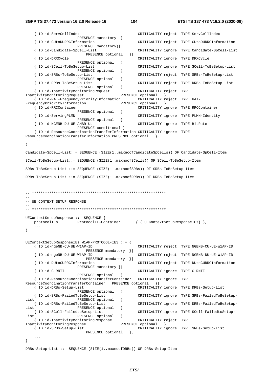#### **3GPP TS 37.473 version 16.2.0 Release 16 104 ETSI TS 137 473 V16.2.0 (2020-09)**

```
 { ID id-ServCellIndex CRITICALITY reject TYPE ServCellIndex 
                        PRESENCE mandatory }| 
     { ID id-CUtoDURRCInformation CRITICALITY reject TYPE CUtoDURRCInformation 
                        PRESENCE mandatory}| 
     { ID id-Candidate-SpCell-List CRITICALITY ignore TYPE Candidate-SpCell-List
     PRESENCE optional }| 
                                                   CRITICALITY ignore TYPE DRXCycle
    PRESENCE optional } |<br>| ID id-SCell-ToBeSetup-List
                                                    { ID id-SCell-ToBeSetup-List CRITICALITY ignore TYPE SCell-ToBeSetup-List 
                       PRESENCE optional } |
     { ID id-SRBs-ToBeSetup-List CRITICALITY reject TYPE SRBs-ToBeSetup-List 
                       PRESENCE optional }
     { ID id-DRBs-ToBeSetup-List CRITICALITY reject TYPE DRBs-ToBeSetup-List 
                       PRESENCE optional } |
     { ID id-InactivityMonitoringRequest CRITICALITY reject TYPE 
InactivityMonitoringRequest
     { ID id-RAT-FrequencyPriorityInformation CRITICALITY reject TYPE RAT-
FrequencyPriorityInformation PRESENCE optional }<br>{ ID id-RRCContainer cRITICALITY ig
                                                  CRITICALITY ignore TYPE RRCContainer
    PRESENCE optional } |<br>{ ID id-ServingPLMN
                                                   { ID id-ServingPLMN CRITICALITY ignore TYPE PLMN-Identity 
                        PRESENCE optional }| 
     { ID id-NGENB-DU-UE-AMBR-UL CRITICALITY ignore TYPE BitRate 
                        PRESENCE conditional }| 
     { ID id-ResourceCoordinationTransferInformation CRITICALITY ignore TYPE 
ResourceCoordinationTransferInformation PRESENCE optional }, 
     ... 
} 
Candidate-SpCell-List::= SEQUENCE (SIZE(1..maxnoofCandidateSpCells)) OF Candidate-SpCell-Item 
SCell-ToBeSetup-List::= SEQUENCE (SIZE(1..maxnoofSCells)) OF SCell-ToBeSetup-Item 
SRBs-ToBeSetup-List ::= SEQUENCE (SIZE(1..maxnoofSRBs)) OF SRBs-ToBeSetup-Item 
DRBs-ToBeSetup-List ::= SEQUENCE (SIZE(1..maxnoofDRBs)) OF DRBs-ToBeSetup-Item 
-- ************************************************************** 
-- 
-- UE CONTEXT SETUP RESPONSE 
-- 
-- ************************************************************** 
UEContextSetupResponse ::= SEQUENCE { 
    protocolIEs ProtocolIE-Container { { UEContextSetupResponseIEs} }, 
     ... 
} 
UEContextSetupResponseIEs W1AP-PROTOCOL-IES ::= { 
     { ID id-ngeNB-CU-UE-W1AP-ID CRITICALITY reject TYPE NGENB-CU-UE-W1AP-ID 
    PRESENCE mandatory } |<br>{ ID id-ngeNB-DU-UE-W1AP-ID
                                                    { ID id-ngeNB-DU-UE-W1AP-ID CRITICALITY reject TYPE NGENB-DU-UE-W1AP-ID 
                            PRESENCE mandatory }| 
     { ID id-DUtoCURRCInformation CRITICALITY reject TYPE DUtoCURRCInformation 
                        PRESENCE mandatory }| 
     { ID id-C-RNTI CRITICALITY ignore TYPE C-RNTI 
                       PRESENCE optional } |
    { ID id-ResourceCoordinationTransferContainer CRITICALITY ignore TYPE 
ResourceCoordinationTransferContainer PRESENCE optional }| 
    { ID id-DRBs-Setup-List CRITICALITY ignore TYPE DRBs-Setup-List 
                       PRESENCE optional } |
     { ID id-SRBs-FailedToBeSetup-List CRITICALITY ignore TYPE SRBs-FailedToBeSetup-
List PRESENCE optional }<br> { ID id-DRBs-FailedToBeSetup-List
{ ID id-DRBs-FailedToBeSetup-List \overline{C} CRITICALITY ignore TYPE DRBs-FailedToBeSetup-<br>List presence optional }
    \begin{array}{ll} \texttt{PRESENCE optional} \\ \{ ID id-SCell-Failed to Setup-List \end{array} \} | \\ { ID id-SCell-FailedtoSetup-List CRITICALITY ignore TYPE SCell-FailedtoSetup-
List PRESENCE optional \{ { ID id-InactivityMonitoringResponse CRITICALITY reject TYPE 
InactivityMonitoringResponse PRESENCE optional }| 
     { ID id-SRBs-Setup-List CRITICALITY ignore TYPE SRBs-Setup-List 
                           PRESENCE optional },
     ...
```

```
}
```
DRBs-Setup-List ::= SEQUENCE (SIZE(1..maxnoofDRBs)) OF DRBs-Setup-Item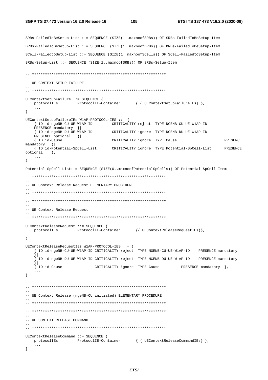```
SRBs-FailedToBeSetup-List ::= SEOUENCE (SIZE(1..maxnoofSRBs)) OF SRBs-FailedToBeSetup-Item
DRBs-FailedToBeSetup-List ::= SEQUENCE (SIZE(1..maxnoofDRBs)) OF DRBs-FailedToBeSetup-Item
SCell-FailedtoSetup-List ::= SEQUENCE (SIZE(1..maxnoofSCells)) OF SCell-FailedtoSetup-Item
SRBs-Setup-List ::= SEOUENCE (SIZE(1..maxnoofSRBs)) OF SRBs-Setup-Item
- --- UE CONTEXT SETUP FAILURE
UEContextSetupFailure ::= SEQUENCE {
  protocolIEs ProtocolIE-Container { { UEContextSetupFailureIEs} },
  \ddots\left\{ \right\}UEContextSetupFailureIEs W1AP-PROTOCOL-IES ::= {
  { ID id-ngeNB-CU-UE-W1AP-ID CRITICALITY reject TYPE NGENB-CU-UE-W1AP-ID
  PRESENCE mandatory } |
                          CRITICALITY ignore TYPE NGENB-DU-UE-W1AP-ID
  { ID id-ngeNB-DU-UE-W1AP-ID
  PRESENCE optional }
   { ID id-Cause
                           CRITICALITY ignore TYPE Cause
                                                                 PRESENCE
mandatory }
  { ID id-Potential-SpCell-List CRITICALITY ignore TYPE Potential-SpCell-List PRESENCE
optional,
  \mathbf{1}\left\{ \right.Potential-SpCell-List::= SEOUENCE (SIZE(0..maxnoofPotentialSpCells)) OF Potential-SpCell-Item
\equiv-- UE Context Release Request ELEMENTARY PROCEDURE
\sim \sim-- UE Context Release Request
UEContextReleaseRequest ::= SEQUENCE {
  \verb|protocolIES| \hspace{1.5cm} \verb|ProtocolIE-Container| \hspace{1.5cm} \{ [UEContextReleaseRequestIES] \},\sim 100 .
\}UEContextReleaseRequestIEs W1AP-PROTOCOL-IES ::= {
  { ID id-ngeNB-CU-UE-W1AP-ID CRITICALITY reject TYPE NGENB-CU-UE-W1AP-ID PRESENCE mandatory
  { ID id-Cause
                     CRITICALITY ignore TYPE Cause
                                                 PRESENCE mandatory \},
  \sim \sim \sim\}- --- UE Context Release (ngeNB-CU initiated) ELEMENTARY PROCEDURE
\sim-- UE CONTEXT RELEASE COMMAND
UEContextReleaseCommand ::= SEQUENCE {
  protocolIEs ProtocolIE-Container { { UEContextReleaseCommandIEs} },
  \ldots\}
```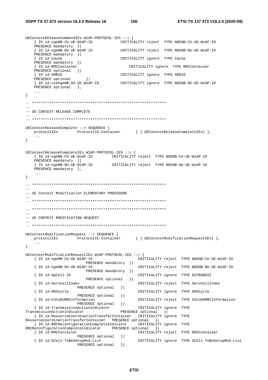UEContextReleaseCommandIEs W1AP-PROTOCOL-IES ::= { {ID id-ngeNB-CU-UE-W1AP-ID CRITICALITY reject TYPE NGENB-CU-UE-W1AP-ID PRESENCE mandatory } | { ID id-ngeNB-DU-UE-W1AP-ID CRITICALITY reject TYPE NGENB-DU-UE-W1AP-ID PRESENCE mandatory }| CRITICALITY ignore TYPE Cause { ID id-Cause PRESENCE mandatory }| { ID id-RRCContainer CRITICALITY ignore TYPE RRCContainer PRESENCE optional } | { ID id-SRBID CRITICALITY ignore TYPE SRBID  $\begin{array}{c} \hline \end{array}$ PRESENCE optional { ID id-oldngeNB-DU-UE-W1AP-ID CRITICALITY ignore TYPE NGENB-DU-UE-W1AP-ID PRESENCE optional },  $\ddots$  $\}$ -- UE CONTEXT RELEASE COMPLETE UEContextReleaseComplete ::= SEQUENCE { ProtocolIE-Container { { UEContextReleaseCompleteIEs} }, protocolIEs  $\left\{ \right\}$ UEContextReleaseCompleteIEs W1AP-PROTOCOL-IES ::= { { ID id-ngeNB-CU-UE-W1AP-ID CRITICALITY reject TYPE NGENB-CU-UE-W1AP-ID PRESENCE mandatory } | { ID id-ngeNB-DU-UE-WIAP-ID CRITICALITY reject TYPE NGENB-DU-UE-WIAP-ID PRESENCE mandatory  $\}$ ,  $\ddots$  .  $\}$ -- UE Context Modification ELEMENTARY PROCEDURE -- UE CONTEXT MODIFICATION REQUEST UEContextModificationRequest ::= SEQUENCE { protocolIEs ProtocolIE-Container { { UEContextModificationRequestIEs } },  $\}$ UEContextModificationRequestIEs W1AP-PROTOCOL-IES ::= { { ID id-ngeNB-CU-UE-W1AP-ID CRITICALITY reject TYPE NGENB-CU-UE-W1AP-ID PRESENCE mandatory } | { ID id-ngeNB-DU-UE-W1AP-ID CRITICALITY reject TYPE NGENB-DU-UE-W1AP-ID PRESENCE mandatory } | { ID id-SpCell-ID CRITICALITY ignore TYPE EUTRANCGI PRESENCE optional } { ID id-ServCellIndex CRITICALITY reject TYPE ServCellIndex PRESENCE optional  $\vert \vert$ { ID id-DRXCycle CRITICALITY ignore TYPE DRXCycle PRESENCE optional  $\vert$  } | { ID id-CUtoDURRCInformation CRITICALITY reject TYPE CUtoDURRCInformation PRESENCE optional  $\vert$ { ID id-TransmissionActionIndicator CRITICALITY ignore TYPE PRESENCE optional } TransmissionActionIndicator { ID id-ResourceCoordinationTransferContainer CRITICALITY ignore TYPE ResourceCoordinationTransferContainer PRESENCE optional } | { ID id-RRCReconfigurationCompleteIndicator CRITICALITY ignore TYPE RRCReconfigurationCompleteIndicator PRESENCE optional }| { ID id-RRCContainer CRITICALITY reject TYPE RRCContainer PRESENCE optional } | { ID id-SCell-ToBeSetupMod-List CRITICALITY ignore TYPE SCell-ToBeSetupMod-List PRESENCE optional }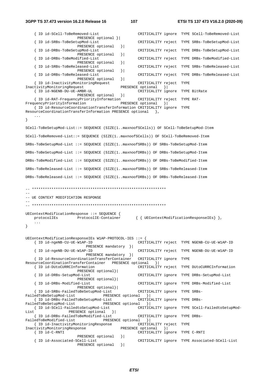```
 { ID id-SCell-ToBeRemoved-List CRITICALITY ignore TYPE SCell-ToBeRemoved-List 
                        PRESENCE optional }| 
    { ID id-SRBs-ToBeSetupMod-List CRITICALITY reject TYPE SRBs-ToBeSetupMod-List
                       PRESENCE optional } |
    { ID id-DRBs-ToBeSetupMod-List CRITICALITY reject TYPE DRBs-ToBeSetupMod-List
   PRESENCE optional \{ ID id-DRBs-ToBeModified-List
                                                   { ID id-DRBs-ToBeModified-List CRITICALITY reject TYPE DRBs-ToBeModified-List
   PRESENCE optional }<br>{ ID id-SRBs-ToBeReleased-List
                                                   { ID id-SRBs-ToBeReleased-List CRITICALITY reject TYPE SRBs-ToBeReleased-List
                       PRESENCE optional }
    { ID id-DRBs-ToBeReleased-List CRITICALITY reject TYPE DRBs-ToBeReleased-List
                        PRESENCE optional }| 
    { ID id-InactivityMonitoringRequest CRITICALITY reject TYPE 
InactivityMonitoringRequest PRESENCE optional }| 
                                                 CRITICALITY ignore TYPE BitRate
                      PRESENCE optional }| 
    { ID id-RAT-FrequencyPriorityInformation CRITICALITY reject TYPE RAT-
FrequencyPriorityInformation PRESENCE optional \{ { ID id-ResourceCoordinationTransferInformation CRITICALITY ignore TYPE 
ResourceCoordinationTransferInformation PRESENCE optional },
 ... 
} 
SCell-ToBeSetupMod-List::= SEQUENCE (SIZE(1..maxnoofSCells)) OF SCell-ToBeSetupMod-Item 
SCell-ToBeRemoved-List::= SEQUENCE (SIZE(1..maxnoofSCells)) OF SCell-ToBeRemoved-Item 
SRBs-ToBeSetupMod-List ::= SEQUENCE (SIZE(1..maxnoofSRBs)) OF SRBs-ToBeSetupMod-Item 
DRBs-ToBeSetupMod-List ::= SEQUENCE (SIZE(1..maxnoofDRBs)) OF DRBs-ToBeSetupMod-Item 
DRBs-ToBeModified-List ::= SEQUENCE (SIZE(1..maxnoofDRBs)) OF DRBs-ToBeModified-Item 
SRBs-ToBeReleased-List ::= SEQUENCE (SIZE(1..maxnoofSRBs)) OF SRBs-ToBeReleased-Item 
DRBs-ToBeReleased-List ::= SEQUENCE (SIZE(1..maxnoofDRBs)) OF DRBs-ToBeReleased-Item 
-- ************************************************************** 
-- 
-- UE CONTEXT MODIFICATION RESPONSE 
-- 
-- ************************************************************** 
UEContextModificationResponse ::= SEQUENCE { 
                ProtocolIE-Container { { UEContextModificationResponseIEs} },
 ... 
} 
UEContextModificationResponseIEs W1AP-PROTOCOL-IES ::= { 
                                                  CRITICALITY reject TYPE NGENB-CU-UE-W1AP-ID
   .<br>{ ID id-ngeNB-DU-UE-W1AP-ID<br>}
                                                   { ID id-ngeNB-DU-UE-W1AP-ID CRITICALITY reject TYPE NGENB-DU-UE-W1AP-ID 
                           PRESENCE mandatory }| 
   { ID id-ResourceCoordinationTransferContainer
ResourceCoordinationTransferContainer PRESENCE optional }| 
    { ID id-DUtoCURRCInformation CRITICALITY reject TYPE DUtoCURRCInformation 
   PRESENCE optional}<br>{ ID id-DRBs-SetupMod-List
                                                   { ID id-DRBs-SetupMod-List CRITICALITY ignore TYPE DRBs-SetupMod-List 
                        PRESENCE optional}| 
     { ID id-DRBs-Modified-List CRITICALITY ignore TYPE DRBs-Modified-List 
                       PRESENCE optional}| 
    { ID id-SRBs-FailedToBeSetupMod-List CRITICALITY ignore TYPE SRBs-
FailedToBeSetupMod-List PRESENCE optional || { ID id-DRBs-FailedToBeSetupMod-List CRITICALITY ignore TYPE DRBs-
FailedToBeSetupMod-List PRESENCE optional }<br>{ ID id-SCell-FailedtoSetupMod-List CRITIC
                                                  { ID id-SCell-FailedtoSetupMod-List CRITICALITY ignore TYPE SCell-FailedtoSetupMod-
List PRESENCE optional }
     { ID id-DRBs-FailedToBeModified-List CRITICALITY ignore TYPE DRBs-
FailedToBeModified-List PRESENCE optional } |
    { ID id-InactivityMonitoringResponse CRITICALITY reject TYPE 
InactivityMonitoringResponse
    { ID id-C-RNTI CRITICALITY ignore TYPE C-RNTI 
                        PRESENCE optional }| 
    { ID id-Associated-SCell-List CRITICALITY ignore TYPE Associated-SCell-List
                       PRESENCE optional }
```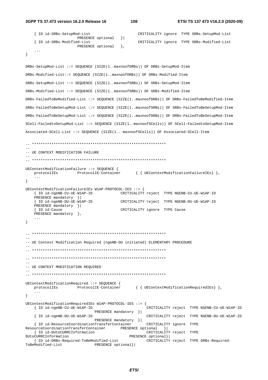```
 { ID id-SRBs-SetupMod-List CRITICALITY ignore TYPE SRBs-SetupMod-List 
    \<br>{ ID id-SRBs-Modified-List { ID id-SRBs-Modified-List
                                                   { ID id-SRBs-Modified-List CRITICALITY ignore TYPE SRBs-Modified-List 
                       PRESENCE optional },
     ... 
} 
DRBs-SetupMod-List ::= SEQUENCE (SIZE(1..maxnoofDRBs)) OF DRBs-SetupMod-Item 
DRBs-Modified-List::= SEQUENCE (SIZE(1..maxnoofDRBs)) OF DRBs-Modified-Item 
SRBs-SetupMod-List ::= SEQUENCE (SIZE(1..maxnoofSRBs)) OF SRBs-SetupMod-Item 
SRBs-Modified-List ::= SEQUENCE (SIZE(1..maxnoofSRBs)) OF SRBs-Modified-Item 
DRBs-FailedToBeModified-List ::= SEQUENCE (SIZE(1..maxnoofDRBs)) OF DRBs-FailedToBeModified-Item 
SRBs-FailedToBeSetupMod-List ::= SEQUENCE (SIZE(1..maxnoofSRBs)) OF SRBs-FailedToBeSetupMod-Item 
DRBs-FailedToBeSetupMod-List ::= SEQUENCE (SIZE(1..maxnoofDRBs)) OF DRBs-FailedToBeSetupMod-Item 
SCell-FailedtoSetupMod-List ::= SEQUENCE (SIZE(1..maxnoofSCells)) OF SCell-FailedtoSetupMod-Item 
Associated-SCell-List ::= SEQUENCE (SIZE(1.. maxnoofSCells)) OF Associated-SCell-Item 
-- ************************************************************** 
-- 
-- UE CONTEXT MODIFICATION FAILURE
-- 
-- ************************************************************** 
UEContextModificationFailure ::= SEQUENCE { 
   protocolIEs ProtocolIE-Container { { UEContextModificationFailureIEs} },
     ... 
} 
UEContextModificationFailureIEs W1AP-PROTOCOL-IES ::= { 
     { ID id-ngeNB-CU-UE-W1AP-ID CRITICALITY reject TYPE NGENB-CU-UE-W1AP-ID 
    PRESENCE mandatory }|<br>{ ID id-ngeNB-DU-UE-W1AP-ID
                                          { ID id-ngeNB-DU-UE-W1AP-ID CRITICALITY reject TYPE NGENB-DU-UE-W1AP-ID 
    PRESENCE mandatory }| 
     { ID id-Cause CRITICALITY ignore TYPE Cause 
   PRESENCE mandatory },
     ... 
} 
-- ************************************************************** 
-- 
-- UE Context Modification Required (ngeNB-DU initiated) ELEMENTARY PROCEDURE 
-- 
-- ************************************************************** 
-- ************************************************************** 
-- 
-- UE CONTEXT MODIFICATION REQUIRED 
-- 
-- ************************************************************** 
UEContextModificationRequired ::= SEQUENCE { 
  protocolIEs ProtocolIE-Container { { UEContextModificationRequiredIEs } },
     ... 
} 
UEContextModificationRequiredIEs W1AP-PROTOCOL-IES ::= { 
                                                        { ID id-ngeNB-CU-UE-W1AP-ID CRITICALITY reject TYPE NGENB-CU-UE-W1AP-ID
                                PRESENCE mandatory }| 
     { ID id-ngeNB-DU-UE-W1AP-ID CRITICALITY reject TYPE NGENB-DU-UE-W1AP-ID
                                PRESENCE mandatory }| 
     { ID id-ResourceCoordinationTransferContainer CRITICALITY ignore TYPE 
ResourceCoordinationTransferContainer PRESENCE optional }| 
 { ID id-DUtoCURRCInformation CRITICALITY reject TYPE 
DUtoCURRCInformation PRESENCE optional}| 
 { ID id-DRBs-Required-ToBeModified-List CRITICALITY reject TYPE DRBs-Required-
                              PRESENCE optional}|
```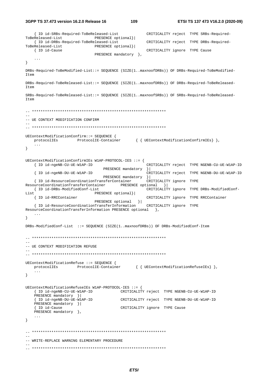{ ID id-SRBs-Required-ToBeReleased-List CRITICALITY reject TYPE SRBs-Required-ToBeReleased-List PRESENCE optional}| { ID id-DRBs-Required-ToBeReleased-List CRITICALITY reject TYPE DRBs-Required-ToBeReleased-List PRESENCE optional}| { ID id-Cause CRITICALITY ignore TYPE Cause PRESENCE mandatory },  $\sim$   $\sim$  $\left\{ \right.$ DRBs-Required-ToBeModified-List::= SEQUENCE (SIZE(1..maxnoofDRBs)) OF DRBs-Required-ToBeModified- $T \uparrow \ominus m$ DRBs-Required-ToBeReleased-List::= SEQUENCE (SIZE(1..maxnoofDRBs)) OF DRBs-Required-ToBeReleased-Item SRBs-Required-ToBeReleased-List::= SEQUENCE (SIZE(1..maxnoofSRBs)) OF SRBs-Required-ToBeReleased-Item  $\sim$   $\sim$ -- UE CONTEXT MODIFICATION CONFIRM UEContextModificationConfirm::= SEQUENCE { protocolIEs ProtocolIE-Container { { UEContextModificationConfirmIEs } },  $\ddots$  $\left\{ \right.$ UEContextModificationConfirmIEs W1AP-PROTOCOL-IES ::= { { ID id-ngeNB-CU-UE-W1AP-ID CRITICALITY reject TYPE NGENB-CU-UE-W1AP-ID PRESENCE mandatory }| { ID id-ngeNB-DU-UE-W1AP-ID CRITICALITY reject TYPE NGENB-DU-UE-W1AP-ID PRESENCE mandatory }| { ID id-ResourceCoordinationTransferContainer CRITICALITY ignore TYPE ResourceCoordinationTransferContainer PRESENCE optional }| CRITICALITY ignore TYPE DRBs-ModifiedConf-{ ID id-DRBs-ModifiedConf-List List PRESENCE optional}| { ID id-RRCContainer CRITICALITY ignore TYPE RRCContainer  $\texttt{PRESENCE} \texttt{optional} \hspace{0.3cm} \} |$ { ID id-ResourceCoordinationTransferInformation CRITICALITY ignore TYPE ResourceCoordinationTransferInformation PRESENCE optional },  $\sim$  . . .  $\left\{ \right\}$ DRBs-ModifiedConf-List ::= SEQUENCE (SIZE(1..maxnoofDRBs)) OF DRBs-ModifiedConf-Item -- UE CONTEXT MODIFICATION REFUSE UEContextModificationRefuse ::= SEQUENCE { protocolIEs ProtocolIE-Container { { UEContextModificationRefuseIEs } },  $\sim$   $\sim$   $\sim$  $\left\{ \right\}$ UEContextModificationRefuseIEs W1AP-PROTOCOL-IES : = { { ID id-ngeNB-CU-UE-W1AP-ID CRITICALITY reject TYPE NGENB-CU-UE-W1AP-ID PRESENCE mandatory } | { ID id-ngeNB-DU-UE-W1AP-ID CRITICALITY reject TYPE NGENB-DU-UE-W1AP-ID PRESENCE mandatory }| { ID id-Cause CRITICALITY ignore TYPE Cause PRESENCE mandatory  $\}$ ,  $\sim$   $\sim$   $\sim$  $\left\{ \right\}$ -- WRITE-REPLACE WARNING ELEMENTARY PROCEDURE

109

ETSI TS 137 473 V16.2.0 (2020-09)

3GPP TS 37.473 version 16.2.0 Release 16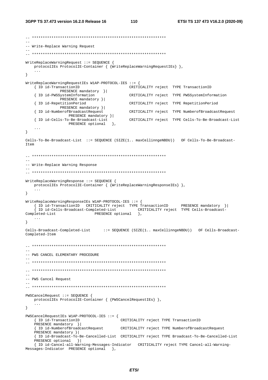```
-- ************************************************************** 
-- 
-- Write-Replace Warning Request 
-- 
-- ************************************************************** 
WriteReplaceWarningRequest ::= SEQUENCE { 
    protocolIEs ProtocolIE-Container { {WriteReplaceWarningRequestIEs} }, 
     ... 
} 
WriteReplaceWarningRequestIEs W1AP-PROTOCOL-IES ::= { 
                                               CRITICALITY reject TYPE TransactionID
    PRESENCE mandatory } |<br>{ ID id-PWSSystemInformation
                                               CRITICALITY reject TYPE PWSSystemInformation
                PRESENCE mandatory }| 
     { ID id-RepetitionPeriod CRITICALITY reject TYPE RepetitionPeriod 
    PRESENCE mandatory } |<br>{ ID id-NumberofBroadcastRequest
                                                { ID id-NumberofBroadcastRequest CRITICALITY reject TYPE NumberofBroadcastRequest 
                   PRESENCE mandatory }| 
     { ID id-Cells-To-Be-Broadcast-List CRITICALITY reject TYPE Cells-To-Be-Broadcast-List
                   PRESENCE optional },
 ... 
} 
Cells-To-Be-Broadcast-List ::= SEQUENCE (SIZE(1.. maxCellinngeNBDU)) OF Cells-To-Be-Broadcast-
Item 
-- ************************************************************** 
-- 
-- Write-Replace Warning Response 
-- 
-- ************************************************************** 
WriteReplaceWarningResponse ::= SEQUENCE { 
 protocolIEs ProtocolIE-Container { {WriteReplaceWarningResponseIEs} }, 
 ... 
} 
WriteReplaceWarningResponseIEs W1AP-PROTOCOL-IES ::= { 
 { ID id-TransactionID CRITICALITY reject TYPE TransactionID PRESENCE mandatory }| 
 { ID id-Cells-Broadcast-Completed-List CRITICALITY reject TYPE Cells-Broadcast-
Completed-List PRESENCE optional \},
    ... 
} 
Cells-Broadcast-Completed-List ::= SEQUENCE (SIZE(1.. maxCellinngeNBDU)) OF Cells-Broadcast-
Completed-Item 
\hspace{1.3cm} - \hspace{1.3cm} - \hspace{1.3cm}-- 
-- PWS CANCEL ELEMENTARY PROCEDURE 
-- 
-- ************************************************************** 
-- ************************************************************** 
-- 
-- PWS Cancel Request 
-- 
-- ************************************************************** 
PWSCancelRequest ::= SEQUENCE { 
    protocolIEs ProtocolIE-Container { {PWSCancelRequestIEs} }, 
     ... 
} 
PWSCancelRequestIEs W1AP-PROTOCOL-IES ::= { 
     { ID id-TransactionID CRITICALITY reject TYPE TransactionID 
     PRESENCE mandatory }| 
     { ID id-NumberofBroadcastRequest CRITICALITY reject TYPE NumberofBroadcastRequest 
    PRESENCE mandatory }| 
     { ID id-Broadcast-To-Be-Cancelled-List CRITICALITY reject TYPE Broadcast-To-Be-Cancelled-List
    PRESENCE optional } |
     { ID id-Cancel-all-Warning-Messages-Indicator CRITICALITY reject TYPE Cancel-all-Warning-
Messages-Indicator PRESENCE optional },
```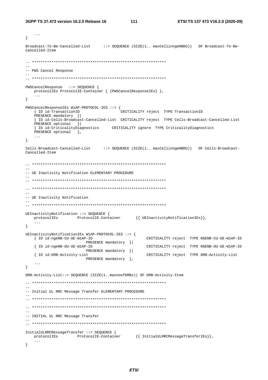```
\sim . .
\mathcal{E}Broadcast-To-Be-Cancelled-List ::= SEQUENCE (SIZE(1.. maxCellinngeNBDU)) OF Broadcast-To-Be-
Cancelled-Item
\pm \pm-- PWS Cancel Response
\overline{a}PWSCancelResponse ::= SEQUENCE {
  protocollEs ProtocollE-Container { {PWSCancelResponseIEs} },
   \ddotsc\left\{ \right\}PWSCancelResponseIEs W1AP-PROTOCOL-IES ::= {
  { ID id-TransactionID
                                .<br>CRITICALITY reject TYPE TransactionID
  PRESENCE mandatory \|{ ID id-Cells-Broadcast-Cancelled-List CRITICALITY reject TYPE Cells-Broadcast-Cancelled-List
  PRESENCE optional }
  { ID id-CriticalityDiagnostics CRITICALITY ignore TYPE CriticalityDiagnostics
  PRESENCE optional \},
\left\{ \right\}Cells-Broadcast-Cancelled-List ::= SEQUENCE (SIZE(1.. maxCellinngeNBDU)) OF Cells-Broadcast-
Cancelled-Item
-- UE Inactivity Notification ELEMENTARY PROCEDURE
-- UE Inactivity Notification
UEInactivityNotification ::= SEQUENCE {
  protocollEs ProtocollE-Container {{ UEInactivityNotificationIEs}},
   \sim . \sim\}UEInactivityNotificationIEs W1AP-PROTOCOL-IES ::= {
  { ID id-ngeNB-CU-UE-W1AP-ID
                                        CRITICALITY reject TYPE NGENB-CU-UE-W1AP-ID
                   PRESENCE mandatory }|
  { ID id-ngeNB-DU-UE-W1AP-ID
                                        CRITICALITY reject TYPE NGENB-DU-UE-W1AP-ID
                    PRESENCE mandatory } |
                                        CRITICALITY reject TYPE DRB-Activity-List
  { ID id-DRB-Activity-List
                   PRESENCE mandatory },
   \mathbf{1}\}DRB-Activity-List::= SEQUENCE (SIZE(1..maxnoofDRBs)) OF DRB-Activity-Item
-- Initial UL RRC Message Transfer ELEMENTARY PROCEDURE
\sim \sim-- INITIAL UL RRC Message Transfer
InitialULRRCMessageTransfer ::= SEQUENCE {
            ProtocolIE-Container {{ InitialULRRCMessageTransferIEs}},
  protocolIEs
  \ddotsc\left\{ \right\}
```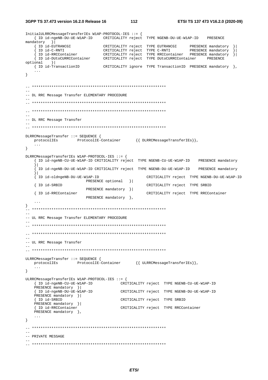3GPP TS 37.473 version 16.2.0 Release 16

```
InitialULRRCMessageTransferIEs W1AP-PROTOCOL-IES ::= {
   { ID id-ngeNB-DU-UE-W1AP-ID CRITICALITY reject TYPE NGENB-DU-UE-W1AP-ID
                                                                                PRESENCE
mandatory }
    \begin{array}{lllllllllllll} \left\{ \begin{array}{lllllllllllllllll} \text{ID}\text{ id}-\text{EUTRANCGI} & \text{CRTTICALITY reject} & \text{YPE EUTRANCGI} & \text{PRESENCE mandatory} \\ \text{ID}\text{ id}-\text{C-RNTI} & \text{CRTTICALITY reject} & \text{YPE C-RNTI} & \text{PRESENCE mandatory} \\ \text{ID}\text{ id}-\text{RRCContainer} & \text{CRTTICALITY reject} & \text{TYPE RRCContainer} & \text{PRESENCE mandatory} \\ \text{ID}\text{ id-DUtoCURRCContainer} & \text{CRTTICALITY reject} & \text{TYPE RUCUR\{ ID id-EUTRANCGI
optional ||{| ID id-TransactionID       CRITICALITY ignore TYPE TransactionID PRESENCE mandatory },
   \sim 10 .
\left\{ \right\}-- DL RRC Message Transfer ELEMENTARY PROCEDURE
\sim \sim-- DL RRC Message Transfer
DLRRCMessageTransfer ::= SEQUENCE {
   \texttt{protocolIES} \qquad \qquad \texttt{ProtocolIE-Container} \qquad \qquad \{\} \texttt{ DLRRCMessageTransferIES}\},\sim 100\left\{ \right.DLRRCMessageTransferIEs W1AP-PROTOCOL-IES ::= {
    { ID id-ngeNB-CU-UE-W1AP-ID CRITICALITY reject TYPE NGENB-CU-UE-W1AP-ID PRESENCE mandatory
    \frac{1}{2}[ ID id-ngeNB-DU-UE-W1AP-ID CRITICALITY reject TYPE NGENB-DU-UE-W1AP-ID PRESENCE mandatory
    { ID id-oldngeNB-DU-UE-W1AP-ID
                                                     CRITICALITY reject TYPE NGENB-DU-UE-W1AP-ID
                         PRESENCE optional }|
                                                     CRITICALITY reject TYPE SRBID
   { ID id-SRBID
                         PRESENCE mandatory } |
   { ID id-RRCContainer
                                                     CRITICALITY reject TYPE RRCContainer
                          PRESENCE mandatory },
\rightarrow-- UL RRC Message Transfer ELEMENTARY PROCEDURE
\equiv \equiv-- UL RRC Message Transfer
\simULRRCMessageTransfer ::= SEOUENCE {
   \verb|protocolIES| \qquad \verb|ProtocolIE-Container| \qquad { \verb| { URLRCMessageTransferIES}| },\ldots\left\{ \right\}ULRRCMessageTransferIEs W1AP-PROTOCOL-IES ::= {
   { ID id-ngeNB-CU-UE-W1AP-ID CRITICALITY reject TYPE NGENB-CU-UE-W1AP-ID
   PRESENCE mandatory } |
   {ID id-ngeNB-DU-UE-W1AP-ID<br>{ID id-ngeNB-DU-UE-W1AP-ID<br>CRITICALITY reject TYPE NGENB-DU-UE-W1AP-ID
   PRESENCE mandatory } |
    { ID id-SRBID
                                        CRITICALITY reject TYPE SRBID
   PRESENCE mandatory ||{ ID id-RRCContainer
                                        CRITICALITY reject TYPE RRCContainer
   PRESENCE mandatory \},
   \ddots .
\}\frac{1}{2}-- PRIVATE MESSAGE
```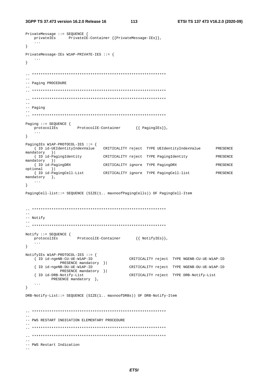```
3GPP TS 37.473 version 16.2.0 Release 16
```

```
PrivateMessage ::= SEQUENCE {
  privatelEs PrivatelE-Container {{PrivateMessage-IEs}},
  \ldots .
\}PrivateMessage-IEs W1AP-PRIVATE-IES ::= {
  \sim \sim \sim\mathcal{V}-1-- Paging PROCEDURE
=-- Paging
Paging ::= SEQUENCE {
  protocolIEs
               ProtocolIE-Container {{ PagingIEs}},
  \sim 100\left\{ \right\}PagingIEs W1AP-PROTOCOL-IES ::= {
  { ID id-UEIdentityIndexValue
                        CRITICALITY reject TYPE UEIdentityIndexValue
                                                             PRESENCE
mandatory
       \vert } \vert{ ID id-PagingIdentity
                    CRITICALITY reject TYPE PagingIdentity
                                                             PRESENCE
mandatory }|
  { ID id-PagingDRX
                        CRITICALITY ignore TYPE PagingDRX
                                                             PRESENCE
optional }
  { ID id-PagingCell-List
                       CRITICALITY ignore TYPE PagingCell-list
                                                            PRESENCE
\verb|mandatory|,\ldots\}PagingCell-list::= SEQUENCE (SIZE(1.. maxnoofPagingCells)) OF PagingCell-Item
--- Notify
Notify ::= SEQUENCE {
  protocolIEs
               ProtocolIE-Container {{ NotifyIEs}},
  \sim . \sim\}NotifyIEs W1AP-PROTOCOL-IES ::= {
  { ID id-ngeNB-CU-UE-W1AP-ID
                                 CRITICALITY reject TYPE NGENB-CU-UE-W1AP-ID
          PRESENCE mandatory } |
  { ID id-ngeNB-DU-UE-W1AP-ID
                                CRITICALITY reject TYPE NGENB-DU-UE-W1AP-ID
          PRESENCE mandatory }|
  { ID id-DRB-Notify-List
                                 CRITICALITY reject TYPE DRB-Notify-List
       PRESENCE mandatory },
  \ddotsc\}DRB-Notify-List: = SEQUENCE (SIZE(1.. maxnoofDRBs)) OF DRB-Notify-Item
-- PWS RESTART INDICATION ELEMENTARY PROCEDURE
-- PWS Restart Indication
\sim \sim
```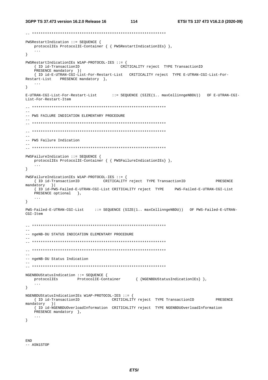```
PWSRestartIndication ::= SEQUENCE {
  protocolIEs ProtocolIE-Container { { PWSRestartIndicationIEs} },
\mathcal{F}PWSRestartIndicationIEs W1AP-PROTOCOL-IES ::= {
                               CRITICALITY reject TYPE TransactionID
  { ID id-TransactionID
  PRESENCE mandatory }|<br>{ ID id-E-UTRAN-CGI-List-For-Restart-List CRITICALITY reject TYPE E-UTRAN-CGI-List-For-
Restart-List PRESENCE mandatory },
   \cdots\left\{ \right\}E-UTRAN-CGI-List-For-Restart-List
                            ::= SEQUENCE (SIZE(1.. maxCellinngeNBDU)) OF E-UTRAN-CGI-
List-For-Restart-Item
-- PWS FAILURE INDICATION ELEMENTARY PROCEDURE
\equiv-- PWS Failure Indication
PWSFailureIndication ::= SEOUENCE {
 protocolIEs ProtocolIE-Container { { PWSFailureIndicationIEs} },
   \mathbf{1}\mathcal{F}PWSFailureIndicationIEs W1AP-PROTOCOL-IES ::= {
  { ID id-TransactionID CRITICALITY reject TYPE TransactionID
                                                                  PRESENCE
mandatory }
  { ID id-PWS-Failed-E-UTRAN-CGI-List CRITICALITY reject TYPE PWS-Failed-E-UTRAN-CGI-List
  PRESENCE optional },
   \sim \sim \sim\left\{ \right.PWS-Failed-E-UTRAN-CGI-List ::= SEQUENCE (SIZE(1.. maxCellinngeNBDU)) OF PWS-Failed-E-UTRAN-
CGT-Tfem-- ngeNB-DU STATUS INDICATION ELEMENTARY PROCEDURE
\sim \sim\overline{a}-- ngeNB-DU Status Indication
\simNGENBDUStatusIndication ::= SEQUENCE {
                ProtocolIE-Container { {NGENBDUStatusIndicationIEs} },
  protocolIEs
  \sim \sim \sim\}NGENBDUStatusIndicationIEs W1AP-PROTOCOL-IES ::= {
                             CRITICALITY reject TYPE TransactionID
  { ID id-TransactionID
                                                                 PRESENCE
mandatory }
  { ID id-NGENBDUOverloadInformation CRITICALITY reject TYPE NGENBDUOverloadInformation
  PRESENCE mandatory \},
  \sim \sim \sim\}
```
**END** -- ASN1STOP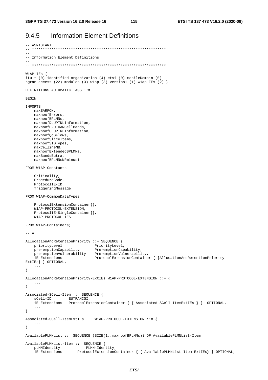-- ASN1START

#### **Information Element Definitions** 9.4.5

```
\pm .
-- Information Element Definitions
 W1AP-IES {
itu-t (0) identified-organization (4) etsi (0) mobileDomain (0)
ngran-access (22) modules (3) wlap (3) version1 (1) wlap-IEs (2) }
DEFINITIONS AUTOMATIC TAGS ::=
RECIN
IMPORTS
   maxEARFCN.
   maxnoofErrors,
    maxnoofBPLMNs,
   maxnoofDLUPTNLInformation,
   maxnoofE-UTRANCellBands.
   maxnoofULUPTNLInformation,
   maxnoofQoSFlows,
    maxnoofSliceItems,
   maxnoofSIBTypes,
    maxCe11ineNB
    maxnoofExtendedBPLMNs,
    maxBandsEutra,
    maxnoofBPLMNsNRminus1
FROM W1AP-Constants
    Criticality,
    ProcedureCode.
    ProtocolIE-ID,
    TriggeringMessage
FROM W1AP-CommonDataTypes
    ProtocolExtensionContainer{},
    W1AP-PROTOCOL-EXTENSION,
    ProtocolIE-SingleContainer{},
    W1AP-PROTOCOL-IES
FROM W1AP-Containers;
--- AAllocationAndRetentionPriority ::= SEQUENCE {
   priorityLevel PriorityLevel,<br>pre-emptionCapability Pre-emptionCapability,
   produkter and the emption of the emption of the emption of the emption of the emption of the emption of the emption of the emption of the emption of the extensions of the Protocol Extension Container { {Allocation And Rete
ExtIEs } } OPTIONAL,
    \sim \sim \sim\left\{ \right.AllocationAndRetentionPriority-ExtIEs W1AP-PROTOCOL-EXTENSION ::= {
    \ddots\rightarrowAssociated-SCell-Item ::= SEOUENCE {
    sCell-ID
                    EUTRANCGI,
    iE-Extensions ProtocolExtensionContainer { { Associated-SCell-ItemExtIEs } } OPTIONAL,
    \ldots\}Associated-SCell-ItemExtIEs
                                 W1AP-PROTOCOL-EXTENSION :: = \{\sim . \sim\left\{ \right\}AvailablePLMNList ::= SEQUENCE (SIZE(1..maxnoofBPLMNs)) OF AvailablePLMNList-Item
AvailablePLMNList-Item ::= SEOUENCE {
    pLMNIdentity
                    PLMN-Identity,<br>ProtocolExtensionContainer { { AvailablePLMNList-Item-ExtIEs} } OPTIONAL,
                             PLMN-Identity,
    iE-Extensions
```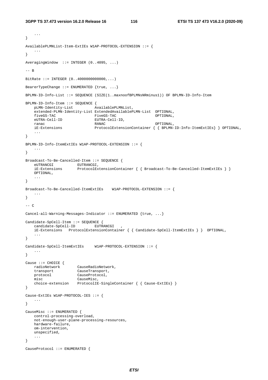```
 ... 
} 
AvailablePLMNList-Item-ExtIEs W1AP-PROTOCOL-EXTENSION ::= { 
    ... 
} 
AveragingWindow ::= INTEGER (0..4095, ...)
-- B 
BitRate ::= INTEGER (0..4000000000000,...) 
BearerTypeChange ::= ENUMERATED {true, ...} 
BPLMN-ID-Info-List ::= SEQUENCE (SIZE(1..maxnoofBPLMNsNRminus1)) OF BPLMN-ID-Info-Item 
BPLMN-ID-Info-Item ::= SEQUENCE { 
  pLMN-Identity-List
    extended-PLMN-Identity-List ExtendedAvailablePLMN-List OPTIONAL, 
    fiveGS-TAC FiveGS-TAC OPTIONAL, 
    eUTRA-Cell-ID EUTRA-Cell-ID, 
   ranac RANAC RANAC OPTIONAL,
    iE-Extensions ProtocolExtensionContainer { { BPLMN-ID-Info-ItemExtIEs} } OPTIONAL, 
    ... 
} 
BPLMN-ID-Info-ItemExtIEs W1AP-PROTOCOL-EXTENSION ::= { 
 ... 
} 
Broadcast-To-Be-Cancelled-Item ::= SEQUENCE { 
eUTRANCGI EUTRANCGI,
 iE-Extensions ProtocolExtensionContainer { { Broadcast-To-Be-Cancelled-ItemExtIEs } }
    OPTIONAL, 
    ... 
} 
Broadcast-To-Be-Cancelled-ItemExtIEs W1AP-PROTOCOL-EXTENSION ::= { 
    ... 
} 
--- CCancel-all-Warning-Messages-Indicator ::= ENUMERATED {true, ...} 
Candidate-SpCell-Item ::= SEQUENCE { 
   candidate-SpCell-ID EUTRANCGI
    iE-Extensions ProtocolExtensionContainer { { Candidate-SpCell-ItemExtIEs } } OPTIONAL, 
    ... 
} 
Candidate-SpCell-ItemExtIEs W1AP-PROTOCOL-EXTENSION ::= { 
    ... 
} 
Cause ::= CHOICE { 
   radioNetwork CauseRadioNetwork, 
 transport CauseTransport, 
 protocol CauseProtocol, 
    misc CauseMisc, 
    choice-extension ProtocolIE-SingleContainer { { Cause-ExtIEs} } 
} 
Cause-ExtIEs W1AP-PROTOCOL-IES ::= { 
    ... 
} 
CauseMisc ::= ENUMERATED { 
    control-processing-overload, 
    not-enough-user-plane-processing-resources, 
    hardware-failure, 
    om-intervention, 
    unspecified, 
    ... 
} 
CauseProtocol ::= ENUMERATED {
```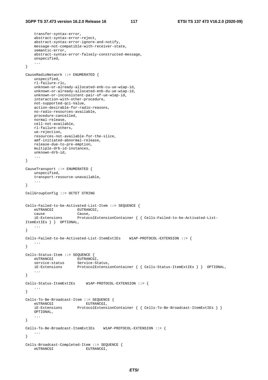```
 transfer-syntax-error, 
     abstract-syntax-error-reject, 
     abstract-syntax-error-ignore-and-notify, 
     message-not-compatible-with-receiver-state, 
     semantic-error, 
     abstract-syntax-error-falsely-constructed-message, 
     unspecified, 
     ... 
} 
CauseRadioNetwork ::= ENUMERATED { 
     unspecified, 
     rl-failure-rlc, 
     unknown-or-already-allocated-enb-cu-ue-w1ap-id, 
     unknown-or-already-allocated-enb-du-ue-w1ap-id, 
     unknown-or-inconsistent-pair-of-ue-w1ap-id, 
     interaction-with-other-procedure, 
     not-supported-qci-Value, 
     action-desirable-for-radio-reasons, 
     no-radio-resources-available, 
     procedure-cancelled, 
     normal-release, 
     cell-not-available, 
     rl-failure-others, 
     ue-rejection, 
     resources-not-available-for-the-slice, 
     amf-initiated-abnormal-release, 
     release-due-to-pre-emption, 
     multiple-drb-id-instances, 
     unknown-drb-id, 
 ... 
} 
CauseTransport ::= ENUMERATED { 
    unspecified, 
     transport-resource-unavailable, 
     ... 
} 
CellGroupConfig ::= OCTET STRING 
Cells-Failed-to-be-Activated-List-Item ::= SEQUENCE { 
    ..<br>eUTRANCGI<br>cause
                        Cause,
     iE-Extensions ProtocolExtensionContainer { { Cells-Failed-to-be-Activated-List-
ItemExtIEs } } OPTIONAL, 
 ... 
} 
Cells-Failed-to-be-Activated-List-ItemExtIEs W1AP-PROTOCOL-EXTENSION ::= { 
 ... 
} 
Cells-Status-Item ::= SEQUENCE {<br>eUTRANCGI EUTRANCE
                      EUTRANCGI,
    service-status Service-Status,
     iE-Extensions ProtocolExtensionContainer { { Cells-Status-ItemExtIEs } } OPTIONAL, 
     ... 
} 
Cells-Status-ItemExtIEs W1AP-PROTOCOL-EXTENSION ::= { 
     ... 
} 
Cells-To-Be-Broadcast-Item ::= SEQUENCE { 
    eUTRANCGI EUTRANCGI,<br>iE-Extensions ProtocolExtens
                        ProtocolExtensionContainer { { Cells-To-Be-Broadcast-ItemExtIEs } }
     OPTIONAL, 
     ... 
} 
Cells-To-Be-Broadcast-ItemExtIEs W1AP-PROTOCOL-EXTENSION ::= { 
     ... 
} 
Cells-Broadcast-Completed-Item ::= SEQUENCE { 
    eUTRANCGI EUTRANCGI,
```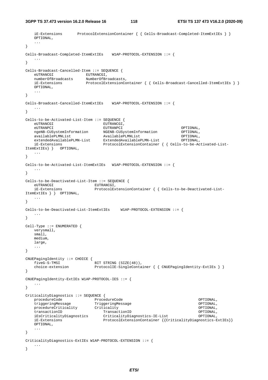**3GPP TS 37.473 version 16.2.0 Release 16 118 ETSI TS 137 473 V16.2.0 (2020-09)**

```
 iE-Extensions ProtocolExtensionContainer { { Cells-Broadcast-Completed-ItemExtIEs } }
    OPTIONAL, 
    ... 
} 
Cells-Broadcast-Completed-ItemExtIEs W1AP-PROTOCOL-EXTENSION ::= { 
 ... 
} 
Cells-Broadcast-Cancelled-Item ::= SEQUENCE { 
eUTRANCGI EUTRANCGI,
 numberOfBroadcasts NumberOfBroadcasts, 
 iE-Extensions ProtocolExtensionContainer { { Cells-Broadcast-Cancelled-ItemExtIEs } }
    OPTIONAL, 
    ... 
} 
Cells-Broadcast-Cancelled-ItemExtIEs W1AP-PROTOCOL-EXTENSION ::= { 
 ... 
} 
Cells-to-be-Activated-List-Item ::= SEQUENCE { 
    eUTRANCGI EUTRANCGI, 
 eUTRANPCI EUTRANPCI OPTIONAL, 
 ngeNB-CUSystemInformation NGENB-CUSystemInformation OPTIONAL, 
   ngeNB-CUSystemInformation <br>| NGENB-CUSystemInformation OPTIONAL,<br>| AvailablePLMNList OPTIONAL, AvailablePLMNList OPTIONAL,
   availablePLMNList AvailablePLMNList CPTIONAL,<br>extendedAvailablePLMN-List ExtendedAvailablePLMN-List OPTIONAL,
    iE-Extensions ProtocolExtensionContainer { { Cells-to-be-Activated-List-
ItemExtIEs} } OPTIONAL, 
    ... 
} 
Cells-to-be-Activated-List-ItemExtIEs W1AP-PROTOCOL-EXTENSION ::= { 
 ... 
} 
Cells-to-be-Deactivated-List-Item ::= SEQUENCE { 
   eUTRANCGI EUTRANCGI,
    iE-Extensions ProtocolExtensionContainer { { Cells-to-be-Deactivated-List-
ItemExtIEs } } OPTIONAL, 
    ... 
} 
Cells-to-be-Deactivated-List-ItemExtIEs W1AP-PROTOCOL-EXTENSION ::= { 
    ... 
} 
Cell-Type ::= ENUMERATED { 
    verysmall, 
    small, 
    medium, 
    large, 
    ... 
} 
CNUEPagingIdentity ::= CHOICE { 
    fiveG-S-TMSI BIT STRING (SIZE(48)), 
   choice-extension ProtocolIE-SingleContainer { { CNUEPagingIdentity-ExtIEs } }
} 
CNUEPagingIdentity-ExtIEs W1AP-PROTOCOL-IES ::= { 
    ... 
} 
CriticalityDiagnostics ::= SEQUENCE { 
 procedureCode ProcedureCode OPTIONAL, 
 triggeringMessage TriggeringMessage OPTIONAL, 
procedureCriticality Criticality Criticality Criticality OPTIONAL,
 transactionID TransactionID OPTIONAL, 
    iEsCriticalityDiagnostics CriticalityDiagnostics-IE-List OPTIONAL, 
    iE-Extensions ProtocolExtensionContainer {{CriticalityDiagnostics-ExtIEs}} 
    OPTIONAL, 
    ... 
} 
CriticalityDiagnostics-ExtIEs W1AP-PROTOCOL-EXTENSION ::= { 
    ... 
}
```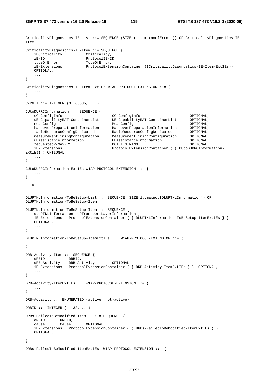```
CriticalityDiagnostics-IE-List ::= SEQUENCE (SIZE (1.. maxnoofErrors)) OF CriticalityDiagnostics-IE-
Item 
CriticalityDiagnostics-IE-Item ::= SEQUENCE { 
  iECriticality Criticality,<br>iE-ID ProtocolIE-I
                         ProtocolIE-ID,<br>TypeOfError.
   typeOfError<br>iE-Extensions
                        iLet occurred incontainer {{CriticalityDiagnostics-IE-Item-ExtIEs}}
    OPTIONAL, 
    ... 
} 
CriticalityDiagnostics-IE-Item-ExtIEs W1AP-PROTOCOL-EXTENSION ::= { 
    ... 
} 
C-RTI ::= INTEGR (0..65535, ...)CUtoDURRCInformation ::= SEQUENCE { 
    cG-ConfigInfo CG-ConfigInfo OPTIONAL, 
    uE-CapabilityRAT-ContainerList UE-CapabilityRAT-ContainerList OPTIONAL, 
 measConfig MeasConfig OPTIONAL, 
 handoverPreparationInformation HandoverPreparationInformation OPTIONAL, 
 radioResourceConfigDedicated RadioResourceConfigDedicated OPTIONAL, 
 measurementTimingConfiguration MeasurementTimingConfiguration OPTIONAL, 
 uEAssistanceInformation UEAssistanceInformation OPTIONAL, 
 requestedP-MaxFR1 OCTET STRING OPTIONAL, 
    iE-Extensions ProtocolExtensionContainer { { CUtoDURRCInformation-
ExtIEs} } OPTIONAL, 
    ... 
} 
CUtoDURRCInformation-ExtIEs W1AP-PROTOCOL-EXTENSION ::= { 
    ... 
} 
-- D 
DLUPTNLInformation-ToBeSetup-List ::= SEQUENCE (SIZE(1..maxnoofDLUPTNLInformation)) OF 
DLUPTNLInformation-ToBeSetup-Item 
DLUPTNLInformation-ToBeSetup-Item ::= SEQUENCE { 
    dLUPTNLInformation UPTransportLayerInformation , 
    iE-Extensions ProtocolExtensionContainer { { DLUPTNLInformation-ToBeSetup-ItemExtIEs } }
    OPTIONAL, 
    ... 
} 
DLUPTNLInformation-ToBeSetup-ItemExtIEs W1AP-PROTOCOL-EXTENSION ::= { 
 ... 
} 
DRB-Activity-Item ::= SEQUENCE { 
dRBID DRBID,
 dRB-Activity DRB-Activity OPTIONAL, 
    iE-Extensions ProtocolExtensionContainer { { DRB-Activity-ItemExtIEs } } OPTIONAL, 
 ... 
} 
DRB-Activity-ItemExtIEs W1AP-PROTOCOL-EXTENSION ::= { 
    ... 
} 
DRB-Activity ::= ENUMERATED {active, not-active} 
DRBID ::= INTEGER (1..32, ...)DRBs-FailedToBeModified-Item ::= SEQUENCE { 
    dRBID DRBID, 
    cause Cause OPTIONAL, 
    iE-Extensions ProtocolExtensionContainer { { DRBs-FailedToBeModified-ItemExtIEs } }
    OPTIONAL, 
    ... 
} 
DRBs-FailedToBeModified-ItemExtIEs W1AP-PROTOCOL-EXTENSION ::= {
```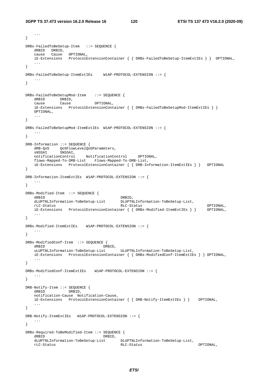...

```
} 
DRBs-FailedToBeSetup-Item ::= SEQUENCE { 
 dRBID DRBID, 
 cause Cause OPTIONAL, 
    iE-Extensions ProtocolExtensionContainer { { DRBs-FailedToBeSetup-ItemExtIEs } } OPTIONAL, 
    ... 
} 
DRBs-FailedToBeSetup-ItemExtIEs W1AP-PROTOCOL-EXTENSION ::= { 
 ... 
} 
DRBs-FailedToBeSetupMod-Item ::= SEQUENCE { 
   dRBID DRBID,
   cause Cause OPTIONAL,
    iE-Extensions ProtocolExtensionContainer { { DRBs-FailedToBeSetupMod-ItemExtIEs } }
    OPTIONAL, 
    ... 
} 
DRBs-FailedToBeSetupMod-ItemExtIEs W1AP-PROTOCOL-EXTENSION ::= { 
    ... 
} 
DRB-Information ::= SEQUENCE { 
dRB-QoS  QoSFlowLevelQoSParameters,
 sNSSAI SNSSAI, 
    notificationControl NotificationControl OPTIONAL, 
    flows-Mapped-To-DRB-List Flows-Mapped-To-DRB-List, 
    iE-Extensions ProtocolExtensionContainer { { DRB-Information-ItemExtIEs } } OPTIONAL 
} 
DRB-Information-ItemExtIEs W1AP-PROTOCOL-EXTENSION ::= { 
    ... 
} 
DRBs-Modified-Item ::= SEQUENCE { 
   dRBID<br>dLUPTNLInformation-ToBeSetup-List DLUPTNLInformation-ToBeSetup-List,
   dLUPTNLInformation-ToBeSetup-List DLUPTNLInformation-ToBeSetup-List DLUPTNLInformation-ToBeSetup-List
 rLC-Status RLC-Status OPTIONAL, 
 iE-Extensions ProtocolExtensionContainer { { DRBs-Modified-ItemExtIEs } } OPTIONAL, 
    ... 
} 
DRBs-Modified-ItemExtIEs W1AP-PROTOCOL-EXTENSION ::= { 
    ... 
} 
DRBs-ModifiedConf-Item ::= SEQUENCE { 
dRBID DRBID,
 uLUPTNLInformation-ToBeSetup-List ULUPTNLInformation-ToBeSetup-List, 
    iE-Extensions ProtocolExtensionContainer { { DRBs-ModifiedConf-ItemExtIEs } } OPTIONAL, 
    ... 
} 
DRBs-ModifiedConf-ItemExtIEs W1AP-PROTOCOL-EXTENSION ::= { 
 ... 
} 
DRB-Notify-Item ::= SEQUENCE { 
                 DRBID.
    notification-Cause Notification-Cause, 
   iE-Extensions ProtocolExtensionContainer { { DRB-Notify-ItemExtIEs } } OPTIONAL,
    ... 
} 
DRB-Notify-ItemExtIEs W1AP-PROTOCOL-EXTENSION ::= { 
    ... 
} 
DRBs-Required-ToBeModified-Item ::= SEQUENCE { 
    dRBID DRBID, 
   dLUPTNLInformation-ToBeSetup-List DLUPTNLInformation-ToBeSetup-List,<br>
RLC-Status rLC-Status RLC-Status OPTIONAL,
```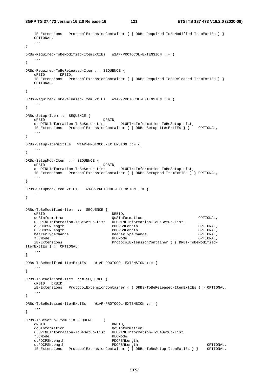**3GPP TS 37.473 version 16.2.0 Release 16 121 ETSI TS 137 473 V16.2.0 (2020-09)**

```
 iE-Extensions ProtocolExtensionContainer { { DRBs-Required-ToBeModified-ItemExtIEs } }
    OPTIONAL, 
    ... 
} 
DRBs-Required-ToBeModified-ItemExtIEs W1AP-PROTOCOL-EXTENSION ::= { 
 ... 
} 
DRBs-Required-ToBeReleased-Item ::= SEQUENCE { 
   dRBID DRBID, 
    iE-Extensions ProtocolExtensionContainer { { DRBs-Required-ToBeReleased-ItemExtIEs } }
    OPTIONAL, 
    ... 
} 
DRBs-Required-ToBeReleased-ItemExtIEs W1AP-PROTOCOL-EXTENSION ::= { 
    ... 
} 
DRBs-Setup-Item ::= SEQUENCE { 
   dRBID DRBID,
    dLUPTNLInformation-ToBeSetup-List DLUPTNLInformation-ToBeSetup-List, 
    iE-Extensions ProtocolExtensionContainer { { DRBs-Setup-ItemExtIEs } } OPTIONAL, 
 ... 
} 
DRBs-Setup-ItemExtIEs W1AP-PROTOCOL-EXTENSION ::= { 
 ... 
} 
DRBs-SetupMod-Item ::= SEQUENCE { 
                              dRB<sub>ID</sub>.
    dLUPTNLInformation-ToBeSetup-List DLUPTNLInformation-ToBeSetup-List, 
    iE-Extensions ProtocolExtensionContainer { { DRBs-SetupMod-ItemExtIEs } } OPTIONAL, 
 ... 
} 
DRBs-SetupMod-ItemExtIEs W1AP-PROTOCOL-EXTENSION ::= { 
    ... 
} 
DRBs-ToBeModified-Item ::= SEQUENCE { 
   dRBID DRBID, 
    qoSInformation QoSInformation OPTIONAL, 
    uLUPTNLInformation-ToBeSetup-List ULUPTNLInformation-ToBeSetup-List, 
    dLPDCPSNLength PDCPSNLength OPTIONAL, 
   uLPDCPSNLength PDCPSNLength OPTIONAL, 
                                 BearerTypeChange George Control of CPTIONAL,
 rLCMode RLCMode OPTIONAL, 
    iE-Extensions ProtocolExtensionContainer { { DRBs-ToBeModified-
ItemExtIEs } } OPTIONAL, 
    ... 
} 
DRBs-ToBeModified-ItemExtIEs W1AP-PROTOCOL-EXTENSION ::= { 
 ... 
} 
DRBs-ToBeReleased-Item ::= SEQUENCE { 
    dRBID DRBID, 
    iE-Extensions ProtocolExtensionContainer { { DRBs-ToBeReleased-ItemExtIEs } } OPTIONAL, 
 ... 
} 
DRBs-ToBeReleased-ItemExtIEs W1AP-PROTOCOL-EXTENSION ::= { 
    ... 
} 
DRBs-ToBeSetup-Item ::= SEQUENCE { 
  dRBID DRBID,
    qoSInformation QoSInformation, 
    uLUPTNLInformation-ToBeSetup-List ULUPTNLInformation-ToBeSetup-List, 
   rLCMode RLCMode,
   dLPDCPSNLength PDCPSNLength,<br>uLPDCPSNLength PDCPSNLength
   uLPDCPSNLength PDCPSNLength PDCPSNLength PDCPSNLength OPTIONAL,
    iE-Extensions ProtocolExtensionContainer { { DRBs-ToBeSetup-ItemExtIEs } } OPTIONAL,
```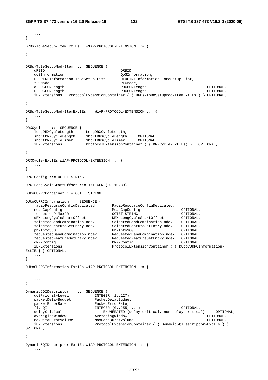```
 ... 
} 
DRBs-ToBeSetup-ItemExtIEs W1AP-PROTOCOL-EXTENSION ::= { 
    ... 
} 
DRBs-ToBeSetupMod-Item ::= SEQUENCE { 
   dRBID DRBID,
    qoSInformation QoSInformation, 
    uLUPTNLInformation-ToBeSetup-List ULUPTNLInformation-ToBeSetup-List, 
    rLCMode RLCMode, 
   dLPDCPSNLength                    PDCPSNLength                       OPTIONAL,<br>uLPDCPSNLength                    PDCPSNLength                   OPTIONAL,
   uLPDCPSNLength
    iE-Extensions ProtocolExtensionContainer { { DRBs-ToBeSetupMod-ItemExtIEs } } OPTIONAL, 
 ... 
} 
DRBs-ToBeSetupMod-ItemExtIEs W1AP-PROTOCOL-EXTENSION ::= { 
 ... 
} 
DRXCycle ::= SEQUENCE { 
 longDRXCycleLength LongDRXCycleLength, 
 shortDRXCycleLength ShortDRXCycleLength OPTIONAL, 
 shortDRXCycleTimer ShortDRXCycleTimer OPTIONAL, 
                         ProtocolExtensionContainer { { DRXCycle-ExtIEs} } OPTIONAL,
 ... 
} 
DRXCycle-ExtIEs W1AP-PROTOCOL-EXTENSION ::= { 
 ... 
} 
DRX-Config ::= OCTET STRING 
DRX-LongCycleStartOffset ::= INTEGER (0..10239) 
DUtoCURRCContainer ::= OCTET STRING 
DUtoCURRCInformation ::= SEQUENCE { 
   radioResourceConfigDedicated RadioResourceConfigDedicated,
    measGapConfig MeasGapConfig OPTIONAL, 
   \begin{tabular}{ll} \texttt{requestedP-MaxFRI} & \texttt{OCTET STRING} & \texttt{OPTIONAL}, \\ \texttt{dRX-LongCycleStartOffset} & \texttt{DRX-LongCycleStartOffset} & \texttt{OPTIONAL}, \\ \texttt{selectedBandCombinationIndex} & \texttt{SelectedBandCombinationIndex} & \texttt{OPTIONAL}, \\ \texttt{selectedFeaturesetEntryIndex} & \texttt{SelectedFeatureSetEntryIndex} & \texttt{OPTIONAL}, \end{tabular} dRX-LongCycleStartOffset DRX-LongCycleStartOffset OPTIONAL, 
 selectedBandCombinationIndex SelectedBandCombinationIndex OPTIONAL, 
                                    SelectedFeatureSetEntryIndex OPTIONAL,
 ph-InfoSCG Ph-InfoSCG OPTIONAL, 
 requestedBandCombinationIndex RequestedBandCombinationIndex OPTIONAL, 
 requestedFeatureSetEntryIndex RequestedFeatureSetEntryIndex OPTIONAL, 
 dRX-Config DRX-Config OPTIONAL, 
    iE-Extensions ProtocolExtensionContainer { { DUtoCURRCInformation-
ExtIEs} } OPTIONAL, 
    ... 
} 
DUtoCURRCInformation-ExtIEs W1AP-PROTOCOL-EXTENSION ::= { 
    ... 
} 
Dynamic5QIDescriptor ::= SEQUENCE {<br>qoSPriorityLevel INTEGE
 qoSPriorityLevel INTEGER (1..127), 
 packetDelayBudget PacketDelayBudget, 
packetErrorRate PacketErrorRate,
 fiveQI INTEGER (0..255, ...) OPTIONAL, 
    delayCritical ENUMERATED {delay-critical, non-delay-critical} OPTIONAL, 
 averagingWindow AveragingWindow OPTIONAL, 
 maxDataBurstVolume MaxDataBurstVolume OPTIONAL, 
     iE-Extensions ProtocolExtensionContainer { { Dynamic5QIDescriptor-ExtIEs } } 
OPTIONAL, 
    ... 
} 
Dynamic5QIDescriptor-ExtIEs W1AP-PROTOCOL-EXTENSION ::= { 
     ...
```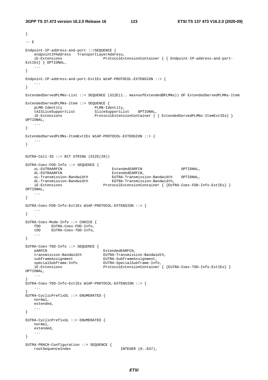```
} 
--- E
Endpoint-IP-address-and-port ::=SEQUENCE { 
   endpointIPAddress TransportLayerAddress,<br>iE-Extensions ProtocolEx
                                  iErotocolExtensionContainer { { Endpoint-IP-address-and-port-
ExtIEs} } OPTIONAL, 
    ... 
} 
Endpoint-IP-address-and-port-ExtIEs W1AP-PROTOCOL-EXTENSION ::= { 
 ... 
} 
ExtendedServedPLMNs-List ::= SEQUENCE (SIZE(1.. maxnoofExtendedBPLMNs)) OF ExtendedServedPLMNs-Item 
ExtendedServedPLMNs-Item ::= SEQUENCE { 
 pLMN-Identity PLMN-Identity, 
 tAISliceSupportList SliceSupportList OPTIONAL, 
   iE-Extensions ProtocolExtensionContainer { { ExtendedServedPLMNs-ItemExtIEs} }
OPTIONAL, 
    ... 
} 
ExtendedServedPLMNs-ItemExtIEs W1AP-PROTOCOL-EXTENSION ::= { 
    ... 
} 
EUTRA-Cell-ID ::= BIT STRING (SIZE(28)) 
EUTRA-Coex-FDD-Info ::= SEQUENCE { 
    uL-EUTRAARFCN ExtendedEARFCN OPTIONAL, 
   dL-EUTRAARFCN ExtendedEARFCN,
 uL-Transmission-Bandwidth EUTRA-Transmission-Bandwidth OPTIONAL, 
 dL-Transmission-Bandwidth EUTRA-Transmission-Bandwidth, 
   dia-Extension-Bandwidth and EUTRA-Transmission-Bandwidth,<br>iE-Extensions ProtocolExtensionContainer { {EUTRA-Coex-FDD-Info-ExtIEs} }
OPTIONAL, 
    ... 
} 
EUTRA-Coex-FDD-Info-ExtIEs W1AP-PROTOCOL-EXTENSION ::= { 
 ... 
} 
EUTRA-Coex-Mode-Info ::= CHOICE { 
   fDD EUTRA-Coex-FDD-Info, 
          EUTRA-Coex-TDD-Info,
    ... 
} 
EUTRA-Coex-TDD-Info ::= SEQUENCE { 
eARFCN ExtendedEARFCN,
 transmission-Bandwidth EUTRA-Transmission-Bandwidth, 
 subframeAssignment EUTRA-SubframeAssignment, 
 specialSubframe-Info EUTRA-SpecialSubframe-Info, 
    iE-Extensions ProtocolExtensionContainer { {EUTRA-Coex-TDD-Info-ExtIEs} } 
OPTIONAL, 
     ... 
} 
EUTRA-Coex-TDD-Info-ExtIEs W1AP-PROTOCOL-EXTENSION ::= {
    ... 
} 
EUTRA-CyclicPrefixDL ::= ENUMERATED { 
    normal, 
    extended, 
    ... 
} 
EUTRA-CyclicPrefixUL ::= ENUMERATED { 
    normal, 
    extended, 
     ... 
} 
EUTRA-PRACH-Configuration ::= SEQUENCE { 
   rootSequenceIndex INTEGER (0..837),
```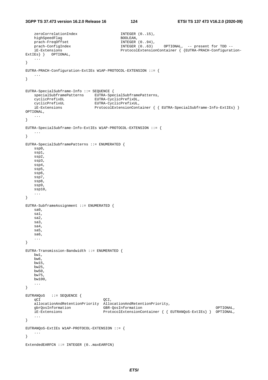```
zeroCorrelationIndex INTEGER (0..15),
   highSpeedFlag BOOLEAN,
   prach-FreqOffset INTEGER (0..94),
 prach-ConfigIndex INTEGER (0..63) OPTIONAL, -- present for TDD -- 
 iE-Extensions ProtocolExtensionContainer { {EUTRA-PRACH-Configuration-
ExtIEs } } OPTIONAL,
    ... 
} 
EUTRA-PRACH-Configuration-ExtIEs W1AP-PROTOCOL-EXTENSION ::= { 
    ... 
} 
EUTRA-SpecialSubframe-Info ::= SEQUENCE { 
  specialSubframePatterns EUTRA-SpecialSubframePatterns,
 cyclicPrefixDL EUTRA-CyclicPrefixDL, 
 cyclicPrefixUL EUTRA-CyclicPrefixUL, 
 iE-Extensions ProtocolExtensionContainer { { EUTRA-SpecialSubframe-Info-ExtIEs} } 
OPTIONAL, 
    ... 
} 
EUTRA-SpecialSubframe-Info-ExtIEs W1AP-PROTOCOL-EXTENSION ::= { 
    ... 
} 
EUTRA-SpecialSubframePatterns ::= ENUMERATED { 
    ssp0, 
    ssp1, 
    ssp2, 
    ssp3, 
    ssp4, 
    ssp5, 
    ssp6, 
    ssp7, 
    ssp8, 
    ssp9, 
    ssp10, 
    ... 
} 
EUTRA-SubframeAssignment ::= ENUMERATED { 
    sa0, 
    sa1, 
    sa2, 
    sa3, 
    sa4, 
    sa5, 
    sa6, 
    ... 
} 
EUTRA-Transmission-Bandwidth ::= ENUMERATED { 
   bw1, 
    bw6, 
    bw15, 
    bw25, 
    bw50, 
    bw75, 
    bw100, 
    ... 
} 
EUTRANQoS ::= SEQUENCE { 
qCI QCI,
 allocationAndRetentionPriority AllocationAndRetentionPriority, 
    gbrQosInformation GBR-QosInformation OPTIONAL, 
                               ProtocolExtensionContainer { { EUTRANQoS-ExtIEs} } OPTIONAL,
    ... 
} 
EUTRANQoS-ExtIEs W1AP-PROTOCOL-EXTENSION ::= { 
    ... 
} 
ExtendedEARFCN ::= INTEGER (0..maxEARFCN)
```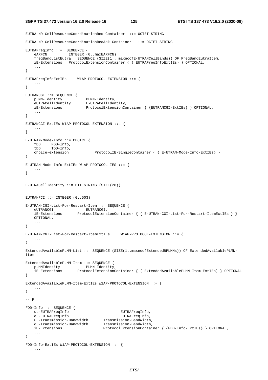EUTRA-NR-CellResourceCoordinationReq-Container ::= OCTET STRING

```
EUTRA-NR-CellResourceCoordinationReqAck-Container ::= OCTET STRING 
EUTRAFreqInfo ::= SEQUENCE { 
  eARFCN INTEGER (0..maxEARFCN),
    freqBandListEutra SEQUENCE (SIZE(1.. maxnoofE-UTRANCellBands)) OF FreqBandEutraItem, 
    iE-Extensions ProtocolExtensionContainer { { EUTRAFreqInfoExtIEs} } OPTIONAL, 
 ... 
} 
EUTRAFreqInfoExtIEs W1AP-PROTOCOL-EXTENSION ::= { 
    ... 
} 
EUTRANCGI ::= SEQUENCE { 
 pLMN-Identity PLMN-Identity, 
 eUTRACellIdentity E-UTRACellIdentity, 
    iE-Extensions ProtocolExtensionContainer { {EUTRANCGI-ExtIEs} } OPTIONAL, 
    ... 
} 
EUTRANCGI-ExtIEs W1AP-PROTOCOL-EXTENSION ::= { 
 ... 
} 
E-UTRAN-Mode-Info ::= CHOICE { 
 fDD FDD-Info, 
 tDD TDD-Info, 
    choice-extension ProtocolIE-SingleContainer { { E-UTRAN-Mode-Info-ExtIEs} } 
} 
E-UTRAN-Mode-Info-ExtIEs W1AP-PROTOCOL-IES ::= { 
    ... 
} 
E-UTRACellIdentity ::= BIT STRING (SIZE(28))
EUTRANPCI ::= INTEGER (0..503)E-UTRAN-CGI-List-For-Restart-Item ::= SEQUENCE { 
eUTRANCGI EUTRANCGI,
 iE-Extensions ProtocolExtensionContainer { { E-UTRAN-CGI-List-For-Restart-ItemExtIEs } }
    OPTIONAL, 
 ... 
} 
E-UTRAN-CGI-List-For-Restart-ItemExtIEs W1AP-PROTOCOL-EXTENSION ::= { 
 ... 
} 
ExtendedAvailablePLMN-List ::= SEQUENCE (SIZE(1..maxnoofExtendedBPLMNs)) OF ExtendedAvailablePLMN-
Item 
ExtendedAvailablePLMN-Item ::= SEQUENCE { 
   pLMNIdentity PLMN-Identity, 
    iE-Extensions ProtocolExtensionContainer { { ExtendedAvailablePLMN-Item-ExtIEs} } OPTIONAL 
} 
ExtendedAvailablePLMN-Item-ExtIEs W1AP-PROTOCOL-EXTENSION ::= { 
    ... 
} 
--- F
FDD-Info ::= SEQUENCE { 
    uL-EUTRAFreqInfo EUTRAFreqInfo, 
 dL-EUTRAFreqInfo EUTRAFreqInfo, 
 uL-Transmission-Bandwidth Transmission-Bandwidth, 
 dL-Transmission-Bandwidth Transmission-Bandwidth, 
 iE-Extensions ProtocolExtensionContainer { {FDD-Info-ExtIEs} } OPTIONAL, 
    ... 
} 
FDD-Info-ExtIEs W1AP-PROTOCOL-EXTENSION ::= { 
     ...
```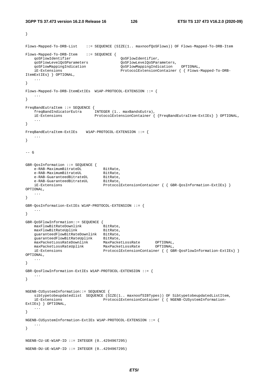}

```
Flows-Mapped-To-DRB-List ::= SEQUENCE (SIZE(1.. maxnoofQoSFlows)) OF Flows-Mapped-To-DRB-Item 
Flows-Mapped-To-DRB-Item ::= SEQUENCE {<br>qoSFlowIdentifier
   qoSFlowIdentifier QoSFlowIdentifier,<br>qoSFlowLevelOoSParameters OoSFlowLevelOoSPar
                                           QoSFlowLevelQoSParameters,<br>OoSFlowMappingIndication OPTIONAL,
   qoSFlowMappingIndication QoSFlowMappingIndication
    iE-Extensions ProtocolExtensionContainer { { Flows-Mapped-To-DRB-
ItemExtIEs} } OPTIONAL, 
    ... 
} 
Flows-Mapped-To-DRB-ItemExtIEs W1AP-PROTOCOL-EXTENSION ::= { 
 ... 
} 
FreqBandEutraItem ::= SEQUENCE { 
   .<br>freqBandIndicatorEutra
    iE-Extensions ProtocolExtensionContainer { {FreqBandEutraItem-ExtIEs} } OPTIONAL, 
    ... 
} 
FreqBandEutraItem-ExtIEs W1AP-PROTOCOL-EXTENSION ::= { 
    ... 
} 
--- G
GBR-QosInformation ::= SEQUENCE { 
   e-RAB-MaximumBitrateDL BitRate,<br>e-RAB-MaximumBitrateUL BitRate,<br>e-BitRate,
e-RAB-MaximumBitrateUL BitRate,
 e-RAB-GuaranteedBitrateDL BitRate, 
e-RAB-GuaranteedBitrateUL BitRate,
                                 ProtocolExtensionContainer { { GBR-QosInformation-ExtIES} }
OPTIONAL, 
    ... 
} 
GBR-QosInformation-ExtIEs W1AP-PROTOCOL-EXTENSION ::= { 
 ... 
} 
GBR-QoSFlowInformation::= SEQUENCE { 
   maxFlowBitRateDownlink BitRate,
   maxFlowBitRateUplink BitRate,
   guaranteedFlowBitRateDownlink BitRate,
 guaranteedFlowBitRateUplink BitRate, 
 maxPacketLossRateDownlink MaxPacketLossRate OPTIONAL, 
 maxPacketLossRateUplink MaxPacketLossRate OPTIONAL, 
    iE-Extensions ProtocolExtensionContainer { { GBR-QosFlowInformation-ExtIEs} } 
OPTIONAL, 
    ... 
} 
GBR-QosFlowInformation-ExtIEs W1AP-PROTOCOL-EXTENSION ::= { 
 ... 
} 
NGENB-CUSystemInformation::= SEQUENCE { 
    sibtypetobeupdatedlist SEQUENCE (SIZE(1.. maxnoofSIBTypes)) OF SibtypetobeupdatedListItem, 
    iE-Extensions ProtocolExtensionContainer { { NGENB-CUSystemInformation-
ExtIEs} } OPTIONAL, 
    ... 
} 
NGENB-CUSystemInformation-ExtIEs W1AP-PROTOCOL-EXTENSION ::= { 
    ... 
} 
NGENB-CU-UE-W1AP-ID ::= INTEGER (0..4294967295) 
NGENB-DU-UE-W1AP-ID ::= INTEGER (0.14294967295)
```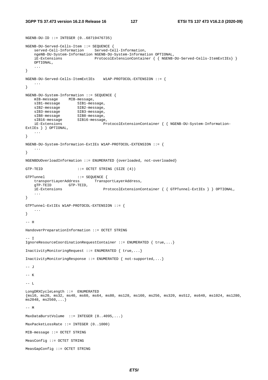NGENB-DU-ID ::= INTEGER (0..68719476735)

```
NGENB-DU-Served-Cells-Item ::= SEQUENCE { 
    served-Cell-Information Served-Cell-Information, 
    ngeNB-DU-System-Information NGENB-DU-System-Information OPTIONAL, 
                             ProtocolExtensionContainer { { NGENB-DU-Served-Cells-ItemExtIEs} }
    OPTIONAL, 
    ... 
} 
NGENB-DU-Served-Cells-ItemExtIEs W1AP-PROTOCOL-EXTENSION ::= { 
    ... 
} 
NGENB-DU-System-Information ::= SEQUENCE { 
    mIB-message MIB-message, 
 sIB1-message SIB1-message, 
 sIB2-message SIB2-message, 
sIB3-message SIB3-message,
sIB8-message SIB8-message,
   sIB16-message SIB16-message,
    iE-Extensions ProtocolExtensionContainer { { NGENB-DU-System-Information-
ExtIEs } } OPTIONAL,
    ... 
} 
NGENB-DU-System-Information-ExtIEs W1AP-PROTOCOL-EXTENSION ::= { 
 ... 
} 
NGENBDUOverloadInformation ::= ENUMERATED {overloaded, not-overloaded} 
GTP-TEID ::= OCTET STRING (SIZE (4)) 
GTPTunnel ::= SEQUENCE { 
    transportLayerAddress TransportLayerAddress, 
    gTP-TEID GTP-TEID, 
    iE-Extensions ProtocolExtensionContainer { { GTPTunnel-ExtIEs } } OPTIONAL, 
    ... 
} 
GTPTunnel-ExtIEs W1AP-PROTOCOL-EXTENSION ::= { 
    ... 
} 
-- H 
HandoverPreparationInformation ::= OCTET STRING 
--- T
IgnoreResourceCoordinationRequestContainer ::= ENUMERATED { true,...} 
InactivityMonitoringRequest ::= ENUMERATED { true,...} 
InactivityMonitoringResponse ::= ENUMERATED { not-supported,...} 
-- J 
-- K 
-- L 
LongDRXCycleLength ::= ENUMERATED 
{ms10, ms20, ms32, ms40, ms60, ms64, ms80, ms128, ms160, ms256, ms320, ms512, ms640, ms1024, ms1280, 
ms2048, ms2560, ...--- MMaxDataBurstVolume ::= INTEGER (0..4095,...) 
MaxPacketLossRate ::= INTEGER (0..1000) 
MIB-message ::= OCTET STRING 
MeasConfig ::= OCTET STRING 
MeasGapConfig ::= OCTET STRING
```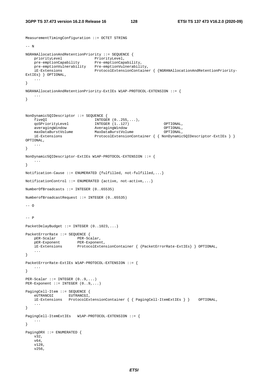MeasurementTimingConfiguration ::= OCTET STRING

```
--- N
NGRANAllocationAndRetentionPriority ::= SEQUENCE { 
priorityLevel PriorityLevel,
 pre-emptionCapability Pre-emptionCapability, 
   pre-emptionVulnerability Pre-emptionVulnerability,
    iE-Extensions ProtocolExtensionContainer { {NGRANAllocationAndRetentionPriority-
ExtIEs} } OPTIONAL, 
    ... 
} 
NGRANAllocationAndRetentionPriority-ExtIEs W1AP-PROTOCOL-EXTENSION ::= { 
    ... 
} 
NonDynamic5QIDescriptor ::= SEQUENCE { 
   fiveQI I \cup \text{INTER } (0..255,...), qoSPriorityLevel INTEGER (1..127) OPTIONAL, 
    averagingWindow AveragingWindow OPTIONAL, 
 maxDataBurstVolume MaxDataBurstVolume OPTIONAL, 
 iE-Extensions ProtocolExtensionContainer { { NonDynamic5QIDescriptor-ExtIEs } } 
OPTIONAL, 
    ... 
} 
NonDynamic5QIDescriptor-ExtIEs W1AP-PROTOCOL-EXTENSION ::= { 
    ... 
} 
Notification-Cause ::= ENUMERATED {fulfilled, not-fulfilled,...} 
NotificationControl ::= ENUMERATED {active, not-active,...} 
NumberOfBroadcasts ::= INTEGER (0..65535) 
NumberofBroadcastRequest ::= INTEGER (0..65535) 
-- \Omega-- P 
PacketDelayBudget ::= INTEGER (0..1023,...) 
PacketErrorRate ::= SEQUENCE { 
 pER-Scalar PER-Scalar, 
 pER-Exponent PER-Exponent, 
    iE-Extensions ProtocolExtensionContainer { {PacketErrorRate-ExtIEs} } OPTIONAL, 
    ... 
} 
PacketErrorRate-ExtIEs W1AP-PROTOCOL-EXTENSION ::= { 
    ... 
} 
PER-Scalar ::= INTEGER (0..9,...) 
PER-Exponent ::= INTEGER (0..9,...) 
PagingCell-Item ::= SEQUENCE { 
   eUTRANCGI EUTRANCGI
    iE-Extensions ProtocolExtensionContainer { { PagingCell-ItemExtIEs } } OPTIONAL, 
    ... 
} 
PagingCell-ItemExtIEs W1AP-PROTOCOL-EXTENSION ::= { 
    ... 
} 
PagingDRX ::= ENUMERATED { 
    v32, 
    v64, 
    v128, 
    v256,
```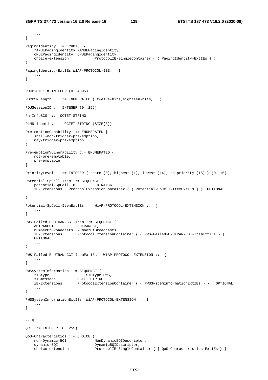...

```
} 
PagingIdentity ::= CHOICE {
    rANUEPagingIdentity RANUEPagingIdentity, 
    cNUEPagingIdentity CNUEPagingIdentity, 
                               ProtocolIE-SingleContainer { { PagingIdentity-ExtIEs } }
} 
PagingIdentity-ExtIEs W1AP-PROTOCOL-IES::= { 
 ... 
} 
PDCP-SN :: = INTER (0..4095)PDCPSNLength ::= ENUMERATED { twelve-bits, eighteen-bits, ... }
PDUSessionID ::= INTEGER (0..255) 
Ph-InfoSCG ::= OCTET STRING 
PLMN-Identity ::= OCTET STRING (SIZE(3)) 
Pre-emptionCapability ::= ENUMERATED { 
    shall-not-trigger-pre-emption, 
    may-trigger-pre-emption 
} 
Pre-emptionVulnerability ::= ENUMERATED { 
    not-pre-emptable, 
    pre-emptable 
} 
PriorityLevel ::= INTEGER { spare (0), highest (1), lowest (14), no-priority (15) } (0..15) 
Potential-SpCell-Item ::= SEQUENCE { 
   potential-SpCell-ID EUTRANCGI
     iE-Extensions ProtocolExtensionContainer { { Potential-SpCell-ItemExtIEs } } OPTIONAL, 
     ... 
} 
Potential-SpCell-ItemExtIEs W1AP-PROTOCOL-EXTENSION ::= { 
     ... 
} 
PWS-Failed-E-UTRAN-CGI-Item ::= SEQUENCE { 
    eUTRANCGI EUTRANCGI, 
    numberOfBroadcasts NumberOfBroadcasts, 
    iE-Extensions ProtocolExtensionContainer { { PWS-Failed-E-UTRAN-CGI-ItemExtIEs } }
    OPTIONAL, 
     ... 
} 
PWS-Failed-E-UTRAN-CGI-ItemExtIEs W1AP-PROTOCOL-EXTENSION ::= { 
    ... 
} 
PWSSystemInformation ::= SEQUENCE { 
sIBtype SIBType-PWS,
sIBmessage OCTET STRING,
     iE-Extensions ProtocolExtensionContainer { { PWSSystemInformationExtIEs } } OPTIONAL, 
     ... 
} 
PWSSystemInformationExtIEs W1AP-PROTOCOL-EXTENSION ::= { 
    ... 
} 
-- OOCI ::= INTEGER (0.1255)QoS-Characteristics ::= CHOICE { 
   non-Dynamic-5QI NonDynamic5QIDescriptor,<br>dynamic-5OI Dynamic5OIDescriptor,
                               Dynamic5OIDescriptor,
   choice-extension ProtocolIE-SingleContainer { { QoS-Characteristics-ExtIEs } }
```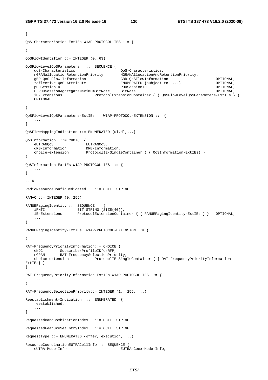```
} 
QoS-Characteristics-ExtIEs W1AP-PROTOCOL-IES ::= { 
 ... 
} 
QoSFlowIdentifier ::= INTEGER (0..63) 
QoSFlowLevelQoSParameters ::= SEQUENCE { 
    qoS-Characteristics QoS-Characteristics, 
    nGRANallocationRetentionPriority NGRANAllocationAndRetentionPriority, 
    gBR-QoS-Flow-Information GBR-QoSFlowInformation OPTIONAL, 
    reflective-QoS-Attribute ENUMERATED {subject-to, ...} OPTIONAL, 
    pDUSessionID PDUSessionID OPTIONAL, 
   uLPDUSessionAggregateMaximumBitRate
    iE-Extensions ProtocolExtensionContainer { { QoSFlowLevelQoSParameters-ExtIEs } }
    OPTIONAL, 
    ... 
} 
QoSFlowLevelQoSParameters-ExtIEs W1AP-PROTOCOL-EXTENSION ::= { 
    ... 
} 
QoSFlowMappingIndication ::= ENUMERATED {ul,dl,...} 
QoSInformation ::= CHOICE { 
    eUTRANQoS EUTRANQoS, 
    dRB-Information DRB-Information, 
    choice-extension ProtocolIE-SingleContainer { { QoSInformation-ExtIEs} } 
} 
QoSInformation-ExtIEs W1AP-PROTOCOL-IES ::= { 
 ... 
} 
-- R 
RadioResourceConfigDedicated ::= OCTET STRING 
RANAC ::= INTEGER (0..255)RANUEPagingIdentity ::= SEQUENCE
 iRNTI BIT STRING (SIZE(40)), 
 iE-Extensions ProtocolExtensionContainer { { RANUEPagingIdentity-ExtIEs } } OPTIONAL, 
    ... 
} 
RANUEPagingIdentity-ExtIEs W1AP-PROTOCOL-EXTENSION ::= { 
   ... 
} 
RAT-FrequencyPriorityInformation::= CHOICE { 
 eNDC SubscriberProfileIDforRFP, 
 nGRAN RAT-FrequencySelectionPriority, 
    choice-extension ProtocolIE-SingleContainer { { RAT-FrequencyPriorityInformation-
ExtIEs } }
} 
RAT-FrequencyPriorityInformation-ExtIEs W1AP-PROTOCOL-IES ::= { 
 ... 
} 
RAT-FrequencySelectionPriority::= INTEGER (1.. 256, ...) 
Reestablishment-Indication ::= ENUMERATED { 
    reestablished, 
    ... 
} 
RequestedBandCombinationIndex ::= OCTET STRING 
RequestedFeatureSetEntryIndex ::= OCTET STRING 
RequestType ::= ENUMERATED {offer, execution, ...} 
ResourceCoordinationEUTRACellInfo ::= SEQUENCE { 
    eUTRA-Mode-Info EUTRA-Coex-Mode-Info,
```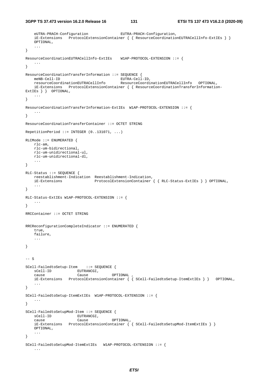eUTRA-PRACH-Configuration EUTRA-PRACH-Configuration, iE-Extensions ProtocolExtensionContainer { { ResourceCoordinationEUTRACellInfo-ExtIEs } } OPTIONAL, ... } ResourceCoordinationEUTRACellInfo-ExtIEs W1AP-PROTOCOL-EXTENSION ::= { ... } ResourceCoordinationTransferInformation ::= SEQUENCE { meNB-Cell-ID EUTRA-Cell-ID, resourceCoordinationEUTRACellInfo ResourceCoordinationEUTRACellInfo OPTIONAL, iE-Extensions ProtocolExtensionContainer { { ResourceCoordinationTransferInformation-ExtIEs } } OPTIONAL, ... } ResourceCoordinationTransferInformation-ExtIEs W1AP-PROTOCOL-EXTENSION ::= { ... } ResourceCoordinationTransferContainer ::= OCTET STRING RepetitionPeriod  $::=$  INTEGER  $(0..131071, ...)$ RLCMode ::= ENUMERATED { rlc-am, rlc-um-bidirectional, rlc-um-unidirectional-ul, rlc-um-unidirectional-dl, ... } RLC-Status ::= SEQUENCE { reestablishment-Indication Reestablishment-Indication, iE-Extensions ProtocolExtensionContainer { { RLC-Status-ExtIEs } } OPTIONAL, ... } RLC-Status-ExtIEs W1AP-PROTOCOL-EXTENSION ::= { ... } RRCContainer ::= OCTET STRING RRCReconfigurationCompleteIndicator ::= ENUMERATED { true, failure, ... }  $--$  S SCell-FailedtoSetup-Item ::= SEQUENCE { sCell-ID EUTRANCGI, cause Cause OPTIONAL , iE-Extensions ProtocolExtensionContainer { { SCell-FailedtoSetup-ItemExtIEs } } OPTIONAL, ... } SCell-FailedtoSetup-ItemExtIEs W1AP-PROTOCOL-EXTENSION ::= { ... } SCell-FailedtoSetupMod-Item ::= SEQUENCE { sCell-ID EUTRANCGI, cause Cause OPTIONAL, iE-Extensions ProtocolExtensionContainer { { SCell-FailedtoSetupMod-ItemExtIEs } } OPTIONAL, ... } SCell-FailedtoSetupMod-ItemExtIEs W1AP-PROTOCOL-EXTENSION ::= { ...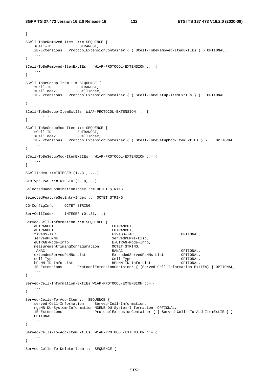```
} 
SCell-ToBeRemoved-Item ::= SEQUENCE { 
   sCell-ID EUTRANCGI,
    iE-Extensions ProtocolExtensionContainer { { SCell-ToBeRemoved-ItemExtIEs } } OPTIONAL, 
    ... 
} 
SCell-ToBeRemoved-ItemExtIEs W1AP-PROTOCOL-EXTENSION ::= { 
    ... 
} 
SCell-ToBeSetup-Item ::= SEQUENCE { 
sCell-ID EUTRANCGI,
sCellIndex SCellIndex,
    iE-Extensions ProtocolExtensionContainer { { SCell-ToBeSetup-ItemExtIEs } } OPTIONAL, 
 ... 
} 
SCell-ToBeSetup-ItemExtIEs W1AP-PROTOCOL-EXTENSION ::= { 
       ... 
} 
SCell-ToBeSetupMod-Item ::= SEQUENCE { 
sCell-ID EUTRANCGI,
sCellIndex SCellIndex,
    iE-Extensions ProtocolExtensionContainer { { SCell-ToBeSetupMod-ItemExtIEs } } OPTIONAL, 
    ... 
} 
SCell-ToBeSetupMod-ItemExtIEs W1AP-PROTOCOL-EXTENSION ::= { 
    ... 
} 
SCellIndex ::=INTEGER (1..31, ...) 
SIBType-PWS ::=INTER (6..8,...)SelectedBandCombinationIndex ::= OCTET STRING 
SelectedFeatureSetEntryIndex ::= OCTET STRING 
CG-ConfigInfo ::= OCTET STRING 
ServCellIndex ::= INTEGER (0..31, ...)Served-Cell-Information ::= SEQUENCE { 
    eUTRANCGI EUTRANCGI, 
   eUTRANPCI EUTRANPCI,
    fiveGS-TAC FiveGS-TAC OPTIONAL, 
    servedPLMNs ServedPLMNs-List, 
   eUTRAN-Mode-Info E-UTRAN-Mode-Info.
    measurementTimingConfiguration OCTET STRING, 
   rANAC RANAC OPTIONAL, 
                                 ExtendedServedPLMNs-List
    cell-Type Cell-Type OPTIONAL, 
    bPLMN-ID-Info-List BPLMN-ID-Info-List OPTIONAL, 
   iE-Extensions ProtocolExtensionContainer { {Served-Cell-Information-ExtIEs} } OPTIONAL, 
 ... 
} 
Served-Cell-Information-ExtIEs W1AP-PROTOCOL-EXTENSION ::= { 
    ... 
} 
Served-Cells-To-Add-Item ::= SEQUENCE { 
    served-Cell-Information Served-Cell-Information, 
    ngeNB-DU-System-Information NGENB-DU-System-Information OPTIONAL, 
    iE-Extensions ProtocolExtensionContainer { { Served-Cells-To-Add-ItemExtIEs} }
    OPTIONAL, 
    ... 
} 
Served-Cells-To-Add-ItemExtIEs W1AP-PROTOCOL-EXTENSION ::= { 
 ... 
} 
Served-Cells-To-Delete-Item ::= SEQUENCE {
```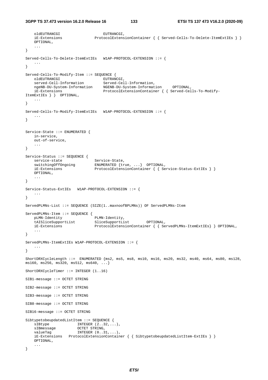```
oldEUTRANCGI EUTRANCGI,
     iE-Extensions ProtocolExtensionContainer { { Served-Cells-To-Delete-ItemExtIEs } }
    OPTIONAL, 
 ... 
} 
Served-Cells-To-Delete-ItemExtIEs W1AP-PROTOCOL-EXTENSION ::= { 
     ... 
} 
Served-Cells-To-Modify-Item ::= SEQUENCE { 
oldEUTRANCGI EUTRANCGI,
 served-Cell-Information Served-Cell-Information, 
   ngeNB-DU-System-Information NGENB-DU-System-Information OPTIONAL,<br>iE-Extensions ProtocolExtensionContainer { { Served-Cel
                                   ProtocolExtensionContainer { { Served-Cells-To-Modify-
ItemExtIEs } } OPTIONAL, 
    ... 
} 
Served-Cells-To-Modify-ItemExtIEs W1AP-PROTOCOL-EXTENSION ::= { 
    ... 
} 
Service-State ::= ENUMERATED {
    in-service, 
    out-of-service, 
    ... 
} 
Service-Status ::= SEQUENCE { 
   service-state Service-State,<br>switchingOffOngoing ENUMERATED {tr
                               ENUMERATED \{true, ... \} OPTIONAL,
    iE-Extensions ProtocolExtensionContainer { { Service-Status-ExtIEs } }
    OPTIONAL, 
     ... 
} 
Service-Status-ExtIEs W1AP-PROTOCOL-EXTENSION ::= { 
    ... 
} 
ServedPLMNs-List ::= SEQUENCE (SIZE(1..maxnoofBPLMNs)) OF ServedPLMNs-Item 
ServedPLMNs-Item ::= SEQUENCE { 
    pLMN-Identity PLMN-Identity, 
    tAISliceSupportList SliceSupportList OPTIONAL, 
    iE-Extensions ProtocolExtensionContainer { { ServedPLMNs-ItemExtIEs} } OPTIONAL, 
     ... 
} 
ServedPLMNs-ItemExtIEs W1AP-PROTOCOL-EXTENSION ::= { 
    ... 
} 
ShortDRXCycleLength ::= ENUMERATED {ms2, ms5, ms8, ms10, ms16, ms20, ms32, ms40, ms64, ms80, ms128, 
ms160, ms256, ms320, ms512, ms640, ...} 
ShortDRXCycleTimer ::= INTEGER (1..16) 
SIB1-message ::= OCTET STRING 
SIB2-message ::= OCTET STRING 
SIB3-message ::= OCTET STRING 
SIB8-message ::= OCTET STRING 
SIB16-message ::= OCTET STRING 
SibtypetobeupdatedListItem ::= SEQUENCE { 
   sIBtype INTEGER (2..32,...),
   sIBmessage OCTET STRING,
   valueTag INTEGER (0..31,...),
    iE-Extensions ProtocolExtensionContainer { { SibtypetobeupdatedListItem-ExtIEs } }
    OPTIONAL, 
     ... 
}
```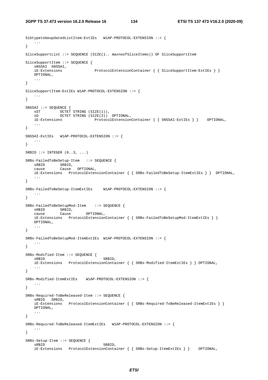```
SibtypetobeupdatedListItem-ExtIEs W1AP-PROTOCOL-EXTENSION ::= { 
    ... 
} 
SliceSupportList ::= SEQUENCE (SIZE(1.. maxnoofSliceItems)) OF SliceSupportItem 
SliceSupportItem ::= SEOUENCE {
   sNSSAI SNSSAI,<br>iE-Extensions
                             ProtocolExtensionContainer { { SliceSupportItem-ExtIEs } }
    OPTIONAL, 
 ... 
} 
SliceSupportItem-ExtIEs W1AP-PROTOCOL-EXTENSION ::= { 
 ... 
} 
SNSSAI ::= SEQUENCE { 
 sST OCTET STRING (SIZE(1)), 
 sD OCTET STRING (SIZE(3)) OPTIONAL, 
    iE-Extensions ProtocolExtensionContainer { { SNSSAI-ExtIEs } } OPTIONAL, 
    ... 
} 
SNSSAI-ExtIEs W1AP-PROTOCOL-EXTENSION ::= { 
   ... 
} 
SRBID ::= INTEGER (0..3, ...)SRBs-FailedToBeSetup-Item ::= SEQUENCE { 
 sRBID SRBID, 
 cause Cause OPTIONAL, 
    iE-Extensions ProtocolExtensionContainer { { SRBs-FailedToBeSetup-ItemExtIEs } } OPTIONAL, 
 ... 
} 
SRBs-FailedToBeSetup-ItemExtIEs W1AP-PROTOCOL-EXTENSION ::= { 
   ... 
} 
SRBs-FailedToBeSetupMod-Item ::= SEQUENCE { 
 sRBID SRBID, 
 cause Cause OPTIONAL, 
    iE-Extensions ProtocolExtensionContainer { { SRBs-FailedToBeSetupMod-ItemExtIEs } }
    OPTIONAL, 
    ... 
} 
SRBs-FailedToBeSetupMod-ItemExtIEs W1AP-PROTOCOL-EXTENSION ::= { 
 ... 
} 
SRBs-Modified-Item ::= SEQUENCE { 
sRBID SRBID,
 iE-Extensions ProtocolExtensionContainer { { SRBs-Modified-ItemExtIEs } } OPTIONAL, 
    ... 
} 
SRBs-Modified-ItemExtIEs W1AP-PROTOCOL-EXTENSION ::= { 
    ... 
} 
SRBs-Required-ToBeReleased-Item ::= SEQUENCE { 
    sRBID SRBID, 
    iE-Extensions ProtocolExtensionContainer { { SRBs-Required-ToBeReleased-ItemExtIEs } }
    OPTIONAL, 
 ... 
} 
SRBs-Required-ToBeReleased-ItemExtIEs W1AP-PROTOCOL-EXTENSION ::= { 
 ... 
} 
SRBs-Setup-Item ::= SEQUENCE { 
   sRBID SRBID,
    iE-Extensions ProtocolExtensionContainer { { SRBs-Setup-ItemExtIEs } } OPTIONAL,
```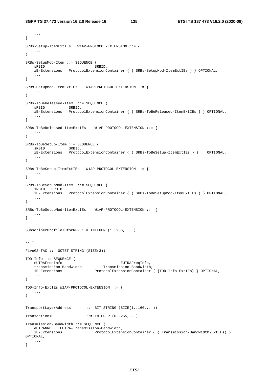```
3GPP TS 37.473 version 16.2.0 Release 16 135 ETSI TS 137 473 V16.2.0 (2020-09)
```
...

```
} 
SRBs-Setup-ItemExtIEs W1AP-PROTOCOL-EXTENSION ::= { 
    ... 
} 
SRBs-SetupMod-Item ::= SEQUENCE { 
   sRBID, SRBID, SRBID,
    iE-Extensions ProtocolExtensionContainer { { SRBs-SetupMod-ItemExtIEs } } OPTIONAL, 
    ... 
} 
SRBs-SetupMod-ItemExtIEs W1AP-PROTOCOL-EXTENSION ::= { 
    ... 
} 
SRBs-ToBeReleased-Item ::= SEQUENCE { 
   sRBID SRBID,
    iE-Extensions ProtocolExtensionContainer { { SRBs-ToBeReleased-ItemExtIEs } } OPTIONAL, 
    ... 
} 
SRBs-ToBeReleased-ItemExtIEs W1AP-PROTOCOL-EXTENSION ::= { 
    ... 
} 
SRBs-ToBeSetup-Item ::= SEQUENCE { 
    sRBID SRBID, 
    iE-Extensions ProtocolExtensionContainer { { SRBs-ToBeSetup-ItemExtIEs } } OPTIONAL, 
 ... 
} 
SRBs-ToBeSetup-ItemExtIEs W1AP-PROTOCOL-EXTENSION ::= { 
    ... 
} 
SRBs-ToBeSetupMod-Item ::= SEQUENCE { 
    sRBID SRBID, 
    iE-Extensions ProtocolExtensionContainer { { SRBs-ToBeSetupMod-ItemExtIEs } } OPTIONAL, 
 ... 
} 
SRBs-ToBeSetupMod-ItemExtIEs W1AP-PROTOCOL-EXTENSION ::= { 
   ... 
} 
SubscriberProfileIDforRFP ::= INTEGER (1..256, ...) 
-- T
FiveGS-TAC ::= OCTET STRING (SIZE(3)) 
TDD-Info ::= SEQUENCE { 
 eUTRAFreqInfo EUTRAFreqInfo, 
 transmission-Bandwidth Transmission-Bandwidth, 
 iE-Extensions ProtocolExtensionContainer { {TDD-Info-ExtIEs} } OPTIONAL, 
 ... 
} 
TDD-Info-ExtIEs W1AP-PROTOCOL-EXTENSION ::= { 
 ... 
} 
TransportLayerAddress ::= BIT STRING (SIZE(1..160,...)) 
TransactionID \qquad \qquad :: = \text{INTER } (0..255, ...)Transmission-Bandwidth ::= SEQUENCE { 
    eUTRANRB EUTRA-Transmission-Bandwidth, 
    iE-Extensions ProtocolExtensionContainer { { Transmission-Bandwidth-ExtIEs} } 
OPTIONAL, 
    ... 
}
```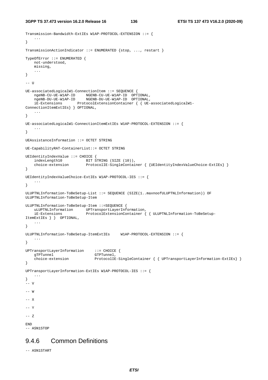```
Transmission-Bandwidth-ExtIEs W1AP-PROTOCOL-EXTENSION ::= { 
     ... 
} 
TransmissionActionIndicator ::= ENUMERATED {stop, ..., restart } 
TypeOfError ::= ENUMERATED { 
    not-understood, 
    missing, 
     ... 
} 
-- U
UE-associatedLogicalW1-ConnectionItem ::= SEQUENCE { 
 ngeNB-CU-UE-W1AP-ID NGENB-CU-UE-W1AP-ID OPTIONAL, 
 ngeNB-DU-UE-W1AP-ID NGENB-DU-UE-W1AP-ID OPTIONAL, 
     iE-Extensions ProtocolExtensionContainer { { UE-associatedLogicalW1-
ConnectionItemExtIEs} } OPTIONAL, 
    ... 
} 
UE-associatedLogicalW1-ConnectionItemExtIEs W1AP-PROTOCOL-EXTENSION ::= { 
 ... 
} 
UEAssistanceInformation ::= OCTET STRING 
UE-CapabilityRAT-ContainerList::= OCTET STRING 
UEIdentityIndexValue ::= CHOICE { 
    indexLength10 BIT STRING (SIZE (10)),<br>choice-extension ProtocolIE-SingleContai
                           ProtocolIE-SingleContainer { {UEIdentityIndexValueChoice-ExtIEs} }
} 
UEIdentityIndexValueChoice-ExtIEs W1AP-PROTOCOL-IES ::= { 
     ... 
} 
ULUPTNLInformation-ToBeSetup-List ::= SEQUENCE (SIZE(1..maxnoofULUPTNLInformation)) OF 
ULUPTNLInformation-ToBeSetup-Item 
ULUPTNLInformation-ToBeSetup-Item ::=SEQUENCE { 
    uLUPTNLInformation UPTransportLayerInformation, 
    iE-Extensions ProtocolExtensionContainer { { ULUPTNLInformation-ToBeSetup-
ItemExtIEs } } OPTIONAL, 
     ... 
} 
ULUPTNLInformation-ToBeSetup-ItemExtIEs W1AP-PROTOCOL-EXTENSION ::= { 
     ... 
} 
UPTransportLayerInformation ::= CHOICE { 
                GTPTunnel,
    choice-extension ProtocolIE-SingleContainer { { UPTransportLayerInformation-ExtIEs} } 
} 
UPTransportLayerInformation-ExtIEs W1AP-PROTOCOL-IES ::= { 
     ... 
} 
 -- V 
-- W 
-- X 
-- Y 
-- 7END 
-- ASN1STOP
```
# 9.4.6 Common Definitions

-- ASN1START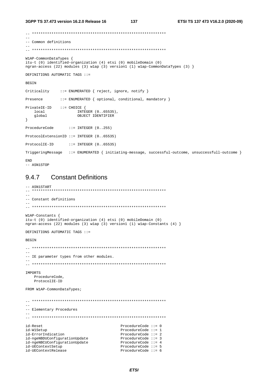```
-- Common definitions
\frac{1}{2}WlAP-CommonDataTypes {
itu-t (0) identified-organization (4) etsi (0) mobileDomain (0)
ngran-access (22) modules (3) wlap (3) version1 (1) wlap-CommonDataTypes (3) }
DEFINITIONS AUTOMATIC TAGS ::=
BEGIN
Criticality
            ::= ENUMERATED { reject, ignore, notify }
            ::= ENUMERATED { optional, conditional, mandatory }
Presence
PrivateIE-ID ::= CHOICE {\nINTEGER (0..65535),<br>OBJECT IDENTIFIER
   local
   qlobal
\}::= INTEGER (0..255)ProcedureCode
ProtocolExtensionID ::= INTEGER (0..65535)
ProtocolIE-ID ::= INTEGER (0..65535)TriggeringMessage ::= ENUMERATED { initiating-message, successful-outcome, unsuccessfull-outcome }
F.ND-- ASN1STOP
```
#### 9.4.7 **Constant Definitions**

```
-- ASN1START
-- Constant definitions
W1AP-Constants {
itu-t (0) identified-organization (4) etsi (0) mobileDomain (0)
ngran-access (22) modules (3) wlap (3) version1 (1) wlap-Constants (4) }
DEFINITIONS AUTOMATIC TAGS ::=
RECIN
- --- IE parameter types from other modules.
TMPORTS
  ProcedureCode,
  ProtocolIE-ID
FROM W1AP-CommonDataTypes;
\sim \sim-- Elementary Procedures
id-Reset
                            ProcedureCode ::= 0id-W1Setup
                           ProcedureCode ::= 1id-ErrorIndication
                            ProcedureCode ::= 2id-ngeNBDUConfigurationUpdate
                           ProcedureCode ::= 3id-ngeNBCUConfigurationUpdate
                           ProcedureCode ::= 4<br>ProcedureCode ::= 5
id-UEContextSetup
id-UEContextRelease
                            ProcedureCode ::= 6
```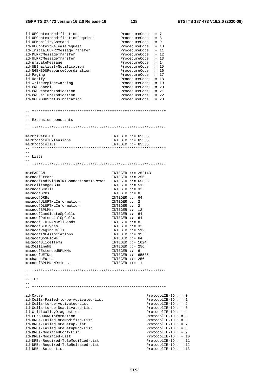| id-UEContextModification                                  | ProcedureCode $::= 7$                            |
|-----------------------------------------------------------|--------------------------------------------------|
| id-UEContextModificationRequired                          | ProcedureCode $::= 8$                            |
| id-UEMobilityCommand                                      | ProcedureCode $::= 9$                            |
| id-UEContextReleaseRequest                                | ProcedureCode $::= 10$                           |
| id-InitialULRRCMessageTransfer                            | ProcedureCode $::= 11$                           |
| id-DLRRCMessageTransfer                                   | ProcedureCode $::= 12$                           |
| id-ULRRCMessageTransfer                                   | ProcedureCode $::= 13$                           |
| id-privateMessage                                         | ProcedureCode $::= 14$                           |
| id-UEInactivityNotification                               | ProcedureCode $::= 15$                           |
| id-NGENBDUResourceCoordination                            | ProcedureCode $::= 16$<br>ProcedureCode $::= 17$ |
| id-Paging<br>id-Notify                                    | ProcedureCode $::= 18$                           |
| id-WriteReplaceWarning                                    | ProcedureCode $::= 19$                           |
| id-PWSCancel                                              | ProcedureCode $::= 20$                           |
| id-PWSRestartIndication                                   | ProcedureCode $::= 21$                           |
| id-PWSFailureIndication                                   | ProcedureCode $::= 22$                           |
| id-NGENBDUStatusIndication                                | ProcedureCode $::= 23$                           |
|                                                           |                                                  |
|                                                           |                                                  |
|                                                           |                                                  |
|                                                           |                                                  |
| -- Extension constants                                    |                                                  |
|                                                           |                                                  |
|                                                           |                                                  |
|                                                           |                                                  |
| maxPrivateIEs                                             | INTEGER $::= 65535$                              |
| maxProtocolExtensions                                     | INTEGER $::= 65535$                              |
| maxProtocolIEs                                            | INTEGER $::= 65535$                              |
|                                                           |                                                  |
|                                                           |                                                  |
| -- Lists                                                  |                                                  |
|                                                           |                                                  |
|                                                           |                                                  |
|                                                           |                                                  |
| maxEARFCN                                                 | INTEGER $::= 262143$                             |
| maxnoofErrors                                             | INTEGER $::= 256$                                |
| maxnoofIndividualW1ConnectionsToReset<br>maxCellinngeNBDU | INTEGER $::= 65536$<br>INTEGER $::= 512$         |
| maxnoofSCells                                             | INTEGER $::= 32$                                 |
| maxnoofSRBs                                               | INTEGER $::= 8$                                  |
| maxnoofDRBs                                               | INTEGER $::= 64$                                 |
| maxnoofULUPTNLInformation                                 | INTEGER $::= 2$                                  |
| maxnoofDLUPTNLInformation                                 | INTEGER $::= 2$                                  |
| maxnoofBPLMNs                                             | INTEGER $::= 12$                                 |
| maxnoofCandidateSpCells                                   | INTEGER $::= 64$                                 |
| maxnoofPotentialSpCells                                   | INTEGER $::= 64$                                 |
| maxnoofE-UTRANCellBands                                   | INTEGER $::= 8$                                  |
| maxnoofSIBTypes                                           | $INTER :: = 32$                                  |
| maxnoofPagingCells                                        |                                                  |
|                                                           | INTEGER $::= 512$                                |
| maxnoofTNLAssociations                                    | $INTER :: = 32$                                  |
| maxnoofQoSFlows                                           | INTEGER $::= 64$                                 |
| maxnoofSliceItems                                         | INTEGER $::= 1024$                               |
| maxCellineNB                                              | INTEGER $::= 256$                                |
| maxnoofExtendedBPLMNs                                     | INTEGER $::= 6$                                  |
| maxnoofUEIDs                                              | INTEGER $::= 65536$                              |
| maxBandsEutra                                             | INTEGER $::= 256$                                |
| maxnoofBPLMNsNRminus1                                     | $INTER :: = 11$                                  |
|                                                           |                                                  |
|                                                           |                                                  |
|                                                           |                                                  |
| $--$ IEs                                                  |                                                  |
|                                                           |                                                  |
|                                                           |                                                  |
|                                                           |                                                  |
| id-Cause                                                  | $ProtocolIE-ID :: = 0$                           |
| id-Cells-Failed-to-be-Activated-List                      | $ProtocolIE-ID ::= 1$                            |
| id-Cells-to-be-Activated-List                             | $ProtocolIE-ID ::= 2$                            |
| id-Cells-to-be-Deactivated-List                           | $ProtocolIE-ID :: = 3$                           |
| id-CriticalityDiagnostics                                 | ProtocolIE-ID ::= $4$                            |
| id-CUtoDURRCInformation                                   | $ProtocolIE-ID :: = 5$                           |
| id-DRBs-FailedToBeModified-List                           | ProtocolIE-ID ::= $6$                            |
| id-DRBs-FailedToBeSetup-List                              | ProtocolIE-ID ::= 7                              |
| id-DRBs-FailedToBeSetupMod-List                           | ProtocolIE-ID ::= 8                              |
| id-DRBs-ModifiedConf-List                                 | $ProtocolIE-ID ::= 9$                            |
| id-DRBs-Modified-List                                     | ProtocolIE-ID $::= 10$                           |
| id-DRBs-Required-ToBeModified-List                        | $ProtocolIE-ID ::= 11$                           |
| id-DRBs-Required-ToBeReleased-List<br>id-DRBs-Setup-List  | $ProtocolIE-ID ::= 12$<br>$ProtocolIE-ID ::= 13$ |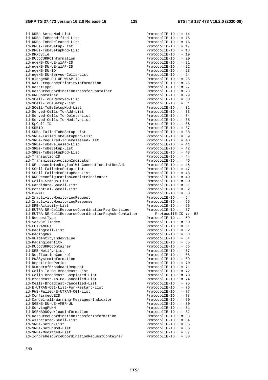| id-DRBs-SetupMod-List                                                  | ProtocolIE-ID ::= 14                         |
|------------------------------------------------------------------------|----------------------------------------------|
| id-DRBs-ToBeModified-List                                              | $ProtocolIE-ID :: = 15$                      |
|                                                                        |                                              |
| id-DRBs-ToBeReleased-List                                              | $ProtocolIE-ID :: = 16$                      |
| id-DRBs-ToBeSetup-List                                                 | $ProtocolIE-ID :: = 17$                      |
| id-DRBs-ToBeSetupMod-List                                              | $ProtocolIE-ID :: = 18$                      |
| id-DRXCycle                                                            | $ProtocolIE-ID ::= 19$                       |
|                                                                        |                                              |
| id-DUtoCURRCInformation                                                | $ProtocolIE-ID ::= 20$                       |
| id-ngeNB-CU-UE-W1AP-ID                                                 | $ProtocolIE-ID :: = 21$                      |
| id-ngeNB-DU-UE-W1AP-ID                                                 | ProtocolIE-ID ::= 22                         |
| id-ngeNB-DU-ID                                                         | ProtocolIE-ID ::= 23                         |
|                                                                        |                                              |
| id-ngeNB-DU-Served-Cells-List                                          | ProtocolIE-ID ::= 24                         |
| id-oldngeNB-DU-UE-W1AP-ID                                              | $ProtocolIE-ID :: = 25$                      |
| id-RAT-FrequencyPriorityInformation                                    | ProtocolIE-ID ::= 26                         |
| id-ResetType                                                           | ProtocolIE-ID ::= 27                         |
|                                                                        |                                              |
| id-ResourceCoordinationTransferContainer                               | ProtocolIE-ID ::= 28                         |
| id-RRCContainer                                                        | $ProtocolIE-ID :: = 29$                      |
| id-SCell-ToBeRemoved-List                                              | $ProtocolIE-ID :: = 30$                      |
| id-SCell-ToBeSetup-List                                                | ProtocolIE-ID ::= $31$                       |
|                                                                        |                                              |
| id-SCell-ToBeSetupMod-List                                             | $ProtocolIE-ID :: = 32$                      |
| id-Served-Cells-To-Add-List                                            | ProtocolIE-ID ::= 33                         |
| id-Served-Cells-To-Delete-List                                         | ProtocolIE-ID ::= $34$                       |
|                                                                        |                                              |
| id-Served-Cells-To-Modify-List                                         | $ProtocolIE-ID :: = 35$                      |
| id-SpCell-ID                                                           | $ProtocolIE-ID :: = 36$                      |
| id-SRBID                                                               | ProtocolIE-ID ::= 37                         |
| id-SRBs-FailedToBeSetup-List                                           | ProtocolIE-ID ::= 38                         |
|                                                                        |                                              |
| id-SRBs-FailedToBeSetupMod-List                                        | $ProtocolIE-ID :: = 39$                      |
| id-SRBs-Required-ToBeReleased-List                                     | ProtocolIE-ID ::= $40$                       |
| id-SRBs-ToBeReleased-List                                              | ProtocolIE-ID ::= $41$                       |
|                                                                        | ProtocolIE-ID ::= $42$                       |
| id-SRBs-ToBeSetup-List                                                 |                                              |
| id-SRBs-ToBeSetupMod-List                                              | ProtocolIE-ID ::= $43$                       |
| id-TransactionID                                                       | ProtocolIE-ID ::= $44$                       |
| id-TransmissionActionIndicator                                         | ProtocolIE-ID ::= $45$                       |
|                                                                        |                                              |
| id-UE-associatedLogicalW1-ConnectionListResAck                         | ProtocolIE-ID ::= $46$                       |
| id-SCell-FailedtoSetup-List                                            | ProtocolIE-ID ::= $47$                       |
| id-SCell-FailedtoSetupMod-List                                         | ProtocolIE-ID ::= $48$                       |
| id-RRCReconfigurationCompleteIndicator                                 | ProtocolIE-ID ::= 49                         |
|                                                                        |                                              |
| id-Cells-Status-List                                                   | ProtocolIE-ID ::= $50$                       |
| id-Candidate-SpCell-List                                               | ProtocolIE-ID ::= $51$                       |
|                                                                        |                                              |
|                                                                        |                                              |
| id-Potential-SpCell-List                                               | ProtocolIE-ID ::= 52                         |
| id-C-RNTI                                                              | ProtocolIE-ID ::= 53                         |
| id-InactivityMonitoringRequest                                         | ProtocolIE-ID ::= $54$                       |
| id-InactivityMonitoringResponse                                        | $ProtocolIE-ID :: = 55$                      |
|                                                                        |                                              |
| id-DRB-Activity-List                                                   | ProtocolIE-ID ::= $56$                       |
| id-EUTRA-NR-CellResourceCoordinationReq-Container                      | ProtocolIE-ID ::= 57                         |
| id-EUTRA-NR-CellResourceCoordinationReqAck-Container                   | ProtocolIE-ID $::= 58$                       |
|                                                                        |                                              |
| id-RequestType                                                         | $ProtocolIE-ID :: = 59$                      |
| id-ServCellIndex                                                       | ProtocolIE-ID $::= 60$                       |
| id-EUTRANCGI                                                           | ProtocolIE-ID $::= 61$                       |
| id-PagingCell-List                                                     | ProtocolIE-ID ::= $62$                       |
|                                                                        | ProtocolIE-ID ::= $63$                       |
| id-PagingDRX                                                           |                                              |
| id-UEIdentityIndexValue                                                | ProtocolIE-ID ::= $64$                       |
| id-PagingIdentity                                                      | ProtocolIE-ID ::= $65$                       |
| id-DUtoCURRCContainer                                                  | ProtocolIE-ID $::= 66$                       |
| id-DRB-Notify-List                                                     | ProtocolIE-ID ::= $67$                       |
|                                                                        |                                              |
| id-NotficationControl                                                  | ProtocolIE-ID $::= 68$                       |
| id-PWSSystemInformation                                                | ProtocolIE-ID ::= $69$                       |
| id-RepetitionPeriod                                                    | ProtocolIE-ID ::= 70                         |
|                                                                        |                                              |
| id-NumberofBroadcastRequest                                            | ProtocolIE-ID ::= $71$                       |
| id-Cells-To-Be-Broadcast-List                                          | ProtocolIE-ID ::= 72                         |
| id-Cells-Broadcast-Completed-List                                      | ProtocolIE-ID ::= 73                         |
| id-Broadcast-To-Be-Cancelled-List                                      | ProtocolIE-ID ::= 74                         |
|                                                                        |                                              |
| id-Cells-Broadcast-Cancelled-List                                      | ProtocolIE-ID ::= 75                         |
| id-E-UTRAN-CGI-List-For-Restart-List                                   | ProtocolIE-ID ::= 76                         |
| id-PWS-Failed-E-UTRAN-CGI-List                                         | ProtocolIE-ID ::= $77$                       |
| id-ConfirmedUEID                                                       | ProtocolIE-ID ::= 78                         |
|                                                                        |                                              |
| id-Cancel-all-Warning-Messages-Indicator                               | $ProtocolIE-ID :: = 79$                      |
| id-NGENB-DU-UE-AMBR-UL                                                 | ProtocolIE-ID ::= 80                         |
| id-ServingPLMN                                                         | ProtocolIE-ID ::= 81                         |
| id-NGENBDUOverloadInformation                                          | ProtocolIE-ID ::= 82                         |
|                                                                        |                                              |
| id-ResourceCoordinationTransferInformation                             | ProtocolIE-ID $::= 83$                       |
| id-Associated-SCell-List                                               | ProtocolIE-ID ::= 84                         |
| id-SRBs-Setup-List                                                     | ProtocolIE-ID $::= 85$                       |
| id-SRBs-SetupMod-List                                                  | ProtocolIE-ID $::= 86$                       |
|                                                                        |                                              |
| id-SRBs-Modified-List<br>id-IgnoreResourceCoordinationRequestContainer | ProtocolIE-ID ::= 87<br>ProtocolIE-ID ::= 88 |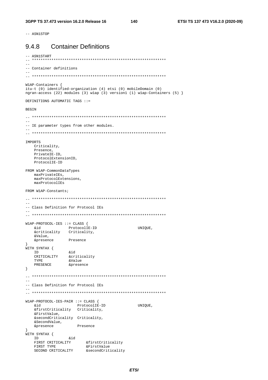-- ASN1STOP

#### **Container Definitions** 9.4.8

```
-- ASN1START
\sim-- Container definitions
W1AP-Containers {
itu-t (0) identified-organization (4) etsi (0) mobileDomain (0)
ngran-access (22) modules (3) wlap (3) version1 (1) wlap-Containers (5) \}DEFINITIONS AUTOMATIC TAGS ::=
BEGIN
-- IE parameter types from other modules.
= -IMPORTS
  Criticality,
  Presence,
  PrivateIE-ID,
  ProtocolExtensionID,
  ProtocolIE-ID
FROM W1AP-CommonDataTypes
  maxPrivateIEs,
  maxProtocolExtensions,
  maxProtocolIEs
FROM W1AP-Constants;
\frac{1}{2}-- Class Definition for Protocol IEs
\verb+W1AP-PROTOCOL-IES ::= CLASS { }&id ProtocolIE-ID<br>
&criticality Criticality,
  bia
                                       UNIQUE,
   6572119Presence
   &presence
}<br>WITH SYNTAX {
  ID SIMPAR (<br>
ID &id<br>
CRITICALITY &criticality<br>
TYPE &Value
  T<sub>D</sub>TYPE                 &Value<br>PRESENCE               &presence
\}-- Class Definition for Protocol IEs
\equiv \equivW1AP-PROTOCOL-IES-PAIR ::= CLASS {
  &id
                  ProtocolIE-ID
                                 UNIOUE,
   ard<br>&firstCriticality Criticality,
   &FirstValue,
   &secondCriticality Criticality,
  &secondvalue,<br>&SecondValue, Presence
}<br>WITH SYNTAX {<br>&id
   ID and aluminimated ID<br>FIRST CRITICALITY afirstCriticality<br>FirstValue aristValue
   SECOND CRITICALITY assecondCriticality
```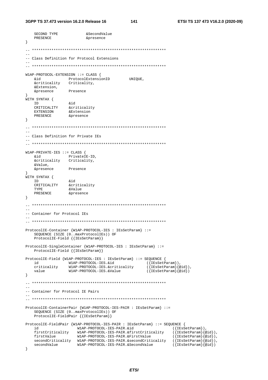```
SECOND TYPE
                      &SecondValue
   PRESENCE
                      &presence
\}-- Class Definition for Protocol Extensions
W1AP-PROTOCOL-EXTENSION ::= CLASS {
               ProtocolExtensionID
                                     UNIQUE,
   hia
   <u>&criticality</u>
                Criticality,
   &Extension,
  &presence
              Presence
\rightarrow,<br>WITH SYNTAX {
  TD.
               &id
   CRITICALITY & criticality
   EXTENSION & Extension<br>PRESENCE & presence
\}\sim-- Class Definition for Private IEs
W1AP-PRIVATE-IES ::= CLASS {
  hia
               PrivateTE-ID.
   &criticality Criticality,
   &Value,
   &presence
              Presence
WITH SYNTAX {
   ID &id<br>CRITICALITY &criticality<br>TYPE &Value
  ID
  PRESENCE
              &presence
\left\{ \right.-- Container for Protocol IEs
ProtocolIE-Container {W1AP-PROTOCOL-IES : IEsSetParam} ::=
   SEQUENCE (SIZE (0. maxProtocolIEs)) OF
   ProtocolIE-Field { { IESSetParam} }
ProtocolIE-SingleContainer {W1AP-PROTOCOL-IES : IEsSetParam} ::=
   ProtocolIE-Field { { IESSetParam} }
ProtocolIE-Field {W1AP-PROTOCOL-IES : IEsSetParam} ::= SEQUENCE {
                                          ({EssetParam}),
          WIAP-PROTOCOL-IES.&id<br>ity       WIAP-PROTOCOL-IES.&criticality
  \dot{h}criticality
                                             ({\texttt{IEsSetParam}}\{\texttt{@id}\}),
              W1AP-PROTOCOL-IES.&Value
                                             ({IESSetParam}@id)value
\left\{ \right\}-- Container for Protocol IE Pairs
ProtocolIE-ContainerPair {WIAP-PROTOCOL-IES-PAIR : IEsSetParam} : =
   SEQUENCE (SIZE (0..maxProtocolIEs)) OF
   ProtocolIE-FieldPair {{IESSetParam}}
ProtocolIE-FieldPair {W1AP-PROTOCOL-IES-PAIR : IEsSetParam} ::= SEQUENCE {
                 W1AP-PROTOCOL-IES-PAIR.&id
                                                  ({EssetParam}),
   id
   firstCriticality W1AP-PROTOCOL-IES-PAIR.&firstCriticality
                                                       ({[IEsSetParam]}@id),
   firstValue
                  W1AP-PROTOCOL-IES-PAIR.&FirstValue
                                                       ({EssetParam}[@id}),
   secondCritically \quad \texttt{Wlap-PROTOCOL-IES-PAIR}.\&\texttt{secondCritically} \quad (\texttt{IESSetParam})\&\texttt{old})secondValue
                  W1AP-PROTOCOL-IES-PAIR.&SecondValue
                                                       (\{\texttt{IEsSetParam}\}\{@id\})\overline{\phantom{a}}
```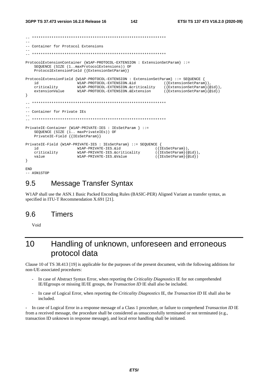```
-- Container for Protocol Extensions
ProtocolExtensionContainer {WIAP-PROTOCOL-EXTENSION : ExtensionSetParam} ::=
   SEQUENCE (SIZE (1..maxProtocolExtensions)) OF
   ProtocolExtensionField {{ExtensionSetParam}}
ProtocolExtensionField {W1AP-PROTOCOL-EXTENSION : ExtensionSetParam} ::= SEQUENCE {
   'nd
                   W1AP-PROTOCOL-EXTENSION.&id
                                                    (\{ExtensionSetParam\})criticality
                   W1AP-PROTOCOL-EXTENSION.&criticality
                                                    ({[ExtensionSetParam}{@id}),
   extensionValue
                   W1AP-PROTOCOL-EXTENSION.&Extension
                                                    (\{ExtensionSetParam\} \{ @id\})\}-- Container for Private IEs
\equivPrivateIE-Container {W1AP-PRIVATE-IES : IEsSetParam } ::=
   SEQUENCE (SIZE (1.. maxPrivateIEs)) OF
   PrivateIE-Field { {IESSetParam}}
PrivateIE-Field {W1AP-PRIVATE-IES : IEsSetParam} ::= SEQUENCE {
                  W1AP-PRIVATE-IES.&id
                                                 (\{\texttt{IESSetParam}\}),
   i d
                   W1AP-PRIVATE-IES.&criticality
                                                 (\{\texttt{IESSetParam}\}\{@id\}),
   criticality
   value
                   W1AP-PRIVATE-IES & Value
                                                 ({[IEsSetParam]}\left\{ \right.FMD
```

```
-- ASN1STOP
```
### 9.5 **Message Transfer Syntax**

W1AP shall use the ASN.1 Basic Packed Encoding Rules (BASIC-PER) Aligned Variant as transfer syntax, as specified in ITU-T Recommendation X.691 [21].

#### 9.6 Timers

Void

## Handling of unknown, unforeseen and erroneous  $1<sub>0</sub>$ protocol data

Clause 10 of TS 38.413 [19] is applicable for the purposes of the present document, with the following additions for non-UE-associated procedures:

- In case of Abstract Syntax Error, when reporting the Criticality Diagnostics IE for not comprehended IE/IEgroups or missing IE/IE groups, the *Transaction ID* IE shall also be included.
- In case of Logical Error, when reporting the Criticality Diagnostics IE, the Transaction ID IE shall also be included.

In case of Logical Error in a response message of a Class 1 procedure, or failure to comprehend *Transaction ID* IE from a received message, the procedure shall be considered as unsuccessfully terminated or not terminated (e.g., transaction ID unknown in response message), and local error handling shall be initiated.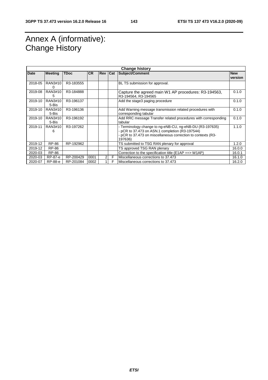# Annex A (informative): Change History

| <b>Change history</b> |                  |             |           |         |   |                                                                                                                                                                                        |                       |  |  |
|-----------------------|------------------|-------------|-----------|---------|---|----------------------------------------------------------------------------------------------------------------------------------------------------------------------------------------|-----------------------|--|--|
| <b>Date</b>           | <b>Meeting</b>   | <b>TDoc</b> | <b>CR</b> | Rev Cat |   | <b>Subject/Comment</b>                                                                                                                                                                 | <b>New</b><br>version |  |  |
| 2018-05               | RAN3#10<br>O     | R3-183555   |           |         |   | BL TS submission for approval.                                                                                                                                                         |                       |  |  |
| 2019-08               | RAN3#10<br>5     | R3-184888   |           |         |   | Capture the agreed main W1 AP procedures: R3-194563,<br>R3-194564, R3-194565                                                                                                           | 0.1.0                 |  |  |
| 2019-10               | RAN3#10<br>5-Bis | R3-196137   |           |         |   | Add the stage3 paging procedure                                                                                                                                                        | 0.1.0                 |  |  |
| 2019-10               | RAN3#10<br>5-Bis | R3-196136   |           |         |   | Add Warning message transmission related procedures with<br>corresponding tabular                                                                                                      | 0.1.0                 |  |  |
| 2019-10               | RAN3#10<br>5-Bis | R3-196192   |           |         |   | Add RRC message Transfer related procedures with corresponding<br>tabular                                                                                                              | 0.1.0                 |  |  |
| 2019-11               | RAN3#10<br>6     | R3-197262   |           |         |   | - Terminology change to ng-eNB-CU, ng-eNB-DU (R3-197635)<br>- pCR to 37.473 on ASN.1 completion (R3-197544)<br>- pCR to 37.473 on miscellaneous correction to contexts (R3-<br>197636) | 1.1.0                 |  |  |
| 2019-12               | <b>RP-86</b>     | RP-192962   |           |         |   | TS submitted to TSG RAN plenary for approval                                                                                                                                           | 1.2.0                 |  |  |
| 2019-12               | <b>RP-86</b>     |             |           |         |   | TS approved TSG RAN plenary                                                                                                                                                            | 16.0.0                |  |  |
| 2020-03               | <b>RP-86</b>     |             |           |         |   | Correction to the specification title ( $E1AP == > W1AP$ )                                                                                                                             | 16.0.1                |  |  |
| 2020-03               | RP-87-e          | RP-200429   | 0001      | 2       | F | Miscellaneous corrections to 37.473                                                                                                                                                    | 16.1.0                |  |  |
| 2020-07               | RP-88-e          | RP-201084   | 0002      |         | F | Miscellaneous corrections to 37.473                                                                                                                                                    | 16.2.0                |  |  |